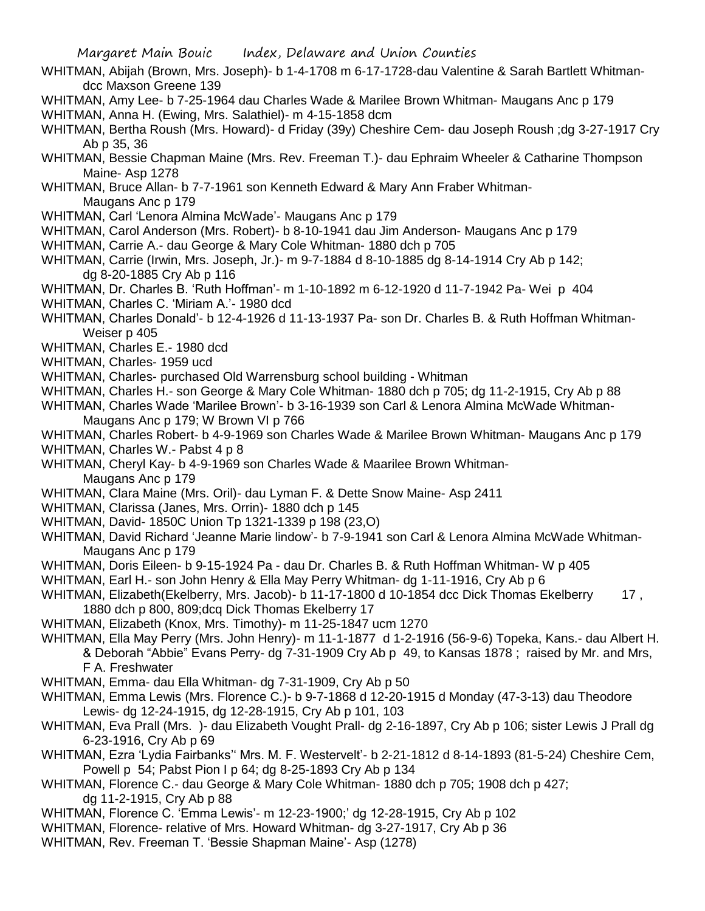- WHITMAN, Abijah (Brown, Mrs. Joseph)- b 1-4-1708 m 6-17-1728-dau Valentine & Sarah Bartlett Whitmandcc Maxson Greene 139
- WHITMAN, Amy Lee- b 7-25-1964 dau Charles Wade & Marilee Brown Whitman- Maugans Anc p 179
- WHITMAN, Anna H. (Ewing, Mrs. Salathiel)- m 4-15-1858 dcm

WHITMAN, Bertha Roush (Mrs. Howard)- d Friday (39y) Cheshire Cem- dau Joseph Roush ;dg 3-27-1917 Cry Ab p 35, 36

- WHITMAN, Bessie Chapman Maine (Mrs. Rev. Freeman T.)- dau Ephraim Wheeler & Catharine Thompson Maine- Asp 1278
- WHITMAN, Bruce Allan- b 7-7-1961 son Kenneth Edward & Mary Ann Fraber Whitman-Maugans Anc p 179
- WHITMAN, Carl 'Lenora Almina McWade'- Maugans Anc p 179
- WHITMAN, Carol Anderson (Mrs. Robert)- b 8-10-1941 dau Jim Anderson- Maugans Anc p 179
- WHITMAN, Carrie A.- dau George & Mary Cole Whitman- 1880 dch p 705
- WHITMAN, Carrie (Irwin, Mrs. Joseph, Jr.)- m 9-7-1884 d 8-10-1885 dg 8-14-1914 Cry Ab p 142; dg 8-20-1885 Cry Ab p 116
- WHITMAN, Dr. Charles B. 'Ruth Hoffman'- m 1-10-1892 m 6-12-1920 d 11-7-1942 Pa- Wei p 404
- WHITMAN, Charles C. 'Miriam A.'- 1980 dcd
- WHITMAN, Charles Donald'- b 12-4-1926 d 11-13-1937 Pa- son Dr. Charles B. & Ruth Hoffman Whitman-Weiser p 405
- WHITMAN, Charles E.- 1980 dcd
- WHITMAN, Charles- 1959 ucd
- WHITMAN, Charles- purchased Old Warrensburg school building Whitman
- WHITMAN, Charles H.- son George & Mary Cole Whitman- 1880 dch p 705; dg 11-2-1915, Cry Ab p 88
- WHITMAN, Charles Wade 'Marilee Brown'- b 3-16-1939 son Carl & Lenora Almina McWade Whitman-Maugans Anc p 179; W Brown VI p 766
- WHITMAN, Charles Robert- b 4-9-1969 son Charles Wade & Marilee Brown Whitman- Maugans Anc p 179
- WHITMAN, Charles W.- Pabst 4 p 8
- WHITMAN, Cheryl Kay- b 4-9-1969 son Charles Wade & Maarilee Brown Whitman-Maugans Anc p 179
- WHITMAN, Clara Maine (Mrs. Oril)- dau Lyman F. & Dette Snow Maine- Asp 2411
- WHITMAN, Clarissa (Janes, Mrs. Orrin)- 1880 dch p 145
- WHITMAN, David- 1850C Union Tp 1321-1339 p 198 (23,O)
- WHITMAN, David Richard 'Jeanne Marie lindow'- b 7-9-1941 son Carl & Lenora Almina McWade Whitman-Maugans Anc p 179
- WHITMAN, Doris Eileen- b 9-15-1924 Pa dau Dr. Charles B. & Ruth Hoffman Whitman- W p 405
- WHITMAN, Earl H.- son John Henry & Ella May Perry Whitman- dg 1-11-1916, Cry Ab p 6
- WHITMAN, Elizabeth(Ekelberry, Mrs. Jacob)- b 11-17-1800 d 10-1854 dcc Dick Thomas Ekelberry 17, 1880 dch p 800, 809;dcq Dick Thomas Ekelberry 17
- WHITMAN, Elizabeth (Knox, Mrs. Timothy)- m 11-25-1847 ucm 1270
- WHITMAN, Ella May Perry (Mrs. John Henry)- m 11-1-1877 d 1-2-1916 (56-9-6) Topeka, Kans.- dau Albert H. & Deborah "Abbie" Evans Perry- dg 7-31-1909 Cry Ab p 49, to Kansas 1878 ; raised by Mr. and Mrs, F A. Freshwater
- WHITMAN, Emma- dau Ella Whitman- dg 7-31-1909, Cry Ab p 50
- WHITMAN, Emma Lewis (Mrs. Florence C.)- b 9-7-1868 d 12-20-1915 d Monday (47-3-13) dau Theodore Lewis- dg 12-24-1915, dg 12-28-1915, Cry Ab p 101, 103
- WHITMAN, Eva Prall (Mrs. )- dau Elizabeth Vought Prall- dg 2-16-1897, Cry Ab p 106; sister Lewis J Prall dg 6-23-1916, Cry Ab p 69
- WHITMAN, Ezra 'Lydia Fairbanks'' Mrs. M. F. Westervelt'- b 2-21-1812 d 8-14-1893 (81-5-24) Cheshire Cem, Powell p 54; Pabst Pion I p 64; dg 8-25-1893 Cry Ab p 134
- WHITMAN, Florence C.- dau George & Mary Cole Whitman- 1880 dch p 705; 1908 dch p 427; dg 11-2-1915, Cry Ab p 88
- WHITMAN, Florence C. 'Emma Lewis'- m 12-23-1900;' dg 12-28-1915, Cry Ab p 102
- WHITMAN, Florence- relative of Mrs. Howard Whitman- dg 3-27-1917, Cry Ab p 36
- WHITMAN, Rev. Freeman T. 'Bessie Shapman Maine'- Asp (1278)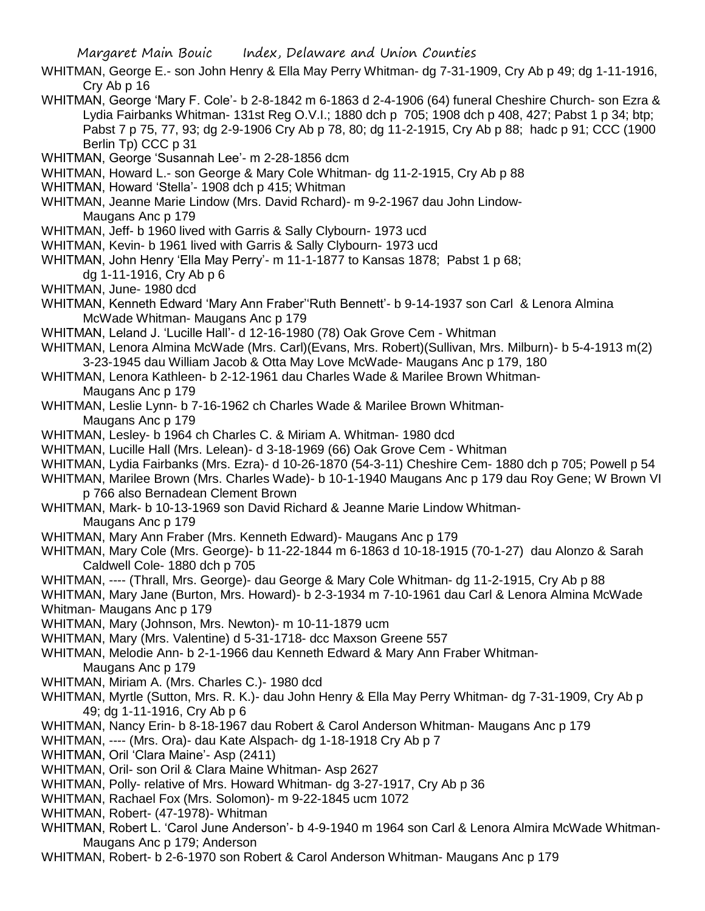- WHITMAN, George E.- son John Henry & Ella May Perry Whitman- dg 7-31-1909, Cry Ab p 49; dg 1-11-1916, Cry Ab p 16
- WHITMAN, George 'Mary F. Cole'- b 2-8-1842 m 6-1863 d 2-4-1906 (64) funeral Cheshire Church- son Ezra & Lydia Fairbanks Whitman- 131st Reg O.V.I.; 1880 dch p 705; 1908 dch p 408, 427; Pabst 1 p 34; btp; Pabst 7 p 75, 77, 93; dg 2-9-1906 Cry Ab p 78, 80; dg 11-2-1915, Cry Ab p 88; hadc p 91; CCC (1900 Berlin Tp) CCC p 31
- WHITMAN, George 'Susannah Lee'- m 2-28-1856 dcm
- WHITMAN, Howard L.- son George & Mary Cole Whitman- dg 11-2-1915, Cry Ab p 88
- WHITMAN, Howard 'Stella'- 1908 dch p 415; Whitman
- WHITMAN, Jeanne Marie Lindow (Mrs. David Rchard)- m 9-2-1967 dau John Lindow-Maugans Anc p 179
- WHITMAN, Jeff- b 1960 lived with Garris & Sally Clybourn- 1973 ucd
- WHITMAN, Kevin- b 1961 lived with Garris & Sally Clybourn- 1973 ucd
- WHITMAN, John Henry 'Ella May Perry'- m 11-1-1877 to Kansas 1878; Pabst 1 p 68;
	- dg 1-11-1916, Cry Ab p 6
- WHITMAN, June- 1980 dcd
- WHITMAN, Kenneth Edward 'Mary Ann Fraber''Ruth Bennett'- b 9-14-1937 son Carl & Lenora Almina McWade Whitman- Maugans Anc p 179
- WHITMAN, Leland J. 'Lucille Hall'- d 12-16-1980 (78) Oak Grove Cem Whitman
- WHITMAN, Lenora Almina McWade (Mrs. Carl)(Evans, Mrs. Robert)(Sullivan, Mrs. Milburn)- b 5-4-1913 m(2) 3-23-1945 dau William Jacob & Otta May Love McWade- Maugans Anc p 179, 180
- WHITMAN, Lenora Kathleen- b 2-12-1961 dau Charles Wade & Marilee Brown Whitman-Maugans Anc p 179
- WHITMAN, Leslie Lynn- b 7-16-1962 ch Charles Wade & Marilee Brown Whitman-
	- Maugans Anc p 179
- WHITMAN, Lesley- b 1964 ch Charles C. & Miriam A. Whitman- 1980 dcd
- WHITMAN, Lucille Hall (Mrs. Lelean)- d 3-18-1969 (66) Oak Grove Cem Whitman
- WHITMAN, Lydia Fairbanks (Mrs. Ezra)- d 10-26-1870 (54-3-11) Cheshire Cem- 1880 dch p 705; Powell p 54 WHITMAN, Marilee Brown (Mrs. Charles Wade)- b 10-1-1940 Maugans Anc p 179 dau Roy Gene; W Brown VI
- p 766 also Bernadean Clement Brown
	- WHITMAN, Mark- b 10-13-1969 son David Richard & Jeanne Marie Lindow Whitman-Maugans Anc p 179
	- WHITMAN, Mary Ann Fraber (Mrs. Kenneth Edward)- Maugans Anc p 179
	- WHITMAN, Mary Cole (Mrs. George)- b 11-22-1844 m 6-1863 d 10-18-1915 (70-1-27) dau Alonzo & Sarah Caldwell Cole- 1880 dch p 705
	- WHITMAN, ---- (Thrall, Mrs. George)- dau George & Mary Cole Whitman- dg 11-2-1915, Cry Ab p 88
	- WHITMAN, Mary Jane (Burton, Mrs. Howard)- b 2-3-1934 m 7-10-1961 dau Carl & Lenora Almina McWade Whitman- Maugans Anc p 179
	- WHITMAN, Mary (Johnson, Mrs. Newton)- m 10-11-1879 ucm
	- WHITMAN, Mary (Mrs. Valentine) d 5-31-1718- dcc Maxson Greene 557
	- WHITMAN, Melodie Ann- b 2-1-1966 dau Kenneth Edward & Mary Ann Fraber Whitman-Maugans Anc p 179
	- WHITMAN, Miriam A. (Mrs. Charles C.)- 1980 dcd
	- WHITMAN, Myrtle (Sutton, Mrs. R. K.)- dau John Henry & Ella May Perry Whitman- dg 7-31-1909, Cry Ab p 49; dg 1-11-1916, Cry Ab p 6
	- WHITMAN, Nancy Erin- b 8-18-1967 dau Robert & Carol Anderson Whitman- Maugans Anc p 179
	- WHITMAN, ---- (Mrs. Ora)- dau Kate Alspach- dg 1-18-1918 Cry Ab p 7
	- WHITMAN, Oril 'Clara Maine'- Asp (2411)
	- WHITMAN, Oril- son Oril & Clara Maine Whitman- Asp 2627
	- WHITMAN, Polly- relative of Mrs. Howard Whitman- dg 3-27-1917, Cry Ab p 36
	- WHITMAN, Rachael Fox (Mrs. Solomon)- m 9-22-1845 ucm 1072
	- WHITMAN, Robert- (47-1978)- Whitman
	- WHITMAN, Robert L. 'Carol June Anderson'- b 4-9-1940 m 1964 son Carl & Lenora Almira McWade Whitman-Maugans Anc p 179; Anderson
	- WHITMAN, Robert- b 2-6-1970 son Robert & Carol Anderson Whitman- Maugans Anc p 179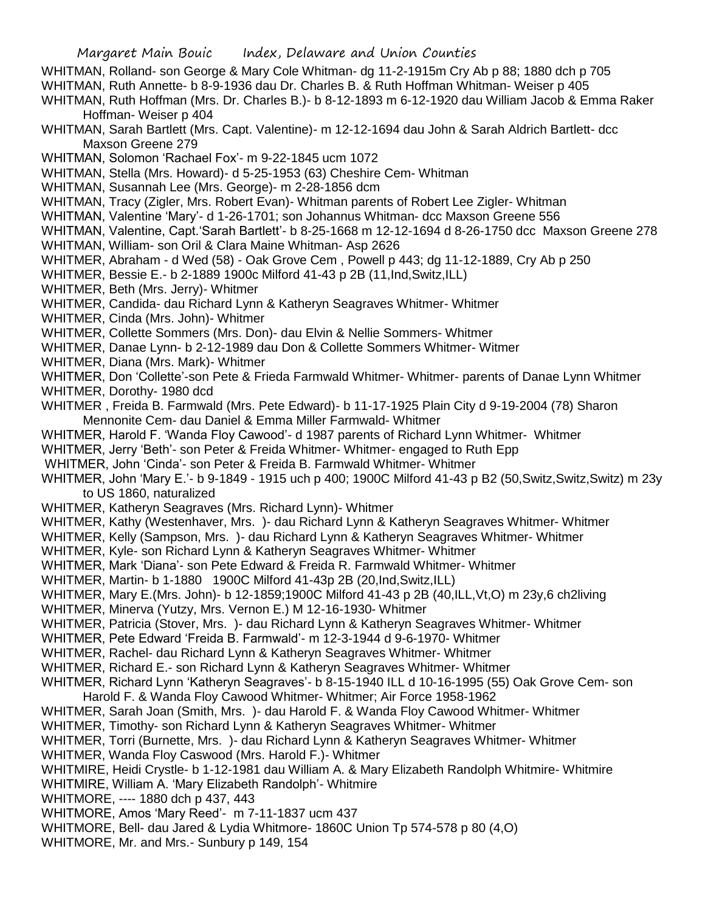WHITMAN, Rolland- son George & Mary Cole Whitman- dg 11-2-1915m Cry Ab p 88; 1880 dch p 705 WHITMAN, Ruth Annette- b 8-9-1936 dau Dr. Charles B. & Ruth Hoffman Whitman- Weiser p 405 WHITMAN, Ruth Hoffman (Mrs. Dr. Charles B.)- b 8-12-1893 m 6-12-1920 dau William Jacob & Emma Raker Hoffman- Weiser p 404 WHITMAN, Sarah Bartlett (Mrs. Capt. Valentine)- m 12-12-1694 dau John & Sarah Aldrich Bartlett- dcc Maxson Greene 279 WHITMAN, Solomon 'Rachael Fox'- m 9-22-1845 ucm 1072 WHITMAN, Stella (Mrs. Howard)- d 5-25-1953 (63) Cheshire Cem- Whitman WHITMAN, Susannah Lee (Mrs. George)- m 2-28-1856 dcm WHITMAN, Tracy (Zigler, Mrs. Robert Evan)- Whitman parents of Robert Lee Zigler- Whitman WHITMAN, Valentine 'Mary'- d 1-26-1701; son Johannus Whitman- dcc Maxson Greene 556 WHITMAN, Valentine, Capt.'Sarah Bartlett'- b 8-25-1668 m 12-12-1694 d 8-26-1750 dcc Maxson Greene 278 WHITMAN, William- son Oril & Clara Maine Whitman- Asp 2626 WHITMER, Abraham - d Wed (58) - Oak Grove Cem , Powell p 443; dg 11-12-1889, Cry Ab p 250 WHITMER, Bessie E.- b 2-1889 1900c Milford 41-43 p 2B (11,Ind,Switz,ILL) WHITMER, Beth (Mrs. Jerry)- Whitmer WHITMER, Candida- dau Richard Lynn & Katheryn Seagraves Whitmer- Whitmer WHITMER, Cinda (Mrs. John)- Whitmer WHITMER, Collette Sommers (Mrs. Don)- dau Elvin & Nellie Sommers- Whitmer WHITMER, Danae Lynn- b 2-12-1989 dau Don & Collette Sommers Whitmer- Witmer WHITMER, Diana (Mrs. Mark)- Whitmer WHITMER, Don 'Collette'-son Pete & Frieda Farmwald Whitmer- Whitmer- parents of Danae Lynn Whitmer WHITMER, Dorothy- 1980 dcd WHITMER , Freida B. Farmwald (Mrs. Pete Edward)- b 11-17-1925 Plain City d 9-19-2004 (78) Sharon Mennonite Cem- dau Daniel & Emma Miller Farmwald- Whitmer WHITMER, Harold F. 'Wanda Floy Cawood'- d 1987 parents of Richard Lynn Whitmer- Whitmer WHITMER, Jerry 'Beth'- son Peter & Freida Whitmer- Whitmer- engaged to Ruth Epp WHITMER, John 'Cinda'- son Peter & Freida B. Farmwald Whitmer- Whitmer WHITMER, John 'Mary E.'- b 9-1849 - 1915 uch p 400; 1900C Milford 41-43 p B2 (50,Switz,Switz,Switz) m 23y to US 1860, naturalized WHITMER, Katheryn Seagraves (Mrs. Richard Lynn)- Whitmer WHITMER, Kathy (Westenhaver, Mrs. )- dau Richard Lynn & Katheryn Seagraves Whitmer- Whitmer WHITMER, Kelly (Sampson, Mrs. )- dau Richard Lynn & Katheryn Seagraves Whitmer- Whitmer WHITMER, Kyle- son Richard Lynn & Katheryn Seagraves Whitmer- Whitmer WHITMER, Mark 'Diana'- son Pete Edward & Freida R. Farmwald Whitmer- Whitmer WHITMER, Martin- b 1-1880 1900C Milford 41-43p 2B (20,Ind,Switz,ILL) WHITMER, Mary E.(Mrs. John)- b 12-1859;1900C Milford 41-43 p 2B (40,ILL,Vt,O) m 23y,6 ch2living WHITMER, Minerva (Yutzy, Mrs. Vernon E.) M 12-16-1930- Whitmer WHITMER, Patricia (Stover, Mrs. )- dau Richard Lynn & Katheryn Seagraves Whitmer- Whitmer WHITMER, Pete Edward 'Freida B. Farmwald'- m 12-3-1944 d 9-6-1970- Whitmer WHITMER, Rachel- dau Richard Lynn & Katheryn Seagraves Whitmer- Whitmer WHITMER, Richard E.- son Richard Lynn & Katheryn Seagraves Whitmer- Whitmer WHITMER, Richard Lynn 'Katheryn Seagraves'- b 8-15-1940 ILL d 10-16-1995 (55) Oak Grove Cem- son Harold F. & Wanda Floy Cawood Whitmer- Whitmer; Air Force 1958-1962 WHITMER, Sarah Joan (Smith, Mrs. )- dau Harold F. & Wanda Floy Cawood Whitmer- Whitmer WHITMER, Timothy- son Richard Lynn & Katheryn Seagraves Whitmer- Whitmer WHITMER, Torri (Burnette, Mrs. )- dau Richard Lynn & Katheryn Seagraves Whitmer- Whitmer WHITMER, Wanda Floy Caswood (Mrs. Harold F.)- Whitmer WHITMIRE, Heidi Crystle- b 1-12-1981 dau William A. & Mary Elizabeth Randolph Whitmire- Whitmire WHITMIRE, William A. 'Mary Elizabeth Randolph'- Whitmire WHITMORE, ---- 1880 dch p 437, 443 WHITMORE, Amos 'Mary Reed'- m 7-11-1837 ucm 437 WHITMORE, Bell- dau Jared & Lydia Whitmore- 1860C Union Tp 574-578 p 80 (4,O)

WHITMORE, Mr. and Mrs.- Sunbury p 149, 154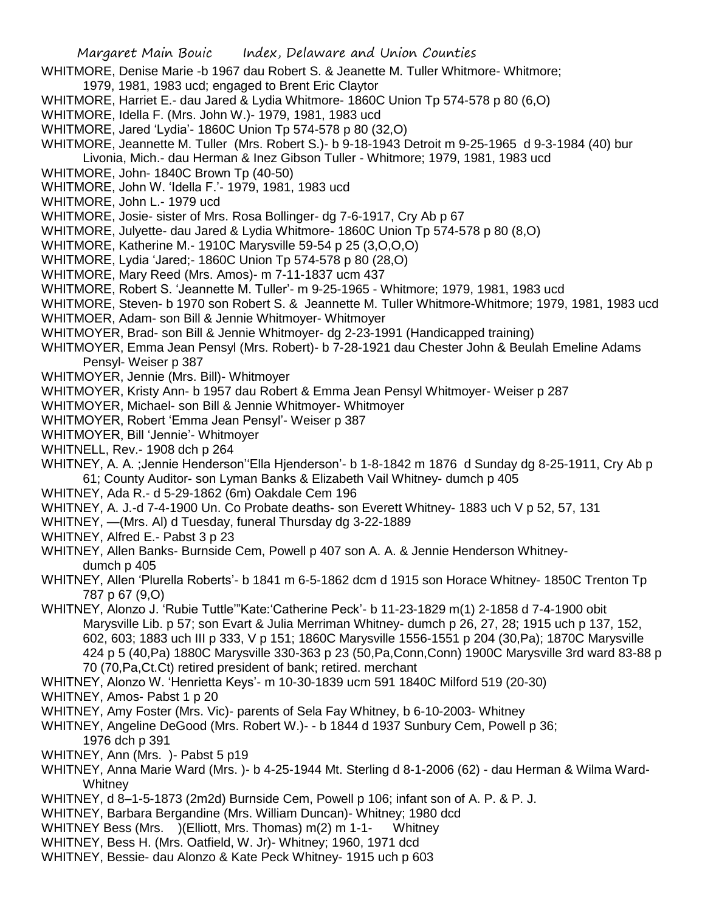- WHITMORE, Denise Marie -b 1967 dau Robert S. & Jeanette M. Tuller Whitmore- Whitmore;
- 1979, 1981, 1983 ucd; engaged to Brent Eric Claytor
- WHITMORE, Harriet E.- dau Jared & Lydia Whitmore- 1860C Union Tp 574-578 p 80 (6,O)
- WHITMORE, Idella F. (Mrs. John W.)- 1979, 1981, 1983 ucd
- WHITMORE, Jared 'Lydia'- 1860C Union Tp 574-578 p 80 (32,O)
- WHITMORE, Jeannette M. Tuller (Mrs. Robert S.)- b 9-18-1943 Detroit m 9-25-1965 d 9-3-1984 (40) bur
- Livonia, Mich.- dau Herman & Inez Gibson Tuller Whitmore; 1979, 1981, 1983 ucd
- WHITMORE, John- 1840C Brown Tp (40-50)
- WHITMORE, John W. 'Idella F.'- 1979, 1981, 1983 ucd
- WHITMORE, John L.- 1979 ucd
- WHITMORE, Josie- sister of Mrs. Rosa Bollinger- dg 7-6-1917, Cry Ab p 67
- WHITMORE, Julyette- dau Jared & Lydia Whitmore- 1860C Union Tp 574-578 p 80 (8,O)
- WHITMORE, Katherine M.- 1910C Marysville 59-54 p 25 (3,O,O,O)
- WHITMORE, Lydia 'Jared;- 1860C Union Tp 574-578 p 80 (28,O)
- WHITMORE, Mary Reed (Mrs. Amos)- m 7-11-1837 ucm 437
- WHITMORE, Robert S. 'Jeannette M. Tuller'- m 9-25-1965 Whitmore; 1979, 1981, 1983 ucd
- WHITMORE, Steven- b 1970 son Robert S. & Jeannette M. Tuller Whitmore-Whitmore; 1979, 1981, 1983 ucd
- WHITMOER, Adam- son Bill & Jennie Whitmoyer- Whitmoyer
- WHITMOYER, Brad- son Bill & Jennie Whitmoyer- dg 2-23-1991 (Handicapped training)
- WHITMOYER, Emma Jean Pensyl (Mrs. Robert)- b 7-28-1921 dau Chester John & Beulah Emeline Adams Pensyl- Weiser p 387
- WHITMOYER, Jennie (Mrs. Bill)- Whitmoyer
- WHITMOYER, Kristy Ann- b 1957 dau Robert & Emma Jean Pensyl Whitmoyer- Weiser p 287
- WHITMOYER, Michael- son Bill & Jennie Whitmoyer- Whitmoyer
- WHITMOYER, Robert 'Emma Jean Pensyl'- Weiser p 387
- WHITMOYER, Bill 'Jennie'- Whitmoyer
- WHITNELL, Rev.- 1908 dch p 264
- WHITNEY, A. A. ;Jennie Henderson''Ella Hjenderson'- b 1-8-1842 m 1876 d Sunday dg 8-25-1911, Cry Ab p 61; County Auditor- son Lyman Banks & Elizabeth Vail Whitney- dumch p 405
- WHITNEY, Ada R.- d 5-29-1862 (6m) Oakdale Cem 196
- WHITNEY, A. J.-d 7-4-1900 Un. Co Probate deaths- son Everett Whitney- 1883 uch V p 52, 57, 131
- WHITNEY, —(Mrs. Al) d Tuesday, funeral Thursday dg 3-22-1889
- WHITNEY, Alfred E.- Pabst 3 p 23
- WHITNEY, Allen Banks- Burnside Cem, Powell p 407 son A. A. & Jennie Henderson Whitneydumch p 405
- WHITNEY, Allen 'Plurella Roberts'- b 1841 m 6-5-1862 dcm d 1915 son Horace Whitney- 1850C Trenton Tp 787 p 67 (9,O)
- WHITNEY, Alonzo J. 'Rubie Tuttle'"Kate:'Catherine Peck'- b 11-23-1829 m(1) 2-1858 d 7-4-1900 obit Marysville Lib. p 57; son Evart & Julia Merriman Whitney- dumch p 26, 27, 28; 1915 uch p 137, 152, 602, 603; 1883 uch III p 333, V p 151; 1860C Marysville 1556-1551 p 204 (30,Pa); 1870C Marysville 424 p 5 (40,Pa) 1880C Marysville 330-363 p 23 (50,Pa,Conn,Conn) 1900C Marysville 3rd ward 83-88 p 70 (70,Pa,Ct.Ct) retired president of bank; retired. merchant
- WHITNEY, Alonzo W. 'Henrietta Keys'- m 10-30-1839 ucm 591 1840C Milford 519 (20-30)
- WHITNEY, Amos- Pabst 1 p 20
- WHITNEY, Amy Foster (Mrs. Vic)- parents of Sela Fay Whitney, b 6-10-2003- Whitney
- WHITNEY, Angeline DeGood (Mrs. Robert W.)- b 1844 d 1937 Sunbury Cem, Powell p 36; 1976 dch p 391
- WHITNEY, Ann (Mrs.) Pabst 5 p19
- WHITNEY, Anna Marie Ward (Mrs. )- b 4-25-1944 Mt. Sterling d 8-1-2006 (62) dau Herman & Wilma Ward-**Whitney**
- WHITNEY, d 8–1-5-1873 (2m2d) Burnside Cem, Powell p 106; infant son of A. P. & P. J.
- WHITNEY, Barbara Bergandine (Mrs. William Duncan)- Whitney; 1980 dcd
- WHITNEY Bess (Mrs. )(Elliott, Mrs. Thomas) m(2) m 1-1- Whitney
- WHITNEY, Bess H. (Mrs. Oatfield, W. Jr)- Whitney; 1960, 1971 dcd
- WHITNEY, Bessie- dau Alonzo & Kate Peck Whitney- 1915 uch p 603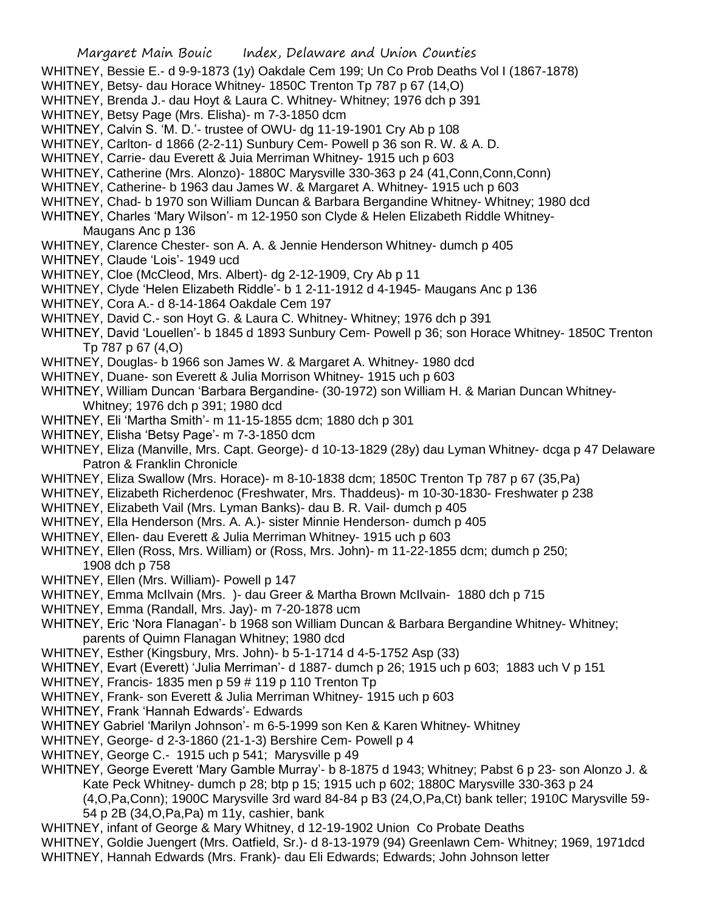- WHITNEY, Bessie E.- d 9-9-1873 (1y) Oakdale Cem 199; Un Co Prob Deaths Vol I (1867-1878)
- WHITNEY, Betsy- dau Horace Whitney- 1850C Trenton Tp 787 p 67 (14,O)
- WHITNEY, Brenda J.- dau Hoyt & Laura C. Whitney- Whitney; 1976 dch p 391
- WHITNEY, Betsy Page (Mrs. Elisha)- m 7-3-1850 dcm
- WHITNEY, Calvin S. 'M. D.'- trustee of OWU- dg 11-19-1901 Cry Ab p 108
- WHITNEY, Carlton- d 1866 (2-2-11) Sunbury Cem- Powell p 36 son R. W. & A. D.
- WHITNEY, Carrie- dau Everett & Juia Merriman Whitney- 1915 uch p 603
- WHITNEY, Catherine (Mrs. Alonzo)- 1880C Marysville 330-363 p 24 (41,Conn,Conn,Conn)
- WHITNEY, Catherine- b 1963 dau James W. & Margaret A. Whitney- 1915 uch p 603
- WHITNEY, Chad- b 1970 son William Duncan & Barbara Bergandine Whitney- Whitney; 1980 dcd
- WHITNEY, Charles 'Mary Wilson'- m 12-1950 son Clyde & Helen Elizabeth Riddle Whitney-Maugans Anc p 136
- WHITNEY, Clarence Chester- son A. A. & Jennie Henderson Whitney- dumch p 405
- WHITNEY, Claude 'Lois'- 1949 ucd
- WHITNEY, Cloe (McCleod, Mrs. Albert)- dg 2-12-1909, Cry Ab p 11
- WHITNEY, Clyde 'Helen Elizabeth Riddle'- b 1 2-11-1912 d 4-1945- Maugans Anc p 136
- WHITNEY, Cora A.- d 8-14-1864 Oakdale Cem 197
- WHITNEY, David C.- son Hoyt G. & Laura C. Whitney- Whitney; 1976 dch p 391
- WHITNEY, David 'Louellen'- b 1845 d 1893 Sunbury Cem- Powell p 36; son Horace Whitney- 1850C Trenton Tp 787 p 67 (4,O)
- WHITNEY, Douglas- b 1966 son James W. & Margaret A. Whitney- 1980 dcd
- WHITNEY, Duane- son Everett & Julia Morrison Whitney- 1915 uch p 603
- WHITNEY, William Duncan 'Barbara Bergandine- (30-1972) son William H. & Marian Duncan Whitney-Whitney; 1976 dch p 391; 1980 dcd
- WHITNEY, Eli 'Martha Smith'- m 11-15-1855 dcm; 1880 dch p 301
- WHITNEY, Elisha 'Betsy Page'- m 7-3-1850 dcm
- WHITNEY, Eliza (Manville, Mrs. Capt. George)- d 10-13-1829 (28y) dau Lyman Whitney- dcga p 47 Delaware Patron & Franklin Chronicle
- WHITNEY, Eliza Swallow (Mrs. Horace)- m 8-10-1838 dcm; 1850C Trenton Tp 787 p 67 (35,Pa)
- WHITNEY, Elizabeth Richerdenoc (Freshwater, Mrs. Thaddeus)- m 10-30-1830- Freshwater p 238
- WHITNEY, Elizabeth Vail (Mrs. Lyman Banks)- dau B. R. Vail- dumch p 405
- WHITNEY, Ella Henderson (Mrs. A. A.)- sister Minnie Henderson- dumch p 405
- WHITNEY, Ellen- dau Everett & Julia Merriman Whitney- 1915 uch p 603
- WHITNEY, Ellen (Ross, Mrs. William) or (Ross, Mrs. John)- m 11-22-1855 dcm; dumch p 250; 1908 dch p 758
- WHITNEY, Ellen (Mrs. William)- Powell p 147
- WHITNEY, Emma McIlvain (Mrs. )- dau Greer & Martha Brown McIlvain- 1880 dch p 715
- WHITNEY, Emma (Randall, Mrs. Jay)- m 7-20-1878 ucm
- WHITNEY, Eric 'Nora Flanagan'- b 1968 son William Duncan & Barbara Bergandine Whitney- Whitney; parents of Quimn Flanagan Whitney; 1980 dcd
- WHITNEY, Esther (Kingsbury, Mrs. John)- b 5-1-1714 d 4-5-1752 Asp (33)
- WHITNEY, Evart (Everett) 'Julia Merriman'- d 1887- dumch p 26; 1915 uch p 603; 1883 uch V p 151
- WHITNEY, Francis- 1835 men p 59 # 119 p 110 Trenton Tp
- WHITNEY, Frank- son Everett & Julia Merriman Whitney- 1915 uch p 603
- WHITNEY, Frank 'Hannah Edwards'- Edwards
- WHITNEY Gabriel 'Marilyn Johnson'- m 6-5-1999 son Ken & Karen Whitney- Whitney
- WHITNEY, George- d 2-3-1860 (21-1-3) Bershire Cem- Powell p 4
- WHITNEY, George C.- 1915 uch p 541; Marysville p 49
- WHITNEY, George Everett 'Mary Gamble Murray'- b 8-1875 d 1943; Whitney; Pabst 6 p 23- son Alonzo J. & Kate Peck Whitney- dumch p 28; btp p 15; 1915 uch p 602; 1880C Marysville 330-363 p 24

(4,O,Pa,Conn); 1900C Marysville 3rd ward 84-84 p B3 (24,O,Pa,Ct) bank teller; 1910C Marysville 59- 54 p 2B (34,O,Pa,Pa) m 11y, cashier, bank

- WHITNEY, infant of George & Mary Whitney, d 12-19-1902 Union Co Probate Deaths
- WHITNEY, Goldie Juengert (Mrs. Oatfield, Sr.)- d 8-13-1979 (94) Greenlawn Cem- Whitney; 1969, 1971dcd WHITNEY, Hannah Edwards (Mrs. Frank)- dau Eli Edwards; Edwards; John Johnson letter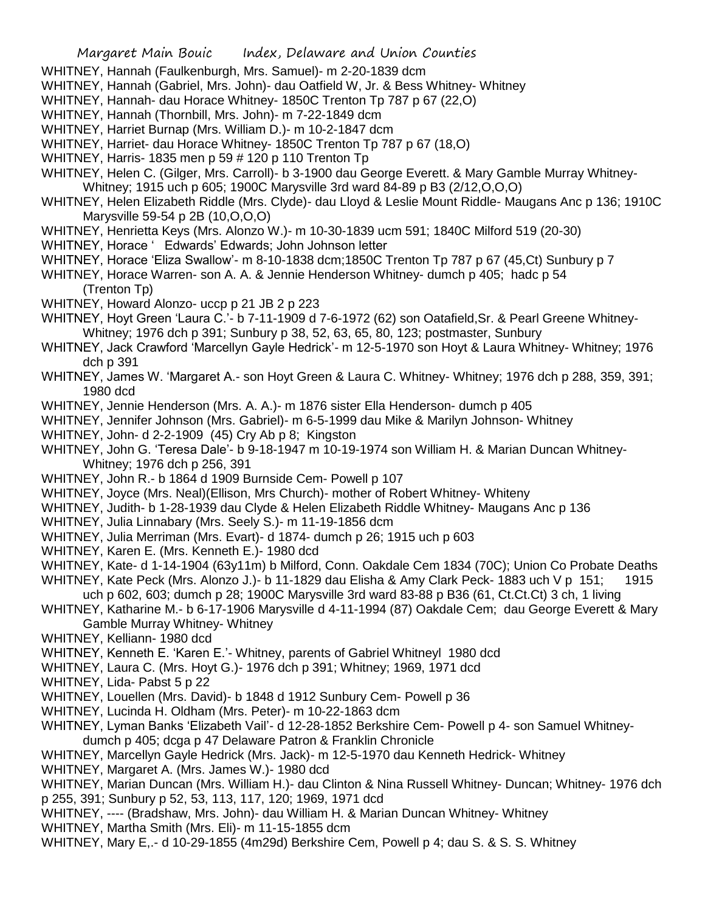- WHITNEY, Hannah (Faulkenburgh, Mrs. Samuel)- m 2-20-1839 dcm
- WHITNEY, Hannah (Gabriel, Mrs. John)- dau Oatfield W, Jr. & Bess Whitney- Whitney
- WHITNEY, Hannah- dau Horace Whitney- 1850C Trenton Tp 787 p 67 (22,O)
- WHITNEY, Hannah (Thornbill, Mrs. John)- m 7-22-1849 dcm
- WHITNEY, Harriet Burnap (Mrs. William D.)- m 10-2-1847 dcm
- WHITNEY, Harriet- dau Horace Whitney- 1850C Trenton Tp 787 p 67 (18,O)
- WHITNEY, Harris- 1835 men p 59 # 120 p 110 Trenton Tp
- WHITNEY, Helen C. (Gilger, Mrs. Carroll)- b 3-1900 dau George Everett. & Mary Gamble Murray Whitney-Whitney; 1915 uch p 605; 1900C Marysville 3rd ward 84-89 p B3 (2/12,O,O,O)
- WHITNEY, Helen Elizabeth Riddle (Mrs. Clyde)- dau Lloyd & Leslie Mount Riddle- Maugans Anc p 136; 1910C Marysville 59-54 p 2B (10,O,O,O)
- WHITNEY, Henrietta Keys (Mrs. Alonzo W.)- m 10-30-1839 ucm 591; 1840C Milford 519 (20-30)
- WHITNEY, Horace ' Edwards' Edwards; John Johnson letter
- WHITNEY, Horace 'Eliza Swallow'- m 8-10-1838 dcm;1850C Trenton Tp 787 p 67 (45,Ct) Sunbury p 7
- WHITNEY, Horace Warren- son A. A. & Jennie Henderson Whitney- dumch p 405; hadc p 54 (Trenton Tp)
- WHITNEY, Howard Alonzo- uccp p 21 JB 2 p 223
- WHITNEY, Hoyt Green 'Laura C.'- b 7-11-1909 d 7-6-1972 (62) son Oatafield,Sr. & Pearl Greene Whitney-Whitney; 1976 dch p 391; Sunbury p 38, 52, 63, 65, 80, 123; postmaster, Sunbury
- WHITNEY, Jack Crawford 'Marcellyn Gayle Hedrick'- m 12-5-1970 son Hoyt & Laura Whitney- Whitney; 1976 dch p 391
- WHITNEY, James W. 'Margaret A.- son Hoyt Green & Laura C. Whitney- Whitney; 1976 dch p 288, 359, 391; 1980 dcd
- WHITNEY, Jennie Henderson (Mrs. A. A.)- m 1876 sister Ella Henderson- dumch p 405
- WHITNEY, Jennifer Johnson (Mrs. Gabriel)- m 6-5-1999 dau Mike & Marilyn Johnson- Whitney
- WHITNEY, John- d 2-2-1909 (45) Cry Ab p 8; Kingston
- WHITNEY, John G. 'Teresa Dale'- b 9-18-1947 m 10-19-1974 son William H. & Marian Duncan Whitney-Whitney; 1976 dch p 256, 391
- WHITNEY, John R.- b 1864 d 1909 Burnside Cem- Powell p 107
- WHITNEY, Joyce (Mrs. Neal)(Ellison, Mrs Church)- mother of Robert Whitney- Whiteny
- WHITNEY, Judith- b 1-28-1939 dau Clyde & Helen Elizabeth Riddle Whitney- Maugans Anc p 136
- WHITNEY, Julia Linnabary (Mrs. Seely S.)- m 11-19-1856 dcm
- WHITNEY, Julia Merriman (Mrs. Evart)- d 1874- dumch p 26; 1915 uch p 603
- WHITNEY, Karen E. (Mrs. Kenneth E.)- 1980 dcd
- WHITNEY, Kate- d 1-14-1904 (63y11m) b Milford, Conn. Oakdale Cem 1834 (70C); Union Co Probate Deaths
- WHITNEY, Kate Peck (Mrs. Alonzo J.)- b 11-1829 dau Elisha & Amy Clark Peck- 1883 uch V p 151; 1915 uch p 602, 603; dumch p 28; 1900C Marysville 3rd ward 83-88 p B36 (61, Ct.Ct.Ct) 3 ch, 1 living
- WHITNEY, Katharine M.- b 6-17-1906 Marysville d 4-11-1994 (87) Oakdale Cem; dau George Everett & Mary Gamble Murray Whitney- Whitney
- WHITNEY, Kelliann- 1980 dcd
- WHITNEY, Kenneth E. 'Karen E.'- Whitney, parents of Gabriel Whitneyl 1980 dcd
- WHITNEY, Laura C. (Mrs. Hoyt G.)- 1976 dch p 391; Whitney; 1969, 1971 dcd
- WHITNEY, Lida- Pabst 5 p 22
- WHITNEY, Louellen (Mrs. David)- b 1848 d 1912 Sunbury Cem- Powell p 36
- WHITNEY, Lucinda H. Oldham (Mrs. Peter)- m 10-22-1863 dcm
- WHITNEY, Lyman Banks 'Elizabeth Vail'- d 12-28-1852 Berkshire Cem- Powell p 4- son Samuel Whitneydumch p 405; dcga p 47 Delaware Patron & Franklin Chronicle
- WHITNEY, Marcellyn Gayle Hedrick (Mrs. Jack)- m 12-5-1970 dau Kenneth Hedrick- Whitney
- WHITNEY, Margaret A. (Mrs. James W.)- 1980 dcd
- WHITNEY, Marian Duncan (Mrs. William H.)- dau Clinton & Nina Russell Whitney- Duncan; Whitney- 1976 dch p 255, 391; Sunbury p 52, 53, 113, 117, 120; 1969, 1971 dcd
- WHITNEY, ---- (Bradshaw, Mrs. John)- dau William H. & Marian Duncan Whitney- Whitney
- WHITNEY, Martha Smith (Mrs. Eli)- m 11-15-1855 dcm
- WHITNEY, Mary E,.- d 10-29-1855 (4m29d) Berkshire Cem, Powell p 4; dau S. & S. S. Whitney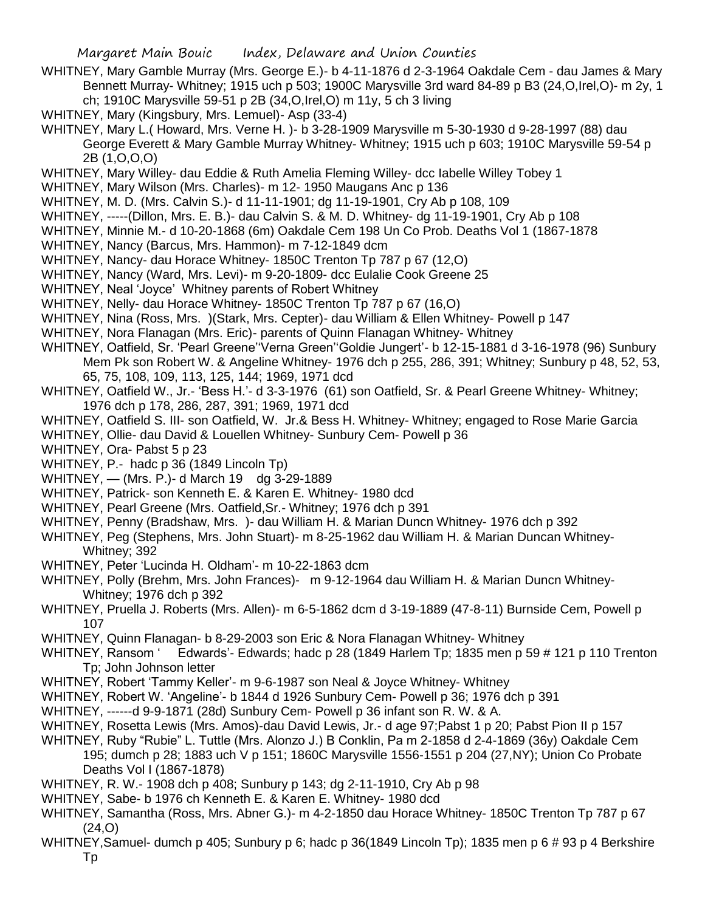- WHITNEY, Mary Gamble Murray (Mrs. George E.)- b 4-11-1876 d 2-3-1964 Oakdale Cem dau James & Mary Bennett Murray- Whitney; 1915 uch p 503; 1900C Marysville 3rd ward 84-89 p B3 (24,O,Irel,O)- m 2y, 1 ch; 1910C Marysville 59-51 p 2B (34,O,Irel,O) m 11y, 5 ch 3 living
- WHITNEY, Mary (Kingsbury, Mrs. Lemuel)- Asp (33-4)
- WHITNEY, Mary L.( Howard, Mrs. Verne H. )- b 3-28-1909 Marysville m 5-30-1930 d 9-28-1997 (88) dau George Everett & Mary Gamble Murray Whitney- Whitney; 1915 uch p 603; 1910C Marysville 59-54 p 2B (1,O,O,O)
- WHITNEY, Mary Willey- dau Eddie & Ruth Amelia Fleming Willey- dcc Iabelle Willey Tobey 1
- WHITNEY, Mary Wilson (Mrs. Charles)- m 12- 1950 Maugans Anc p 136
- WHITNEY, M. D. (Mrs. Calvin S.)- d 11-11-1901; dg 11-19-1901, Cry Ab p 108, 109
- WHITNEY, -----(Dillon, Mrs. E. B.)- dau Calvin S. & M. D. Whitney- dg 11-19-1901, Cry Ab p 108
- WHITNEY, Minnie M.- d 10-20-1868 (6m) Oakdale Cem 198 Un Co Prob. Deaths Vol 1 (1867-1878
- WHITNEY, Nancy (Barcus, Mrs. Hammon)- m 7-12-1849 dcm
- WHITNEY, Nancy- dau Horace Whitney- 1850C Trenton Tp 787 p 67 (12,O)
- WHITNEY, Nancy (Ward, Mrs. Levi)- m 9-20-1809- dcc Eulalie Cook Greene 25
- WHITNEY, Neal 'Joyce' Whitney parents of Robert Whitney
- WHITNEY, Nelly- dau Horace Whitney- 1850C Trenton Tp 787 p 67 (16,O)
- WHITNEY, Nina (Ross, Mrs. )(Stark, Mrs. Cepter)- dau William & Ellen Whitney- Powell p 147
- WHITNEY, Nora Flanagan (Mrs. Eric)- parents of Quinn Flanagan Whitney- Whitney
- WHITNEY, Oatfield, Sr. 'Pearl Greene''Verna Green''Goldie Jungert'- b 12-15-1881 d 3-16-1978 (96) Sunbury Mem Pk son Robert W. & Angeline Whitney- 1976 dch p 255, 286, 391; Whitney; Sunbury p 48, 52, 53, 65, 75, 108, 109, 113, 125, 144; 1969, 1971 dcd
- WHITNEY, Oatfield W., Jr.- 'Bess H.'- d 3-3-1976 (61) son Oatfield, Sr. & Pearl Greene Whitney- Whitney; 1976 dch p 178, 286, 287, 391; 1969, 1971 dcd
- WHITNEY, Oatfield S. III- son Oatfield, W. Jr.& Bess H. Whitney- Whitney; engaged to Rose Marie Garcia
- WHITNEY, Ollie- dau David & Louellen Whitney- Sunbury Cem- Powell p 36
- WHITNEY, Ora- Pabst 5 p 23
- WHITNEY, P.- hadc p 36 (1849 Lincoln Tp)
- WHITNEY, (Mrs. P.)- d March 19 dg 3-29-1889
- WHITNEY, Patrick- son Kenneth E. & Karen E. Whitney- 1980 dcd
- WHITNEY, Pearl Greene (Mrs. Oatfield,Sr.- Whitney; 1976 dch p 391
- WHITNEY, Penny (Bradshaw, Mrs. )- dau William H. & Marian Duncn Whitney- 1976 dch p 392
- WHITNEY, Peg (Stephens, Mrs. John Stuart)- m 8-25-1962 dau William H. & Marian Duncan Whitney-Whitney; 392
- WHITNEY, Peter 'Lucinda H. Oldham'- m 10-22-1863 dcm
- WHITNEY, Polly (Brehm, Mrs. John Frances)- m 9-12-1964 dau William H. & Marian Duncn Whitney-Whitney; 1976 dch p 392
- WHITNEY, Pruella J. Roberts (Mrs. Allen)- m 6-5-1862 dcm d 3-19-1889 (47-8-11) Burnside Cem, Powell p 107
- WHITNEY, Quinn Flanagan- b 8-29-2003 son Eric & Nora Flanagan Whitney- Whitney
- WHITNEY, Ransom ' Edwards'- Edwards; hadc p 28 (1849 Harlem Tp; 1835 men p 59 # 121 p 110 Trenton Tp; John Johnson letter
- WHITNEY, Robert 'Tammy Keller'- m 9-6-1987 son Neal & Joyce Whitney- Whitney
- WHITNEY, Robert W. 'Angeline'- b 1844 d 1926 Sunbury Cem- Powell p 36; 1976 dch p 391
- WHITNEY, ------d 9-9-1871 (28d) Sunbury Cem- Powell p 36 infant son R. W. & A.
- WHITNEY, Rosetta Lewis (Mrs. Amos)-dau David Lewis, Jr.- d age 97;Pabst 1 p 20; Pabst Pion II p 157
- WHITNEY, Ruby "Rubie" L. Tuttle (Mrs. Alonzo J.) B Conklin, Pa m 2-1858 d 2-4-1869 (36y) Oakdale Cem 195; dumch p 28; 1883 uch V p 151; 1860C Marysville 1556-1551 p 204 (27,NY); Union Co Probate Deaths Vol I (1867-1878)
- WHITNEY, R. W.- 1908 dch p 408; Sunbury p 143; dg 2-11-1910, Cry Ab p 98
- WHITNEY, Sabe- b 1976 ch Kenneth E. & Karen E. Whitney- 1980 dcd
- WHITNEY, Samantha (Ross, Mrs. Abner G.)- m 4-2-1850 dau Horace Whitney- 1850C Trenton Tp 787 p 67 (24,O)
- WHITNEY, Samuel- dumch p 405; Sunbury p 6; hadc p 36(1849 Lincoln Tp); 1835 men p 6 # 93 p 4 Berkshire Tp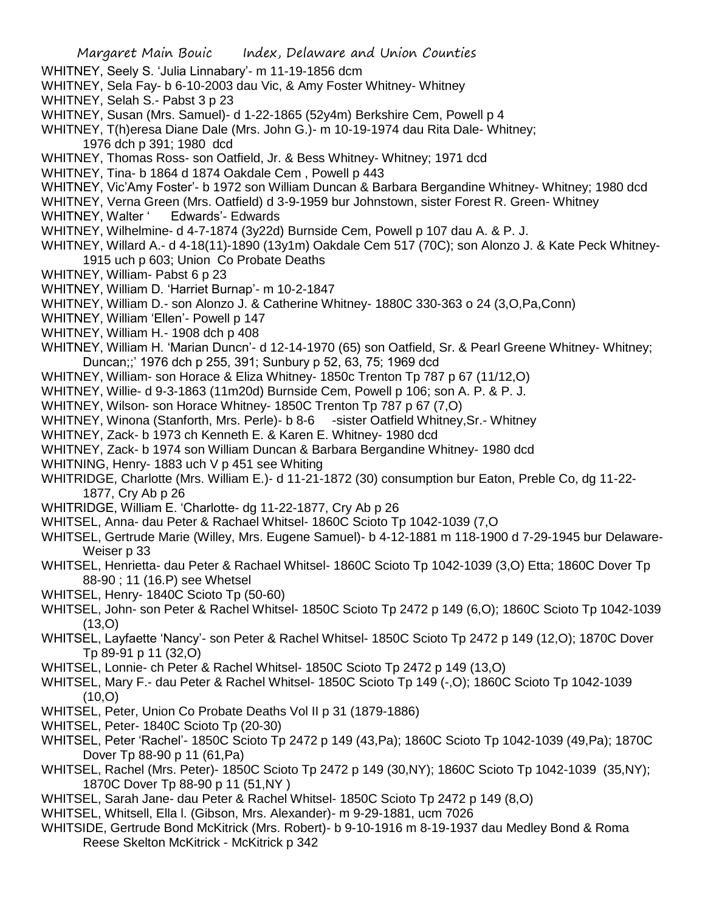- WHITNEY, Seely S. 'Julia Linnabary'- m 11-19-1856 dcm
- WHITNEY, Sela Fay- b 6-10-2003 dau Vic, & Amy Foster Whitney- Whitney
- WHITNEY, Selah S.- Pabst 3 p 23
- WHITNEY, Susan (Mrs. Samuel)- d 1-22-1865 (52y4m) Berkshire Cem, Powell p 4
- WHITNEY, T(h)eresa Diane Dale (Mrs. John G.)- m 10-19-1974 dau Rita Dale- Whitney; 1976 dch p 391; 1980 dcd
- WHITNEY, Thomas Ross- son Oatfield, Jr. & Bess Whitney- Whitney; 1971 dcd
- WHITNEY, Tina- b 1864 d 1874 Oakdale Cem , Powell p 443
- WHITNEY, Vic'Amy Foster'- b 1972 son William Duncan & Barbara Bergandine Whitney- Whitney; 1980 dcd
- WHITNEY, Verna Green (Mrs. Oatfield) d 3-9-1959 bur Johnstown, sister Forest R. Green- Whitney
- WHITNEY, Walter ' Edwards'- Edwards
- WHITNEY, Wilhelmine- d 4-7-1874 (3y22d) Burnside Cem, Powell p 107 dau A. & P. J.
- WHITNEY, Willard A.- d 4-18(11)-1890 (13y1m) Oakdale Cem 517 (70C); son Alonzo J. & Kate Peck Whitney-1915 uch p 603; Union Co Probate Deaths
- WHITNEY, William- Pabst 6 p 23
- WHITNEY, William D. 'Harriet Burnap'- m 10-2-1847
- WHITNEY, William D.- son Alonzo J. & Catherine Whitney- 1880C 330-363 o 24 (3,O,Pa,Conn)
- WHITNEY, William 'Ellen'- Powell p 147
- WHITNEY, William H.- 1908 dch p 408
- WHITNEY, William H. 'Marian Duncn'- d 12-14-1970 (65) son Oatfield, Sr. & Pearl Greene Whitney- Whitney; Duncan;;' 1976 dch p 255, 391; Sunbury p 52, 63, 75; 1969 dcd
- WHITNEY, William- son Horace & Eliza Whitney- 1850c Trenton Tp 787 p 67 (11/12,O)
- WHITNEY, Willie- d 9-3-1863 (11m20d) Burnside Cem, Powell p 106; son A. P. & P. J.
- WHITNEY, Wilson- son Horace Whitney- 1850C Trenton Tp 787 p 67 (7,0)
- WHITNEY, Winona (Stanforth, Mrs. Perle)- b 8-6 -sister Oatfield Whitney, Sr.- Whitney
- WHITNEY, Zack- b 1973 ch Kenneth E. & Karen E. Whitney- 1980 dcd
- WHITNEY, Zack- b 1974 son William Duncan & Barbara Bergandine Whitney- 1980 dcd
- WHITNING, Henry- 1883 uch V p 451 see Whiting
- WHITRIDGE, Charlotte (Mrs. William E.)- d 11-21-1872 (30) consumption bur Eaton, Preble Co, dg 11-22- 1877, Cry Ab p 26
- WHITRIDGE, William E. 'Charlotte- dg 11-22-1877, Cry Ab p 26
- WHITSEL, Anna- dau Peter & Rachael Whitsel- 1860C Scioto Tp 1042-1039 (7,O
- WHITSEL, Gertrude Marie (Willey, Mrs. Eugene Samuel)- b 4-12-1881 m 118-1900 d 7-29-1945 bur Delaware-Weiser p 33
- WHITSEL, Henrietta- dau Peter & Rachael Whitsel- 1860C Scioto Tp 1042-1039 (3,O) Etta; 1860C Dover Tp 88-90 ; 11 (16.P) see Whetsel
- WHITSEL, Henry- 1840C Scioto Tp (50-60)
- WHITSEL, John- son Peter & Rachel Whitsel- 1850C Scioto Tp 2472 p 149 (6,O); 1860C Scioto Tp 1042-1039 (13,O)
- WHITSEL, Layfaette 'Nancy'- son Peter & Rachel Whitsel- 1850C Scioto Tp 2472 p 149 (12,O); 1870C Dover Tp 89-91 p 11 (32,O)
- WHITSEL, Lonnie- ch Peter & Rachel Whitsel- 1850C Scioto Tp 2472 p 149 (13,O)
- WHITSEL, Mary F.- dau Peter & Rachel Whitsel- 1850C Scioto Tp 149 (-,O); 1860C Scioto Tp 1042-1039 (10,O)
- WHITSEL, Peter, Union Co Probate Deaths Vol II p 31 (1879-1886)
- WHITSEL, Peter- 1840C Scioto Tp (20-30)
- WHITSEL, Peter 'Rachel'- 1850C Scioto Tp 2472 p 149 (43,Pa); 1860C Scioto Tp 1042-1039 (49,Pa); 1870C Dover Tp 88-90 p 11 (61,Pa)
- WHITSEL, Rachel (Mrs. Peter)- 1850C Scioto Tp 2472 p 149 (30,NY); 1860C Scioto Tp 1042-1039 (35,NY); 1870C Dover Tp 88-90 p 11 (51,NY )
- WHITSEL, Sarah Jane- dau Peter & Rachel Whitsel- 1850C Scioto Tp 2472 p 149 (8,O)
- WHITSEL, Whitsell, Ella l. (Gibson, Mrs. Alexander)- m 9-29-1881, ucm 7026
- WHITSIDE, Gertrude Bond McKitrick (Mrs. Robert)- b 9-10-1916 m 8-19-1937 dau Medley Bond & Roma Reese Skelton McKitrick - McKitrick p 342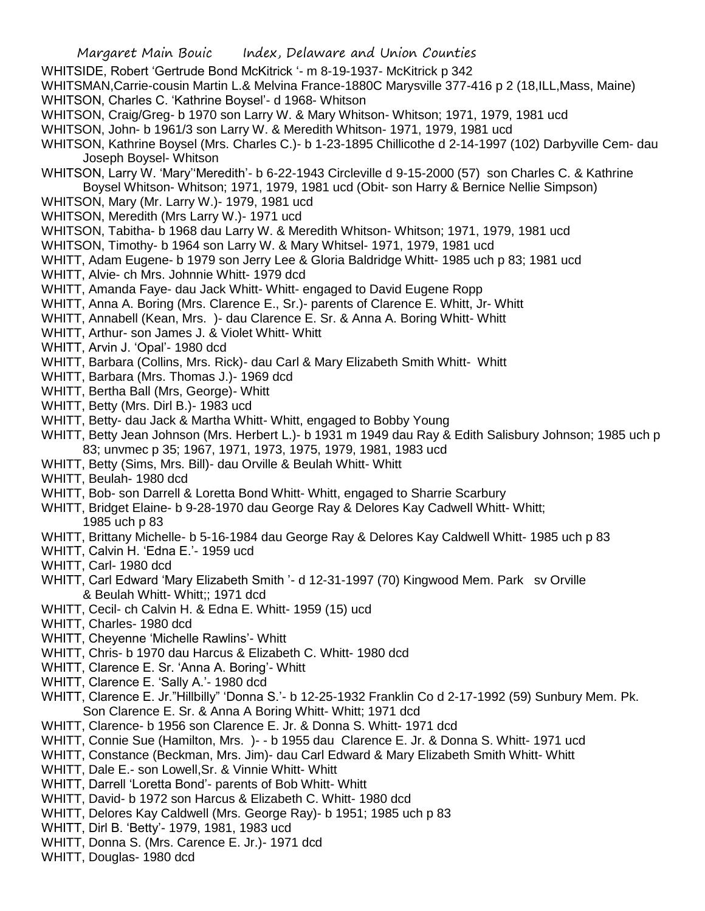WHITSIDE, Robert 'Gertrude Bond McKitrick '- m 8-19-1937- McKitrick p 342

WHITSMAN,Carrie-cousin Martin L.& Melvina France-1880C Marysville 377-416 p 2 (18,ILL,Mass, Maine) WHITSON, Charles C. 'Kathrine Boysel'- d 1968- Whitson

- WHITSON, Craig/Greg- b 1970 son Larry W. & Mary Whitson- Whitson; 1971, 1979, 1981 ucd
- WHITSON, John- b 1961/3 son Larry W. & Meredith Whitson- 1971, 1979, 1981 ucd
- WHITSON, Kathrine Boysel (Mrs. Charles C.)- b 1-23-1895 Chillicothe d 2-14-1997 (102) Darbyville Cem- dau Joseph Boysel- Whitson
- WHITSON, Larry W. 'Mary''Meredith'- b 6-22-1943 Circleville d 9-15-2000 (57) son Charles C. & Kathrine Boysel Whitson- Whitson; 1971, 1979, 1981 ucd (Obit- son Harry & Bernice Nellie Simpson)
- WHITSON, Mary (Mr. Larry W.)- 1979, 1981 ucd
- WHITSON, Meredith (Mrs Larry W.)- 1971 ucd
- WHITSON, Tabitha- b 1968 dau Larry W. & Meredith Whitson- Whitson; 1971, 1979, 1981 ucd
- WHITSON, Timothy- b 1964 son Larry W. & Mary Whitsel- 1971, 1979, 1981 ucd
- WHITT, Adam Eugene- b 1979 son Jerry Lee & Gloria Baldridge Whitt- 1985 uch p 83; 1981 ucd
- WHITT, Alvie- ch Mrs. Johnnie Whitt- 1979 dcd
- WHITT, Amanda Faye- dau Jack Whitt- Whitt- engaged to David Eugene Ropp
- WHITT, Anna A. Boring (Mrs. Clarence E., Sr.)- parents of Clarence E. Whitt, Jr- Whitt
- WHITT. Annabell (Kean, Mrs. )- dau Clarence E. Sr. & Anna A. Boring Whitt- Whitt
- WHITT, Arthur- son James J. & Violet Whitt- Whitt
- WHITT, Arvin J. 'Opal'- 1980 dcd
- WHITT, Barbara (Collins, Mrs. Rick)- dau Carl & Mary Elizabeth Smith Whitt- Whitt
- WHITT, Barbara (Mrs. Thomas J.)- 1969 dcd
- WHITT, Bertha Ball (Mrs, George)- Whitt
- WHITT, Betty (Mrs. Dirl B.)- 1983 ucd
- WHITT, Betty- dau Jack & Martha Whitt- Whitt, engaged to Bobby Young
- WHITT, Betty Jean Johnson (Mrs. Herbert L.)- b 1931 m 1949 dau Ray & Edith Salisbury Johnson; 1985 uch p 83; unvmec p 35; 1967, 1971, 1973, 1975, 1979, 1981, 1983 ucd
- WHITT, Betty (Sims, Mrs. Bill)- dau Orville & Beulah Whitt- Whitt
- WHITT, Beulah- 1980 dcd
- WHITT, Bob- son Darrell & Loretta Bond Whitt- Whitt, engaged to Sharrie Scarbury
- WHITT, Bridget Elaine- b 9-28-1970 dau George Ray & Delores Kay Cadwell Whitt- Whitt; 1985 uch p 83
- WHITT, Brittany Michelle- b 5-16-1984 dau George Ray & Delores Kay Caldwell Whitt- 1985 uch p 83
- WHITT, Calvin H. 'Edna E.'- 1959 ucd
- WHITT, Carl- 1980 dcd
- WHITT, Carl Edward 'Mary Elizabeth Smith '- d 12-31-1997 (70) Kingwood Mem. Park sv Orville & Beulah Whitt- Whitt;; 1971 dcd
- WHITT, Cecil- ch Calvin H. & Edna E. Whitt- 1959 (15) ucd
- WHITT, Charles- 1980 dcd
- WHITT, Cheyenne 'Michelle Rawlins'- Whitt
- WHITT, Chris- b 1970 dau Harcus & Elizabeth C. Whitt- 1980 dcd
- WHITT, Clarence E. Sr. 'Anna A. Boring'- Whitt
- WHITT, Clarence E. 'Sally A.'- 1980 dcd
- WHITT, Clarence E. Jr."Hillbilly" 'Donna S.'- b 12-25-1932 Franklin Co d 2-17-1992 (59) Sunbury Mem. Pk. Son Clarence E. Sr. & Anna A Boring Whitt- Whitt; 1971 dcd
- WHITT, Clarence- b 1956 son Clarence E. Jr. & Donna S. Whitt- 1971 dcd
- WHITT, Connie Sue (Hamilton, Mrs. )- b 1955 dau Clarence E. Jr. & Donna S. Whitt- 1971 ucd
- WHITT, Constance (Beckman, Mrs. Jim)- dau Carl Edward & Mary Elizabeth Smith Whitt- Whitt
- WHITT, Dale E.- son Lowell,Sr. & Vinnie Whitt- Whitt
- WHITT, Darrell 'Loretta Bond'- parents of Bob Whitt- Whitt
- WHITT, David- b 1972 son Harcus & Elizabeth C. Whitt- 1980 dcd
- WHITT, Delores Kay Caldwell (Mrs. George Ray)- b 1951; 1985 uch p 83
- WHITT, Dirl B. 'Betty'- 1979, 1981, 1983 ucd
- WHITT, Donna S. (Mrs. Carence E. Jr.)- 1971 dcd
- WHITT, Douglas- 1980 dcd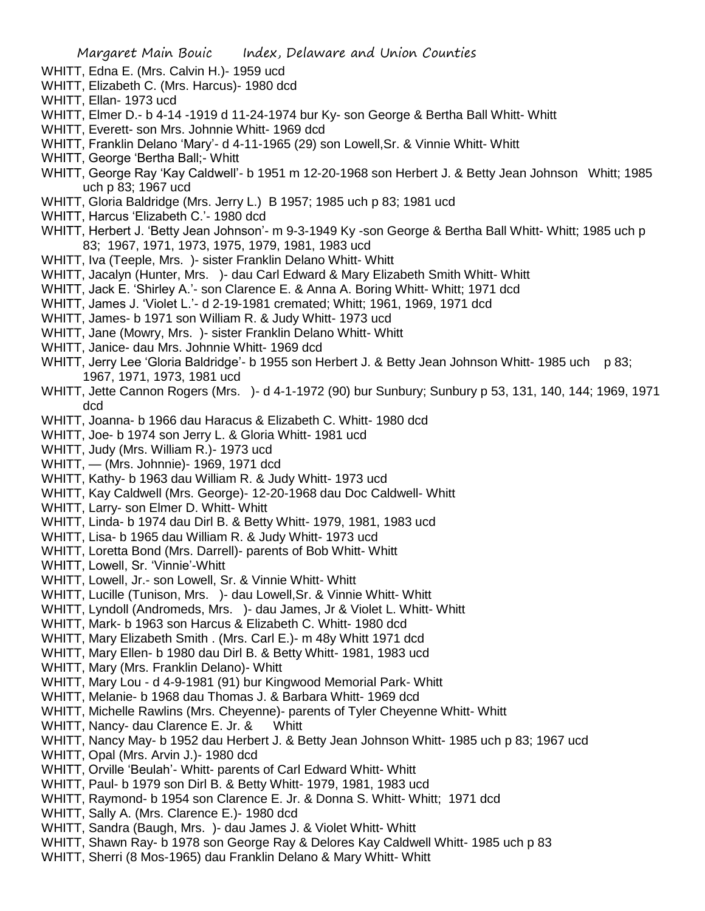WHITT, Edna E. (Mrs. Calvin H.)- 1959 ucd

- WHITT, Elizabeth C. (Mrs. Harcus)- 1980 dcd
- WHITT, Ellan- 1973 ucd
- WHITT, Elmer D.- b 4-14 -1919 d 11-24-1974 bur Ky- son George & Bertha Ball Whitt- Whitt
- WHITT, Everett- son Mrs. Johnnie Whitt- 1969 dcd
- WHITT, Franklin Delano 'Mary'- d 4-11-1965 (29) son Lowell,Sr. & Vinnie Whitt- Whitt
- WHITT, George 'Bertha Ball;- Whitt
- WHITT, George Ray 'Kay Caldwell'- b 1951 m 12-20-1968 son Herbert J. & Betty Jean Johnson Whitt; 1985 uch p 83; 1967 ucd
- WHITT, Gloria Baldridge (Mrs. Jerry L.) B 1957; 1985 uch p 83; 1981 ucd
- WHITT, Harcus 'Elizabeth C.'- 1980 dcd
- WHITT, Herbert J. 'Betty Jean Johnson'- m 9-3-1949 Ky -son George & Bertha Ball Whitt- Whitt; 1985 uch p 83; 1967, 1971, 1973, 1975, 1979, 1981, 1983 ucd
- WHITT, Iva (Teeple, Mrs. )- sister Franklin Delano Whitt- Whitt
- WHITT, Jacalyn (Hunter, Mrs. )- dau Carl Edward & Mary Elizabeth Smith Whitt- Whitt
- WHITT, Jack E. 'Shirley A.'- son Clarence E. & Anna A. Boring Whitt- Whitt; 1971 dcd
- WHITT, James J. 'Violet L.'- d 2-19-1981 cremated; Whitt; 1961, 1969, 1971 dcd
- WHITT, James- b 1971 son William R. & Judy Whitt- 1973 ucd
- WHITT, Jane (Mowry, Mrs. )- sister Franklin Delano Whitt- Whitt
- WHITT, Janice- dau Mrs. Johnnie Whitt- 1969 dcd
- WHITT, Jerry Lee 'Gloria Baldridge'- b 1955 son Herbert J. & Betty Jean Johnson Whitt- 1985 uch p 83; 1967, 1971, 1973, 1981 ucd
- WHITT, Jette Cannon Rogers (Mrs. )- d 4-1-1972 (90) bur Sunbury; Sunbury p 53, 131, 140, 144; 1969, 1971 dcd
- WHITT, Joanna- b 1966 dau Haracus & Elizabeth C. Whitt- 1980 dcd
- WHITT, Joe- b 1974 son Jerry L. & Gloria Whitt- 1981 ucd
- WHITT, Judy (Mrs. William R.)- 1973 ucd
- WHITT, (Mrs. Johnnie)- 1969, 1971 dcd
- WHITT, Kathy- b 1963 dau William R. & Judy Whitt- 1973 ucd
- WHITT, Kay Caldwell (Mrs. George)- 12-20-1968 dau Doc Caldwell- Whitt
- WHITT, Larry- son Elmer D. Whitt- Whitt
- WHITT, Linda- b 1974 dau Dirl B. & Betty Whitt- 1979, 1981, 1983 ucd
- WHITT, Lisa- b 1965 dau William R. & Judy Whitt- 1973 ucd
- WHITT, Loretta Bond (Mrs. Darrell)- parents of Bob Whitt- Whitt
- WHITT, Lowell, Sr. 'Vinnie'-Whitt
- WHITT, Lowell, Jr.- son Lowell, Sr. & Vinnie Whitt- Whitt
- WHITT, Lucille (Tunison, Mrs. )- dau Lowell,Sr. & Vinnie Whitt- Whitt
- WHITT, Lyndoll (Andromeds, Mrs. )- dau James, Jr & Violet L. Whitt- Whitt
- WHITT, Mark- b 1963 son Harcus & Elizabeth C. Whitt- 1980 dcd
- WHITT, Mary Elizabeth Smith . (Mrs. Carl E.)- m 48y Whitt 1971 dcd
- WHITT, Mary Ellen- b 1980 dau Dirl B. & Betty Whitt- 1981, 1983 ucd
- WHITT, Mary (Mrs. Franklin Delano)- Whitt
- WHITT, Mary Lou d 4-9-1981 (91) bur Kingwood Memorial Park- Whitt
- WHITT, Melanie- b 1968 dau Thomas J. & Barbara Whitt- 1969 dcd
- WHITT, Michelle Rawlins (Mrs. Cheyenne)- parents of Tyler Cheyenne Whitt- Whitt
- WHITT, Nancy- dau Clarence E. Jr. & Whitt
- WHITT, Nancy May- b 1952 dau Herbert J. & Betty Jean Johnson Whitt- 1985 uch p 83; 1967 ucd
- WHITT, Opal (Mrs. Arvin J.)- 1980 dcd
- WHITT, Orville 'Beulah'- Whitt- parents of Carl Edward Whitt- Whitt
- WHITT, Paul- b 1979 son Dirl B. & Betty Whitt- 1979, 1981, 1983 ucd
- WHITT, Raymond- b 1954 son Clarence E. Jr. & Donna S. Whitt- Whitt; 1971 dcd
- WHITT, Sally A. (Mrs. Clarence E.)- 1980 dcd
- WHITT, Sandra (Baugh, Mrs. )- dau James J. & Violet Whitt- Whitt
- WHITT, Shawn Ray- b 1978 son George Ray & Delores Kay Caldwell Whitt- 1985 uch p 83
- WHITT, Sherri (8 Mos-1965) dau Franklin Delano & Mary Whitt- Whitt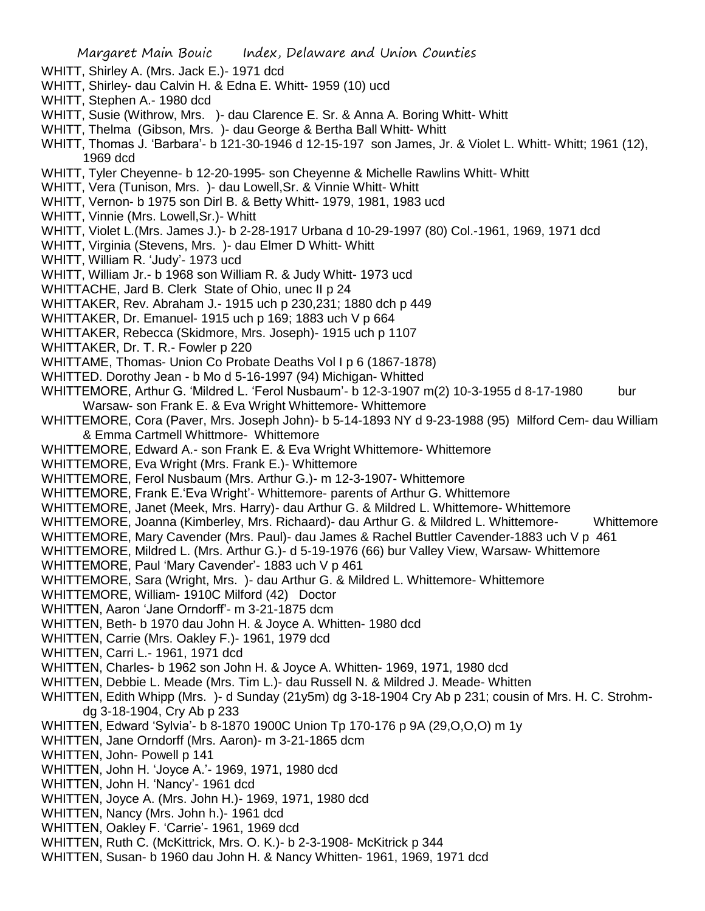- WHITT, Shirley A. (Mrs. Jack E.)- 1971 dcd
- WHITT, Shirley- dau Calvin H. & Edna E. Whitt- 1959 (10) ucd
- WHITT, Stephen A.- 1980 dcd
- WHITT, Susie (Withrow, Mrs. )- dau Clarence E. Sr. & Anna A. Boring Whitt- Whitt
- WHITT, Thelma (Gibson, Mrs. )- dau George & Bertha Ball Whitt- Whitt
- WHITT, Thomas J. 'Barbara'- b 121-30-1946 d 12-15-197 son James, Jr. & Violet L. Whitt- Whitt; 1961 (12), 1969 dcd
- WHITT, Tyler Cheyenne- b 12-20-1995- son Cheyenne & Michelle Rawlins Whitt- Whitt
- WHITT, Vera (Tunison, Mrs. )- dau Lowell,Sr. & Vinnie Whitt- Whitt
- WHITT, Vernon- b 1975 son Dirl B. & Betty Whitt- 1979, 1981, 1983 ucd
- WHITT, Vinnie (Mrs. Lowell,Sr.)- Whitt
- WHITT, Violet L.(Mrs. James J.)- b 2-28-1917 Urbana d 10-29-1997 (80) Col.-1961, 1969, 1971 dcd
- WHITT, Virginia (Stevens, Mrs. )- dau Elmer D Whitt- Whitt
- WHITT, William R. 'Judy'- 1973 ucd
- WHITT, William Jr.- b 1968 son William R. & Judy Whitt- 1973 ucd
- WHITTACHE, Jard B. Clerk State of Ohio, unec II p 24
- WHITTAKER, Rev. Abraham J.- 1915 uch p 230,231; 1880 dch p 449
- WHITTAKER, Dr. Emanuel- 1915 uch p 169; 1883 uch V p 664
- WHITTAKER, Rebecca (Skidmore, Mrs. Joseph)- 1915 uch p 1107
- WHITTAKER, Dr. T. R.- Fowler p 220
- WHITTAME, Thomas- Union Co Probate Deaths Vol I p 6 (1867-1878)
- WHITTED. Dorothy Jean b Mo d 5-16-1997 (94) Michigan- Whitted
- WHITTEMORE, Arthur G. 'Mildred L. 'Ferol Nusbaum'- b 12-3-1907 m(2) 10-3-1955 d 8-17-1980 bur Warsaw- son Frank E. & Eva Wright Whittemore- Whittemore
- WHITTEMORE, Cora (Paver, Mrs. Joseph John)- b 5-14-1893 NY d 9-23-1988 (95) Milford Cem- dau William & Emma Cartmell Whittmore- Whittemore
- WHITTEMORE, Edward A.- son Frank E. & Eva Wright Whittemore- Whittemore
- WHITTEMORE, Eva Wright (Mrs. Frank E.)- Whittemore
- WHITTEMORE, Ferol Nusbaum (Mrs. Arthur G.)- m 12-3-1907- Whittemore
- WHITTEMORE, Frank E.'Eva Wright'- Whittemore- parents of Arthur G. Whittemore
- WHITTEMORE, Janet (Meek, Mrs. Harry)- dau Arthur G. & Mildred L. Whittemore- Whittemore
- WHITTEMORE, Joanna (Kimberley, Mrs. Richaard)- dau Arthur G. & Mildred L. Whittemore- Whittemore
- WHITTEMORE, Mary Cavender (Mrs. Paul)- dau James & Rachel Buttler Cavender-1883 uch V p 461
- WHITTEMORE, Mildred L. (Mrs. Arthur G.)- d 5-19-1976 (66) bur Valley View, Warsaw- Whittemore
- WHITTEMORE, Paul 'Mary Cavender'- 1883 uch V p 461
- WHITTEMORE, Sara (Wright, Mrs. )- dau Arthur G. & Mildred L. Whittemore- Whittemore
- WHITTEMORE, William- 1910C Milford (42) Doctor
- WHITTEN, Aaron 'Jane Orndorff'- m 3-21-1875 dcm
- WHITTEN, Beth- b 1970 dau John H. & Joyce A. Whitten- 1980 dcd
- WHITTEN, Carrie (Mrs. Oakley F.)- 1961, 1979 dcd
- WHITTEN, Carri L.- 1961, 1971 dcd
- WHITTEN, Charles- b 1962 son John H. & Joyce A. Whitten- 1969, 1971, 1980 dcd
- WHITTEN, Debbie L. Meade (Mrs. Tim L.)- dau Russell N. & Mildred J. Meade- Whitten
- WHITTEN, Edith Whipp (Mrs. )- d Sunday (21y5m) dg 3-18-1904 Cry Ab p 231; cousin of Mrs. H. C. Strohmdg 3-18-1904, Cry Ab p 233
- WHITTEN, Edward 'Sylvia'- b 8-1870 1900C Union Tp 170-176 p 9A (29,O,O,O) m 1y
- WHITTEN, Jane Orndorff (Mrs. Aaron)- m 3-21-1865 dcm
- WHITTEN, John- Powell p 141
- WHITTEN, John H. 'Joyce A.'- 1969, 1971, 1980 dcd
- WHITTEN, John H. 'Nancy'- 1961 dcd
- WHITTEN, Joyce A. (Mrs. John H.)- 1969, 1971, 1980 dcd
- WHITTEN, Nancy (Mrs. John h.)- 1961 dcd
- WHITTEN, Oakley F. 'Carrie'- 1961, 1969 dcd
- WHITTEN, Ruth C. (McKittrick, Mrs. O. K.)- b 2-3-1908- McKitrick p 344
- WHITTEN, Susan- b 1960 dau John H. & Nancy Whitten- 1961, 1969, 1971 dcd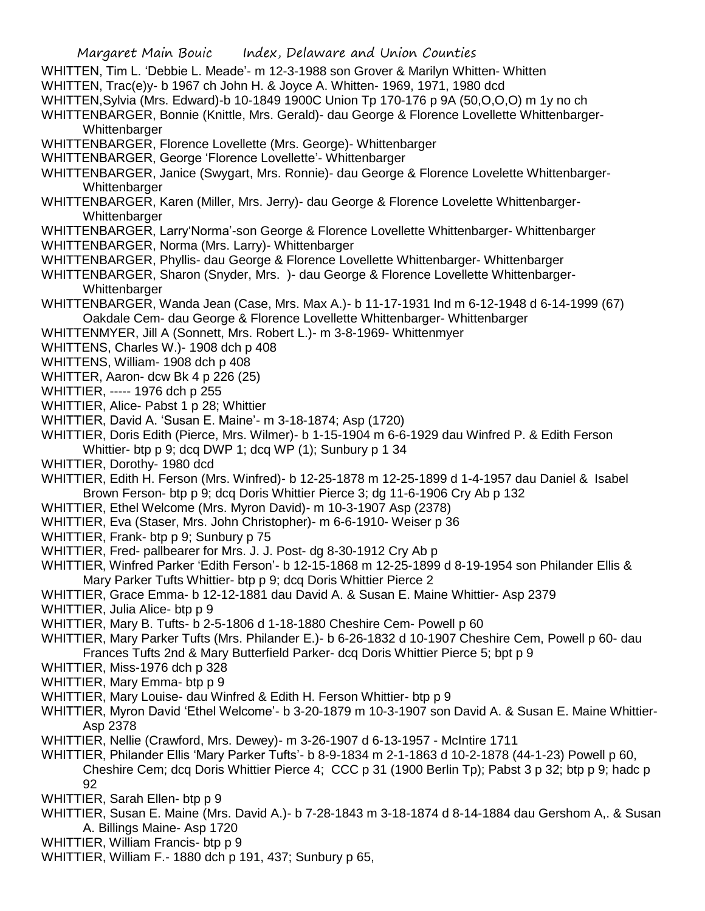- WHITTEN, Tim L. 'Debbie L. Meade'- m 12-3-1988 son Grover & Marilyn Whitten- Whitten WHITTEN, Trac(e)y- b 1967 ch John H. & Joyce A. Whitten- 1969, 1971, 1980 dcd
- WHITTEN,Sylvia (Mrs. Edward)-b 10-1849 1900C Union Tp 170-176 p 9A (50,O,O,O) m 1y no ch
- WHITTENBARGER, Bonnie (Knittle, Mrs. Gerald)- dau George & Florence Lovellette Whittenbarger-

**Whittenbarger** 

- WHITTENBARGER, Florence Lovellette (Mrs. George)- Whittenbarger
- WHITTENBARGER, George 'Florence Lovellette'- Whittenbarger
- WHITTENBARGER, Janice (Swygart, Mrs. Ronnie)- dau George & Florence Lovelette Whittenbarger-**Whittenbarger**
- WHITTENBARGER, Karen (Miller, Mrs. Jerry)- dau George & Florence Lovelette Whittenbarger-Whittenbarger
- WHITTENBARGER, Larry'Norma'-son George & Florence Lovellette Whittenbarger- Whittenbarger
- WHITTENBARGER, Norma (Mrs. Larry)- Whittenbarger
- WHITTENBARGER, Phyllis- dau George & Florence Lovellette Whittenbarger- Whittenbarger
- WHITTENBARGER, Sharon (Snyder, Mrs. )- dau George & Florence Lovellette Whittenbarger-Whittenbarger
- WHITTENBARGER, Wanda Jean (Case, Mrs. Max A.)- b 11-17-1931 Ind m 6-12-1948 d 6-14-1999 (67) Oakdale Cem- dau George & Florence Lovellette Whittenbarger- Whittenbarger
- WHITTENMYER, Jill A (Sonnett, Mrs. Robert L.)- m 3-8-1969- Whittenmyer
- WHITTENS, Charles W.)- 1908 dch p 408
- WHITTENS, William- 1908 dch p 408
- WHITTER, Aaron- dcw Bk 4 p 226 (25)
- WHITTIER, ----- 1976 dch p 255
- WHITTIER, Alice- Pabst 1 p 28; Whittier
- WHITTIER, David A. 'Susan E. Maine'- m 3-18-1874; Asp (1720)
- WHITTIER, Doris Edith (Pierce, Mrs. Wilmer)- b 1-15-1904 m 6-6-1929 dau Winfred P. & Edith Ferson Whittier- btp p 9; dcq DWP 1; dcq WP (1); Sunbury p 1 34
- WHITTIER, Dorothy- 1980 dcd
- WHITTIER, Edith H. Ferson (Mrs. Winfred)- b 12-25-1878 m 12-25-1899 d 1-4-1957 dau Daniel & Isabel Brown Ferson- btp p 9; dcq Doris Whittier Pierce 3; dg 11-6-1906 Cry Ab p 132
- WHITTIER, Ethel Welcome (Mrs. Myron David)- m 10-3-1907 Asp (2378)
- WHITTIER, Eva (Staser, Mrs. John Christopher)- m 6-6-1910- Weiser p 36
- WHITTIER, Frank- btp p 9; Sunbury p 75
- WHITTIER, Fred- pallbearer for Mrs. J. J. Post- dg 8-30-1912 Cry Ab p
- WHITTIER, Winfred Parker 'Edith Ferson'- b 12-15-1868 m 12-25-1899 d 8-19-1954 son Philander Ellis & Mary Parker Tufts Whittier- btp p 9; dcq Doris Whittier Pierce 2
- WHITTIER, Grace Emma- b 12-12-1881 dau David A. & Susan E. Maine Whittier- Asp 2379
- WHITTIER, Julia Alice- btp p 9
- WHITTIER, Mary B. Tufts- b 2-5-1806 d 1-18-1880 Cheshire Cem- Powell p 60
- WHITTIER, Mary Parker Tufts (Mrs. Philander E.)- b 6-26-1832 d 10-1907 Cheshire Cem, Powell p 60- dau Frances Tufts 2nd & Mary Butterfield Parker- dcq Doris Whittier Pierce 5; bpt p 9
- WHITTIER, Miss-1976 dch p 328
- WHITTIER, Mary Emma- btp p 9
- WHITTIER, Mary Louise- dau Winfred & Edith H. Ferson Whittier- btp p 9
- WHITTIER, Myron David 'Ethel Welcome'- b 3-20-1879 m 10-3-1907 son David A. & Susan E. Maine Whittier-Asp 2378
- WHITTIER, Nellie (Crawford, Mrs. Dewey)- m 3-26-1907 d 6-13-1957 McIntire 1711
- WHITTIER, Philander Ellis 'Mary Parker Tufts'- b 8-9-1834 m 2-1-1863 d 10-2-1878 (44-1-23) Powell p 60, Cheshire Cem; dcq Doris Whittier Pierce 4; CCC p 31 (1900 Berlin Tp); Pabst 3 p 32; btp p 9; hadc p 92
- WHITTIER, Sarah Ellen- btp p 9
- WHITTIER, Susan E. Maine (Mrs. David A.)- b 7-28-1843 m 3-18-1874 d 8-14-1884 dau Gershom A,. & Susan A. Billings Maine- Asp 1720
- WHITTIER, William Francis- btp p 9
- WHITTIER, William F.- 1880 dch p 191, 437; Sunbury p 65,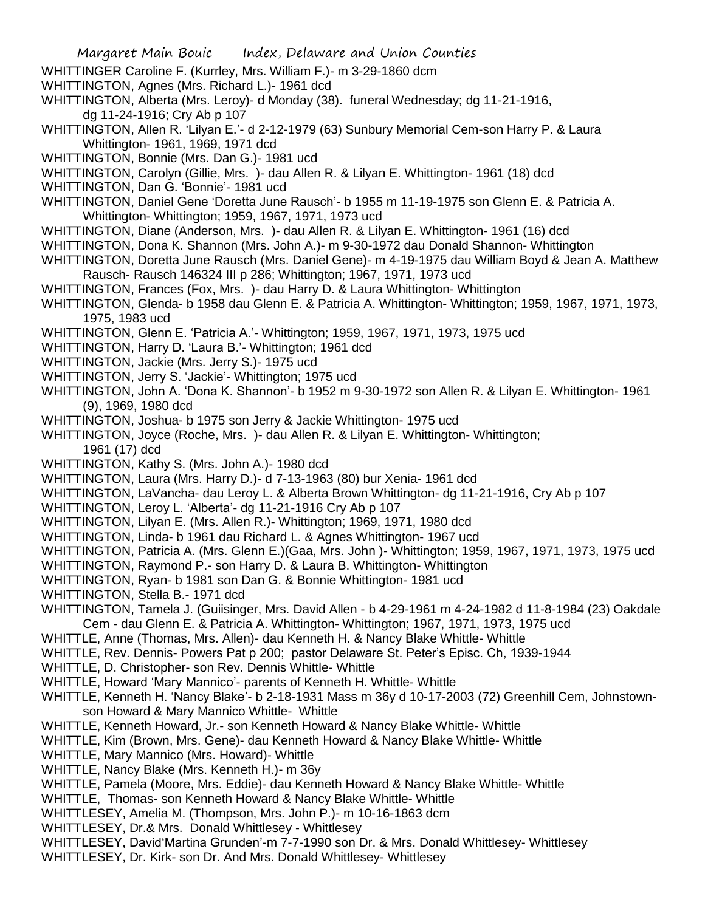- WHITTINGER Caroline F. (Kurrley, Mrs. William F.)- m 3-29-1860 dcm
- WHITTINGTON, Agnes (Mrs. Richard L.)- 1961 dcd
- WHITTINGTON, Alberta (Mrs. Leroy)- d Monday (38). funeral Wednesday; dg 11-21-1916, dg 11-24-1916; Cry Ab p 107
- WHITTINGTON, Allen R. 'Lilyan E.'- d 2-12-1979 (63) Sunbury Memorial Cem-son Harry P. & Laura Whittington- 1961, 1969, 1971 dcd
- WHITTINGTON, Bonnie (Mrs. Dan G.)- 1981 ucd
- WHITTINGTON, Carolyn (Gillie, Mrs. )- dau Allen R. & Lilyan E. Whittington- 1961 (18) dcd
- WHITTINGTON, Dan G. 'Bonnie'- 1981 ucd
- WHITTINGTON, Daniel Gene 'Doretta June Rausch'- b 1955 m 11-19-1975 son Glenn E. & Patricia A. Whittington- Whittington; 1959, 1967, 1971, 1973 ucd
- WHITTINGTON, Diane (Anderson, Mrs. )- dau Allen R. & Lilyan E. Whittington- 1961 (16) dcd
- WHITTINGTON, Dona K. Shannon (Mrs. John A.)- m 9-30-1972 dau Donald Shannon- Whittington
- WHITTINGTON, Doretta June Rausch (Mrs. Daniel Gene)- m 4-19-1975 dau William Boyd & Jean A. Matthew Rausch- Rausch 146324 III p 286; Whittington; 1967, 1971, 1973 ucd
- WHITTINGTON, Frances (Fox, Mrs. )- dau Harry D. & Laura Whittington- Whittington
- WHITTINGTON, Glenda- b 1958 dau Glenn E. & Patricia A. Whittington- Whittington; 1959, 1967, 1971, 1973, 1975, 1983 ucd
- WHITTINGTON, Glenn E. 'Patricia A.'- Whittington; 1959, 1967, 1971, 1973, 1975 ucd
- WHITTINGTON, Harry D. 'Laura B.'- Whittington; 1961 dcd
- WHITTINGTON, Jackie (Mrs. Jerry S.)- 1975 ucd
- WHITTINGTON, Jerry S. 'Jackie'- Whittington; 1975 ucd
- WHITTINGTON, John A. 'Dona K. Shannon'- b 1952 m 9-30-1972 son Allen R. & Lilyan E. Whittington- 1961 (9), 1969, 1980 dcd
- WHITTINGTON, Joshua- b 1975 son Jerry & Jackie Whittington- 1975 ucd
- WHITTINGTON, Joyce (Roche, Mrs.)- dau Allen R. & Lilyan E. Whittington- Whittington; 1961 (17) dcd
- WHITTINGTON, Kathy S. (Mrs. John A.)- 1980 dcd
- WHITTINGTON, Laura (Mrs. Harry D.)- d 7-13-1963 (80) bur Xenia- 1961 dcd
- WHITTINGTON, LaVancha- dau Leroy L. & Alberta Brown Whittington- dg 11-21-1916, Cry Ab p 107
- WHITTINGTON, Leroy L. 'Alberta'- dg 11-21-1916 Cry Ab p 107
- WHITTINGTON, Lilyan E. (Mrs. Allen R.)- Whittington; 1969, 1971, 1980 dcd
- WHITTINGTON, Linda- b 1961 dau Richard L. & Agnes Whittington- 1967 ucd
- WHITTINGTON, Patricia A. (Mrs. Glenn E.)(Gaa, Mrs. John )- Whittington; 1959, 1967, 1971, 1973, 1975 ucd
- WHITTINGTON, Raymond P.- son Harry D. & Laura B. Whittington- Whittington
- WHITTINGTON, Ryan- b 1981 son Dan G. & Bonnie Whittington- 1981 ucd
- WHITTINGTON, Stella B.- 1971 dcd
- WHITTINGTON, Tamela J. (Guiisinger, Mrs. David Allen b 4-29-1961 m 4-24-1982 d 11-8-1984 (23) Oakdale Cem - dau Glenn E. & Patricia A. Whittington- Whittington; 1967, 1971, 1973, 1975 ucd
- WHITTLE, Anne (Thomas, Mrs. Allen)- dau Kenneth H. & Nancy Blake Whittle- Whittle
- WHITTLE, Rev. Dennis- Powers Pat p 200; pastor Delaware St. Peter's Episc. Ch, 1939-1944
- WHITTLE, D. Christopher- son Rev. Dennis Whittle- Whittle
- WHITTLE, Howard 'Mary Mannico'- parents of Kenneth H. Whittle- Whittle
- WHITTLE, Kenneth H. 'Nancy Blake'- b 2-18-1931 Mass m 36y d 10-17-2003 (72) Greenhill Cem, Johnstownson Howard & Mary Mannico Whittle- Whittle
- WHITTLE, Kenneth Howard, Jr.- son Kenneth Howard & Nancy Blake Whittle- Whittle
- WHITTLE, Kim (Brown, Mrs. Gene)- dau Kenneth Howard & Nancy Blake Whittle- Whittle
- WHITTLE, Mary Mannico (Mrs. Howard)- Whittle
- WHITTLE, Nancy Blake (Mrs. Kenneth H.)- m 36y
- WHITTLE, Pamela (Moore, Mrs. Eddie)- dau Kenneth Howard & Nancy Blake Whittle- Whittle
- WHITTLE, Thomas- son Kenneth Howard & Nancy Blake Whittle- Whittle
- WHITTLESEY, Amelia M. (Thompson, Mrs. John P.)- m 10-16-1863 dcm
- WHITTLESEY, Dr.& Mrs. Donald Whittlesey Whittlesey
- WHITTLESEY, David'Martina Grunden'-m 7-7-1990 son Dr. & Mrs. Donald Whittlesey- Whittlesey
- WHITTLESEY, Dr. Kirk- son Dr. And Mrs. Donald Whittlesey- Whittlesey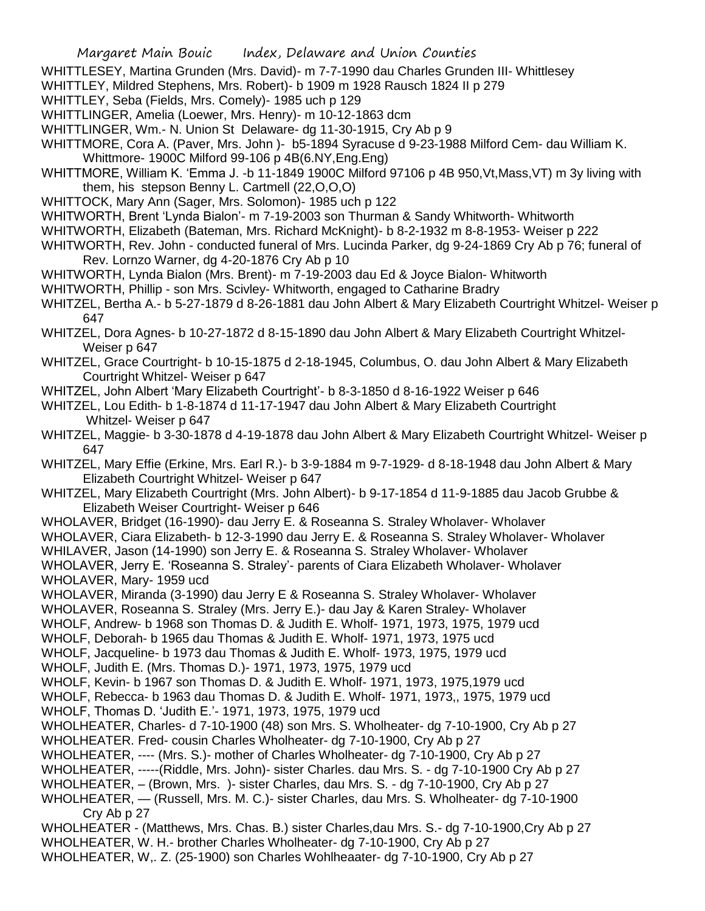- WHITTLESEY, Martina Grunden (Mrs. David)- m 7-7-1990 dau Charles Grunden III- Whittlesey
- WHITTLEY, Mildred Stephens, Mrs. Robert)- b 1909 m 1928 Rausch 1824 II p 279
- WHITTLEY, Seba (Fields, Mrs. Comely)- 1985 uch p 129
- WHITTLINGER, Amelia (Loewer, Mrs. Henry)- m 10-12-1863 dcm
- WHITTLINGER, Wm.- N. Union St Delaware- dg 11-30-1915, Cry Ab p 9
- WHITTMORE, Cora A. (Paver, Mrs. John )- b5-1894 Syracuse d 9-23-1988 Milford Cem- dau William K. Whittmore- 1900C Milford 99-106 p 4B(6.NY,Eng.Eng)
- WHITTMORE, William K. 'Emma J. -b 11-1849 1900C Milford 97106 p 4B 950,Vt,Mass,VT) m 3y living with them, his stepson Benny L. Cartmell (22,O,O,O)
- WHITTOCK, Mary Ann (Sager, Mrs. Solomon)- 1985 uch p 122
- WHITWORTH, Brent 'Lynda Bialon'- m 7-19-2003 son Thurman & Sandy Whitworth- Whitworth
- WHITWORTH, Elizabeth (Bateman, Mrs. Richard McKnight)- b 8-2-1932 m 8-8-1953- Weiser p 222
- WHITWORTH, Rev. John conducted funeral of Mrs. Lucinda Parker, dg 9-24-1869 Cry Ab p 76; funeral of Rev. Lornzo Warner, dg 4-20-1876 Cry Ab p 10
- WHITWORTH, Lynda Bialon (Mrs. Brent)- m 7-19-2003 dau Ed & Joyce Bialon- Whitworth
- WHITWORTH, Phillip son Mrs. Scivley- Whitworth, engaged to Catharine Bradry
- WHITZEL, Bertha A.- b 5-27-1879 d 8-26-1881 dau John Albert & Mary Elizabeth Courtright Whitzel- Weiser p 647
- WHITZEL, Dora Agnes- b 10-27-1872 d 8-15-1890 dau John Albert & Mary Elizabeth Courtright Whitzel-Weiser p 647
- WHITZEL, Grace Courtright- b 10-15-1875 d 2-18-1945, Columbus, O. dau John Albert & Mary Elizabeth Courtright Whitzel- Weiser p 647
- WHITZEL, John Albert 'Mary Elizabeth Courtright'- b 8-3-1850 d 8-16-1922 Weiser p 646
- WHITZEL, Lou Edith- b 1-8-1874 d 11-17-1947 dau John Albert & Mary Elizabeth Courtright Whitzel- Weiser p 647
- WHITZEL, Maggie- b 3-30-1878 d 4-19-1878 dau John Albert & Mary Elizabeth Courtright Whitzel- Weiser p 647
- WHITZEL, Mary Effie (Erkine, Mrs. Earl R.)- b 3-9-1884 m 9-7-1929- d 8-18-1948 dau John Albert & Mary Elizabeth Courtright Whitzel- Weiser p 647
- WHITZEL, Mary Elizabeth Courtright (Mrs. John Albert)- b 9-17-1854 d 11-9-1885 dau Jacob Grubbe & Elizabeth Weiser Courtright- Weiser p 646
- WHOLAVER, Bridget (16-1990)- dau Jerry E. & Roseanna S. Straley Wholaver- Wholaver
- WHOLAVER, Ciara Elizabeth- b 12-3-1990 dau Jerry E. & Roseanna S. Straley Wholaver- Wholaver
- WHILAVER, Jason (14-1990) son Jerry E. & Roseanna S. Straley Wholaver- Wholaver
- WHOLAVER, Jerry E. 'Roseanna S. Straley'- parents of Ciara Elizabeth Wholaver- Wholaver WHOLAVER, Mary- 1959 ucd
- WHOLAVER, Miranda (3-1990) dau Jerry E & Roseanna S. Straley Wholaver- Wholaver
- WHOLAVER, Roseanna S. Straley (Mrs. Jerry E.)- dau Jay & Karen Straley- Wholaver
- WHOLF, Andrew- b 1968 son Thomas D. & Judith E. Wholf- 1971, 1973, 1975, 1979 ucd
- WHOLF, Deborah- b 1965 dau Thomas & Judith E. Wholf- 1971, 1973, 1975 ucd
- WHOLF, Jacqueline- b 1973 dau Thomas & Judith E. Wholf- 1973, 1975, 1979 ucd
- WHOLF, Judith E. (Mrs. Thomas D.)- 1971, 1973, 1975, 1979 ucd
- WHOLF, Kevin- b 1967 son Thomas D. & Judith E. Wholf- 1971, 1973, 1975,1979 ucd
- WHOLF, Rebecca- b 1963 dau Thomas D. & Judith E. Wholf- 1971, 1973,, 1975, 1979 ucd
- WHOLF, Thomas D. 'Judith E.'- 1971, 1973, 1975, 1979 ucd
- WHOLHEATER, Charles- d 7-10-1900 (48) son Mrs. S. Wholheater- dg 7-10-1900, Cry Ab p 27 WHOLHEATER. Fred- cousin Charles Wholheater- dg 7-10-1900, Cry Ab p 27
- WHOLHEATER, ---- (Mrs. S.)- mother of Charles Wholheater- dg 7-10-1900, Cry Ab p 27
- WHOLHEATER, -----(Riddle, Mrs. John)- sister Charles. dau Mrs. S. dg 7-10-1900 Cry Ab p 27
- WHOLHEATER, (Brown, Mrs. )- sister Charles, dau Mrs. S. dg 7-10-1900, Cry Ab p 27
- WHOLHEATER, (Russell, Mrs. M. C.)- sister Charles, dau Mrs. S. Wholheater- dg 7-10-1900 Cry Ab p 27
- WHOLHEATER (Matthews, Mrs. Chas. B.) sister Charles,dau Mrs. S.- dg 7-10-1900,Cry Ab p 27 WHOLHEATER, W. H.- brother Charles Wholheater- dg 7-10-1900, Cry Ab p 27
- WHOLHEATER, W,. Z. (25-1900) son Charles Wohlheaater- dg 7-10-1900, Cry Ab p 27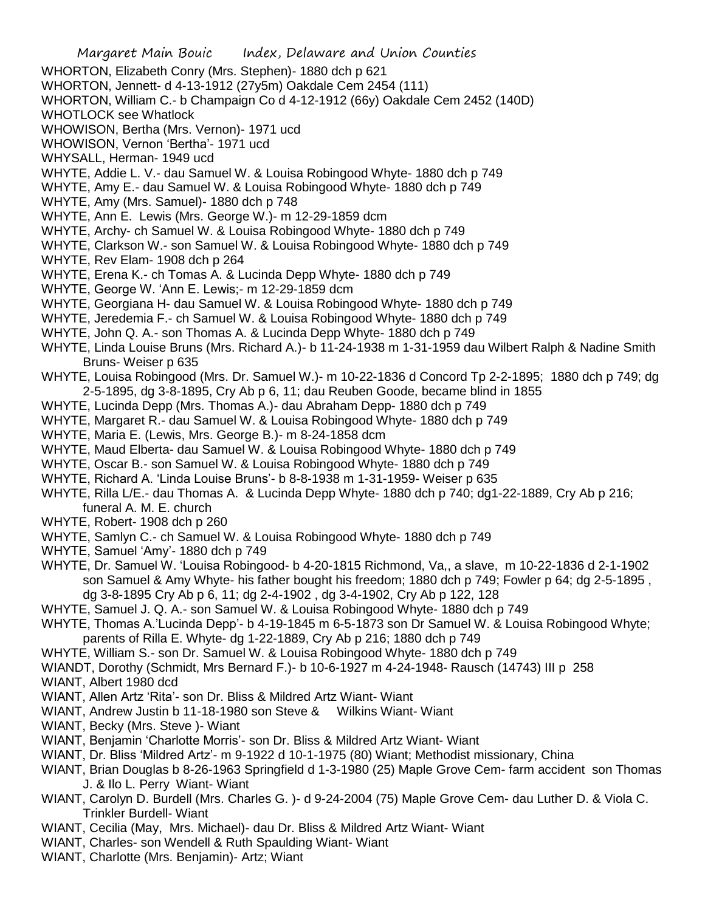- Margaret Main Bouic Index, Delaware and Union Counties WHORTON, Elizabeth Conry (Mrs. Stephen)- 1880 dch p 621 WHORTON, Jennett- d 4-13-1912 (27y5m) Oakdale Cem 2454 (111) WHORTON, William C.- b Champaign Co d 4-12-1912 (66y) Oakdale Cem 2452 (140D) WHOTLOCK see Whatlock WHOWISON, Bertha (Mrs. Vernon)- 1971 ucd WHOWISON, Vernon 'Bertha'- 1971 ucd WHYSALL, Herman- 1949 ucd WHYTE, Addie L. V.- dau Samuel W. & Louisa Robingood Whyte- 1880 dch p 749 WHYTE, Amy E.- dau Samuel W. & Louisa Robingood Whyte- 1880 dch p 749 WHYTE, Amy (Mrs. Samuel)- 1880 dch p 748 WHYTE, Ann E. Lewis (Mrs. George W.)- m 12-29-1859 dcm WHYTE, Archy- ch Samuel W. & Louisa Robingood Whyte- 1880 dch p 749 WHYTE, Clarkson W.- son Samuel W. & Louisa Robingood Whyte- 1880 dch p 749 WHYTE, Rev Elam- 1908 dch p 264 WHYTE, Erena K.- ch Tomas A. & Lucinda Depp Whyte- 1880 dch p 749 WHYTE, George W. 'Ann E. Lewis;- m 12-29-1859 dcm WHYTE, Georgiana H- dau Samuel W. & Louisa Robingood Whyte- 1880 dch p 749 WHYTE, Jeredemia F.- ch Samuel W. & Louisa Robingood Whyte- 1880 dch p 749 WHYTE, John Q. A.- son Thomas A. & Lucinda Depp Whyte- 1880 dch p 749 WHYTE, Linda Louise Bruns (Mrs. Richard A.)- b 11-24-1938 m 1-31-1959 dau Wilbert Ralph & Nadine Smith Bruns- Weiser p 635 WHYTE, Louisa Robingood (Mrs. Dr. Samuel W.)- m 10-22-1836 d Concord Tp 2-2-1895; 1880 dch p 749; dg 2-5-1895, dg 3-8-1895, Cry Ab p 6, 11; dau Reuben Goode, became blind in 1855 WHYTE, Lucinda Depp (Mrs. Thomas A.)- dau Abraham Depp- 1880 dch p 749 WHYTE, Margaret R.- dau Samuel W. & Louisa Robingood Whyte- 1880 dch p 749 WHYTE, Maria E. (Lewis, Mrs. George B.)- m 8-24-1858 dcm WHYTE, Maud Elberta- dau Samuel W. & Louisa Robingood Whyte- 1880 dch p 749 WHYTE, Oscar B.- son Samuel W. & Louisa Robingood Whyte- 1880 dch p 749 WHYTE, Richard A. 'Linda Louise Bruns'- b 8-8-1938 m 1-31-1959- Weiser p 635 WHYTE, Rilla L/E.- dau Thomas A. & Lucinda Depp Whyte- 1880 dch p 740; dg1-22-1889, Cry Ab p 216; funeral A. M. E. church WHYTE, Robert- 1908 dch p 260 WHYTE, Samlyn C.- ch Samuel W. & Louisa Robingood Whyte- 1880 dch p 749 WHYTE, Samuel 'Amy'- 1880 dch p 749 WHYTE, Dr. Samuel W. 'Louisa Robingood- b 4-20-1815 Richmond, Va,, a slave, m 10-22-1836 d 2-1-1902 son Samuel & Amy Whyte- his father bought his freedom; 1880 dch p 749; Fowler p 64; dg 2-5-1895 , dg 3-8-1895 Cry Ab p 6, 11; dg 2-4-1902 , dg 3-4-1902, Cry Ab p 122, 128 WHYTE, Samuel J. Q. A.- son Samuel W. & Louisa Robingood Whyte- 1880 dch p 749 WHYTE, Thomas A.'Lucinda Depp'- b 4-19-1845 m 6-5-1873 son Dr Samuel W. & Louisa Robingood Whyte; parents of Rilla E. Whyte- dg 1-22-1889, Cry Ab p 216; 1880 dch p 749 WHYTE, William S.- son Dr. Samuel W. & Louisa Robingood Whyte- 1880 dch p 749 WIANDT, Dorothy (Schmidt, Mrs Bernard F.)- b 10-6-1927 m 4-24-1948- Rausch (14743) III p 258 WIANT, Albert 1980 dcd WIANT, Allen Artz 'Rita'- son Dr. Bliss & Mildred Artz Wiant- Wiant WIANT, Andrew Justin b 11-18-1980 son Steve & Wilkins Wiant- Wiant WIANT, Becky (Mrs. Steve )- Wiant WIANT, Benjamin 'Charlotte Morris'- son Dr. Bliss & Mildred Artz Wiant- Wiant WIANT, Dr. Bliss 'Mildred Artz'- m 9-1922 d 10-1-1975 (80) Wiant; Methodist missionary, China WIANT, Brian Douglas b 8-26-1963 Springfield d 1-3-1980 (25) Maple Grove Cem- farm accident son Thomas J. & Ilo L. Perry Wiant- Wiant WIANT, Carolyn D. Burdell (Mrs. Charles G. )- d 9-24-2004 (75) Maple Grove Cem- dau Luther D. & Viola C. Trinkler Burdell- Wiant WIANT, Cecilia (May, Mrs. Michael)- dau Dr. Bliss & Mildred Artz Wiant- Wiant
- WIANT, Charles- son Wendell & Ruth Spaulding Wiant- Wiant
- WIANT, Charlotte (Mrs. Benjamin)- Artz; Wiant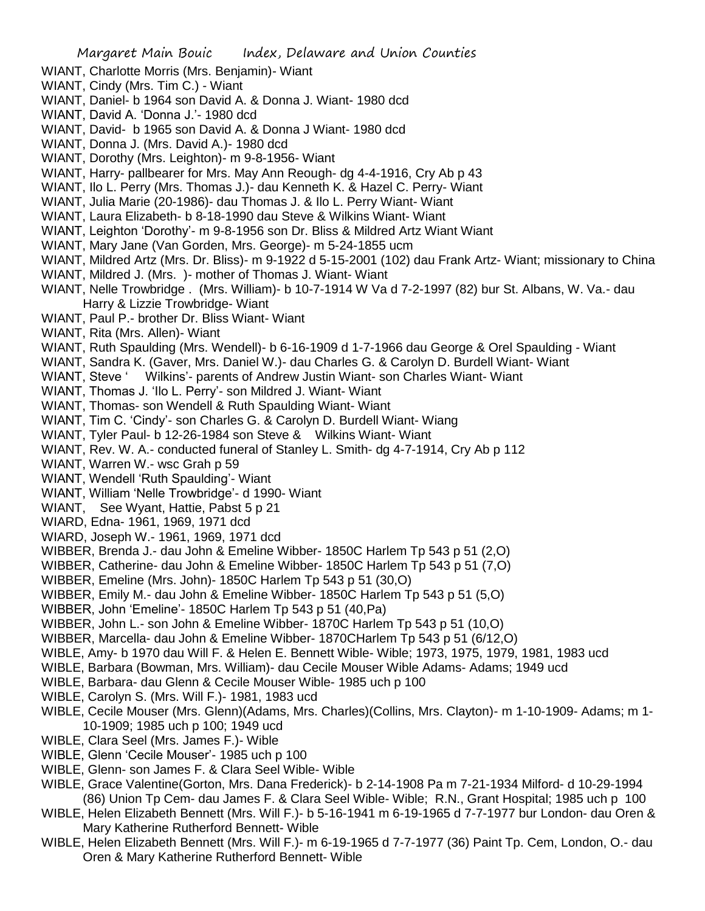- WIANT, Charlotte Morris (Mrs. Benjamin)- Wiant
- WIANT, Cindy (Mrs. Tim C.) Wiant
- WIANT, Daniel- b 1964 son David A. & Donna J. Wiant- 1980 dcd
- WIANT, David A. 'Donna J.'- 1980 dcd
- WIANT, David- b 1965 son David A. & Donna J Wiant- 1980 dcd
- WIANT, Donna J. (Mrs. David A.)- 1980 dcd
- WIANT, Dorothy (Mrs. Leighton)- m 9-8-1956- Wiant
- WIANT, Harry- pallbearer for Mrs. May Ann Reough- dg 4-4-1916, Cry Ab p 43
- WIANT, Ilo L. Perry (Mrs. Thomas J.)- dau Kenneth K. & Hazel C. Perry- Wiant
- WIANT, Julia Marie (20-1986)- dau Thomas J. & Ilo L. Perry Wiant- Wiant
- WIANT, Laura Elizabeth- b 8-18-1990 dau Steve & Wilkins Wiant- Wiant
- WIANT, Leighton 'Dorothy'- m 9-8-1956 son Dr. Bliss & Mildred Artz Wiant Wiant
- WIANT, Mary Jane (Van Gorden, Mrs. George)- m 5-24-1855 ucm
- WIANT, Mildred Artz (Mrs. Dr. Bliss)- m 9-1922 d 5-15-2001 (102) dau Frank Artz- Wiant; missionary to China
- WIANT, Mildred J. (Mrs. )- mother of Thomas J. Wiant- Wiant
- WIANT, Nelle Trowbridge . (Mrs. William)- b 10-7-1914 W Va d 7-2-1997 (82) bur St. Albans, W. Va.- dau Harry & Lizzie Trowbridge- Wiant
- WIANT, Paul P.- brother Dr. Bliss Wiant- Wiant
- WIANT, Rita (Mrs. Allen)- Wiant
- WIANT, Ruth Spaulding (Mrs. Wendell)- b 6-16-1909 d 1-7-1966 dau George & Orel Spaulding Wiant
- WIANT, Sandra K. (Gaver, Mrs. Daniel W.)- dau Charles G. & Carolyn D. Burdell Wiant- Wiant
- WIANT, Steve ' Wilkins'- parents of Andrew Justin Wiant- son Charles Wiant- Wiant
- WIANT, Thomas J. 'Ilo L. Perry'- son Mildred J. Wiant- Wiant
- WIANT, Thomas- son Wendell & Ruth Spaulding Wiant- Wiant
- WIANT, Tim C. 'Cindy'- son Charles G. & Carolyn D. Burdell Wiant- Wiang
- WIANT, Tyler Paul- b 12-26-1984 son Steve & Wilkins Wiant- Wiant
- WIANT, Rev. W. A.- conducted funeral of Stanley L. Smith- dg 4-7-1914, Cry Ab p 112
- WIANT, Warren W.- wsc Grah p 59
- WIANT, Wendell 'Ruth Spaulding'- Wiant
- WIANT, William 'Nelle Trowbridge'- d 1990- Wiant
- WIANT, See Wyant, Hattie, Pabst 5 p 21
- WIARD, Edna- 1961, 1969, 1971 dcd
- WIARD, Joseph W.- 1961, 1969, 1971 dcd
- WIBBER, Brenda J.- dau John & Emeline Wibber- 1850C Harlem Tp 543 p 51 (2,O)
- WIBBER, Catherine- dau John & Emeline Wibber- 1850C Harlem Tp 543 p 51 (7,O)
- WIBBER, Emeline (Mrs. John)- 1850C Harlem Tp 543 p 51 (30,O)
- WIBBER, Emily M.- dau John & Emeline Wibber- 1850C Harlem Tp 543 p 51 (5,O)
- WIBBER, John 'Emeline'- 1850C Harlem Tp 543 p 51 (40,Pa)
- WIBBER, John L.- son John & Emeline Wibber- 1870C Harlem Tp 543 p 51 (10,O)
- WIBBER, Marcella- dau John & Emeline Wibber- 1870CHarlem Tp 543 p 51 (6/12,O)
- WIBLE, Amy- b 1970 dau Will F. & Helen E. Bennett Wible- Wible; 1973, 1975, 1979, 1981, 1983 ucd
- WIBLE, Barbara (Bowman, Mrs. William)- dau Cecile Mouser Wible Adams- Adams; 1949 ucd
- WIBLE, Barbara- dau Glenn & Cecile Mouser Wible- 1985 uch p 100
- WIBLE, Carolyn S. (Mrs. Will F.)- 1981, 1983 ucd
- WIBLE, Cecile Mouser (Mrs. Glenn)(Adams, Mrs. Charles)(Collins, Mrs. Clayton)- m 1-10-1909- Adams; m 1- 10-1909; 1985 uch p 100; 1949 ucd
- WIBLE, Clara Seel (Mrs. James F.)- Wible
- WIBLE, Glenn 'Cecile Mouser'- 1985 uch p 100
- WIBLE, Glenn- son James F. & Clara Seel Wible- Wible
- WIBLE, Grace Valentine(Gorton, Mrs. Dana Frederick)- b 2-14-1908 Pa m 7-21-1934 Milford- d 10-29-1994 (86) Union Tp Cem- dau James F. & Clara Seel Wible- Wible; R.N., Grant Hospital; 1985 uch p 100
- WIBLE, Helen Elizabeth Bennett (Mrs. Will F.)- b 5-16-1941 m 6-19-1965 d 7-7-1977 bur London- dau Oren & Mary Katherine Rutherford Bennett- Wible
- WIBLE, Helen Elizabeth Bennett (Mrs. Will F.)- m 6-19-1965 d 7-7-1977 (36) Paint Tp. Cem, London, O.- dau Oren & Mary Katherine Rutherford Bennett- Wible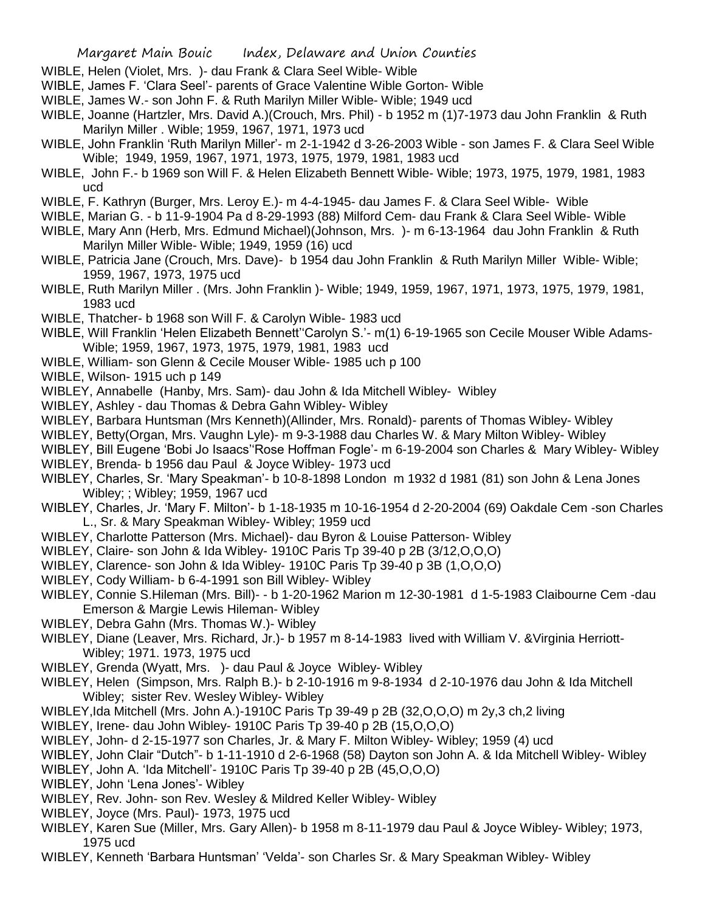- WIBLE, Helen (Violet, Mrs. )- dau Frank & Clara Seel Wible- Wible
- WIBLE, James F. 'Clara Seel'- parents of Grace Valentine Wible Gorton- Wible
- WIBLE, James W.- son John F. & Ruth Marilyn Miller Wible- Wible; 1949 ucd
- WIBLE, Joanne (Hartzler, Mrs. David A.)(Crouch, Mrs. Phil) b 1952 m (1)7-1973 dau John Franklin & Ruth Marilyn Miller . Wible; 1959, 1967, 1971, 1973 ucd
- WIBLE, John Franklin 'Ruth Marilyn Miller'- m 2-1-1942 d 3-26-2003 Wible son James F. & Clara Seel Wible Wible; 1949, 1959, 1967, 1971, 1973, 1975, 1979, 1981, 1983 ucd
- WIBLE, John F.- b 1969 son Will F. & Helen Elizabeth Bennett Wible- Wible; 1973, 1975, 1979, 1981, 1983 ucd
- WIBLE, F. Kathryn (Burger, Mrs. Leroy E.)- m 4-4-1945- dau James F. & Clara Seel Wible- Wible
- WIBLE, Marian G. b 11-9-1904 Pa d 8-29-1993 (88) Milford Cem- dau Frank & Clara Seel Wible- Wible
- WIBLE, Mary Ann (Herb, Mrs. Edmund Michael)(Johnson, Mrs. )- m 6-13-1964 dau John Franklin & Ruth Marilyn Miller Wible- Wible; 1949, 1959 (16) ucd
- WIBLE, Patricia Jane (Crouch, Mrs. Dave)- b 1954 dau John Franklin & Ruth Marilyn Miller Wible- Wible; 1959, 1967, 1973, 1975 ucd
- WIBLE, Ruth Marilyn Miller . (Mrs. John Franklin )- Wible; 1949, 1959, 1967, 1971, 1973, 1975, 1979, 1981, 1983 ucd
- WIBLE, Thatcher- b 1968 son Will F. & Carolyn Wible- 1983 ucd
- WIBLE, Will Franklin 'Helen Elizabeth Bennett''Carolyn S.'- m(1) 6-19-1965 son Cecile Mouser Wible Adams-Wible; 1959, 1967, 1973, 1975, 1979, 1981, 1983 ucd
- WIBLE, William- son Glenn & Cecile Mouser Wible- 1985 uch p 100
- WIBLE, Wilson- 1915 uch p 149
- WIBLEY, Annabelle (Hanby, Mrs. Sam)- dau John & Ida Mitchell Wibley- Wibley
- WIBLEY, Ashley dau Thomas & Debra Gahn Wibley- Wibley
- WIBLEY, Barbara Huntsman (Mrs Kenneth)(Allinder, Mrs. Ronald)- parents of Thomas Wibley- Wibley
- WIBLEY, Betty(Organ, Mrs. Vaughn Lyle)- m 9-3-1988 dau Charles W. & Mary Milton Wibley- Wibley
- WIBLEY, Bill Eugene 'Bobi Jo Isaacs''Rose Hoffman Fogle'- m 6-19-2004 son Charles & Mary Wibley- Wibley
- WIBLEY, Brenda- b 1956 dau Paul & Joyce Wibley- 1973 ucd
- WIBLEY, Charles, Sr. 'Mary Speakman'- b 10-8-1898 London m 1932 d 1981 (81) son John & Lena Jones Wibley; ; Wibley; 1959, 1967 ucd
- WIBLEY, Charles, Jr. 'Mary F. Milton'- b 1-18-1935 m 10-16-1954 d 2-20-2004 (69) Oakdale Cem -son Charles L., Sr. & Mary Speakman Wibley- Wibley; 1959 ucd
- WIBLEY, Charlotte Patterson (Mrs. Michael)- dau Byron & Louise Patterson- Wibley
- WIBLEY, Claire- son John & Ida Wibley- 1910C Paris Tp 39-40 p 2B (3/12,O,O,O)
- WIBLEY, Clarence- son John & Ida Wibley- 1910C Paris Tp 39-40 p 3B (1,O,O,O)
- WIBLEY, Cody William- b 6-4-1991 son Bill Wibley- Wibley
- WIBLEY, Connie S.Hileman (Mrs. Bill)- b 1-20-1962 Marion m 12-30-1981 d 1-5-1983 Claibourne Cem -dau Emerson & Margie Lewis Hileman- Wibley
- WIBLEY, Debra Gahn (Mrs. Thomas W.)- Wibley
- WIBLEY, Diane (Leaver, Mrs. Richard, Jr.)- b 1957 m 8-14-1983 lived with William V. &Virginia Herriott-Wibley; 1971. 1973, 1975 ucd
- WIBLEY, Grenda (Wyatt, Mrs. )- dau Paul & Joyce Wibley- Wibley
- WIBLEY, Helen (Simpson, Mrs. Ralph B.)- b 2-10-1916 m 9-8-1934 d 2-10-1976 dau John & Ida Mitchell Wibley; sister Rev. Wesley Wibley- Wibley
- WIBLEY,Ida Mitchell (Mrs. John A.)-1910C Paris Tp 39-49 p 2B (32,O,O,O) m 2y,3 ch,2 living
- WIBLEY, Irene- dau John Wibley- 1910C Paris Tp 39-40 p 2B (15,O,O,O)
- WIBLEY, John- d 2-15-1977 son Charles, Jr. & Mary F. Milton Wibley- Wibley; 1959 (4) ucd
- WIBLEY, John Clair "Dutch"- b 1-11-1910 d 2-6-1968 (58) Dayton son John A. & Ida Mitchell Wibley- Wibley
- WIBLEY, John A. 'Ida Mitchell'- 1910C Paris Tp 39-40 p 2B (45,O,O,O)
- WIBLEY, John 'Lena Jones'- Wibley
- WIBLEY, Rev. John- son Rev. Wesley & Mildred Keller Wibley- Wibley
- WIBLEY, Joyce (Mrs. Paul)- 1973, 1975 ucd
- WIBLEY, Karen Sue (Miller, Mrs. Gary Allen)- b 1958 m 8-11-1979 dau Paul & Joyce Wibley- Wibley; 1973, 1975 ucd
- WIBLEY, Kenneth 'Barbara Huntsman' 'Velda'- son Charles Sr. & Mary Speakman Wibley- Wibley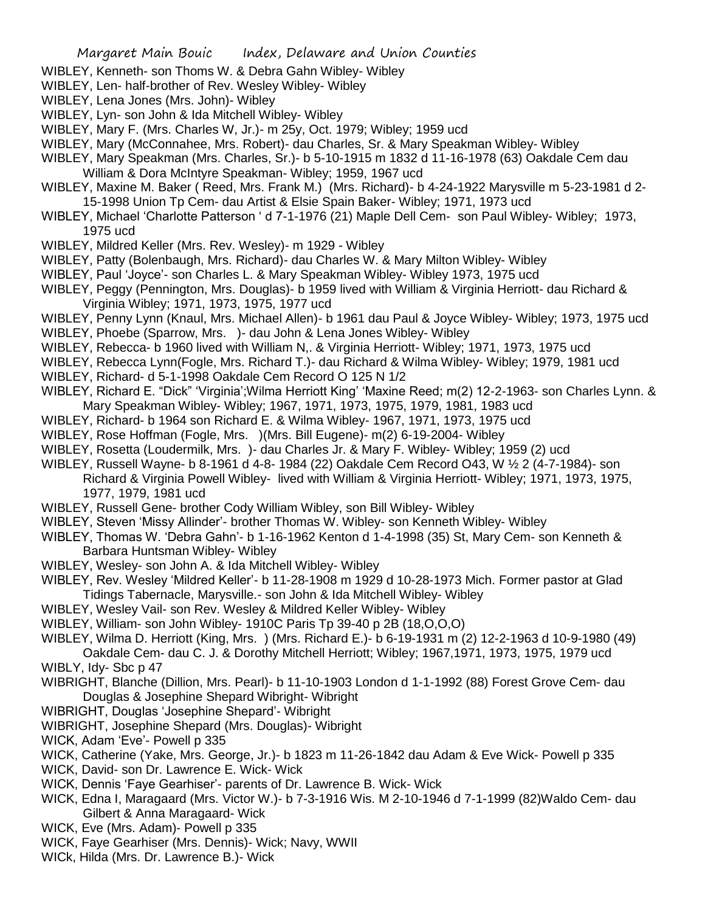- WIBLEY, Kenneth- son Thoms W. & Debra Gahn Wibley- Wibley
- WIBLEY, Len- half-brother of Rev. Wesley Wibley- Wibley
- WIBLEY, Lena Jones (Mrs. John)- Wibley
- WIBLEY, Lyn- son John & Ida Mitchell Wibley- Wibley
- WIBLEY, Mary F. (Mrs. Charles W, Jr.)- m 25y, Oct. 1979; Wibley; 1959 ucd
- WIBLEY, Mary (McConnahee, Mrs. Robert)- dau Charles, Sr. & Mary Speakman Wibley- Wibley
- WIBLEY, Mary Speakman (Mrs. Charles, Sr.)- b 5-10-1915 m 1832 d 11-16-1978 (63) Oakdale Cem dau William & Dora McIntyre Speakman- Wibley; 1959, 1967 ucd
- WIBLEY, Maxine M. Baker ( Reed, Mrs. Frank M.) (Mrs. Richard)- b 4-24-1922 Marysville m 5-23-1981 d 2- 15-1998 Union Tp Cem- dau Artist & Elsie Spain Baker- Wibley; 1971, 1973 ucd
- WIBLEY, Michael 'Charlotte Patterson ' d 7-1-1976 (21) Maple Dell Cem- son Paul Wibley- Wibley; 1973, 1975 ucd
- WIBLEY, Mildred Keller (Mrs. Rev. Wesley)- m 1929 Wibley
- WIBLEY, Patty (Bolenbaugh, Mrs. Richard)- dau Charles W. & Mary Milton Wibley- Wibley
- WIBLEY, Paul 'Joyce'- son Charles L. & Mary Speakman Wibley- Wibley 1973, 1975 ucd
- WIBLEY, Peggy (Pennington, Mrs. Douglas)- b 1959 lived with William & Virginia Herriott- dau Richard & Virginia Wibley; 1971, 1973, 1975, 1977 ucd
- WIBLEY, Penny Lynn (Knaul, Mrs. Michael Allen)- b 1961 dau Paul & Joyce Wibley- Wibley; 1973, 1975 ucd
- WIBLEY, Phoebe (Sparrow, Mrs. )- dau John & Lena Jones Wibley- Wibley
- WIBLEY, Rebecca- b 1960 lived with William N,. & Virginia Herriott- Wibley; 1971, 1973, 1975 ucd
- WIBLEY, Rebecca Lynn(Fogle, Mrs. Richard T.)- dau Richard & Wilma Wibley- Wibley; 1979, 1981 ucd
- WIBLEY, Richard- d 5-1-1998 Oakdale Cem Record O 125 N 1/2
- WIBLEY, Richard E. "Dick" 'Virginia';Wilma Herriott King' 'Maxine Reed; m(2) 12-2-1963- son Charles Lynn. & Mary Speakman Wibley- Wibley; 1967, 1971, 1973, 1975, 1979, 1981, 1983 ucd
- WIBLEY, Richard- b 1964 son Richard E. & Wilma Wibley- 1967, 1971, 1973, 1975 ucd
- WIBLEY, Rose Hoffman (Fogle, Mrs. )(Mrs. Bill Eugene)- m(2) 6-19-2004- Wibley
- WIBLEY, Rosetta (Loudermilk, Mrs. )- dau Charles Jr. & Mary F. Wibley- Wibley; 1959 (2) ucd
- WIBLEY, Russell Wayne- b 8-1961 d 4-8- 1984 (22) Oakdale Cem Record O43, W ½ 2 (4-7-1984)- son Richard & Virginia Powell Wibley- lived with William & Virginia Herriott- Wibley; 1971, 1973, 1975, 1977, 1979, 1981 ucd
- WIBLEY, Russell Gene- brother Cody William Wibley, son Bill Wibley- Wibley
- WIBLEY, Steven 'Missy Allinder'- brother Thomas W. Wibley- son Kenneth Wibley- Wibley
- WIBLEY, Thomas W. 'Debra Gahn'- b 1-16-1962 Kenton d 1-4-1998 (35) St, Mary Cem- son Kenneth & Barbara Huntsman Wibley- Wibley
- WIBLEY, Wesley- son John A. & Ida Mitchell Wibley- Wibley
- WIBLEY, Rev. Wesley 'Mildred Keller'- b 11-28-1908 m 1929 d 10-28-1973 Mich. Former pastor at Glad Tidings Tabernacle, Marysville.- son John & Ida Mitchell Wibley- Wibley
- WIBLEY, Wesley Vail- son Rev. Wesley & Mildred Keller Wibley- Wibley
- WIBLEY, William- son John Wibley- 1910C Paris Tp 39-40 p 2B (18,O,O,O)
- WIBLEY, Wilma D. Herriott (King, Mrs. ) (Mrs. Richard E.)- b 6-19-1931 m (2) 12-2-1963 d 10-9-1980 (49) Oakdale Cem- dau C. J. & Dorothy Mitchell Herriott; Wibley; 1967,1971, 1973, 1975, 1979 ucd
- WIBLY, Idv-Sbc p 47
- WIBRIGHT, Blanche (Dillion, Mrs. Pearl)- b 11-10-1903 London d 1-1-1992 (88) Forest Grove Cem- dau Douglas & Josephine Shepard Wibright- Wibright
- WIBRIGHT, Douglas 'Josephine Shepard'- Wibright
- WIBRIGHT, Josephine Shepard (Mrs. Douglas)- Wibright
- WICK, Adam 'Eve'- Powell p 335
- WICK, Catherine (Yake, Mrs. George, Jr.)- b 1823 m 11-26-1842 dau Adam & Eve Wick- Powell p 335
- WICK, David- son Dr. Lawrence E. Wick- Wick
- WICK, Dennis 'Faye Gearhiser'- parents of Dr. Lawrence B. Wick- Wick
- WICK, Edna I, Maragaard (Mrs. Victor W.)- b 7-3-1916 Wis. M 2-10-1946 d 7-1-1999 (82)Waldo Cem- dau Gilbert & Anna Maragaard- Wick
- WICK, Eve (Mrs. Adam)- Powell p 335
- WICK, Faye Gearhiser (Mrs. Dennis)- Wick; Navy, WWII
- WICk, Hilda (Mrs. Dr. Lawrence B.)- Wick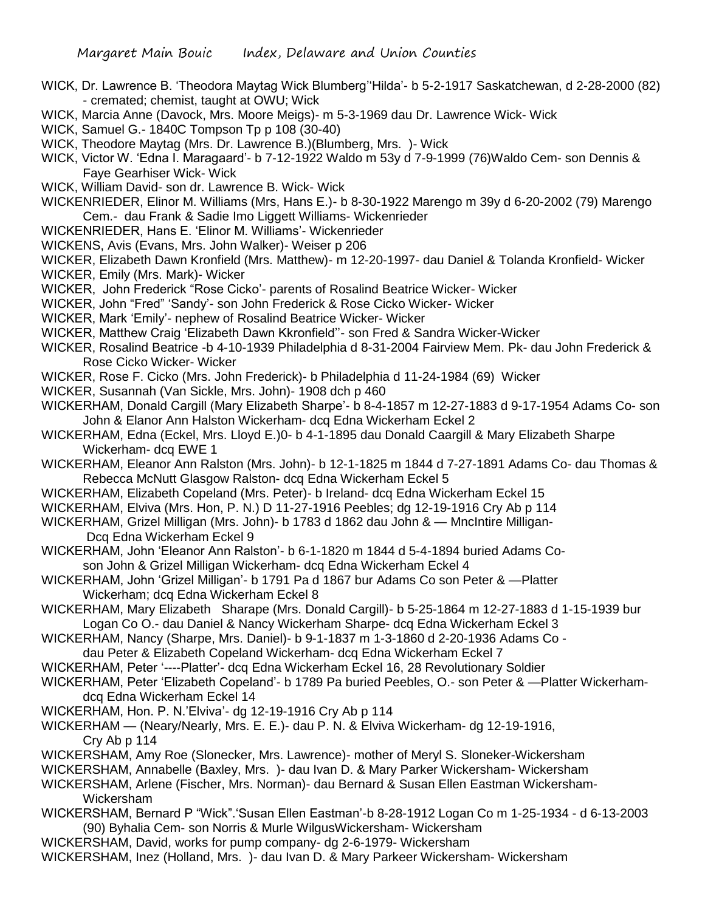- WICK, Dr. Lawrence B. 'Theodora Maytag Wick Blumberg''Hilda'- b 5-2-1917 Saskatchewan, d 2-28-2000 (82) - cremated; chemist, taught at OWU; Wick
- WICK, Marcia Anne (Davock, Mrs. Moore Meigs)- m 5-3-1969 dau Dr. Lawrence Wick- Wick
- WICK, Samuel G.- 1840C Tompson Tp p 108 (30-40)
- WICK, Theodore Maytag (Mrs. Dr. Lawrence B.)(Blumberg, Mrs. )- Wick
- WICK, Victor W. 'Edna I. Maragaard'- b 7-12-1922 Waldo m 53y d 7-9-1999 (76)Waldo Cem- son Dennis & Faye Gearhiser Wick- Wick
- WICK, William David- son dr. Lawrence B. Wick- Wick
- WICKENRIEDER, Elinor M. Williams (Mrs, Hans E.)- b 8-30-1922 Marengo m 39y d 6-20-2002 (79) Marengo Cem.- dau Frank & Sadie Imo Liggett Williams- Wickenrieder
- WICKENRIEDER, Hans E. 'Elinor M. Williams'- Wickenrieder
- WICKENS, Avis (Evans, Mrs. John Walker)- Weiser p 206
- WICKER, Elizabeth Dawn Kronfield (Mrs. Matthew)- m 12-20-1997- dau Daniel & Tolanda Kronfield- Wicker WICKER, Emily (Mrs. Mark)- Wicker
- WICKER, John Frederick "Rose Cicko'- parents of Rosalind Beatrice Wicker- Wicker
- WICKER, John "Fred" 'Sandy'- son John Frederick & Rose Cicko Wicker- Wicker
- WICKER, Mark 'Emily'- nephew of Rosalind Beatrice Wicker- Wicker
- WICKER, Matthew Craig 'Elizabeth Dawn Kkronfield''- son Fred & Sandra Wicker-Wicker
- WICKER, Rosalind Beatrice -b 4-10-1939 Philadelphia d 8-31-2004 Fairview Mem. Pk- dau John Frederick & Rose Cicko Wicker- Wicker
- WICKER, Rose F. Cicko (Mrs. John Frederick)- b Philadelphia d 11-24-1984 (69) Wicker
- WICKER, Susannah (Van Sickle, Mrs. John)- 1908 dch p 460
- WICKERHAM, Donald Cargill (Mary Elizabeth Sharpe'- b 8-4-1857 m 12-27-1883 d 9-17-1954 Adams Co- son John & Elanor Ann Halston Wickerham- dcq Edna Wickerham Eckel 2
- WICKERHAM, Edna (Eckel, Mrs. Lloyd E.)0- b 4-1-1895 dau Donald Caargill & Mary Elizabeth Sharpe Wickerham- dcq EWE 1
- WICKERHAM, Eleanor Ann Ralston (Mrs. John)- b 12-1-1825 m 1844 d 7-27-1891 Adams Co- dau Thomas & Rebecca McNutt Glasgow Ralston- dcq Edna Wickerham Eckel 5
- WICKERHAM, Elizabeth Copeland (Mrs. Peter)- b Ireland- dcq Edna Wickerham Eckel 15
- WICKERHAM, Elviva (Mrs. Hon, P. N.) D 11-27-1916 Peebles; dg 12-19-1916 Cry Ab p 114
- WICKERHAM, Grizel Milligan (Mrs. John)- b 1783 d 1862 dau John & MncIntire Milligan-Dcq Edna Wickerham Eckel 9
- WICKERHAM, John 'Eleanor Ann Ralston'- b 6-1-1820 m 1844 d 5-4-1894 buried Adams Coson John & Grizel Milligan Wickerham- dcq Edna Wickerham Eckel 4
- WICKERHAM, John 'Grizel Milligan'- b 1791 Pa d 1867 bur Adams Co son Peter & —Platter Wickerham; dcq Edna Wickerham Eckel 8
- WICKERHAM, Mary Elizabeth Sharape (Mrs. Donald Cargill)- b 5-25-1864 m 12-27-1883 d 1-15-1939 bur Logan Co O.- dau Daniel & Nancy Wickerham Sharpe- dcq Edna Wickerham Eckel 3
- WICKERHAM, Nancy (Sharpe, Mrs. Daniel)- b 9-1-1837 m 1-3-1860 d 2-20-1936 Adams Co -
- dau Peter & Elizabeth Copeland Wickerham- dcq Edna Wickerham Eckel 7
- WICKERHAM, Peter '----Platter'- dcq Edna Wickerham Eckel 16, 28 Revolutionary Soldier
- WICKERHAM, Peter 'Elizabeth Copeland'- b 1789 Pa buried Peebles, O.- son Peter & —Platter Wickerhamdcq Edna Wickerham Eckel 14
- WICKERHAM, Hon. P. N.'Elviva'- dg 12-19-1916 Cry Ab p 114
- WICKERHAM (Neary/Nearly, Mrs. E. E.)- dau P. N. & Elviva Wickerham- dg 12-19-1916, Cry Ab p 114
- WICKERSHAM, Amy Roe (Slonecker, Mrs. Lawrence)- mother of Meryl S. Sloneker-Wickersham
- WICKERSHAM, Annabelle (Baxley, Mrs. )- dau Ivan D. & Mary Parker Wickersham- Wickersham
- WICKERSHAM, Arlene (Fischer, Mrs. Norman)- dau Bernard & Susan Ellen Eastman Wickersham-Wickersham
- WICKERSHAM, Bernard P "Wick".'Susan Ellen Eastman'-b 8-28-1912 Logan Co m 1-25-1934 d 6-13-2003 (90) Byhalia Cem- son Norris & Murle WilgusWickersham- Wickersham
- WICKERSHAM, David, works for pump company- dg 2-6-1979- Wickersham
- WICKERSHAM, Inez (Holland, Mrs. )- dau Ivan D. & Mary Parkeer Wickersham- Wickersham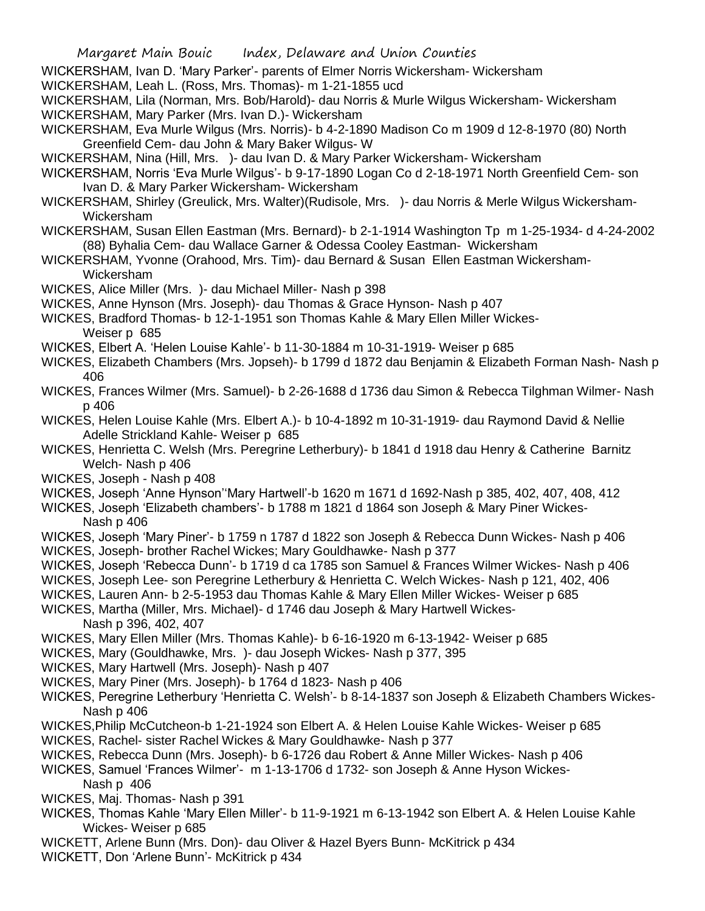- WICKERSHAM, Ivan D. 'Mary Parker'- parents of Elmer Norris Wickersham- Wickersham
- WICKERSHAM, Leah L. (Ross, Mrs. Thomas)- m 1-21-1855 ucd

WICKERSHAM, Lila (Norman, Mrs. Bob/Harold)- dau Norris & Murle Wilgus Wickersham- Wickersham WICKERSHAM, Mary Parker (Mrs. Ivan D.)- Wickersham

- WICKERSHAM, Eva Murle Wilgus (Mrs. Norris)- b 4-2-1890 Madison Co m 1909 d 12-8-1970 (80) North Greenfield Cem- dau John & Mary Baker Wilgus- W
- WICKERSHAM, Nina (Hill, Mrs. )- dau Ivan D. & Mary Parker Wickersham- Wickersham
- WICKERSHAM, Norris 'Eva Murle Wilgus'- b 9-17-1890 Logan Co d 2-18-1971 North Greenfield Cem- son Ivan D. & Mary Parker Wickersham- Wickersham
- WICKERSHAM, Shirley (Greulick, Mrs. Walter)(Rudisole, Mrs. )- dau Norris & Merle Wilgus Wickersham-Wickersham
- WICKERSHAM, Susan Ellen Eastman (Mrs. Bernard)- b 2-1-1914 Washington Tp m 1-25-1934- d 4-24-2002 (88) Byhalia Cem- dau Wallace Garner & Odessa Cooley Eastman- Wickersham
- WICKERSHAM, Yvonne (Orahood, Mrs. Tim)- dau Bernard & Susan Ellen Eastman Wickersham-Wickersham
- WICKES, Alice Miller (Mrs. )- dau Michael Miller- Nash p 398
- WICKES, Anne Hynson (Mrs. Joseph)- dau Thomas & Grace Hynson- Nash p 407
- WICKES, Bradford Thomas- b 12-1-1951 son Thomas Kahle & Mary Ellen Miller Wickes-Weiser p 685
- WICKES, Elbert A. 'Helen Louise Kahle'- b 11-30-1884 m 10-31-1919- Weiser p 685
- WICKES, Elizabeth Chambers (Mrs. Jopseh)- b 1799 d 1872 dau Benjamin & Elizabeth Forman Nash- Nash p 406
- WICKES, Frances Wilmer (Mrs. Samuel)- b 2-26-1688 d 1736 dau Simon & Rebecca Tilghman Wilmer- Nash p 406
- WICKES, Helen Louise Kahle (Mrs. Elbert A.)- b 10-4-1892 m 10-31-1919- dau Raymond David & Nellie Adelle Strickland Kahle- Weiser p 685
- WICKES, Henrietta C. Welsh (Mrs. Peregrine Letherbury)- b 1841 d 1918 dau Henry & Catherine Barnitz Welch- Nash p 406
- WICKES, Joseph Nash p 408
- WICKES, Joseph 'Anne Hynson''Mary Hartwell'-b 1620 m 1671 d 1692-Nash p 385, 402, 407, 408, 412
- WICKES, Joseph 'Elizabeth chambers'- b 1788 m 1821 d 1864 son Joseph & Mary Piner Wickes-Nash p 406
- WICKES, Joseph 'Mary Piner'- b 1759 n 1787 d 1822 son Joseph & Rebecca Dunn Wickes- Nash p 406 WICKES, Joseph- brother Rachel Wickes; Mary Gouldhawke- Nash p 377
- WICKES, Joseph 'Rebecca Dunn'- b 1719 d ca 1785 son Samuel & Frances Wilmer Wickes- Nash p 406
- WICKES, Joseph Lee- son Peregrine Letherbury & Henrietta C. Welch Wickes- Nash p 121, 402, 406
- WICKES, Lauren Ann- b 2-5-1953 dau Thomas Kahle & Mary Ellen Miller Wickes- Weiser p 685
- WICKES, Martha (Miller, Mrs. Michael)- d 1746 dau Joseph & Mary Hartwell Wickes-Nash p 396, 402, 407
- WICKES, Mary Ellen Miller (Mrs. Thomas Kahle)- b 6-16-1920 m 6-13-1942- Weiser p 685
- WICKES, Mary (Gouldhawke, Mrs. )- dau Joseph Wickes- Nash p 377, 395
- WICKES, Mary Hartwell (Mrs. Joseph)- Nash p 407
- WICKES, Mary Piner (Mrs. Joseph)- b 1764 d 1823- Nash p 406
- WICKES, Peregrine Letherbury 'Henrietta C. Welsh'- b 8-14-1837 son Joseph & Elizabeth Chambers Wickes-Nash p 406
- WICKES,Philip McCutcheon-b 1-21-1924 son Elbert A. & Helen Louise Kahle Wickes- Weiser p 685
- WICKES, Rachel- sister Rachel Wickes & Mary Gouldhawke- Nash p 377
- WICKES, Rebecca Dunn (Mrs. Joseph)- b 6-1726 dau Robert & Anne Miller Wickes- Nash p 406
- WICKES, Samuel 'Frances Wilmer'- m 1-13-1706 d 1732- son Joseph & Anne Hyson Wickes-Nash p 406
- WICKES, Maj. Thomas- Nash p 391
- WICKES, Thomas Kahle 'Mary Ellen Miller'- b 11-9-1921 m 6-13-1942 son Elbert A. & Helen Louise Kahle Wickes- Weiser p 685
- WICKETT, Arlene Bunn (Mrs. Don)- dau Oliver & Hazel Byers Bunn- McKitrick p 434
- WICKETT, Don 'Arlene Bunn'- McKitrick p 434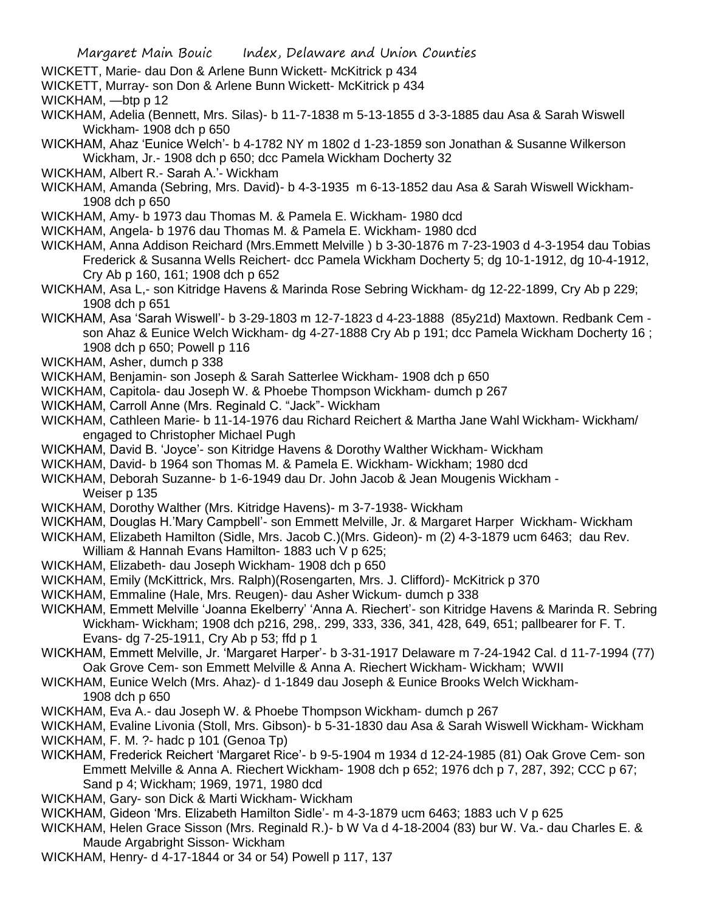- WICKETT, Marie- dau Don & Arlene Bunn Wickett- McKitrick p 434
- WICKETT, Murray- son Don & Arlene Bunn Wickett- McKitrick p 434

WICKHAM, —btp p 12

- WICKHAM, Adelia (Bennett, Mrs. Silas)- b 11-7-1838 m 5-13-1855 d 3-3-1885 dau Asa & Sarah Wiswell Wickham- 1908 dch p 650
- WICKHAM, Ahaz 'Eunice Welch'- b 4-1782 NY m 1802 d 1-23-1859 son Jonathan & Susanne Wilkerson Wickham, Jr.- 1908 dch p 650; dcc Pamela Wickham Docherty 32
- WICKHAM, Albert R.- Sarah A.'- Wickham
- WICKHAM, Amanda (Sebring, Mrs. David)- b 4-3-1935 m 6-13-1852 dau Asa & Sarah Wiswell Wickham-1908 dch p 650
- WICKHAM, Amy- b 1973 dau Thomas M. & Pamela E. Wickham- 1980 dcd
- WICKHAM, Angela- b 1976 dau Thomas M. & Pamela E. Wickham- 1980 dcd
- WICKHAM, Anna Addison Reichard (Mrs.Emmett Melville ) b 3-30-1876 m 7-23-1903 d 4-3-1954 dau Tobias Frederick & Susanna Wells Reichert- dcc Pamela Wickham Docherty 5; dg 10-1-1912, dg 10-4-1912, Cry Ab p 160, 161; 1908 dch p 652
- WICKHAM, Asa L,- son Kitridge Havens & Marinda Rose Sebring Wickham- dg 12-22-1899, Cry Ab p 229; 1908 dch p 651
- WICKHAM, Asa 'Sarah Wiswell'- b 3-29-1803 m 12-7-1823 d 4-23-1888 (85y21d) Maxtown. Redbank Cem son Ahaz & Eunice Welch Wickham- dg 4-27-1888 Cry Ab p 191; dcc Pamela Wickham Docherty 16 ; 1908 dch p 650; Powell p 116
- WICKHAM, Asher, dumch p 338
- WICKHAM, Benjamin- son Joseph & Sarah Satterlee Wickham- 1908 dch p 650
- WICKHAM, Capitola- dau Joseph W. & Phoebe Thompson Wickham- dumch p 267
- WICKHAM, Carroll Anne (Mrs. Reginald C. "Jack"- Wickham
- WICKHAM, Cathleen Marie- b 11-14-1976 dau Richard Reichert & Martha Jane Wahl Wickham- Wickham/ engaged to Christopher Michael Pugh
- WICKHAM, David B. 'Joyce'- son Kitridge Havens & Dorothy Walther Wickham- Wickham
- WICKHAM, David- b 1964 son Thomas M. & Pamela E. Wickham- Wickham; 1980 dcd
- WICKHAM, Deborah Suzanne- b 1-6-1949 dau Dr. John Jacob & Jean Mougenis Wickham Weiser p 135
- WICKHAM, Dorothy Walther (Mrs. Kitridge Havens)- m 3-7-1938- Wickham
- WICKHAM, Douglas H.'Mary Campbell'- son Emmett Melville, Jr. & Margaret Harper Wickham- Wickham
- WICKHAM, Elizabeth Hamilton (Sidle, Mrs. Jacob C.)(Mrs. Gideon)- m (2) 4-3-1879 ucm 6463; dau Rev. William & Hannah Evans Hamilton- 1883 uch V p 625;
- WICKHAM, Elizabeth- dau Joseph Wickham- 1908 dch p 650
- WICKHAM, Emily (McKittrick, Mrs. Ralph)(Rosengarten, Mrs. J. Clifford)- McKitrick p 370
- WICKHAM, Emmaline (Hale, Mrs. Reugen)- dau Asher Wickum- dumch p 338
- WICKHAM, Emmett Melville 'Joanna Ekelberry' 'Anna A. Riechert'- son Kitridge Havens & Marinda R. Sebring Wickham- Wickham; 1908 dch p216, 298,. 299, 333, 336, 341, 428, 649, 651; pallbearer for F. T. Evans- dg 7-25-1911, Cry Ab p 53; ffd p 1
- WICKHAM, Emmett Melville, Jr. 'Margaret Harper'- b 3-31-1917 Delaware m 7-24-1942 Cal. d 11-7-1994 (77) Oak Grove Cem- son Emmett Melville & Anna A. Riechert Wickham- Wickham; WWII
- WICKHAM, Eunice Welch (Mrs. Ahaz)- d 1-1849 dau Joseph & Eunice Brooks Welch Wickham-1908 dch p 650
- WICKHAM, Eva A.- dau Joseph W. & Phoebe Thompson Wickham- dumch p 267
- WICKHAM, Evaline Livonia (Stoll, Mrs. Gibson)- b 5-31-1830 dau Asa & Sarah Wiswell Wickham- Wickham
- WICKHAM, F. M. ?- hadc p 101 (Genoa Tp)
- WICKHAM, Frederick Reichert 'Margaret Rice'- b 9-5-1904 m 1934 d 12-24-1985 (81) Oak Grove Cem- son Emmett Melville & Anna A. Riechert Wickham- 1908 dch p 652; 1976 dch p 7, 287, 392; CCC p 67; Sand p 4; Wickham; 1969, 1971, 1980 dcd
- WICKHAM, Gary- son Dick & Marti Wickham- Wickham
- WICKHAM, Gideon 'Mrs. Elizabeth Hamilton Sidle'- m 4-3-1879 ucm 6463; 1883 uch V p 625
- WICKHAM, Helen Grace Sisson (Mrs. Reginald R.)- b W Va d 4-18-2004 (83) bur W. Va.- dau Charles E. & Maude Argabright Sisson- Wickham
- WICKHAM, Henry- d 4-17-1844 or 34 or 54) Powell p 117, 137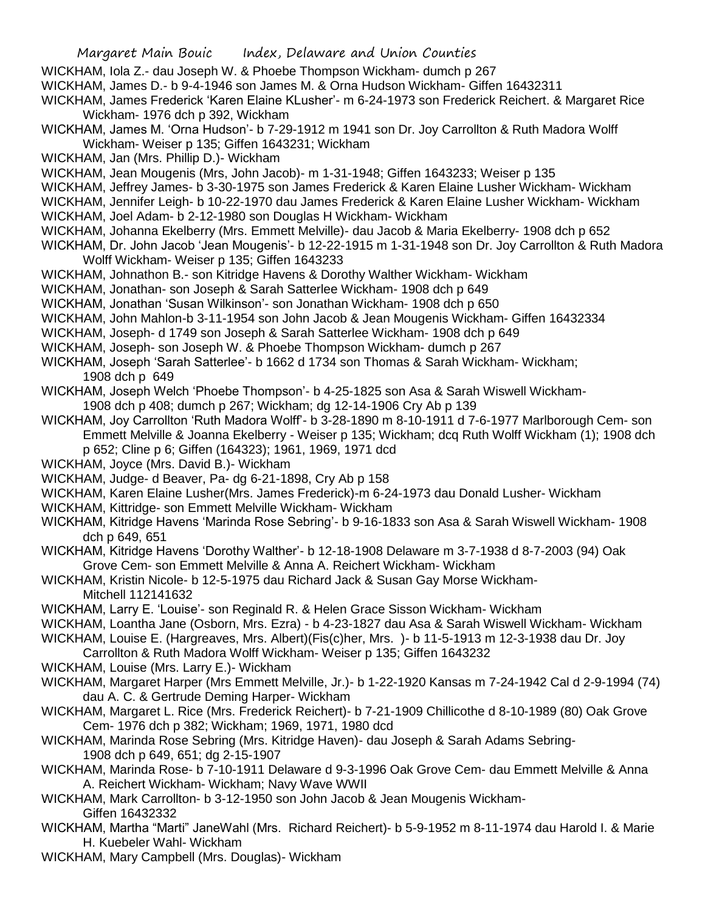- WICKHAM, Iola Z.- dau Joseph W. & Phoebe Thompson Wickham- dumch p 267
- WICKHAM, James D.- b 9-4-1946 son James M. & Orna Hudson Wickham- Giffen 16432311

WICKHAM, James Frederick 'Karen Elaine KLusher'- m 6-24-1973 son Frederick Reichert. & Margaret Rice Wickham- 1976 dch p 392, Wickham

- WICKHAM, James M. 'Orna Hudson'- b 7-29-1912 m 1941 son Dr. Joy Carrollton & Ruth Madora Wolff Wickham- Weiser p 135; Giffen 1643231; Wickham
- WICKHAM, Jan (Mrs. Phillip D.)- Wickham

WICKHAM, Jean Mougenis (Mrs, John Jacob)- m 1-31-1948; Giffen 1643233; Weiser p 135

- WICKHAM, Jeffrey James- b 3-30-1975 son James Frederick & Karen Elaine Lusher Wickham- Wickham
- WICKHAM, Jennifer Leigh- b 10-22-1970 dau James Frederick & Karen Elaine Lusher Wickham- Wickham
- WICKHAM, Joel Adam- b 2-12-1980 son Douglas H Wickham- Wickham
- WICKHAM, Johanna Ekelberry (Mrs. Emmett Melville)- dau Jacob & Maria Ekelberry- 1908 dch p 652
- WICKHAM, Dr. John Jacob 'Jean Mougenis'- b 12-22-1915 m 1-31-1948 son Dr. Joy Carrollton & Ruth Madora Wolff Wickham- Weiser p 135; Giffen 1643233
- WICKHAM, Johnathon B.- son Kitridge Havens & Dorothy Walther Wickham- Wickham
- WICKHAM, Jonathan- son Joseph & Sarah Satterlee Wickham- 1908 dch p 649
- WICKHAM, Jonathan 'Susan Wilkinson'- son Jonathan Wickham- 1908 dch p 650
- WICKHAM, John Mahlon-b 3-11-1954 son John Jacob & Jean Mougenis Wickham- Giffen 16432334
- WICKHAM, Joseph- d 1749 son Joseph & Sarah Satterlee Wickham- 1908 dch p 649
- WICKHAM, Joseph- son Joseph W. & Phoebe Thompson Wickham- dumch p 267
- WICKHAM, Joseph 'Sarah Satterlee'- b 1662 d 1734 son Thomas & Sarah Wickham- Wickham; 1908 dch p 649
- WICKHAM, Joseph Welch 'Phoebe Thompson'- b 4-25-1825 son Asa & Sarah Wiswell Wickham-1908 dch p 408; dumch p 267; Wickham; dg 12-14-1906 Cry Ab p 139
- WICKHAM, Joy Carrollton 'Ruth Madora Wolff'- b 3-28-1890 m 8-10-1911 d 7-6-1977 Marlborough Cem- son Emmett Melville & Joanna Ekelberry - Weiser p 135; Wickham; dcq Ruth Wolff Wickham (1); 1908 dch p 652; Cline p 6; Giffen (164323); 1961, 1969, 1971 dcd
- WICKHAM, Joyce (Mrs. David B.)- Wickham
- WICKHAM, Judge- d Beaver, Pa- dg 6-21-1898, Cry Ab p 158
- WICKHAM, Karen Elaine Lusher(Mrs. James Frederick)-m 6-24-1973 dau Donald Lusher- Wickham
- WICKHAM, Kittridge- son Emmett Melville Wickham- Wickham
- WICKHAM, Kitridge Havens 'Marinda Rose Sebring'- b 9-16-1833 son Asa & Sarah Wiswell Wickham- 1908 dch p 649, 651
- WICKHAM, Kitridge Havens 'Dorothy Walther'- b 12-18-1908 Delaware m 3-7-1938 d 8-7-2003 (94) Oak Grove Cem- son Emmett Melville & Anna A. Reichert Wickham- Wickham
- WICKHAM, Kristin Nicole- b 12-5-1975 dau Richard Jack & Susan Gay Morse Wickham-Mitchell 112141632
- WICKHAM, Larry E. 'Louise'- son Reginald R. & Helen Grace Sisson Wickham- Wickham
- WICKHAM, Loantha Jane (Osborn, Mrs. Ezra) b 4-23-1827 dau Asa & Sarah Wiswell Wickham- Wickham
- WICKHAM, Louise E. (Hargreaves, Mrs. Albert)(Fis(c)her, Mrs. )- b 11-5-1913 m 12-3-1938 dau Dr. Joy
	- Carrollton & Ruth Madora Wolff Wickham- Weiser p 135; Giffen 1643232
- WICKHAM, Louise (Mrs. Larry E.)- Wickham
- WICKHAM, Margaret Harper (Mrs Emmett Melville, Jr.)- b 1-22-1920 Kansas m 7-24-1942 Cal d 2-9-1994 (74) dau A. C. & Gertrude Deming Harper- Wickham
- WICKHAM, Margaret L. Rice (Mrs. Frederick Reichert)- b 7-21-1909 Chillicothe d 8-10-1989 (80) Oak Grove Cem- 1976 dch p 382; Wickham; 1969, 1971, 1980 dcd
- WICKHAM, Marinda Rose Sebring (Mrs. Kitridge Haven)- dau Joseph & Sarah Adams Sebring-1908 dch p 649, 651; dg 2-15-1907
- WICKHAM, Marinda Rose- b 7-10-1911 Delaware d 9-3-1996 Oak Grove Cem- dau Emmett Melville & Anna A. Reichert Wickham- Wickham; Navy Wave WWII
- WICKHAM, Mark Carrollton- b 3-12-1950 son John Jacob & Jean Mougenis Wickham-Giffen 16432332
- WICKHAM, Martha "Marti" JaneWahl (Mrs. Richard Reichert)- b 5-9-1952 m 8-11-1974 dau Harold I. & Marie H. Kuebeler Wahl- Wickham
- WICKHAM, Mary Campbell (Mrs. Douglas)- Wickham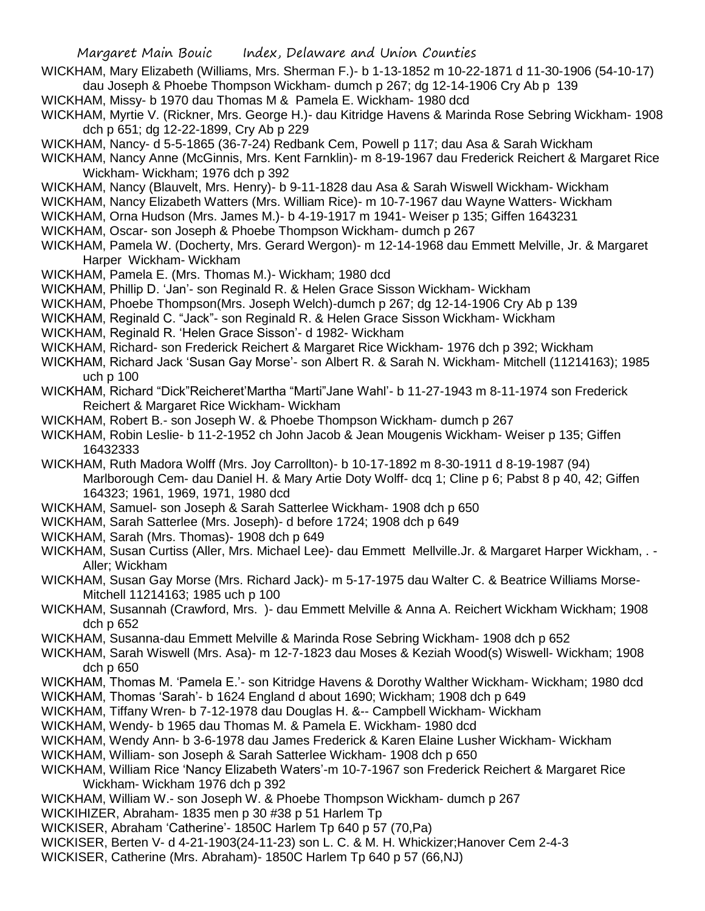- WICKHAM, Mary Elizabeth (Williams, Mrs. Sherman F.)- b 1-13-1852 m 10-22-1871 d 11-30-1906 (54-10-17) dau Joseph & Phoebe Thompson Wickham- dumch p 267; dg 12-14-1906 Cry Ab p 139
- WICKHAM, Missy- b 1970 dau Thomas M & Pamela E. Wickham- 1980 dcd
- WICKHAM, Myrtie V. (Rickner, Mrs. George H.)- dau Kitridge Havens & Marinda Rose Sebring Wickham- 1908 dch p 651; dg 12-22-1899, Cry Ab p 229
- WICKHAM, Nancy- d 5-5-1865 (36-7-24) Redbank Cem, Powell p 117; dau Asa & Sarah Wickham
- WICKHAM, Nancy Anne (McGinnis, Mrs. Kent Farnklin)- m 8-19-1967 dau Frederick Reichert & Margaret Rice Wickham- Wickham; 1976 dch p 392
- WICKHAM, Nancy (Blauvelt, Mrs. Henry)- b 9-11-1828 dau Asa & Sarah Wiswell Wickham- Wickham
- WICKHAM, Nancy Elizabeth Watters (Mrs. William Rice)- m 10-7-1967 dau Wayne Watters- Wickham
- WICKHAM, Orna Hudson (Mrs. James M.)- b 4-19-1917 m 1941- Weiser p 135; Giffen 1643231
- WICKHAM, Oscar- son Joseph & Phoebe Thompson Wickham- dumch p 267
- WICKHAM, Pamela W. (Docherty, Mrs. Gerard Wergon)- m 12-14-1968 dau Emmett Melville, Jr. & Margaret Harper Wickham- Wickham
- WICKHAM, Pamela E. (Mrs. Thomas M.)- Wickham; 1980 dcd
- WICKHAM, Phillip D. 'Jan'- son Reginald R. & Helen Grace Sisson Wickham- Wickham
- WICKHAM, Phoebe Thompson(Mrs. Joseph Welch)-dumch p 267; dg 12-14-1906 Cry Ab p 139
- WICKHAM, Reginald C. "Jack"- son Reginald R. & Helen Grace Sisson Wickham- Wickham
- WICKHAM, Reginald R. 'Helen Grace Sisson'- d 1982- Wickham
- WICKHAM, Richard- son Frederick Reichert & Margaret Rice Wickham- 1976 dch p 392; Wickham
- WICKHAM, Richard Jack 'Susan Gay Morse'- son Albert R. & Sarah N. Wickham- Mitchell (11214163); 1985 uch p 100
- WICKHAM, Richard "Dick"Reicheret'Martha "Marti"Jane Wahl'- b 11-27-1943 m 8-11-1974 son Frederick Reichert & Margaret Rice Wickham- Wickham
- WICKHAM, Robert B.- son Joseph W. & Phoebe Thompson Wickham- dumch p 267
- WICKHAM, Robin Leslie- b 11-2-1952 ch John Jacob & Jean Mougenis Wickham- Weiser p 135; Giffen 16432333
- WICKHAM, Ruth Madora Wolff (Mrs. Joy Carrollton)- b 10-17-1892 m 8-30-1911 d 8-19-1987 (94) Marlborough Cem- dau Daniel H. & Mary Artie Doty Wolff- dcq 1; Cline p 6; Pabst 8 p 40, 42; Giffen 164323; 1961, 1969, 1971, 1980 dcd
- WICKHAM, Samuel- son Joseph & Sarah Satterlee Wickham- 1908 dch p 650
- WICKHAM, Sarah Satterlee (Mrs. Joseph)- d before 1724; 1908 dch p 649
- WICKHAM, Sarah (Mrs. Thomas)- 1908 dch p 649
- WICKHAM, Susan Curtiss (Aller, Mrs. Michael Lee)- dau Emmett Mellville.Jr. & Margaret Harper Wickham, . Aller; Wickham
- WICKHAM, Susan Gay Morse (Mrs. Richard Jack)- m 5-17-1975 dau Walter C. & Beatrice Williams Morse-Mitchell 11214163; 1985 uch p 100
- WICKHAM, Susannah (Crawford, Mrs. )- dau Emmett Melville & Anna A. Reichert Wickham Wickham; 1908 dch p 652
- WICKHAM, Susanna-dau Emmett Melville & Marinda Rose Sebring Wickham- 1908 dch p 652
- WICKHAM, Sarah Wiswell (Mrs. Asa)- m 12-7-1823 dau Moses & Keziah Wood(s) Wiswell- Wickham; 1908 dch p 650
- WICKHAM, Thomas M. 'Pamela E.'- son Kitridge Havens & Dorothy Walther Wickham- Wickham; 1980 dcd
- WICKHAM, Thomas 'Sarah'- b 1624 England d about 1690; Wickham; 1908 dch p 649
- WICKHAM, Tiffany Wren- b 7-12-1978 dau Douglas H. &-- Campbell Wickham- Wickham
- WICKHAM, Wendy- b 1965 dau Thomas M. & Pamela E. Wickham- 1980 dcd
- WICKHAM, Wendy Ann- b 3-6-1978 dau James Frederick & Karen Elaine Lusher Wickham- Wickham
- WICKHAM, William- son Joseph & Sarah Satterlee Wickham- 1908 dch p 650
- WICKHAM, William Rice 'Nancy Elizabeth Waters'-m 10-7-1967 son Frederick Reichert & Margaret Rice Wickham- Wickham 1976 dch p 392
- WICKHAM, William W.- son Joseph W. & Phoebe Thompson Wickham- dumch p 267
- WICKIHIZER, Abraham- 1835 men p 30 #38 p 51 Harlem Tp
- WICKISER, Abraham 'Catherine'- 1850C Harlem Tp 640 p 57 (70,Pa)
- WICKISER, Berten V- d 4-21-1903(24-11-23) son L. C. & M. H. Whickizer;Hanover Cem 2-4-3
- WICKISER, Catherine (Mrs. Abraham)- 1850C Harlem Tp 640 p 57 (66,NJ)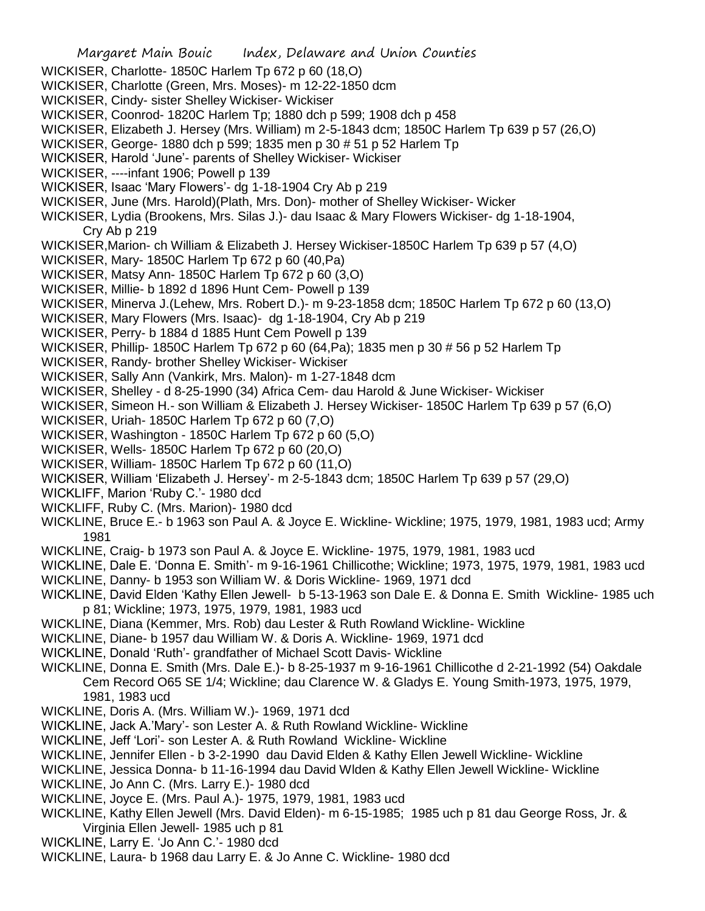- Margaret Main Bouic Index, Delaware and Union Counties WICKISER, Charlotte- 1850C Harlem Tp 672 p 60 (18,O) WICKISER, Charlotte (Green, Mrs. Moses)- m 12-22-1850 dcm WICKISER, Cindy- sister Shelley Wickiser- Wickiser WICKISER, Coonrod- 1820C Harlem Tp; 1880 dch p 599; 1908 dch p 458 WICKISER, Elizabeth J. Hersey (Mrs. William) m 2-5-1843 dcm; 1850C Harlem Tp 639 p 57 (26,O) WICKISER, George- 1880 dch p 599; 1835 men p 30 # 51 p 52 Harlem Tp WICKISER, Harold 'June'- parents of Shelley Wickiser- Wickiser WICKISER, ----infant 1906; Powell p 139 WICKISER, Isaac 'Mary Flowers'- dg 1-18-1904 Cry Ab p 219 WICKISER, June (Mrs. Harold)(Plath, Mrs. Don)- mother of Shelley Wickiser- Wicker WICKISER, Lydia (Brookens, Mrs. Silas J.)- dau Isaac & Mary Flowers Wickiser- dg 1-18-1904, Cry Ab p 219 WICKISER,Marion- ch William & Elizabeth J. Hersey Wickiser-1850C Harlem Tp 639 p 57 (4,O) WICKISER, Mary- 1850C Harlem Tp 672 p 60 (40,Pa) WICKISER, Matsy Ann- 1850C Harlem Tp 672 p 60 (3,O) WICKISER, Millie- b 1892 d 1896 Hunt Cem- Powell p 139 WICKISER, Minerva J.(Lehew, Mrs. Robert D.)- m 9-23-1858 dcm; 1850C Harlem Tp 672 p 60 (13,O) WICKISER, Mary Flowers (Mrs. Isaac)- dg 1-18-1904, Cry Ab p 219 WICKISER, Perry- b 1884 d 1885 Hunt Cem Powell p 139 WICKISER, Phillip- 1850C Harlem Tp 672 p 60 (64,Pa); 1835 men p 30 # 56 p 52 Harlem Tp WICKISER, Randy- brother Shelley Wickiser- Wickiser WICKISER, Sally Ann (Vankirk, Mrs. Malon)- m 1-27-1848 dcm WICKISER, Shelley - d 8-25-1990 (34) Africa Cem- dau Harold & June Wickiser- Wickiser WICKISER, Simeon H.- son William & Elizabeth J. Hersey Wickiser- 1850C Harlem Tp 639 p 57 (6,O) WICKISER, Uriah- 1850C Harlem Tp 672 p 60 (7,O) WICKISER, Washington - 1850C Harlem Tp 672 p 60 (5,O) WICKISER, Wells- 1850C Harlem Tp 672 p 60 (20,O) WICKISER, William- 1850C Harlem Tp 672 p 60 (11,O) WICKISER, William 'Elizabeth J. Hersey'- m 2-5-1843 dcm; 1850C Harlem Tp 639 p 57 (29,O) WICKLIFF, Marion 'Ruby C.'- 1980 dcd WICKLIFF, Ruby C. (Mrs. Marion)- 1980 dcd WICKLINE, Bruce E.- b 1963 son Paul A. & Joyce E. Wickline- Wickline; 1975, 1979, 1981, 1983 ucd; Army 1981 WICKLINE, Craig- b 1973 son Paul A. & Joyce E. Wickline- 1975, 1979, 1981, 1983 ucd WICKLINE, Dale E. 'Donna E. Smith'- m 9-16-1961 Chillicothe; Wickline; 1973, 1975, 1979, 1981, 1983 ucd WICKLINE, Danny- b 1953 son William W. & Doris Wickline- 1969, 1971 dcd WICKLINE, David Elden 'Kathy Ellen Jewell- b 5-13-1963 son Dale E. & Donna E. Smith Wickline- 1985 uch p 81; Wickline; 1973, 1975, 1979, 1981, 1983 ucd WICKLINE, Diana (Kemmer, Mrs. Rob) dau Lester & Ruth Rowland Wickline- Wickline WICKLINE, Diane- b 1957 dau William W. & Doris A. Wickline- 1969, 1971 dcd WICKLINE, Donald 'Ruth'- grandfather of Michael Scott Davis- Wickline WICKLINE, Donna E. Smith (Mrs. Dale E.)- b 8-25-1937 m 9-16-1961 Chillicothe d 2-21-1992 (54) Oakdale Cem Record O65 SE 1/4; Wickline; dau Clarence W. & Gladys E. Young Smith-1973, 1975, 1979, 1981, 1983 ucd WICKLINE, Doris A. (Mrs. William W.)- 1969, 1971 dcd WICKLINE, Jack A.'Mary'- son Lester A. & Ruth Rowland Wickline- Wickline
- WICKLINE, Jeff 'Lori'- son Lester A. & Ruth Rowland Wickline- Wickline
- WICKLINE, Jennifer Ellen b 3-2-1990 dau David Elden & Kathy Ellen Jewell Wickline- Wickline
- WICKLINE, Jessica Donna- b 11-16-1994 dau David Wlden & Kathy Ellen Jewell Wickline- Wickline
- WICKLINE, Jo Ann C. (Mrs. Larry E.)- 1980 dcd
- WICKLINE, Joyce E. (Mrs. Paul A.)- 1975, 1979, 1981, 1983 ucd
- WICKLINE, Kathy Ellen Jewell (Mrs. David Elden)- m 6-15-1985; 1985 uch p 81 dau George Ross, Jr. & Virginia Ellen Jewell- 1985 uch p 81
- WICKLINE, Larry E. 'Jo Ann C.'- 1980 dcd
- WICKLINE, Laura- b 1968 dau Larry E. & Jo Anne C. Wickline- 1980 dcd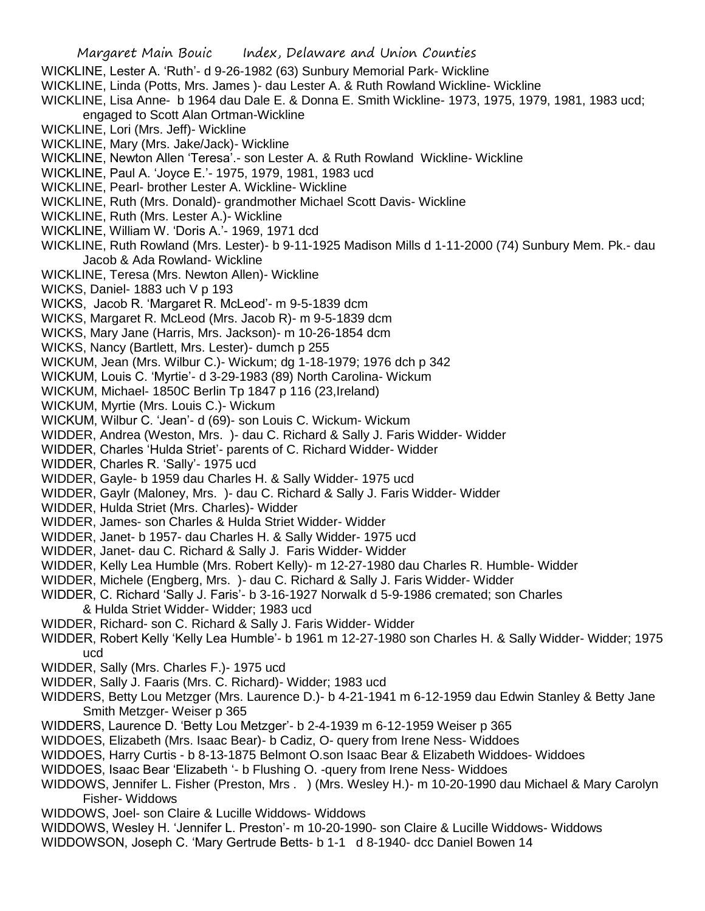- WICKLINE, Lester A. 'Ruth'- d 9-26-1982 (63) Sunbury Memorial Park- Wickline
- WICKLINE, Linda (Potts, Mrs. James )- dau Lester A. & Ruth Rowland Wickline- Wickline
- WICKLINE, Lisa Anne- b 1964 dau Dale E. & Donna E. Smith Wickline- 1973, 1975, 1979, 1981, 1983 ucd;
	- engaged to Scott Alan Ortman-Wickline
- WICKLINE, Lori (Mrs. Jeff)- Wickline
- WICKLINE, Mary (Mrs. Jake/Jack)- Wickline
- WICKLINE, Newton Allen 'Teresa'.- son Lester A. & Ruth Rowland Wickline- Wickline
- WICKLINE, Paul A. 'Joyce E.'- 1975, 1979, 1981, 1983 ucd
- WICKLINE, Pearl- brother Lester A. Wickline- Wickline
- WICKLINE, Ruth (Mrs. Donald)- grandmother Michael Scott Davis- Wickline
- WICKLINE, Ruth (Mrs. Lester A.)- Wickline
- WICKLINE, William W. 'Doris A.'- 1969, 1971 dcd
- WICKLINE, Ruth Rowland (Mrs. Lester)- b 9-11-1925 Madison Mills d 1-11-2000 (74) Sunbury Mem. Pk.- dau Jacob & Ada Rowland- Wickline
- WICKLINE, Teresa (Mrs. Newton Allen)- Wickline
- WICKS, Daniel- 1883 uch V p 193
- WICKS, Jacob R. 'Margaret R. McLeod'- m 9-5-1839 dcm
- WICKS, Margaret R. McLeod (Mrs. Jacob R)- m 9-5-1839 dcm
- WICKS, Mary Jane (Harris, Mrs. Jackson)- m 10-26-1854 dcm
- WICKS, Nancy (Bartlett, Mrs. Lester)- dumch p 255
- WICKUM, Jean (Mrs. Wilbur C.)- Wickum; dg 1-18-1979; 1976 dch p 342
- WICKUM, Louis C. 'Myrtie'- d 3-29-1983 (89) North Carolina- Wickum
- WICKUM, Michael- 1850C Berlin Tp 1847 p 116 (23,Ireland)
- WICKUM, Myrtie (Mrs. Louis C.)- Wickum
- WICKUM, Wilbur C. 'Jean'- d (69)- son Louis C. Wickum- Wickum
- WIDDER, Andrea (Weston, Mrs. )- dau C. Richard & Sally J. Faris Widder- Widder
- WIDDER, Charles 'Hulda Striet'- parents of C. Richard Widder- Widder
- WIDDER, Charles R. 'Sally'- 1975 ucd
- WIDDER, Gayle- b 1959 dau Charles H. & Sally Widder- 1975 ucd
- WIDDER, Gaylr (Maloney, Mrs. )- dau C. Richard & Sally J. Faris Widder- Widder
- WIDDER, Hulda Striet (Mrs. Charles)- Widder
- WIDDER, James- son Charles & Hulda Striet Widder- Widder
- WIDDER, Janet- b 1957- dau Charles H. & Sally Widder- 1975 ucd
- WIDDER, Janet- dau C. Richard & Sally J. Faris Widder- Widder
- WIDDER, Kelly Lea Humble (Mrs. Robert Kelly)- m 12-27-1980 dau Charles R. Humble- Widder
- WIDDER, Michele (Engberg, Mrs. )- dau C. Richard & Sally J. Faris Widder- Widder
- WIDDER, C. Richard 'Sally J. Faris'- b 3-16-1927 Norwalk d 5-9-1986 cremated; son Charles & Hulda Striet Widder- Widder; 1983 ucd
- WIDDER, Richard- son C. Richard & Sally J. Faris Widder- Widder
- WIDDER, Robert Kelly 'Kelly Lea Humble'- b 1961 m 12-27-1980 son Charles H. & Sally Widder- Widder; 1975 ucd
- WIDDER, Sally (Mrs. Charles F.)- 1975 ucd
- WIDDER, Sally J. Faaris (Mrs. C. Richard)- Widder; 1983 ucd
- WIDDERS, Betty Lou Metzger (Mrs. Laurence D.)- b 4-21-1941 m 6-12-1959 dau Edwin Stanley & Betty Jane Smith Metzger- Weiser p 365
- WIDDERS, Laurence D. 'Betty Lou Metzger'- b 2-4-1939 m 6-12-1959 Weiser p 365
- WIDDOES, Elizabeth (Mrs. Isaac Bear)- b Cadiz, O- query from Irene Ness- Widdoes
- WIDDOES, Harry Curtis b 8-13-1875 Belmont O.son Isaac Bear & Elizabeth Widdoes- Widdoes
- WIDDOES, Isaac Bear 'Elizabeth '- b Flushing O. -query from Irene Ness- Widdoes
- WIDDOWS, Jennifer L. Fisher (Preston, Mrs . ) (Mrs. Wesley H.)- m 10-20-1990 dau Michael & Mary Carolyn Fisher- Widdows
- WIDDOWS, Joel- son Claire & Lucille Widdows- Widdows
- WIDDOWS, Wesley H. 'Jennifer L. Preston'- m 10-20-1990- son Claire & Lucille Widdows- Widdows
- WIDDOWSON, Joseph C. 'Mary Gertrude Betts- b 1-1 d 8-1940- dcc Daniel Bowen 14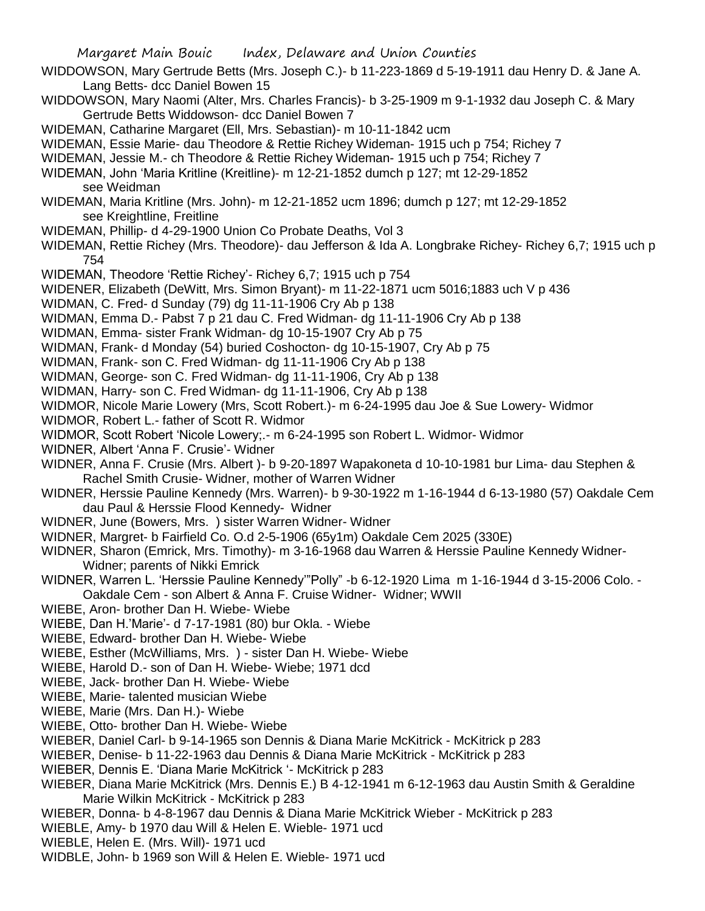- WIDDOWSON, Mary Gertrude Betts (Mrs. Joseph C.)- b 11-223-1869 d 5-19-1911 dau Henry D. & Jane A. Lang Betts- dcc Daniel Bowen 15
- WIDDOWSON, Mary Naomi (Alter, Mrs. Charles Francis)- b 3-25-1909 m 9-1-1932 dau Joseph C. & Mary Gertrude Betts Widdowson- dcc Daniel Bowen 7
- WIDEMAN, Catharine Margaret (Ell, Mrs. Sebastian)- m 10-11-1842 ucm
- WIDEMAN, Essie Marie- dau Theodore & Rettie Richey Wideman- 1915 uch p 754; Richey 7
- WIDEMAN, Jessie M.- ch Theodore & Rettie Richey Wideman- 1915 uch p 754; Richey 7
- WIDEMAN, John 'Maria Kritline (Kreitline)- m 12-21-1852 dumch p 127; mt 12-29-1852 see Weidman
- WIDEMAN, Maria Kritline (Mrs. John)- m 12-21-1852 ucm 1896; dumch p 127; mt 12-29-1852 see Kreightline, Freitline
- WIDEMAN, Phillip- d 4-29-1900 Union Co Probate Deaths, Vol 3
- WIDEMAN, Rettie Richey (Mrs. Theodore)- dau Jefferson & Ida A. Longbrake Richey- Richey 6,7; 1915 uch p 754
- WIDEMAN, Theodore 'Rettie Richey'- Richey 6,7; 1915 uch p 754
- WIDENER, Elizabeth (DeWitt, Mrs. Simon Bryant)- m 11-22-1871 ucm 5016;1883 uch V p 436
- WIDMAN, C. Fred- d Sunday (79) dg 11-11-1906 Cry Ab p 138
- WIDMAN, Emma D.- Pabst 7 p 21 dau C. Fred Widman- dg 11-11-1906 Cry Ab p 138
- WIDMAN, Emma- sister Frank Widman- dg 10-15-1907 Cry Ab p 75
- WIDMAN, Frank- d Monday (54) buried Coshocton- dg 10-15-1907, Cry Ab p 75
- WIDMAN, Frank- son C. Fred Widman- dg 11-11-1906 Cry Ab p 138
- WIDMAN, George- son C. Fred Widman- dg 11-11-1906, Cry Ab p 138
- WIDMAN, Harry- son C. Fred Widman- dg 11-11-1906, Cry Ab p 138
- WIDMOR, Nicole Marie Lowery (Mrs, Scott Robert.)- m 6-24-1995 dau Joe & Sue Lowery- Widmor
- WIDMOR, Robert L.- father of Scott R. Widmor
- WIDMOR, Scott Robert 'Nicole Lowery;.- m 6-24-1995 son Robert L. Widmor- Widmor
- WIDNER, Albert 'Anna F. Crusie'- Widner
- WIDNER, Anna F. Crusie (Mrs. Albert )- b 9-20-1897 Wapakoneta d 10-10-1981 bur Lima- dau Stephen & Rachel Smith Crusie- Widner, mother of Warren Widner
- WIDNER, Herssie Pauline Kennedy (Mrs. Warren)- b 9-30-1922 m 1-16-1944 d 6-13-1980 (57) Oakdale Cem dau Paul & Herssie Flood Kennedy- Widner
- WIDNER, June (Bowers, Mrs. ) sister Warren Widner- Widner
- WIDNER, Margret- b Fairfield Co. O.d 2-5-1906 (65y1m) Oakdale Cem 2025 (330E)
- WIDNER, Sharon (Emrick, Mrs. Timothy)- m 3-16-1968 dau Warren & Herssie Pauline Kennedy Widner-Widner; parents of Nikki Emrick
- WIDNER, Warren L. 'Herssie Pauline Kennedy'"Polly" -b 6-12-1920 Lima m 1-16-1944 d 3-15-2006 Colo. Oakdale Cem - son Albert & Anna F. Cruise Widner- Widner; WWII
- WIEBE, Aron- brother Dan H. Wiebe- Wiebe
- WIEBE, Dan H.'Marie'- d 7-17-1981 (80) bur Okla. Wiebe
- WIEBE, Edward- brother Dan H. Wiebe- Wiebe
- WIEBE, Esther (McWilliams, Mrs. ) sister Dan H. Wiebe- Wiebe
- WIEBE, Harold D.- son of Dan H. Wiebe- Wiebe; 1971 dcd
- WIEBE, Jack- brother Dan H. Wiebe- Wiebe
- WIEBE, Marie- talented musician Wiebe
- WIEBE, Marie (Mrs. Dan H.)- Wiebe
- WIEBE, Otto- brother Dan H. Wiebe- Wiebe
- WIEBER, Daniel Carl- b 9-14-1965 son Dennis & Diana Marie McKitrick McKitrick p 283
- WIEBER, Denise- b 11-22-1963 dau Dennis & Diana Marie McKitrick McKitrick p 283
- WIEBER, Dennis E. 'Diana Marie McKitrick '- McKitrick p 283
- WIEBER, Diana Marie McKitrick (Mrs. Dennis E.) B 4-12-1941 m 6-12-1963 dau Austin Smith & Geraldine Marie Wilkin McKitrick - McKitrick p 283
- WIEBER, Donna- b 4-8-1967 dau Dennis & Diana Marie McKitrick Wieber McKitrick p 283
- WIEBLE, Amy- b 1970 dau Will & Helen E. Wieble- 1971 ucd
- WIEBLE, Helen E. (Mrs. Will)- 1971 ucd
- WIDBLE, John- b 1969 son Will & Helen E. Wieble- 1971 ucd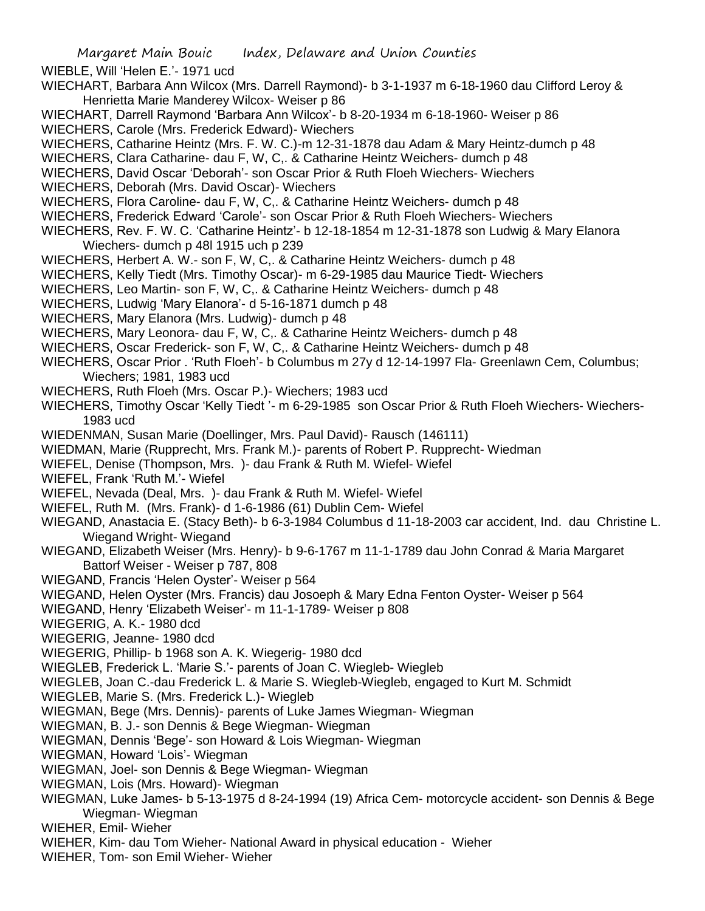WIEBLE, Will 'Helen E.'- 1971 ucd

- WIECHART, Barbara Ann Wilcox (Mrs. Darrell Raymond)- b 3-1-1937 m 6-18-1960 dau Clifford Leroy & Henrietta Marie Manderey Wilcox- Weiser p 86
- WIECHART, Darrell Raymond 'Barbara Ann Wilcox'- b 8-20-1934 m 6-18-1960- Weiser p 86 WIECHERS, Carole (Mrs. Frederick Edward)- Wiechers
- WIECHERS, Catharine Heintz (Mrs. F. W. C.)-m 12-31-1878 dau Adam & Mary Heintz-dumch p 48
- WIECHERS, Clara Catharine- dau F, W, C,. & Catharine Heintz Weichers- dumch p 48
- WIECHERS, David Oscar 'Deborah'- son Oscar Prior & Ruth Floeh Wiechers- Wiechers
- WIECHERS, Deborah (Mrs. David Oscar)- Wiechers
- WIECHERS, Flora Caroline- dau F, W, C,. & Catharine Heintz Weichers- dumch p 48
- WIECHERS, Frederick Edward 'Carole'- son Oscar Prior & Ruth Floeh Wiechers- Wiechers
- WIECHERS, Rev. F. W. C. 'Catharine Heintz'- b 12-18-1854 m 12-31-1878 son Ludwig & Mary Elanora Wiechers- dumch p 48l 1915 uch p 239
- WIECHERS, Herbert A. W.- son F, W, C,. & Catharine Heintz Weichers- dumch p 48
- WIECHERS, Kelly Tiedt (Mrs. Timothy Oscar)- m 6-29-1985 dau Maurice Tiedt- Wiechers
- WIECHERS, Leo Martin- son F, W, C,. & Catharine Heintz Weichers- dumch p 48
- WIECHERS, Ludwig 'Mary Elanora'- d 5-16-1871 dumch p 48
- WIECHERS, Mary Elanora (Mrs. Ludwig)- dumch p 48
- WIECHERS, Mary Leonora- dau F, W, C,. & Catharine Heintz Weichers- dumch p 48
- WIECHERS, Oscar Frederick- son F, W, C,. & Catharine Heintz Weichers- dumch p 48
- WIECHERS, Oscar Prior . 'Ruth Floeh'- b Columbus m 27y d 12-14-1997 Fla- Greenlawn Cem, Columbus; Wiechers; 1981, 1983 ucd
- WIECHERS, Ruth Floeh (Mrs. Oscar P.)- Wiechers; 1983 ucd
- WIECHERS, Timothy Oscar 'Kelly Tiedt '- m 6-29-1985 son Oscar Prior & Ruth Floeh Wiechers- Wiechers-1983 ucd
- WIEDENMAN, Susan Marie (Doellinger, Mrs. Paul David)- Rausch (146111)
- WIEDMAN, Marie (Rupprecht, Mrs. Frank M.)- parents of Robert P. Rupprecht- Wiedman
- WIEFEL, Denise (Thompson, Mrs. )- dau Frank & Ruth M. Wiefel- Wiefel
- WIEFEL, Frank 'Ruth M.'- Wiefel
- WIEFEL, Nevada (Deal, Mrs. )- dau Frank & Ruth M. Wiefel- Wiefel
- WIEFEL, Ruth M. (Mrs. Frank)- d 1-6-1986 (61) Dublin Cem- Wiefel
- WIEGAND, Anastacia E. (Stacy Beth)- b 6-3-1984 Columbus d 11-18-2003 car accident, Ind. dau Christine L. Wiegand Wright- Wiegand
- WIEGAND, Elizabeth Weiser (Mrs. Henry)- b 9-6-1767 m 11-1-1789 dau John Conrad & Maria Margaret Battorf Weiser - Weiser p 787, 808
- WIEGAND, Francis 'Helen Oyster'- Weiser p 564
- WIEGAND, Helen Oyster (Mrs. Francis) dau Josoeph & Mary Edna Fenton Oyster- Weiser p 564
- WIEGAND, Henry 'Elizabeth Weiser'- m 11-1-1789- Weiser p 808
- WIEGERIG, A. K.- 1980 dcd
- WIEGERIG, Jeanne- 1980 dcd
- WIEGERIG, Phillip- b 1968 son A. K. Wiegerig- 1980 dcd
- WIEGLEB, Frederick L. 'Marie S.'- parents of Joan C. Wiegleb- Wiegleb
- WIEGLEB, Joan C.-dau Frederick L. & Marie S. Wiegleb-Wiegleb, engaged to Kurt M. Schmidt
- WIEGLEB, Marie S. (Mrs. Frederick L.)- Wiegleb
- WIEGMAN, Bege (Mrs. Dennis)- parents of Luke James Wiegman- Wiegman
- WIEGMAN, B. J.- son Dennis & Bege Wiegman- Wiegman
- WIEGMAN, Dennis 'Bege'- son Howard & Lois Wiegman- Wiegman
- WIEGMAN, Howard 'Lois'- Wiegman
- WIEGMAN, Joel- son Dennis & Bege Wiegman- Wiegman
- WIEGMAN, Lois (Mrs. Howard)- Wiegman
- WIEGMAN, Luke James- b 5-13-1975 d 8-24-1994 (19) Africa Cem- motorcycle accident- son Dennis & Bege Wiegman- Wiegman
- WIEHER, Emil- Wieher
- WIEHER, Kim- dau Tom Wieher- National Award in physical education Wieher
- WIEHER, Tom- son Emil Wieher- Wieher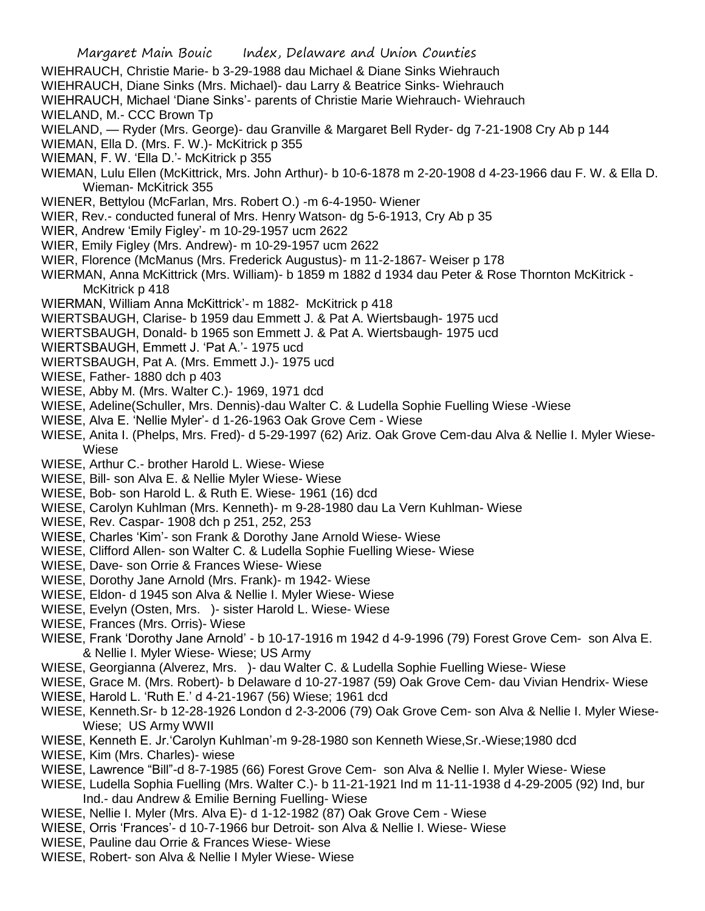WIEHRAUCH, Christie Marie- b 3-29-1988 dau Michael & Diane Sinks Wiehrauch WIEHRAUCH, Diane Sinks (Mrs. Michael)- dau Larry & Beatrice Sinks- Wiehrauch WIEHRAUCH, Michael 'Diane Sinks'- parents of Christie Marie Wiehrauch- Wiehrauch WIELAND, M.- CCC Brown Tp WIELAND, — Ryder (Mrs. George)- dau Granville & Margaret Bell Ryder- dg 7-21-1908 Cry Ab p 144 WIEMAN, Ella D. (Mrs. F. W.)- McKitrick p 355 WIEMAN, F. W. 'Ella D.'- McKitrick p 355 WIEMAN, Lulu Ellen (McKittrick, Mrs. John Arthur)- b 10-6-1878 m 2-20-1908 d 4-23-1966 dau F. W. & Ella D. Wieman- McKitrick 355 WIENER, Bettylou (McFarlan, Mrs. Robert O.) -m 6-4-1950- Wiener WIER, Rev.- conducted funeral of Mrs. Henry Watson- dg 5-6-1913, Cry Ab p 35 WIER, Andrew 'Emily Figley'- m 10-29-1957 ucm 2622 WIER, Emily Figley (Mrs. Andrew)- m 10-29-1957 ucm 2622 WIER, Florence (McManus (Mrs. Frederick Augustus)- m 11-2-1867- Weiser p 178 WIERMAN, Anna McKittrick (Mrs. William)- b 1859 m 1882 d 1934 dau Peter & Rose Thornton McKitrick - McKitrick p 418 WIERMAN, William Anna McKittrick'- m 1882- McKitrick p 418 WIERTSBAUGH, Clarise- b 1959 dau Emmett J. & Pat A. Wiertsbaugh- 1975 ucd WIERTSBAUGH, Donald- b 1965 son Emmett J. & Pat A. Wiertsbaugh- 1975 ucd WIERTSBAUGH, Emmett J. 'Pat A.'- 1975 ucd WIERTSBAUGH, Pat A. (Mrs. Emmett J.)- 1975 ucd WIESE, Father- 1880 dch p 403 WIESE, Abby M. (Mrs. Walter C.)- 1969, 1971 dcd WIESE, Adeline(Schuller, Mrs. Dennis)-dau Walter C. & Ludella Sophie Fuelling Wiese -Wiese WIESE, Alva E. 'Nellie Myler'- d 1-26-1963 Oak Grove Cem - Wiese

- WIESE, Anita I. (Phelps, Mrs. Fred)- d 5-29-1997 (62) Ariz. Oak Grove Cem-dau Alva & Nellie I. Myler Wiese-Wiese
- WIESE, Arthur C.- brother Harold L. Wiese- Wiese
- WIESE, Bill- son Alva E. & Nellie Myler Wiese- Wiese
- WIESE, Bob- son Harold L. & Ruth E. Wiese- 1961 (16) dcd
- WIESE, Carolyn Kuhlman (Mrs. Kenneth)- m 9-28-1980 dau La Vern Kuhlman- Wiese
- WIESE, Rev. Caspar- 1908 dch p 251, 252, 253
- WIESE, Charles 'Kim'- son Frank & Dorothy Jane Arnold Wiese- Wiese
- WIESE, Clifford Allen- son Walter C. & Ludella Sophie Fuelling Wiese- Wiese
- WIESE, Dave- son Orrie & Frances Wiese- Wiese
- WIESE, Dorothy Jane Arnold (Mrs. Frank)- m 1942- Wiese
- WIESE, Eldon- d 1945 son Alva & Nellie I. Myler Wiese- Wiese
- WIESE, Evelyn (Osten, Mrs. )- sister Harold L. Wiese- Wiese
- WIESE, Frances (Mrs. Orris)- Wiese
- WIESE, Frank 'Dorothy Jane Arnold' b 10-17-1916 m 1942 d 4-9-1996 (79) Forest Grove Cem- son Alva E. & Nellie I. Myler Wiese- Wiese; US Army
- WIESE, Georgianna (Alverez, Mrs. )- dau Walter C. & Ludella Sophie Fuelling Wiese- Wiese
- WIESE, Grace M. (Mrs. Robert)- b Delaware d 10-27-1987 (59) Oak Grove Cem- dau Vivian Hendrix- Wiese
- WIESE, Harold L. 'Ruth E.' d 4-21-1967 (56) Wiese; 1961 dcd
- WIESE, Kenneth.Sr- b 12-28-1926 London d 2-3-2006 (79) Oak Grove Cem- son Alva & Nellie I. Myler Wiese-Wiese; US Army WWII
- WIESE, Kenneth E. Jr.'Carolyn Kuhlman'-m 9-28-1980 son Kenneth Wiese,Sr.-Wiese;1980 dcd
- WIESE, Kim (Mrs. Charles)- wiese
- WIESE, Lawrence "Bill"-d 8-7-1985 (66) Forest Grove Cem- son Alva & Nellie I. Myler Wiese- Wiese
- WIESE, Ludella Sophia Fuelling (Mrs. Walter C.)- b 11-21-1921 Ind m 11-11-1938 d 4-29-2005 (92) Ind, bur Ind.- dau Andrew & Emilie Berning Fuelling- Wiese
- WIESE, Nellie I. Myler (Mrs. Alva E)- d 1-12-1982 (87) Oak Grove Cem Wiese
- WIESE, Orris 'Frances'- d 10-7-1966 bur Detroit- son Alva & Nellie I. Wiese- Wiese
- WIESE, Pauline dau Orrie & Frances Wiese- Wiese
- WIESE, Robert- son Alva & Nellie I Myler Wiese- Wiese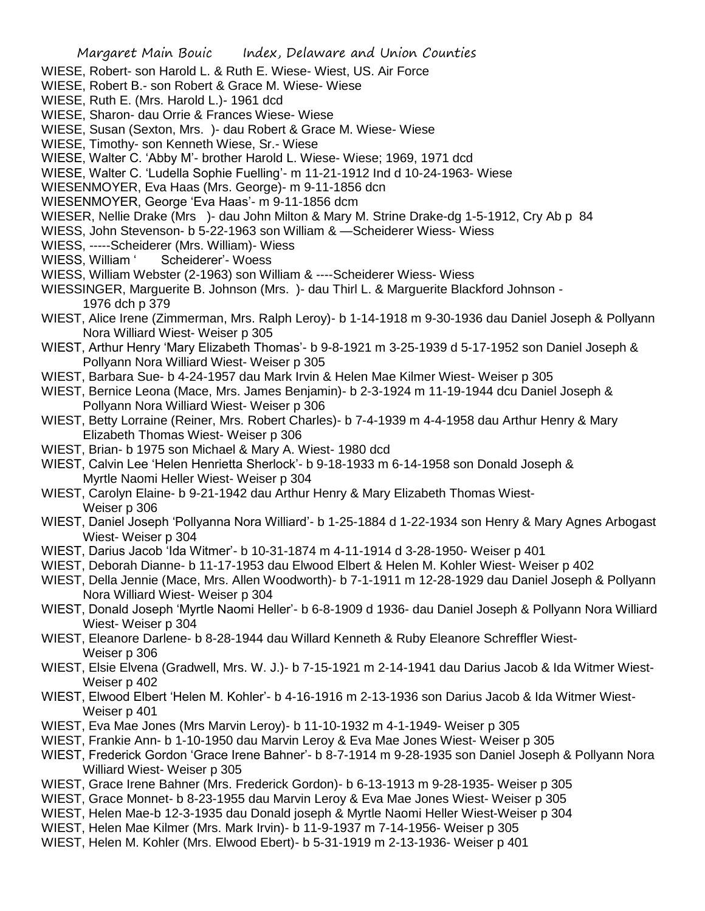- WIESE, Robert- son Harold L. & Ruth E. Wiese- Wiest, US. Air Force
- WIESE, Robert B.- son Robert & Grace M. Wiese- Wiese
- WIESE, Ruth E. (Mrs. Harold L.)- 1961 dcd
- WIESE, Sharon- dau Orrie & Frances Wiese- Wiese
- WIESE, Susan (Sexton, Mrs. )- dau Robert & Grace M. Wiese- Wiese
- WIESE, Timothy- son Kenneth Wiese, Sr.- Wiese
- WIESE, Walter C. 'Abby M'- brother Harold L. Wiese- Wiese; 1969, 1971 dcd
- WIESE, Walter C. 'Ludella Sophie Fuelling'- m 11-21-1912 Ind d 10-24-1963- Wiese
- WIESENMOYER, Eva Haas (Mrs. George)- m 9-11-1856 dcn
- WIESENMOYER, George 'Eva Haas'- m 9-11-1856 dcm
- WIESER, Nellie Drake (Mrs )- dau John Milton & Mary M. Strine Drake-dg 1-5-1912, Cry Ab p 84
- WIESS, John Stevenson- b 5-22-1963 son William & —Scheiderer Wiess- Wiess
- WIESS, -----Scheiderer (Mrs. William)- Wiess
- WIESS, William ' Scheiderer'- Woess
- WIESS, William Webster (2-1963) son William & ----Scheiderer Wiess- Wiess
- WIESSINGER, Marguerite B. Johnson (Mrs. )- dau Thirl L. & Marguerite Blackford Johnson 1976 dch p 379
- WIEST, Alice Irene (Zimmerman, Mrs. Ralph Leroy)- b 1-14-1918 m 9-30-1936 dau Daniel Joseph & Pollyann Nora Williard Wiest- Weiser p 305
- WIEST, Arthur Henry 'Mary Elizabeth Thomas'- b 9-8-1921 m 3-25-1939 d 5-17-1952 son Daniel Joseph & Pollyann Nora Williard Wiest- Weiser p 305
- WIEST, Barbara Sue- b 4-24-1957 dau Mark Irvin & Helen Mae Kilmer Wiest- Weiser p 305
- WIEST, Bernice Leona (Mace, Mrs. James Benjamin)- b 2-3-1924 m 11-19-1944 dcu Daniel Joseph & Pollyann Nora Williard Wiest- Weiser p 306
- WIEST, Betty Lorraine (Reiner, Mrs. Robert Charles)- b 7-4-1939 m 4-4-1958 dau Arthur Henry & Mary Elizabeth Thomas Wiest- Weiser p 306
- WIEST, Brian- b 1975 son Michael & Mary A. Wiest- 1980 dcd
- WIEST, Calvin Lee 'Helen Henrietta Sherlock'- b 9-18-1933 m 6-14-1958 son Donald Joseph & Myrtle Naomi Heller Wiest- Weiser p 304
- WIEST, Carolyn Elaine- b 9-21-1942 dau Arthur Henry & Mary Elizabeth Thomas Wiest-Weiser p 306
- WIEST, Daniel Joseph 'Pollyanna Nora Williard'- b 1-25-1884 d 1-22-1934 son Henry & Mary Agnes Arbogast Wiest- Weiser p 304
- WIEST, Darius Jacob 'Ida Witmer'- b 10-31-1874 m 4-11-1914 d 3-28-1950- Weiser p 401
- WIEST, Deborah Dianne- b 11-17-1953 dau Elwood Elbert & Helen M. Kohler Wiest- Weiser p 402
- WIEST, Della Jennie (Mace, Mrs. Allen Woodworth)- b 7-1-1911 m 12-28-1929 dau Daniel Joseph & Pollyann Nora Williard Wiest- Weiser p 304
- WIEST, Donald Joseph 'Myrtle Naomi Heller'- b 6-8-1909 d 1936- dau Daniel Joseph & Pollyann Nora Williard Wiest- Weiser p 304
- WIEST, Eleanore Darlene- b 8-28-1944 dau Willard Kenneth & Ruby Eleanore Schreffler Wiest-Weiser p 306
- WIEST, Elsie Elvena (Gradwell, Mrs. W. J.)- b 7-15-1921 m 2-14-1941 dau Darius Jacob & Ida Witmer Wiest-Weiser p 402
- WIEST, Elwood Elbert 'Helen M. Kohler'- b 4-16-1916 m 2-13-1936 son Darius Jacob & Ida Witmer Wiest-Weiser p 401
- WIEST, Eva Mae Jones (Mrs Marvin Leroy)- b 11-10-1932 m 4-1-1949- Weiser p 305
- WIEST, Frankie Ann- b 1-10-1950 dau Marvin Leroy & Eva Mae Jones Wiest- Weiser p 305
- WIEST, Frederick Gordon 'Grace Irene Bahner'- b 8-7-1914 m 9-28-1935 son Daniel Joseph & Pollyann Nora Williard Wiest- Weiser p 305
- WIEST, Grace Irene Bahner (Mrs. Frederick Gordon)- b 6-13-1913 m 9-28-1935- Weiser p 305
- WIEST, Grace Monnet- b 8-23-1955 dau Marvin Leroy & Eva Mae Jones Wiest- Weiser p 305
- WIEST, Helen Mae-b 12-3-1935 dau Donald joseph & Myrtle Naomi Heller Wiest-Weiser p 304
- WIEST, Helen Mae Kilmer (Mrs. Mark Irvin)- b 11-9-1937 m 7-14-1956- Weiser p 305
- WIEST, Helen M. Kohler (Mrs. Elwood Ebert)- b 5-31-1919 m 2-13-1936- Weiser p 401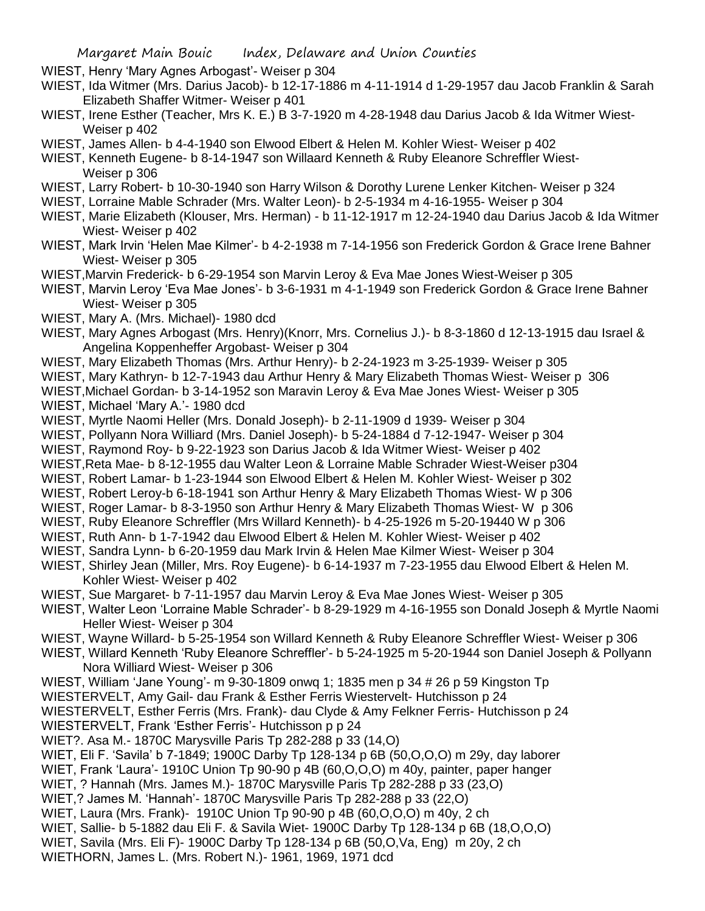WIEST, Henry 'Mary Agnes Arbogast'- Weiser p 304

- WIEST, Ida Witmer (Mrs. Darius Jacob)- b 12-17-1886 m 4-11-1914 d 1-29-1957 dau Jacob Franklin & Sarah Elizabeth Shaffer Witmer- Weiser p 401
- WIEST, Irene Esther (Teacher, Mrs K. E.) B 3-7-1920 m 4-28-1948 dau Darius Jacob & Ida Witmer Wiest-Weiser p 402
- WIEST, James Allen- b 4-4-1940 son Elwood Elbert & Helen M. Kohler Wiest- Weiser p 402

WIEST, Kenneth Eugene- b 8-14-1947 son Willaard Kenneth & Ruby Eleanore Schreffler Wiest-Weiser p 306

- WIEST, Larry Robert- b 10-30-1940 son Harry Wilson & Dorothy Lurene Lenker Kitchen- Weiser p 324
- WIEST, Lorraine Mable Schrader (Mrs. Walter Leon)- b 2-5-1934 m 4-16-1955- Weiser p 304
- WIEST, Marie Elizabeth (Klouser, Mrs. Herman) b 11-12-1917 m 12-24-1940 dau Darius Jacob & Ida Witmer Wiest- Weiser p 402
- WIEST, Mark Irvin 'Helen Mae Kilmer'- b 4-2-1938 m 7-14-1956 son Frederick Gordon & Grace Irene Bahner Wiest- Weiser p 305
- WIEST,Marvin Frederick- b 6-29-1954 son Marvin Leroy & Eva Mae Jones Wiest-Weiser p 305
- WIEST, Marvin Leroy 'Eva Mae Jones'- b 3-6-1931 m 4-1-1949 son Frederick Gordon & Grace Irene Bahner Wiest- Weiser p 305
- WIEST, Mary A. (Mrs. Michael)- 1980 dcd
- WIEST, Mary Agnes Arbogast (Mrs. Henry)(Knorr, Mrs. Cornelius J.)- b 8-3-1860 d 12-13-1915 dau Israel & Angelina Koppenheffer Argobast- Weiser p 304
- WIEST, Mary Elizabeth Thomas (Mrs. Arthur Henry)- b 2-24-1923 m 3-25-1939- Weiser p 305
- WIEST, Mary Kathryn- b 12-7-1943 dau Arthur Henry & Mary Elizabeth Thomas Wiest- Weiser p 306
- WIEST,Michael Gordan- b 3-14-1952 son Maravin Leroy & Eva Mae Jones Wiest- Weiser p 305

WIEST, Michael 'Mary A.'- 1980 dcd

- WIEST, Myrtle Naomi Heller (Mrs. Donald Joseph)- b 2-11-1909 d 1939- Weiser p 304
- WIEST, Pollyann Nora Williard (Mrs. Daniel Joseph)- b 5-24-1884 d 7-12-1947- Weiser p 304
- WIEST, Raymond Roy- b 9-22-1923 son Darius Jacob & Ida Witmer Wiest- Weiser p 402
- WIEST,Reta Mae- b 8-12-1955 dau Walter Leon & Lorraine Mable Schrader Wiest-Weiser p304
- WIEST, Robert Lamar- b 1-23-1944 son Elwood Elbert & Helen M. Kohler Wiest- Weiser p 302
- WIEST, Robert Leroy-b 6-18-1941 son Arthur Henry & Mary Elizabeth Thomas Wiest- W p 306
- WIEST, Roger Lamar- b 8-3-1950 son Arthur Henry & Mary Elizabeth Thomas Wiest- W p 306
- WIEST, Ruby Eleanore Schreffler (Mrs Willard Kenneth)- b 4-25-1926 m 5-20-19440 W p 306
- WIEST, Ruth Ann- b 1-7-1942 dau Elwood Elbert & Helen M. Kohler Wiest- Weiser p 402
- WIEST, Sandra Lynn- b 6-20-1959 dau Mark Irvin & Helen Mae Kilmer Wiest- Weiser p 304
- WIEST, Shirley Jean (Miller, Mrs. Roy Eugene)- b 6-14-1937 m 7-23-1955 dau Elwood Elbert & Helen M. Kohler Wiest- Weiser p 402
- WIEST, Sue Margaret- b 7-11-1957 dau Marvin Leroy & Eva Mae Jones Wiest- Weiser p 305
- WIEST, Walter Leon 'Lorraine Mable Schrader'- b 8-29-1929 m 4-16-1955 son Donald Joseph & Myrtle Naomi Heller Wiest- Weiser p 304
- WIEST, Wayne Willard- b 5-25-1954 son Willard Kenneth & Ruby Eleanore Schreffler Wiest- Weiser p 306
- WIEST, Willard Kenneth 'Ruby Eleanore Schreffler'- b 5-24-1925 m 5-20-1944 son Daniel Joseph & Pollyann Nora Williard Wiest- Weiser p 306
- WIEST, William 'Jane Young'- m 9-30-1809 onwq 1; 1835 men p 34 # 26 p 59 Kingston Tp
- WIESTERVELT, Amy Gail- dau Frank & Esther Ferris Wiestervelt- Hutchisson p 24
- WIESTERVELT, Esther Ferris (Mrs. Frank)- dau Clyde & Amy Felkner Ferris- Hutchisson p 24
- WIESTERVELT, Frank 'Esther Ferris'- Hutchisson p p 24
- WIET?. Asa M.- 1870C Marysville Paris Tp 282-288 p 33 (14,O)
- WIET, Eli F. 'Savila' b 7-1849; 1900C Darby Tp 128-134 p 6B (50,O,O,O) m 29y, day laborer
- WIET, Frank 'Laura'- 1910C Union Tp 90-90 p 4B (60,O,O,O) m 40y, painter, paper hanger
- WIET, ? Hannah (Mrs. James M.)- 1870C Marysville Paris Tp 282-288 p 33 (23,O)
- WIET,? James M. 'Hannah'- 1870C Marysville Paris Tp 282-288 p 33 (22,O)
- WIET, Laura (Mrs. Frank)- 1910C Union Tp 90-90 p 4B (60,O,O,O) m 40y, 2 ch
- WIET, Sallie- b 5-1882 dau Eli F. & Savila Wiet- 1900C Darby Tp 128-134 p 6B (18,O,O,O)
- WIET, Savila (Mrs. Eli F)- 1900C Darby Tp 128-134 p 6B (50,O,Va, Eng) m 20y, 2 ch
- WIETHORN, James L. (Mrs. Robert N.)- 1961, 1969, 1971 dcd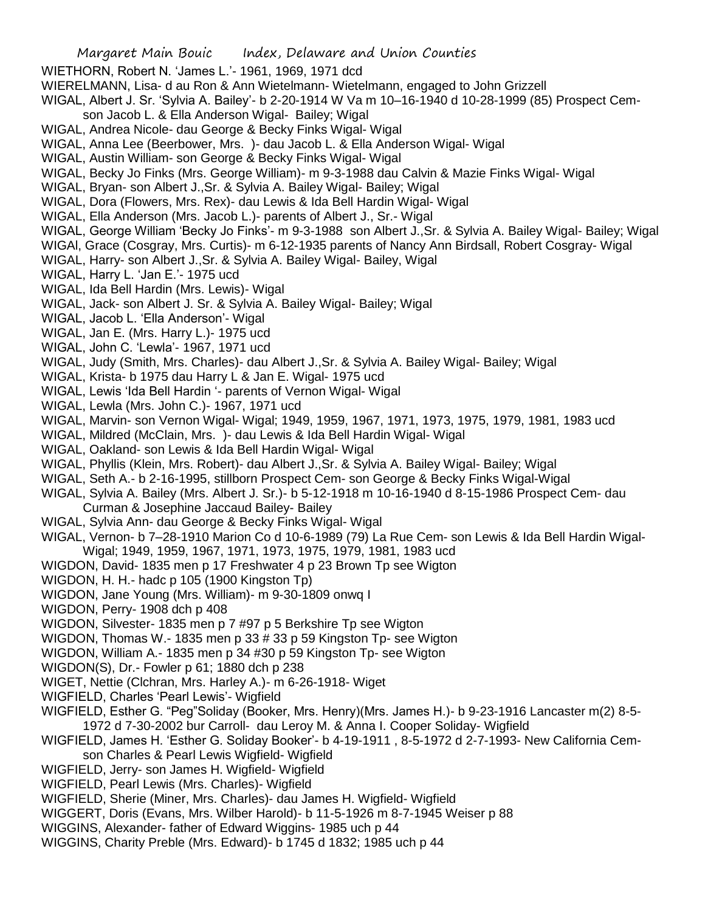- WIETHORN, Robert N. 'James L.'- 1961, 1969, 1971 dcd
- WIERELMANN, Lisa- d au Ron & Ann Wietelmann- Wietelmann, engaged to John Grizzell
- WIGAL, Albert J. Sr. 'Sylvia A. Bailey'- b 2-20-1914 W Va m 10–16-1940 d 10-28-1999 (85) Prospect Cem-
- son Jacob L. & Ella Anderson Wigal- Bailey; Wigal
- WIGAL, Andrea Nicole- dau George & Becky Finks Wigal- Wigal
- WIGAL, Anna Lee (Beerbower, Mrs. )- dau Jacob L. & Ella Anderson Wigal- Wigal
- WIGAL, Austin William- son George & Becky Finks Wigal- Wigal
- WIGAL, Becky Jo Finks (Mrs. George William)- m 9-3-1988 dau Calvin & Mazie Finks Wigal- Wigal
- WIGAL, Bryan- son Albert J.,Sr. & Sylvia A. Bailey Wigal- Bailey; Wigal
- WIGAL, Dora (Flowers, Mrs. Rex)- dau Lewis & Ida Bell Hardin Wigal- Wigal
- WIGAL, Ella Anderson (Mrs. Jacob L.)- parents of Albert J., Sr.- Wigal
- WIGAL, George William 'Becky Jo Finks'- m 9-3-1988 son Albert J.,Sr. & Sylvia A. Bailey Wigal- Bailey; Wigal
- WIGAl, Grace (Cosgray, Mrs. Curtis)- m 6-12-1935 parents of Nancy Ann Birdsall, Robert Cosgray- Wigal
- WIGAL, Harry- son Albert J.,Sr. & Sylvia A. Bailey Wigal- Bailey, Wigal
- WIGAL, Harry L. 'Jan E.'- 1975 ucd
- WIGAL, Ida Bell Hardin (Mrs. Lewis)- Wigal
- WIGAL, Jack- son Albert J. Sr. & Sylvia A. Bailey Wigal- Bailey; Wigal
- WIGAL, Jacob L. 'Ella Anderson'- Wigal
- WIGAL, Jan E. (Mrs. Harry L.)- 1975 ucd
- WIGAL, John C. 'Lewla'- 1967, 1971 ucd
- WIGAL, Judy (Smith, Mrs. Charles)- dau Albert J.,Sr. & Sylvia A. Bailey Wigal- Bailey; Wigal
- WIGAL, Krista- b 1975 dau Harry L & Jan E. Wigal- 1975 ucd
- WIGAL, Lewis 'Ida Bell Hardin '- parents of Vernon Wigal- Wigal
- WIGAL, Lewla (Mrs. John C.)- 1967, 1971 ucd
- WIGAL, Marvin- son Vernon Wigal- Wigal; 1949, 1959, 1967, 1971, 1973, 1975, 1979, 1981, 1983 ucd
- WIGAL, Mildred (McClain, Mrs. )- dau Lewis & Ida Bell Hardin Wigal- Wigal
- WIGAL, Oakland- son Lewis & Ida Bell Hardin Wigal- Wigal
- WIGAL, Phyllis (Klein, Mrs. Robert)- dau Albert J.,Sr. & Sylvia A. Bailey Wigal- Bailey; Wigal
- WIGAL, Seth A.- b 2-16-1995, stillborn Prospect Cem- son George & Becky Finks Wigal-Wigal
- WIGAL, Sylvia A. Bailey (Mrs. Albert J. Sr.)- b 5-12-1918 m 10-16-1940 d 8-15-1986 Prospect Cem- dau Curman & Josephine Jaccaud Bailey- Bailey
- WIGAL, Sylvia Ann- dau George & Becky Finks Wigal- Wigal
- WIGAL, Vernon- b 7–28-1910 Marion Co d 10-6-1989 (79) La Rue Cem- son Lewis & Ida Bell Hardin Wigal-Wigal; 1949, 1959, 1967, 1971, 1973, 1975, 1979, 1981, 1983 ucd
- WIGDON, David- 1835 men p 17 Freshwater 4 p 23 Brown Tp see Wigton
- WIGDON, H. H.- hadc p 105 (1900 Kingston Tp)
- WIGDON, Jane Young (Mrs. William)- m 9-30-1809 onwq I
- WIGDON, Perry- 1908 dch p 408
- WIGDON, Silvester- 1835 men p 7 #97 p 5 Berkshire Tp see Wigton
- WIGDON, Thomas W.- 1835 men p 33 # 33 p 59 Kingston Tp- see Wigton
- WIGDON, William A.- 1835 men p 34 #30 p 59 Kingston Tp- see Wigton
- WIGDON(S), Dr.- Fowler p 61; 1880 dch p 238
- WIGET, Nettie (Clchran, Mrs. Harley A.)- m 6-26-1918- Wiget
- WIGFIELD, Charles 'Pearl Lewis'- Wigfield
- WIGFIELD, Esther G. "Peg"Soliday (Booker, Mrs. Henry)(Mrs. James H.)- b 9-23-1916 Lancaster m(2) 8-5- 1972 d 7-30-2002 bur Carroll- dau Leroy M. & Anna I. Cooper Soliday- Wigfield
- WIGFIELD, James H. 'Esther G. Soliday Booker'- b 4-19-1911 , 8-5-1972 d 2-7-1993- New California Cemson Charles & Pearl Lewis Wigfield- Wigfield
- WIGFIELD, Jerry- son James H. Wigfield- Wigfield
- WIGFIELD, Pearl Lewis (Mrs. Charles)- Wigfield
- WIGFIELD, Sherie (Miner, Mrs. Charles)- dau James H. Wigfield- Wigfield
- WIGGERT, Doris (Evans, Mrs. Wilber Harold)- b 11-5-1926 m 8-7-1945 Weiser p 88
- WIGGINS, Alexander- father of Edward Wiggins- 1985 uch p 44
- WIGGINS, Charity Preble (Mrs. Edward)- b 1745 d 1832; 1985 uch p 44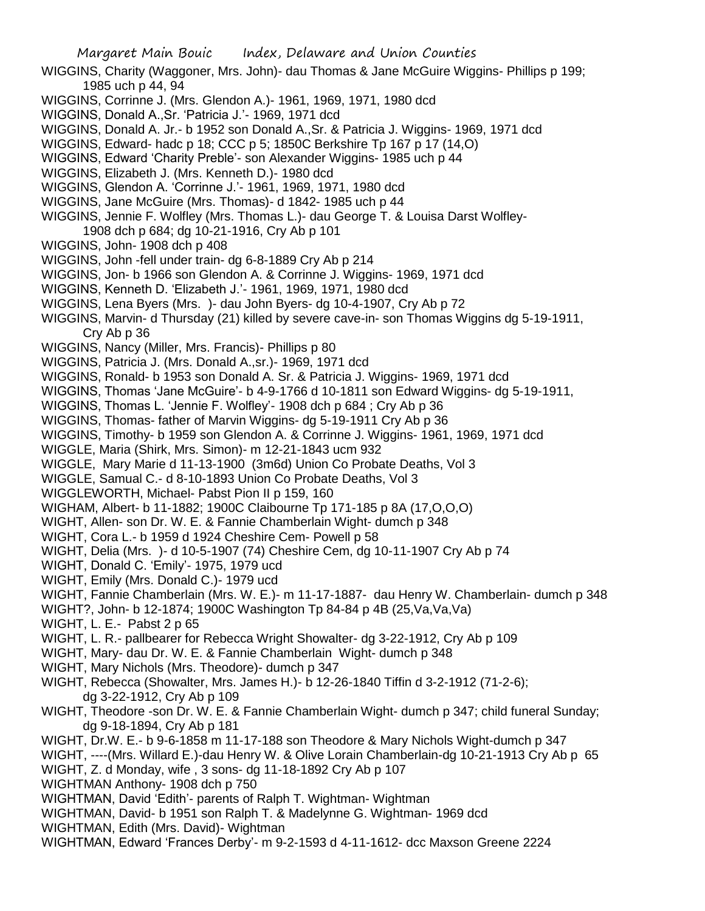- WIGGINS, Charity (Waggoner, Mrs. John)- dau Thomas & Jane McGuire Wiggins- Phillips p 199; 1985 uch p 44, 94
- WIGGINS, Corrinne J. (Mrs. Glendon A.)- 1961, 1969, 1971, 1980 dcd
- WIGGINS, Donald A.,Sr. 'Patricia J.'- 1969, 1971 dcd
- WIGGINS, Donald A. Jr.- b 1952 son Donald A.,Sr. & Patricia J. Wiggins- 1969, 1971 dcd
- WIGGINS, Edward- hadc p 18; CCC p 5; 1850C Berkshire Tp 167 p 17 (14,O)
- WIGGINS, Edward 'Charity Preble'- son Alexander Wiggins- 1985 uch p 44
- WIGGINS, Elizabeth J. (Mrs. Kenneth D.)- 1980 dcd
- WIGGINS, Glendon A. 'Corrinne J.'- 1961, 1969, 1971, 1980 dcd
- WIGGINS, Jane McGuire (Mrs. Thomas)- d 1842- 1985 uch p 44
- WIGGINS, Jennie F. Wolfley (Mrs. Thomas L.)- dau George T. & Louisa Darst Wolfley-1908 dch p 684; dg 10-21-1916, Cry Ab p 101
- WIGGINS, John- 1908 dch p 408
- WIGGINS, John -fell under train- dg 6-8-1889 Cry Ab p 214
- WIGGINS, Jon- b 1966 son Glendon A. & Corrinne J. Wiggins- 1969, 1971 dcd
- WIGGINS, Kenneth D. 'Elizabeth J.'- 1961, 1969, 1971, 1980 dcd
- WIGGINS, Lena Byers (Mrs. )- dau John Byers- dg 10-4-1907, Cry Ab p 72
- WIGGINS, Marvin- d Thursday (21) killed by severe cave-in- son Thomas Wiggins dg 5-19-1911, Cry Ab p 36
- WIGGINS, Nancy (Miller, Mrs. Francis)- Phillips p 80
- WIGGINS, Patricia J. (Mrs. Donald A.,sr.)- 1969, 1971 dcd
- WIGGINS, Ronald- b 1953 son Donald A. Sr. & Patricia J. Wiggins- 1969, 1971 dcd
- WIGGINS, Thomas 'Jane McGuire'- b 4-9-1766 d 10-1811 son Edward Wiggins- dg 5-19-1911,
- WIGGINS, Thomas L. 'Jennie F. Wolfley'- 1908 dch p 684 ; Cry Ab p 36
- WIGGINS, Thomas- father of Marvin Wiggins- dg 5-19-1911 Cry Ab p 36
- WIGGINS, Timothy- b 1959 son Glendon A. & Corrinne J. Wiggins- 1961, 1969, 1971 dcd
- WIGGLE, Maria (Shirk, Mrs. Simon)- m 12-21-1843 ucm 932
- WIGGLE, Mary Marie d 11-13-1900 (3m6d) Union Co Probate Deaths, Vol 3
- WIGGLE, Samual C.- d 8-10-1893 Union Co Probate Deaths, Vol 3
- WIGGLEWORTH, Michael- Pabst Pion II p 159, 160
- WIGHAM, Albert- b 11-1882; 1900C Claibourne Tp 171-185 p 8A (17,O,O,O)
- WIGHT, Allen- son Dr. W. E. & Fannie Chamberlain Wight- dumch p 348
- WIGHT, Cora L.- b 1959 d 1924 Cheshire Cem- Powell p 58
- WIGHT, Delia (Mrs. )- d 10-5-1907 (74) Cheshire Cem, dg 10-11-1907 Cry Ab p 74
- WIGHT, Donald C. 'Emily'- 1975, 1979 ucd
- WIGHT, Emily (Mrs. Donald C.)- 1979 ucd
- WIGHT, Fannie Chamberlain (Mrs. W. E.)- m 11-17-1887- dau Henry W. Chamberlain- dumch p 348
- WIGHT?, John- b 12-1874; 1900C Washington Tp 84-84 p 4B (25,Va,Va,Va)
- WIGHT, L. E.- Pabst 2 p 65
- WIGHT, L. R.- pallbearer for Rebecca Wright Showalter- dg 3-22-1912, Cry Ab p 109
- WIGHT, Mary- dau Dr. W. E. & Fannie Chamberlain Wight- dumch p 348
- WIGHT, Mary Nichols (Mrs. Theodore)- dumch p 347
- WIGHT, Rebecca (Showalter, Mrs. James H.)- b 12-26-1840 Tiffin d 3-2-1912 (71-2-6); dg 3-22-1912, Cry Ab p 109
- WIGHT, Theodore -son Dr. W. E. & Fannie Chamberlain Wight- dumch p 347; child funeral Sunday; dg 9-18-1894, Cry Ab p 181
- WIGHT, Dr.W. E.- b 9-6-1858 m 11-17-188 son Theodore & Mary Nichols Wight-dumch p 347
- WIGHT, ----(Mrs. Willard E.)-dau Henry W. & Olive Lorain Chamberlain-dg 10-21-1913 Cry Ab p 65
- WIGHT, Z. d Monday, wife , 3 sons- dg 11-18-1892 Cry Ab p 107
- WIGHTMAN Anthony- 1908 dch p 750
- WIGHTMAN, David 'Edith'- parents of Ralph T. Wightman- Wightman
- WIGHTMAN, David- b 1951 son Ralph T. & Madelynne G. Wightman- 1969 dcd
- WIGHTMAN, Edith (Mrs. David)- Wightman
- WIGHTMAN, Edward 'Frances Derby'- m 9-2-1593 d 4-11-1612- dcc Maxson Greene 2224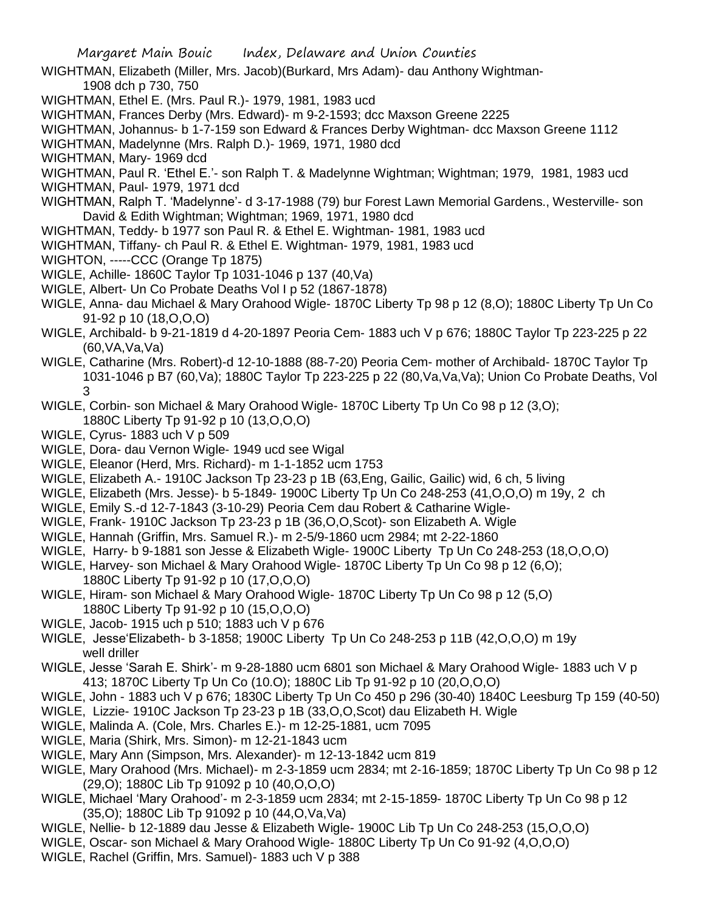- WIGHTMAN, Elizabeth (Miller, Mrs. Jacob)(Burkard, Mrs Adam)- dau Anthony Wightman-1908 dch p 730, 750
- WIGHTMAN, Ethel E. (Mrs. Paul R.)- 1979, 1981, 1983 ucd
- WIGHTMAN, Frances Derby (Mrs. Edward)- m 9-2-1593; dcc Maxson Greene 2225
- WIGHTMAN, Johannus- b 1-7-159 son Edward & Frances Derby Wightman- dcc Maxson Greene 1112
- WIGHTMAN, Madelynne (Mrs. Ralph D.)- 1969, 1971, 1980 dcd
- WIGHTMAN, Mary- 1969 dcd
- WIGHTMAN, Paul R. 'Ethel E.'- son Ralph T. & Madelynne Wightman; Wightman; 1979, 1981, 1983 ucd
- WIGHTMAN, Paul- 1979, 1971 dcd
- WIGHTMAN, Ralph T. 'Madelynne'- d 3-17-1988 (79) bur Forest Lawn Memorial Gardens., Westerville- son David & Edith Wightman; Wightman; 1969, 1971, 1980 dcd
- WIGHTMAN, Teddy- b 1977 son Paul R. & Ethel E. Wightman- 1981, 1983 ucd
- WIGHTMAN, Tiffany- ch Paul R. & Ethel E. Wightman- 1979, 1981, 1983 ucd
- WIGHTON, -----CCC (Orange Tp 1875)
- WIGLE, Achille- 1860C Taylor Tp 1031-1046 p 137 (40,Va)
- WIGLE, Albert- Un Co Probate Deaths Vol I p 52 (1867-1878)
- WIGLE, Anna- dau Michael & Mary Orahood Wigle- 1870C Liberty Tp 98 p 12 (8,O); 1880C Liberty Tp Un Co 91-92 p 10 (18,O,O,O)
- WIGLE, Archibald- b 9-21-1819 d 4-20-1897 Peoria Cem- 1883 uch V p 676; 1880C Taylor Tp 223-225 p 22 (60,VA,Va,Va)
- WIGLE, Catharine (Mrs. Robert)-d 12-10-1888 (88-7-20) Peoria Cem- mother of Archibald- 1870C Taylor Tp 1031-1046 p B7 (60,Va); 1880C Taylor Tp 223-225 p 22 (80,Va,Va,Va); Union Co Probate Deaths, Vol 3
- WIGLE, Corbin- son Michael & Mary Orahood Wigle- 1870C Liberty Tp Un Co 98 p 12 (3,O); 1880C Liberty Tp 91-92 p 10 (13,O,O,O)
- WIGLE, Cyrus- 1883 uch V p 509
- WIGLE, Dora- dau Vernon Wigle- 1949 ucd see Wigal
- WIGLE, Eleanor (Herd, Mrs. Richard)- m 1-1-1852 ucm 1753
- WIGLE, Elizabeth A.- 1910C Jackson Tp 23-23 p 1B (63,Eng, Gailic, Gailic) wid, 6 ch, 5 living
- WIGLE, Elizabeth (Mrs. Jesse)- b 5-1849- 1900C Liberty Tp Un Co 248-253 (41,O,O,O) m 19y, 2 ch
- WIGLE, Emily S.-d 12-7-1843 (3-10-29) Peoria Cem dau Robert & Catharine Wigle-
- WIGLE, Frank- 1910C Jackson Tp 23-23 p 1B (36,O,O,Scot)- son Elizabeth A. Wigle
- WIGLE, Hannah (Griffin, Mrs. Samuel R.)- m 2-5/9-1860 ucm 2984; mt 2-22-1860
- WIGLE, Harry- b 9-1881 son Jesse & Elizabeth Wigle- 1900C Liberty Tp Un Co 248-253 (18,O,O,O)
- WIGLE, Harvey- son Michael & Mary Orahood Wigle- 1870C Liberty Tp Un Co 98 p 12 (6,O); 1880C Liberty Tp 91-92 p 10 (17,O,O,O)
- WIGLE, Hiram- son Michael & Mary Orahood Wigle- 1870C Liberty Tp Un Co 98 p 12 (5,O) 1880C Liberty Tp 91-92 p 10 (15,O,O,O)
- WIGLE, Jacob- 1915 uch p 510; 1883 uch V p 676
- WIGLE, Jesse'Elizabeth- b 3-1858; 1900C Liberty Tp Un Co 248-253 p 11B (42,O,O,O) m 19y well driller
- WIGLE, Jesse 'Sarah E. Shirk'- m 9-28-1880 ucm 6801 son Michael & Mary Orahood Wigle- 1883 uch V p 413; 1870C Liberty Tp Un Co (10.O); 1880C Lib Tp 91-92 p 10 (20,O,O,O)
- WIGLE, John 1883 uch V p 676; 1830C Liberty Tp Un Co 450 p 296 (30-40) 1840C Leesburg Tp 159 (40-50)
- WIGLE, Lizzie- 1910C Jackson Tp 23-23 p 1B (33,O,O,Scot) dau Elizabeth H. Wigle
- WIGLE, Malinda A. (Cole, Mrs. Charles E.)- m 12-25-1881, ucm 7095
- WIGLE, Maria (Shirk, Mrs. Simon)- m 12-21-1843 ucm
- WIGLE, Mary Ann (Simpson, Mrs. Alexander)- m 12-13-1842 ucm 819
- WIGLE, Mary Orahood (Mrs. Michael)- m 2-3-1859 ucm 2834; mt 2-16-1859; 1870C Liberty Tp Un Co 98 p 12 (29,O); 1880C Lib Tp 91092 p 10 (40,O,O,O)
- WIGLE, Michael 'Mary Orahood'- m 2-3-1859 ucm 2834; mt 2-15-1859- 1870C Liberty Tp Un Co 98 p 12 (35,O); 1880C Lib Tp 91092 p 10 (44,O,Va,Va)
- WIGLE, Nellie- b 12-1889 dau Jesse & Elizabeth Wigle- 1900C Lib Tp Un Co 248-253 (15,O,O,O)
- WIGLE, Oscar- son Michael & Mary Orahood Wigle- 1880C Liberty Tp Un Co 91-92 (4,O,O,O)
- WIGLE, Rachel (Griffin, Mrs. Samuel)- 1883 uch V p 388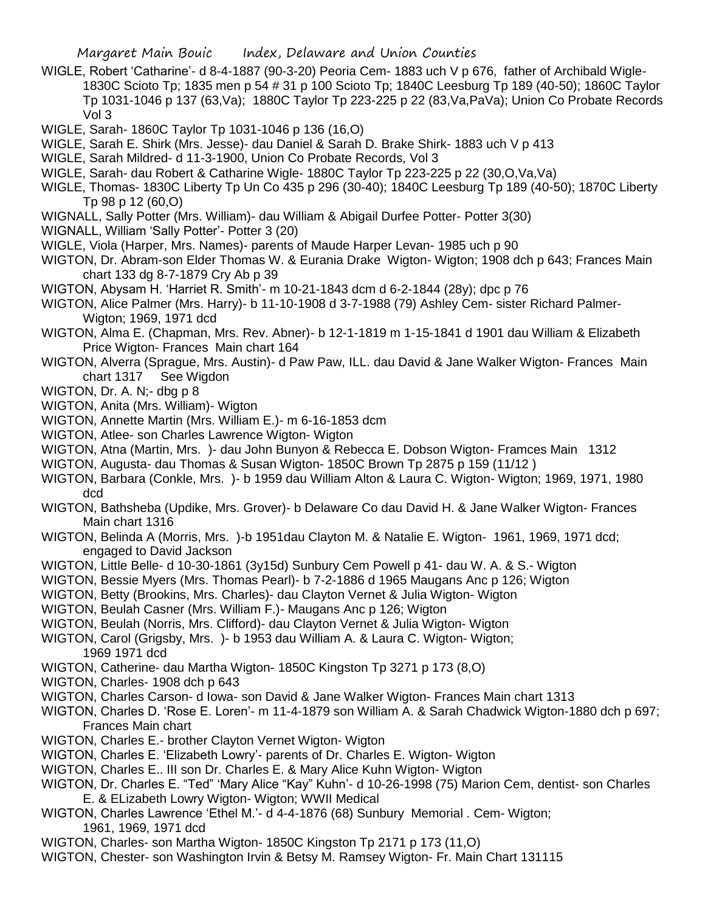- WIGLE, Robert 'Catharine'- d 8-4-1887 (90-3-20) Peoria Cem- 1883 uch V p 676, father of Archibald Wigle-1830C Scioto Tp; 1835 men p 54 # 31 p 100 Scioto Tp; 1840C Leesburg Tp 189 (40-50); 1860C Taylor Tp 1031-1046 p 137 (63,Va); 1880C Taylor Tp 223-225 p 22 (83,Va,PaVa); Union Co Probate Records Vol 3
- WIGLE, Sarah- 1860C Taylor Tp 1031-1046 p 136 (16,O)
- WIGLE, Sarah E. Shirk (Mrs. Jesse)- dau Daniel & Sarah D. Brake Shirk- 1883 uch V p 413
- WIGLE, Sarah Mildred- d 11-3-1900, Union Co Probate Records, Vol 3
- WIGLE, Sarah- dau Robert & Catharine Wigle- 1880C Taylor Tp 223-225 p 22 (30,O,Va,Va)
- WIGLE, Thomas- 1830C Liberty Tp Un Co 435 p 296 (30-40); 1840C Leesburg Tp 189 (40-50); 1870C Liberty Tp 98 p 12 (60,O)
- WIGNALL, Sally Potter (Mrs. William)- dau William & Abigail Durfee Potter- Potter 3(30)
- WIGNALL, William 'Sally Potter'- Potter 3 (20)
- WIGLE, Viola (Harper, Mrs. Names)- parents of Maude Harper Levan- 1985 uch p 90
- WIGTON, Dr. Abram-son Elder Thomas W. & Eurania Drake Wigton- Wigton; 1908 dch p 643; Frances Main chart 133 dg 8-7-1879 Cry Ab p 39
- WIGTON, Abysam H. 'Harriet R. Smith'- m 10-21-1843 dcm d 6-2-1844 (28y); dpc p 76
- WIGTON, Alice Palmer (Mrs. Harry)- b 11-10-1908 d 3-7-1988 (79) Ashley Cem- sister Richard Palmer-Wigton; 1969, 1971 dcd
- WIGTON, Alma E. (Chapman, Mrs. Rev. Abner)- b 12-1-1819 m 1-15-1841 d 1901 dau William & Elizabeth Price Wigton- Frances Main chart 164
- WIGTON, Alverra (Sprague, Mrs. Austin)- d Paw Paw, ILL. dau David & Jane Walker Wigton- Frances Main chart 1317 See Wigdon
- WIGTON, Dr. A. N;- dbg p 8
- WIGTON, Anita (Mrs. William)- Wigton
- WIGTON, Annette Martin (Mrs. William E.)- m 6-16-1853 dcm
- WIGTON, Atlee- son Charles Lawrence Wigton- Wigton
- WIGTON, Atna (Martin, Mrs. )- dau John Bunyon & Rebecca E. Dobson Wigton- Framces Main 1312
- WIGTON, Augusta- dau Thomas & Susan Wigton- 1850C Brown Tp 2875 p 159 (11/12 )
- WIGTON, Barbara (Conkle, Mrs. )- b 1959 dau William Alton & Laura C. Wigton- Wigton; 1969, 1971, 1980 dcd
- WIGTON, Bathsheba (Updike, Mrs. Grover)- b Delaware Co dau David H. & Jane Walker Wigton- Frances Main chart 1316
- WIGTON, Belinda A (Morris, Mrs. )-b 1951dau Clayton M. & Natalie E. Wigton- 1961, 1969, 1971 dcd; engaged to David Jackson
- WIGTON, Little Belle- d 10-30-1861 (3y15d) Sunbury Cem Powell p 41- dau W. A. & S.- Wigton
- WIGTON, Bessie Myers (Mrs. Thomas Pearl)- b 7-2-1886 d 1965 Maugans Anc p 126; Wigton
- WIGTON, Betty (Brookins, Mrs. Charles)- dau Clayton Vernet & Julia Wigton- Wigton
- WIGTON, Beulah Casner (Mrs. William F.)- Maugans Anc p 126; Wigton
- WIGTON, Beulah (Norris, Mrs. Clifford)- dau Clayton Vernet & Julia Wigton- Wigton
- WIGTON, Carol (Grigsby, Mrs. )- b 1953 dau William A. & Laura C. Wigton- Wigton; 1969 1971 dcd
- WIGTON, Catherine- dau Martha Wigton- 1850C Kingston Tp 3271 p 173 (8,O)
- WIGTON, Charles- 1908 dch p 643
- WIGTON, Charles Carson- d Iowa- son David & Jane Walker Wigton- Frances Main chart 1313
- WIGTON, Charles D. 'Rose E. Loren'- m 11-4-1879 son William A. & Sarah Chadwick Wigton-1880 dch p 697; Frances Main chart
- WIGTON, Charles E.- brother Clayton Vernet Wigton- Wigton
- WIGTON, Charles E. 'Elizabeth Lowry'- parents of Dr. Charles E. Wigton- Wigton
- WIGTON, Charles E.. III son Dr. Charles E. & Mary Alice Kuhn Wigton- Wigton
- WIGTON, Dr. Charles E. "Ted" 'Mary Alice "Kay" Kuhn'- d 10-26-1998 (75) Marion Cem, dentist- son Charles E. & ELizabeth Lowry Wigton- Wigton; WWII Medical
- WIGTON, Charles Lawrence 'Ethel M.'- d 4-4-1876 (68) Sunbury Memorial . Cem- Wigton; 1961, 1969, 1971 dcd
- WIGTON, Charles- son Martha Wigton- 1850C Kingston Tp 2171 p 173 (11,O)
- WIGTON, Chester- son Washington Irvin & Betsy M. Ramsey Wigton- Fr. Main Chart 131115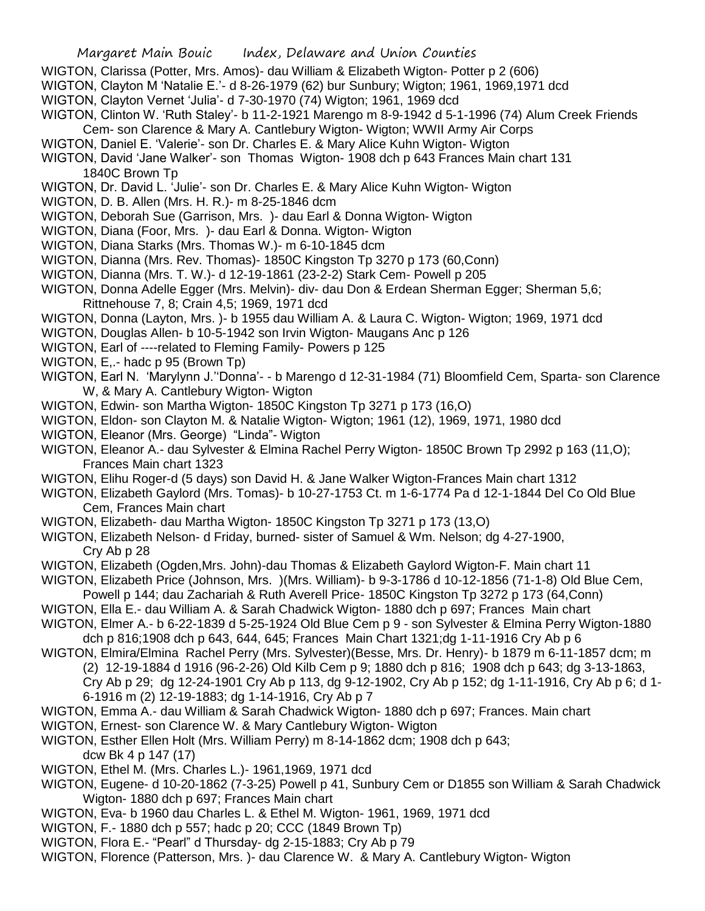WIGTON, Clarissa (Potter, Mrs. Amos)- dau William & Elizabeth Wigton- Potter p 2 (606)

- WIGTON, Clayton M 'Natalie E.'- d 8-26-1979 (62) bur Sunbury; Wigton; 1961, 1969,1971 dcd
- WIGTON, Clayton Vernet 'Julia'- d 7-30-1970 (74) Wigton; 1961, 1969 dcd
- WIGTON, Clinton W. 'Ruth Staley'- b 11-2-1921 Marengo m 8-9-1942 d 5-1-1996 (74) Alum Creek Friends Cem- son Clarence & Mary A. Cantlebury Wigton- Wigton; WWII Army Air Corps
- WIGTON, Daniel E. 'Valerie'- son Dr. Charles E. & Mary Alice Kuhn Wigton- Wigton
- WIGTON, David 'Jane Walker'- son Thomas Wigton- 1908 dch p 643 Frances Main chart 131 1840C Brown Tp
- WIGTON, Dr. David L. 'Julie'- son Dr. Charles E. & Mary Alice Kuhn Wigton- Wigton
- WIGTON, D. B. Allen (Mrs. H. R.)- m 8-25-1846 dcm
- WIGTON, Deborah Sue (Garrison, Mrs. )- dau Earl & Donna Wigton- Wigton
- WIGTON, Diana (Foor, Mrs. )- dau Earl & Donna. Wigton- Wigton
- WIGTON, Diana Starks (Mrs. Thomas W.)- m 6-10-1845 dcm
- WIGTON, Dianna (Mrs. Rev. Thomas)- 1850C Kingston Tp 3270 p 173 (60,Conn)
- WIGTON, Dianna (Mrs. T. W.)- d 12-19-1861 (23-2-2) Stark Cem- Powell p 205
- WIGTON, Donna Adelle Egger (Mrs. Melvin)- div- dau Don & Erdean Sherman Egger; Sherman 5,6; Rittnehouse 7, 8; Crain 4,5; 1969, 1971 dcd
- WIGTON, Donna (Layton, Mrs. )- b 1955 dau William A. & Laura C. Wigton- Wigton; 1969, 1971 dcd
- WIGTON, Douglas Allen- b 10-5-1942 son Irvin Wigton- Maugans Anc p 126
- WIGTON, Earl of ----related to Fleming Family- Powers p 125
- WIGTON, E,.- hadc p 95 (Brown Tp)
- WIGTON, Earl N. 'Marylynn J.''Donna'- b Marengo d 12-31-1984 (71) Bloomfield Cem, Sparta- son Clarence W, & Mary A. Cantlebury Wigton- Wigton
- WIGTON, Edwin- son Martha Wigton- 1850C Kingston Tp 3271 p 173 (16,O)
- WIGTON, Eldon- son Clayton M. & Natalie Wigton- Wigton; 1961 (12), 1969, 1971, 1980 dcd
- WIGTON, Eleanor (Mrs. George) "Linda"- Wigton
- WIGTON, Eleanor A.- dau Sylvester & Elmina Rachel Perry Wigton- 1850C Brown Tp 2992 p 163 (11,O); Frances Main chart 1323
- WIGTON, Elihu Roger-d (5 days) son David H. & Jane Walker Wigton-Frances Main chart 1312
- WIGTON, Elizabeth Gaylord (Mrs. Tomas)- b 10-27-1753 Ct. m 1-6-1774 Pa d 12-1-1844 Del Co Old Blue Cem, Frances Main chart
- WIGTON, Elizabeth- dau Martha Wigton- 1850C Kingston Tp 3271 p 173 (13,O)
- WIGTON, Elizabeth Nelson- d Friday, burned- sister of Samuel & Wm. Nelson; dg 4-27-1900, Cry Ab p 28
- WIGTON, Elizabeth (Ogden,Mrs. John)-dau Thomas & Elizabeth Gaylord Wigton-F. Main chart 11
- WIGTON, Elizabeth Price (Johnson, Mrs. )(Mrs. William)- b 9-3-1786 d 10-12-1856 (71-1-8) Old Blue Cem, Powell p 144; dau Zachariah & Ruth Averell Price- 1850C Kingston Tp 3272 p 173 (64,Conn)
- WIGTON, Ella E.- dau William A. & Sarah Chadwick Wigton- 1880 dch p 697; Frances Main chart
- WIGTON, Elmer A.- b 6-22-1839 d 5-25-1924 Old Blue Cem p 9 son Sylvester & Elmina Perry Wigton-1880
- dch p 816;1908 dch p 643, 644, 645; Frances Main Chart 1321;dg 1-11-1916 Cry Ab p 6 WIGTON, Elmira/Elmina Rachel Perry (Mrs. Sylvester)(Besse, Mrs. Dr. Henry)- b 1879 m 6-11-1857 dcm; m
	- (2) 12-19-1884 d 1916 (96-2-26) Old Kilb Cem p 9; 1880 dch p 816; 1908 dch p 643; dg 3-13-1863,
	- Cry Ab p 29; dg 12-24-1901 Cry Ab p 113, dg 9-12-1902, Cry Ab p 152; dg 1-11-1916, Cry Ab p 6; d 1-
	- 6-1916 m (2) 12-19-1883; dg 1-14-1916, Cry Ab p 7
- WIGTON, Emma A.- dau William & Sarah Chadwick Wigton- 1880 dch p 697; Frances. Main chart
- WIGTON, Ernest- son Clarence W. & Mary Cantlebury Wigton- Wigton
- WIGTON, Esther Ellen Holt (Mrs. William Perry) m 8-14-1862 dcm; 1908 dch p 643;
	- dcw Bk 4 p 147 (17)
- WIGTON, Ethel M. (Mrs. Charles L.)- 1961,1969, 1971 dcd
- WIGTON, Eugene- d 10-20-1862 (7-3-25) Powell p 41, Sunbury Cem or D1855 son William & Sarah Chadwick Wigton- 1880 dch p 697; Frances Main chart
- WIGTON, Eva- b 1960 dau Charles L. & Ethel M. Wigton- 1961, 1969, 1971 dcd
- WIGTON, F.- 1880 dch p 557; hadc p 20; CCC (1849 Brown Tp)
- WIGTON, Flora E.- "Pearl" d Thursday- dg 2-15-1883; Cry Ab p 79
- WIGTON, Florence (Patterson, Mrs. )- dau Clarence W. & Mary A. Cantlebury Wigton- Wigton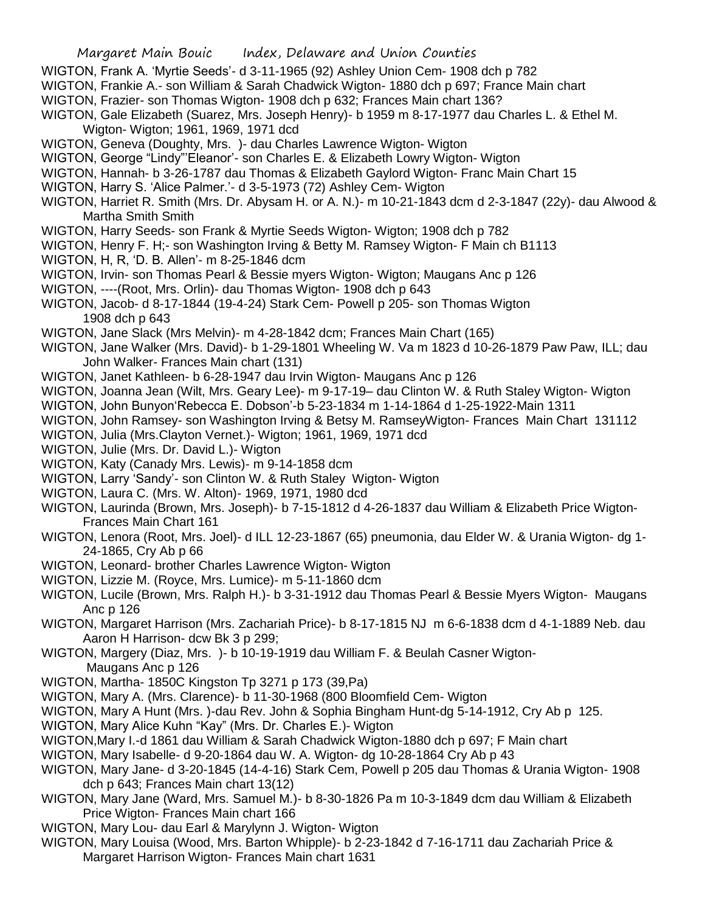- WIGTON, Frank A. 'Myrtie Seeds'- d 3-11-1965 (92) Ashley Union Cem- 1908 dch p 782
- WIGTON, Frankie A.- son William & Sarah Chadwick Wigton- 1880 dch p 697; France Main chart
- WIGTON, Frazier- son Thomas Wigton- 1908 dch p 632; Frances Main chart 136?
- WIGTON, Gale Elizabeth (Suarez, Mrs. Joseph Henry)- b 1959 m 8-17-1977 dau Charles L. & Ethel M. Wigton- Wigton; 1961, 1969, 1971 dcd
- WIGTON, Geneva (Doughty, Mrs. )- dau Charles Lawrence Wigton- Wigton
- WIGTON, George "Lindy"'Eleanor'- son Charles E. & Elizabeth Lowry Wigton- Wigton
- WIGTON, Hannah- b 3-26-1787 dau Thomas & Elizabeth Gaylord Wigton- Franc Main Chart 15
- WIGTON, Harry S. 'Alice Palmer.'- d 3-5-1973 (72) Ashley Cem- Wigton
- WIGTON, Harriet R. Smith (Mrs. Dr. Abysam H. or A. N.)- m 10-21-1843 dcm d 2-3-1847 (22y)- dau Alwood & Martha Smith Smith
- WIGTON, Harry Seeds- son Frank & Myrtie Seeds Wigton- Wigton; 1908 dch p 782
- WIGTON, Henry F. H;- son Washington Irving & Betty M. Ramsey Wigton- F Main ch B1113
- WIGTON, H, R, 'D. B. Allen'- m 8-25-1846 dcm
- WIGTON, Irvin- son Thomas Pearl & Bessie myers Wigton- Wigton; Maugans Anc p 126
- WIGTON, ----(Root, Mrs. Orlin)- dau Thomas Wigton- 1908 dch p 643
- WIGTON, Jacob- d 8-17-1844 (19-4-24) Stark Cem- Powell p 205- son Thomas Wigton 1908 dch p 643
- WIGTON, Jane Slack (Mrs Melvin)- m 4-28-1842 dcm; Frances Main Chart (165)
- WIGTON, Jane Walker (Mrs. David)- b 1-29-1801 Wheeling W. Va m 1823 d 10-26-1879 Paw Paw, ILL; dau John Walker- Frances Main chart (131)
- WIGTON, Janet Kathleen- b 6-28-1947 dau Irvin Wigton- Maugans Anc p 126
- WIGTON, Joanna Jean (Wilt, Mrs. Geary Lee)- m 9-17-19– dau Clinton W. & Ruth Staley Wigton- Wigton
- WIGTON, John Bunyon'Rebecca E. Dobson'-b 5-23-1834 m 1-14-1864 d 1-25-1922-Main 1311
- WIGTON, John Ramsey- son Washington Irving & Betsy M. RamseyWigton- Frances Main Chart 131112
- WIGTON, Julia (Mrs.Clayton Vernet.)- Wigton; 1961, 1969, 1971 dcd
- WIGTON, Julie (Mrs. Dr. David L.)- Wigton
- WIGTON, Katy (Canady Mrs. Lewis)- m 9-14-1858 dcm
- WIGTON, Larry 'Sandy'- son Clinton W. & Ruth Staley Wigton- Wigton
- WIGTON, Laura C. (Mrs. W. Alton)- 1969, 1971, 1980 dcd
- WIGTON, Laurinda (Brown, Mrs. Joseph)- b 7-15-1812 d 4-26-1837 dau William & Elizabeth Price Wigton-Frances Main Chart 161
- WIGTON, Lenora (Root, Mrs. Joel)- d ILL 12-23-1867 (65) pneumonia, dau Elder W. & Urania Wigton- dg 1- 24-1865, Cry Ab p 66
- WIGTON, Leonard- brother Charles Lawrence Wigton- Wigton
- WIGTON, Lizzie M. (Royce, Mrs. Lumice)- m 5-11-1860 dcm
- WIGTON, Lucile (Brown, Mrs. Ralph H.)- b 3-31-1912 dau Thomas Pearl & Bessie Myers Wigton- Maugans Anc p 126
- WIGTON, Margaret Harrison (Mrs. Zachariah Price)- b 8-17-1815 NJ m 6-6-1838 dcm d 4-1-1889 Neb. dau Aaron H Harrison- dcw Bk 3 p 299;
- WIGTON, Margery (Diaz, Mrs. )- b 10-19-1919 dau William F. & Beulah Casner Wigton-Maugans Anc p 126
- WIGTON, Martha- 1850C Kingston Tp 3271 p 173 (39,Pa)
- WIGTON, Mary A. (Mrs. Clarence)- b 11-30-1968 (800 Bloomfield Cem- Wigton
- WIGTON, Mary A Hunt (Mrs. )-dau Rev. John & Sophia Bingham Hunt-dg 5-14-1912, Cry Ab p 125.
- WIGTON, Mary Alice Kuhn "Kay" (Mrs. Dr. Charles E.)- Wigton
- WIGTON,Mary I.-d 1861 dau William & Sarah Chadwick Wigton-1880 dch p 697; F Main chart
- WIGTON, Mary Isabelle- d 9-20-1864 dau W. A. Wigton- dg 10-28-1864 Cry Ab p 43
- WIGTON, Mary Jane- d 3-20-1845 (14-4-16) Stark Cem, Powell p 205 dau Thomas & Urania Wigton- 1908 dch p 643; Frances Main chart 13(12)
- WIGTON, Mary Jane (Ward, Mrs. Samuel M.)- b 8-30-1826 Pa m 10-3-1849 dcm dau William & Elizabeth Price Wigton- Frances Main chart 166
- WIGTON, Mary Lou- dau Earl & Marylynn J. Wigton- Wigton
- WIGTON, Mary Louisa (Wood, Mrs. Barton Whipple)- b 2-23-1842 d 7-16-1711 dau Zachariah Price & Margaret Harrison Wigton- Frances Main chart 1631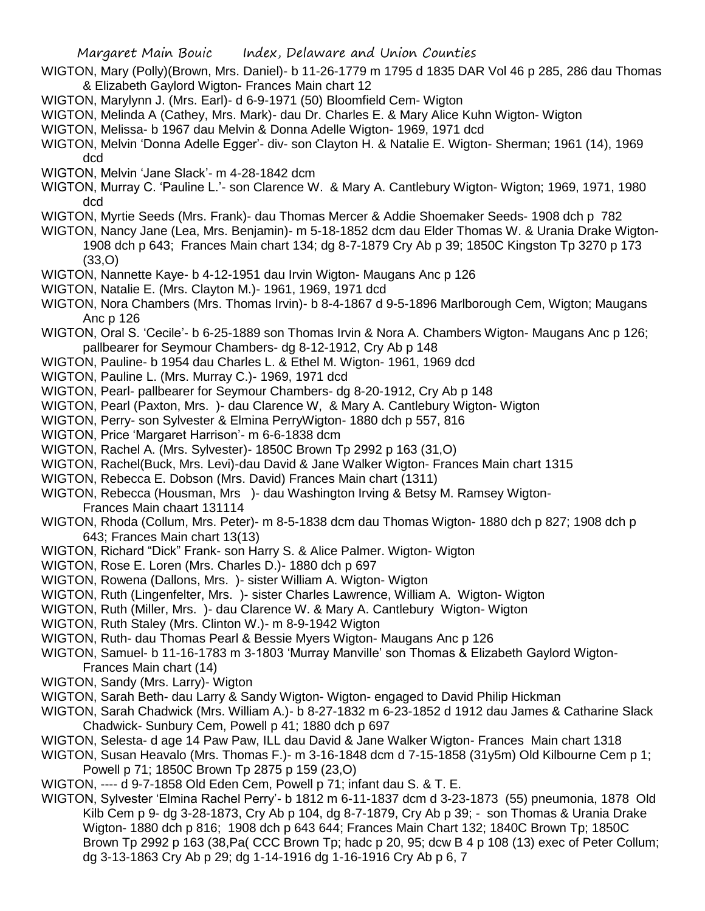- WIGTON, Mary (Polly)(Brown, Mrs. Daniel)- b 11-26-1779 m 1795 d 1835 DAR Vol 46 p 285, 286 dau Thomas & Elizabeth Gaylord Wigton- Frances Main chart 12
- WIGTON, Marylynn J. (Mrs. Earl)- d 6-9-1971 (50) Bloomfield Cem- Wigton
- WIGTON, Melinda A (Cathey, Mrs. Mark)- dau Dr. Charles E. & Mary Alice Kuhn Wigton- Wigton
- WIGTON, Melissa- b 1967 dau Melvin & Donna Adelle Wigton- 1969, 1971 dcd
- WIGTON, Melvin 'Donna Adelle Egger'- div- son Clayton H. & Natalie E. Wigton- Sherman; 1961 (14), 1969 dcd
- WIGTON, Melvin 'Jane Slack'- m 4-28-1842 dcm
- WIGTON, Murray C. 'Pauline L.'- son Clarence W. & Mary A. Cantlebury Wigton- Wigton; 1969, 1971, 1980 dcd
- WIGTON, Myrtie Seeds (Mrs. Frank)- dau Thomas Mercer & Addie Shoemaker Seeds- 1908 dch p 782
- WIGTON, Nancy Jane (Lea, Mrs. Benjamin)- m 5-18-1852 dcm dau Elder Thomas W. & Urania Drake Wigton-1908 dch p 643; Frances Main chart 134; dg 8-7-1879 Cry Ab p 39; 1850C Kingston Tp 3270 p 173 (33,O)
- WIGTON, Nannette Kaye- b 4-12-1951 dau Irvin Wigton- Maugans Anc p 126
- WIGTON, Natalie E. (Mrs. Clayton M.)- 1961, 1969, 1971 dcd
- WIGTON, Nora Chambers (Mrs. Thomas Irvin)- b 8-4-1867 d 9-5-1896 Marlborough Cem, Wigton; Maugans Anc p 126
- WIGTON, Oral S. 'Cecile'- b 6-25-1889 son Thomas Irvin & Nora A. Chambers Wigton- Maugans Anc p 126; pallbearer for Seymour Chambers- dg 8-12-1912, Cry Ab p 148
- WIGTON, Pauline- b 1954 dau Charles L. & Ethel M. Wigton- 1961, 1969 dcd
- WIGTON, Pauline L. (Mrs. Murray C.)- 1969, 1971 dcd
- WIGTON, Pearl- pallbearer for Seymour Chambers- dg 8-20-1912, Cry Ab p 148
- WIGTON, Pearl (Paxton, Mrs. )- dau Clarence W, & Mary A. Cantlebury Wigton- Wigton
- WIGTON, Perry- son Sylvester & Elmina PerryWigton- 1880 dch p 557, 816
- WIGTON, Price 'Margaret Harrison'- m 6-6-1838 dcm
- WIGTON, Rachel A. (Mrs. Sylvester)- 1850C Brown Tp 2992 p 163 (31,O)
- WIGTON, Rachel(Buck, Mrs. Levi)-dau David & Jane Walker Wigton- Frances Main chart 1315
- WIGTON, Rebecca E. Dobson (Mrs. David) Frances Main chart (1311)
- WIGTON, Rebecca (Housman, Mrs )- dau Washington Irving & Betsy M. Ramsey Wigton-Frances Main chaart 131114
- WIGTON, Rhoda (Collum, Mrs. Peter)- m 8-5-1838 dcm dau Thomas Wigton- 1880 dch p 827; 1908 dch p 643; Frances Main chart 13(13)
- WIGTON, Richard "Dick" Frank- son Harry S. & Alice Palmer. Wigton- Wigton
- WIGTON, Rose E. Loren (Mrs. Charles D.)- 1880 dch p 697
- WIGTON, Rowena (Dallons, Mrs. )- sister William A. Wigton- Wigton
- WIGTON, Ruth (Lingenfelter, Mrs. )- sister Charles Lawrence, William A. Wigton- Wigton
- WIGTON, Ruth (Miller, Mrs. )- dau Clarence W. & Mary A. Cantlebury Wigton- Wigton
- WIGTON, Ruth Staley (Mrs. Clinton W.)- m 8-9-1942 Wigton
- WIGTON, Ruth- dau Thomas Pearl & Bessie Myers Wigton- Maugans Anc p 126
- WIGTON, Samuel- b 11-16-1783 m 3-1803 'Murray Manville' son Thomas & Elizabeth Gaylord Wigton-Frances Main chart (14)
- WIGTON, Sandy (Mrs. Larry)- Wigton
- WIGTON, Sarah Beth- dau Larry & Sandy Wigton- Wigton- engaged to David Philip Hickman
- WIGTON, Sarah Chadwick (Mrs. William A.)- b 8-27-1832 m 6-23-1852 d 1912 dau James & Catharine Slack Chadwick- Sunbury Cem, Powell p 41; 1880 dch p 697
- WIGTON, Selesta- d age 14 Paw Paw, ILL dau David & Jane Walker Wigton- Frances Main chart 1318
- WIGTON, Susan Heavalo (Mrs. Thomas F.)- m 3-16-1848 dcm d 7-15-1858 (31y5m) Old Kilbourne Cem p 1; Powell p 71; 1850C Brown Tp 2875 p 159 (23,O)
- WIGTON, ---- d 9-7-1858 Old Eden Cem, Powell p 71; infant dau S. & T. E.
- WIGTON, Sylvester 'Elmina Rachel Perry'- b 1812 m 6-11-1837 dcm d 3-23-1873 (55) pneumonia, 1878 Old Kilb Cem p 9- dg 3-28-1873, Cry Ab p 104, dg 8-7-1879, Cry Ab p 39; - son Thomas & Urania Drake Wigton- 1880 dch p 816; 1908 dch p 643 644; Frances Main Chart 132; 1840C Brown Tp; 1850C Brown Tp 2992 p 163 (38,Pa( CCC Brown Tp; hadc p 20, 95; dcw B 4 p 108 (13) exec of Peter Collum; dg 3-13-1863 Cry Ab p 29; dg 1-14-1916 dg 1-16-1916 Cry Ab p 6, 7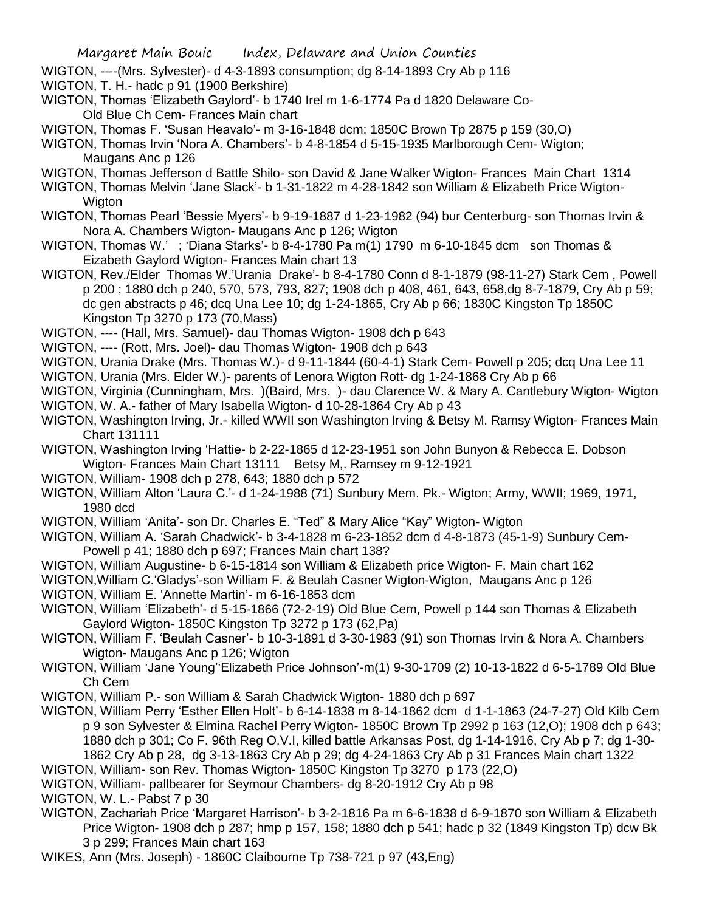- WIGTON, ----(Mrs. Sylvester)- d 4-3-1893 consumption; dg 8-14-1893 Cry Ab p 116
- WIGTON, T. H.- hadc p 91 (1900 Berkshire)
- WIGTON, Thomas 'Elizabeth Gaylord'- b 1740 Irel m 1-6-1774 Pa d 1820 Delaware Co-Old Blue Ch Cem- Frances Main chart
- WIGTON, Thomas F. 'Susan Heavalo'- m 3-16-1848 dcm; 1850C Brown Tp 2875 p 159 (30,O)
- WIGTON, Thomas Irvin 'Nora A. Chambers'- b 4-8-1854 d 5-15-1935 Marlborough Cem- Wigton; Maugans Anc p 126
- WIGTON, Thomas Jefferson d Battle Shilo- son David & Jane Walker Wigton- Frances Main Chart 1314
- WIGTON, Thomas Melvin 'Jane Slack'- b 1-31-1822 m 4-28-1842 son William & Elizabeth Price Wigton-**Wigton**
- WIGTON, Thomas Pearl 'Bessie Myers'- b 9-19-1887 d 1-23-1982 (94) bur Centerburg- son Thomas Irvin & Nora A. Chambers Wigton- Maugans Anc p 126; Wigton
- WIGTON, Thomas W.'; 'Diana Starks'- b 8-4-1780 Pa m(1) 1790 m 6-10-1845 dcm son Thomas & Eizabeth Gaylord Wigton- Frances Main chart 13
- WIGTON, Rev./Elder Thomas W.'Urania Drake'- b 8-4-1780 Conn d 8-1-1879 (98-11-27) Stark Cem , Powell p 200 ; 1880 dch p 240, 570, 573, 793, 827; 1908 dch p 408, 461, 643, 658,dg 8-7-1879, Cry Ab p 59; dc gen abstracts p 46; dcq Una Lee 10; dg 1-24-1865, Cry Ab p 66; 1830C Kingston Tp 1850C Kingston Tp 3270 p 173 (70,Mass)
- WIGTON, ---- (Hall, Mrs. Samuel)- dau Thomas Wigton- 1908 dch p 643
- WIGTON, ---- (Rott, Mrs. Joel)- dau Thomas Wigton- 1908 dch p 643
- WIGTON, Urania Drake (Mrs. Thomas W.)- d 9-11-1844 (60-4-1) Stark Cem- Powell p 205; dcq Una Lee 11
- WIGTON, Urania (Mrs. Elder W.)- parents of Lenora Wigton Rott- dg 1-24-1868 Cry Ab p 66
- WIGTON, Virginia (Cunningham, Mrs. )(Baird, Mrs. )- dau Clarence W. & Mary A. Cantlebury Wigton- Wigton
- WIGTON, W. A.- father of Mary Isabella Wigton- d 10-28-1864 Cry Ab p 43
- WIGTON, Washington Irving, Jr.- killed WWII son Washington Irving & Betsy M. Ramsy Wigton- Frances Main Chart 131111
- WIGTON, Washington Irving 'Hattie- b 2-22-1865 d 12-23-1951 son John Bunyon & Rebecca E. Dobson Wigton- Frances Main Chart 13111 Betsy M,. Ramsey m 9-12-1921
- WIGTON, William- 1908 dch p 278, 643; 1880 dch p 572
- WIGTON, William Alton 'Laura C.'- d 1-24-1988 (71) Sunbury Mem. Pk.- Wigton; Army, WWII; 1969, 1971, 1980 dcd
- WIGTON, William 'Anita'- son Dr. Charles E. "Ted" & Mary Alice "Kay" Wigton- Wigton
- WIGTON, William A. 'Sarah Chadwick'- b 3-4-1828 m 6-23-1852 dcm d 4-8-1873 (45-1-9) Sunbury Cem-Powell p 41; 1880 dch p 697; Frances Main chart 138?
- WIGTON, William Augustine- b 6-15-1814 son William & Elizabeth price Wigton- F. Main chart 162
- WIGTON,William C.'Gladys'-son William F. & Beulah Casner Wigton-Wigton, Maugans Anc p 126 WIGTON, William E. 'Annette Martin'- m 6-16-1853 dcm
- WIGTON, William 'Elizabeth'- d 5-15-1866 (72-2-19) Old Blue Cem, Powell p 144 son Thomas & Elizabeth Gaylord Wigton- 1850C Kingston Tp 3272 p 173 (62,Pa)
- WIGTON, William F. 'Beulah Casner'- b 10-3-1891 d 3-30-1983 (91) son Thomas Irvin & Nora A. Chambers Wigton- Maugans Anc p 126; Wigton
- WIGTON, William 'Jane Young''Elizabeth Price Johnson'-m(1) 9-30-1709 (2) 10-13-1822 d 6-5-1789 Old Blue Ch Cem
- WIGTON, William P.- son William & Sarah Chadwick Wigton- 1880 dch p 697
- WIGTON, William Perry 'Esther Ellen Holt'- b 6-14-1838 m 8-14-1862 dcm d 1-1-1863 (24-7-27) Old Kilb Cem p 9 son Sylvester & Elmina Rachel Perry Wigton- 1850C Brown Tp 2992 p 163 (12,O); 1908 dch p 643; 1880 dch p 301; Co F. 96th Reg O.V.I, killed battle Arkansas Post, dg 1-14-1916, Cry Ab p 7; dg 1-30- 1862 Cry Ab p 28, dg 3-13-1863 Cry Ab p 29; dg 4-24-1863 Cry Ab p 31 Frances Main chart 1322
- WIGTON, William- son Rev. Thomas Wigton- 1850C Kingston Tp 3270 p 173 (22,O)
- WIGTON, William- pallbearer for Seymour Chambers- dg 8-20-1912 Cry Ab p 98
- WIGTON, W. L.- Pabst 7 p 30
- WIGTON, Zachariah Price 'Margaret Harrison'- b 3-2-1816 Pa m 6-6-1838 d 6-9-1870 son William & Elizabeth Price Wigton- 1908 dch p 287; hmp p 157, 158; 1880 dch p 541; hadc p 32 (1849 Kingston Tp) dcw Bk 3 p 299; Frances Main chart 163
- WIKES, Ann (Mrs. Joseph) 1860C Claibourne Tp 738-721 p 97 (43,Eng)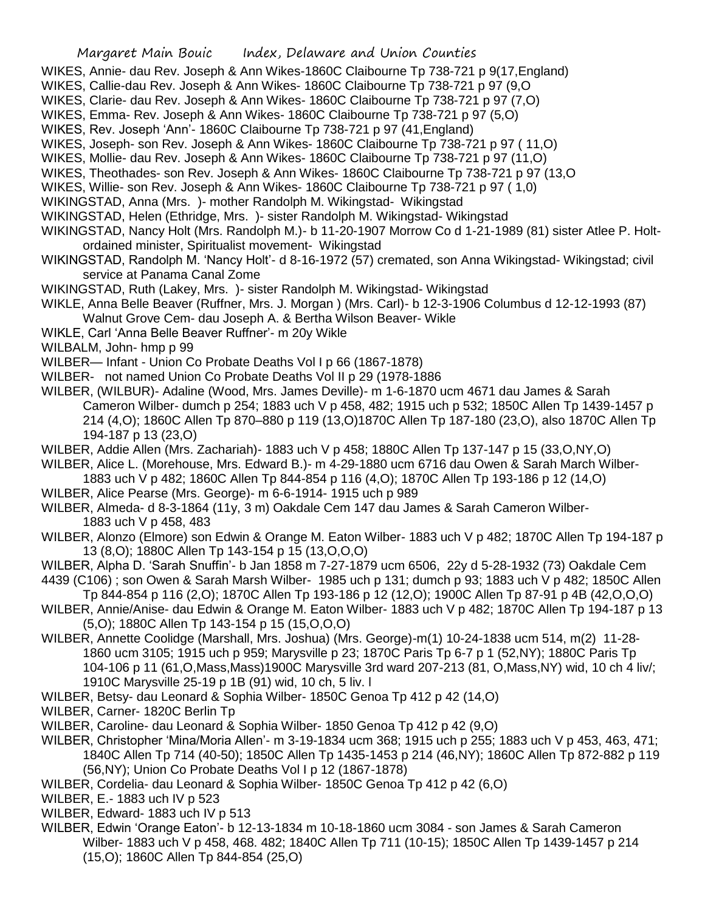- WIKES, Annie- dau Rev. Joseph & Ann Wikes-1860C Claibourne Tp 738-721 p 9(17,England)
- WIKES, Callie-dau Rev. Joseph & Ann Wikes- 1860C Claibourne Tp 738-721 p 97 (9,O
- WIKES, Clarie- dau Rev. Joseph & Ann Wikes- 1860C Claibourne Tp 738-721 p 97 (7,O)
- WIKES, Emma- Rev. Joseph & Ann Wikes- 1860C Claibourne Tp 738-721 p 97 (5,O)
- WIKES, Rev. Joseph 'Ann'- 1860C Claibourne Tp 738-721 p 97 (41,England)
- WIKES, Joseph- son Rev. Joseph & Ann Wikes- 1860C Claibourne Tp 738-721 p 97 ( 11,O)
- WIKES, Mollie- dau Rev. Joseph & Ann Wikes- 1860C Claibourne Tp 738-721 p 97 (11,O)
- WIKES, Theothades- son Rev. Joseph & Ann Wikes- 1860C Claibourne Tp 738-721 p 97 (13,O
- WIKES, Willie- son Rev. Joseph & Ann Wikes- 1860C Claibourne Tp 738-721 p 97 ( 1,0)
- WIKINGSTAD, Anna (Mrs. )- mother Randolph M. Wikingstad- Wikingstad
- WIKINGSTAD, Helen (Ethridge, Mrs. )- sister Randolph M. Wikingstad- Wikingstad
- WIKINGSTAD, Nancy Holt (Mrs. Randolph M.)- b 11-20-1907 Morrow Co d 1-21-1989 (81) sister Atlee P. Holtordained minister, Spiritualist movement- Wikingstad
- WIKINGSTAD, Randolph M. 'Nancy Holt'- d 8-16-1972 (57) cremated, son Anna Wikingstad- Wikingstad; civil service at Panama Canal Zome
- WIKINGSTAD, Ruth (Lakey, Mrs. )- sister Randolph M. Wikingstad- Wikingstad
- WIKLE, Anna Belle Beaver (Ruffner, Mrs. J. Morgan ) (Mrs. Carl)- b 12-3-1906 Columbus d 12-12-1993 (87) Walnut Grove Cem- dau Joseph A. & Bertha Wilson Beaver- Wikle
- WIKLE, Carl 'Anna Belle Beaver Ruffner'- m 20y Wikle
- WILBALM, John- hmp p 99
- WILBER— Infant Union Co Probate Deaths Vol I p 66 (1867-1878)
- WILBER- not named Union Co Probate Deaths Vol II p 29 (1978-1886
- WILBER, (WILBUR)- Adaline (Wood, Mrs. James Deville)- m 1-6-1870 ucm 4671 dau James & Sarah Cameron Wilber- dumch p 254; 1883 uch V p 458, 482; 1915 uch p 532; 1850C Allen Tp 1439-1457 p 214 (4,O); 1860C Allen Tp 870–880 p 119 (13,O)1870C Allen Tp 187-180 (23,O), also 1870C Allen Tp 194-187 p 13 (23,O)
- WILBER, Addie Allen (Mrs. Zachariah)- 1883 uch V p 458; 1880C Allen Tp 137-147 p 15 (33,O,NY,O)
- WILBER, Alice L. (Morehouse, Mrs. Edward B.)- m 4-29-1880 ucm 6716 dau Owen & Sarah March Wilber-1883 uch V p 482; 1860C Allen Tp 844-854 p 116 (4,O); 1870C Allen Tp 193-186 p 12 (14,O)
- WILBER, Alice Pearse (Mrs. George)- m 6-6-1914- 1915 uch p 989
- WILBER, Almeda- d 8-3-1864 (11y, 3 m) Oakdale Cem 147 dau James & Sarah Cameron Wilber-1883 uch V p 458, 483
- WILBER, Alonzo (Elmore) son Edwin & Orange M. Eaton Wilber- 1883 uch V p 482; 1870C Allen Tp 194-187 p 13 (8,O); 1880C Allen Tp 143-154 p 15 (13,O,O,O)
- WILBER, Alpha D. 'Sarah Snuffin'- b Jan 1858 m 7-27-1879 ucm 6506, 22y d 5-28-1932 (73) Oakdale Cem
- 4439 (C106) ; son Owen & Sarah Marsh Wilber- 1985 uch p 131; dumch p 93; 1883 uch V p 482; 1850C Allen Tp 844-854 p 116 (2,O); 1870C Allen Tp 193-186 p 12 (12,O); 1900C Allen Tp 87-91 p 4B (42,O,O,O)
- WILBER, Annie/Anise- dau Edwin & Orange M. Eaton Wilber- 1883 uch V p 482; 1870C Allen Tp 194-187 p 13 (5,O); 1880C Allen Tp 143-154 p 15 (15,O,O,O)
- WILBER, Annette Coolidge (Marshall, Mrs. Joshua) (Mrs. George)-m(1) 10-24-1838 ucm 514, m(2) 11-28- 1860 ucm 3105; 1915 uch p 959; Marysville p 23; 1870C Paris Tp 6-7 p 1 (52,NY); 1880C Paris Tp 104-106 p 11 (61,O,Mass,Mass)1900C Marysville 3rd ward 207-213 (81, O,Mass,NY) wid, 10 ch 4 liv/; 1910C Marysville 25-19 p 1B (91) wid, 10 ch, 5 liv. l
- WILBER, Betsy- dau Leonard & Sophia Wilber- 1850C Genoa Tp 412 p 42 (14,O)
- WILBER, Carner- 1820C Berlin Tp
- WILBER, Caroline- dau Leonard & Sophia Wilber- 1850 Genoa Tp 412 p 42 (9,O)
- WILBER, Christopher 'Mina/Moria Allen'- m 3-19-1834 ucm 368; 1915 uch p 255; 1883 uch V p 453, 463, 471; 1840C Allen Tp 714 (40-50); 1850C Allen Tp 1435-1453 p 214 (46,NY); 1860C Allen Tp 872-882 p 119 (56,NY); Union Co Probate Deaths Vol I p 12 (1867-1878)
- WILBER, Cordelia- dau Leonard & Sophia Wilber- 1850C Genoa Tp 412 p 42 (6,O)
- WILBER, E.- 1883 uch IV p 523
- WILBER, Edward- 1883 uch IV p 513
- WILBER, Edwin 'Orange Eaton'- b 12-13-1834 m 10-18-1860 ucm 3084 son James & Sarah Cameron Wilber- 1883 uch V p 458, 468. 482; 1840C Allen Tp 711 (10-15); 1850C Allen Tp 1439-1457 p 214 (15,O); 1860C Allen Tp 844-854 (25,O)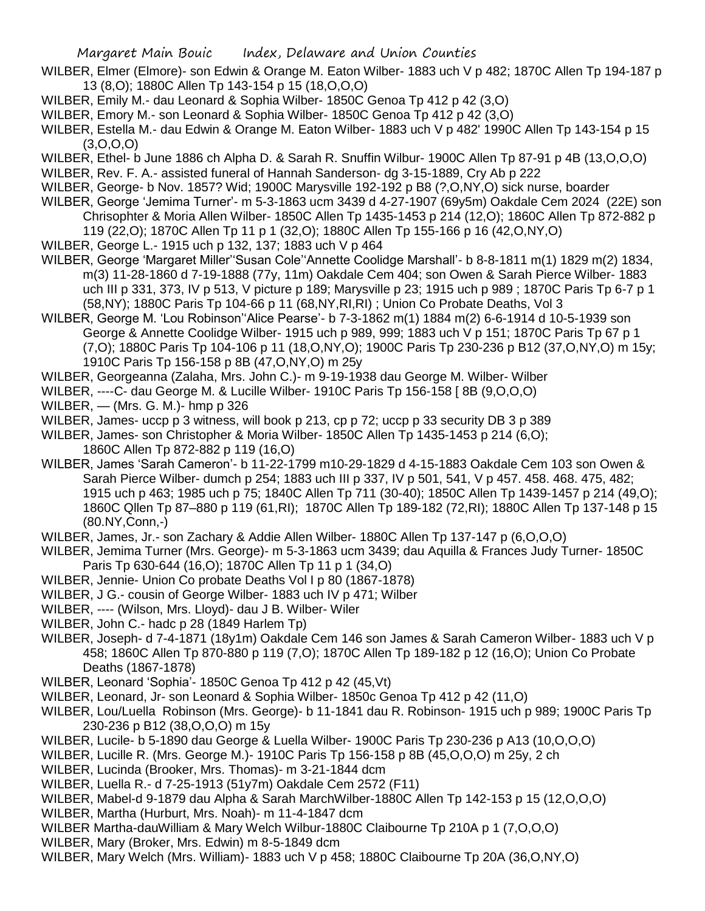- WILBER, Elmer (Elmore)- son Edwin & Orange M. Eaton Wilber- 1883 uch V p 482; 1870C Allen Tp 194-187 p 13 (8,O); 1880C Allen Tp 143-154 p 15 (18,O,O,O)
- WILBER, Emily M.- dau Leonard & Sophia Wilber- 1850C Genoa Tp 412 p 42 (3,O)
- WILBER, Emory M.- son Leonard & Sophia Wilber- 1850C Genoa Tp 412 p 42 (3,O)
- WILBER, Estella M.- dau Edwin & Orange M. Eaton Wilber- 1883 uch V p 482' 1990C Allen Tp 143-154 p 15  $(3,0,0,0)$
- WILBER, Ethel- b June 1886 ch Alpha D. & Sarah R. Snuffin Wilbur- 1900C Allen Tp 87-91 p 4B (13,O,O,O)
- WILBER, Rev. F. A.- assisted funeral of Hannah Sanderson- dg 3-15-1889, Cry Ab p 222
- WILBER, George- b Nov. 1857? Wid; 1900C Marysville 192-192 p B8 (?,O,NY,O) sick nurse, boarder
- WILBER, George 'Jemima Turner'- m 5-3-1863 ucm 3439 d 4-27-1907 (69y5m) Oakdale Cem 2024 (22E) son Chrisophter & Moria Allen Wilber- 1850C Allen Tp 1435-1453 p 214 (12,O); 1860C Allen Tp 872-882 p 119 (22,O); 1870C Allen Tp 11 p 1 (32,O); 1880C Allen Tp 155-166 p 16 (42,O,NY,O)
- WILBER, George L.- 1915 uch p 132, 137; 1883 uch V p 464
- WILBER, George 'Margaret Miller''Susan Cole''Annette Coolidge Marshall'- b 8-8-1811 m(1) 1829 m(2) 1834, m(3) 11-28-1860 d 7-19-1888 (77y, 11m) Oakdale Cem 404; son Owen & Sarah Pierce Wilber- 1883 uch III p 331, 373, IV p 513, V picture p 189; Marysville p 23; 1915 uch p 989 ; 1870C Paris Tp 6-7 p 1 (58,NY); 1880C Paris Tp 104-66 p 11 (68,NY,RI,RI) ; Union Co Probate Deaths, Vol 3
- WILBER, George M. 'Lou Robinson''Alice Pearse'- b 7-3-1862 m(1) 1884 m(2) 6-6-1914 d 10-5-1939 son George & Annette Coolidge Wilber- 1915 uch p 989, 999; 1883 uch V p 151; 1870C Paris Tp 67 p 1 (7,O); 1880C Paris Tp 104-106 p 11 (18,O,NY,O); 1900C Paris Tp 230-236 p B12 (37,O,NY,O) m 15y; 1910C Paris Tp 156-158 p 8B (47,O,NY,O) m 25y
- WILBER, Georgeanna (Zalaha, Mrs. John C.)- m 9-19-1938 dau George M. Wilber- Wilber
- WILBER, ----C- dau George M. & Lucille Wilber- 1910C Paris Tp 156-158 [ 8B (9,O,O,O)
- WILBER, (Mrs. G. M.)- hmp p 326
- WILBER, James- uccp p 3 witness, will book p 213, cp p 72; uccp p 33 security DB 3 p 389
- WILBER, James- son Christopher & Moria Wilber- 1850C Allen Tp 1435-1453 p 214 (6,O);
- 1860C Allen Tp 872-882 p 119 (16,O)
- WILBER, James 'Sarah Cameron'- b 11-22-1799 m10-29-1829 d 4-15-1883 Oakdale Cem 103 son Owen & Sarah Pierce Wilber- dumch p 254; 1883 uch III p 337, IV p 501, 541, V p 457. 458. 468. 475, 482; 1915 uch p 463; 1985 uch p 75; 1840C Allen Tp 711 (30-40); 1850C Allen Tp 1439-1457 p 214 (49,O); 1860C Qllen Tp 87–880 p 119 (61,RI); 1870C Allen Tp 189-182 (72,RI); 1880C Allen Tp 137-148 p 15 (80.NY,Conn,-)
- WILBER, James, Jr.- son Zachary & Addie Allen Wilber- 1880C Allen Tp 137-147 p (6,O,O,O)
- WILBER, Jemima Turner (Mrs. George)- m 5-3-1863 ucm 3439; dau Aquilla & Frances Judy Turner- 1850C Paris Tp 630-644 (16,O); 1870C Allen Tp 11 p 1 (34,O)
- WILBER, Jennie- Union Co probate Deaths Vol I p 80 (1867-1878)
- WILBER, J G.- cousin of George Wilber- 1883 uch IV p 471; Wilber
- WILBER, ---- (Wilson, Mrs. Lloyd)- dau J B. Wilber- Wiler
- WILBER, John C.- hadc p 28 (1849 Harlem Tp)
- WILBER, Joseph- d 7-4-1871 (18y1m) Oakdale Cem 146 son James & Sarah Cameron Wilber- 1883 uch V p 458; 1860C Allen Tp 870-880 p 119 (7,O); 1870C Allen Tp 189-182 p 12 (16,O); Union Co Probate Deaths (1867-1878)
- WILBER, Leonard 'Sophia'- 1850C Genoa Tp 412 p 42 (45,Vt)
- WILBER, Leonard, Jr- son Leonard & Sophia Wilber- 1850c Genoa Tp 412 p 42 (11,O)
- WILBER, Lou/Luella Robinson (Mrs. George)- b 11-1841 dau R. Robinson- 1915 uch p 989; 1900C Paris Tp 230-236 p B12 (38,O,O,O) m 15y
- WILBER, Lucile- b 5-1890 dau George & Luella Wilber- 1900C Paris Tp 230-236 p A13 (10,O,O,O)
- WILBER, Lucille R. (Mrs. George M.)- 1910C Paris Tp 156-158 p 8B (45,O,O,O) m 25y, 2 ch
- WILBER, Lucinda (Brooker, Mrs. Thomas)- m 3-21-1844 dcm
- WILBER, Luella R.- d 7-25-1913 (51y7m) Oakdale Cem 2572 (F11)
- WILBER, Mabel-d 9-1879 dau Alpha & Sarah MarchWilber-1880C Allen Tp 142-153 p 15 (12,O,O,O)
- WILBER, Martha (Hurburt, Mrs. Noah)- m 11-4-1847 dcm
- WILBER Martha-dauWilliam & Mary Welch Wilbur-1880C Claibourne Tp 210A p 1 (7,O,O,O)
- WILBER, Mary (Broker, Mrs. Edwin) m 8-5-1849 dcm
- WILBER, Mary Welch (Mrs. William)- 1883 uch V p 458; 1880C Claibourne Tp 20A (36,O,NY,O)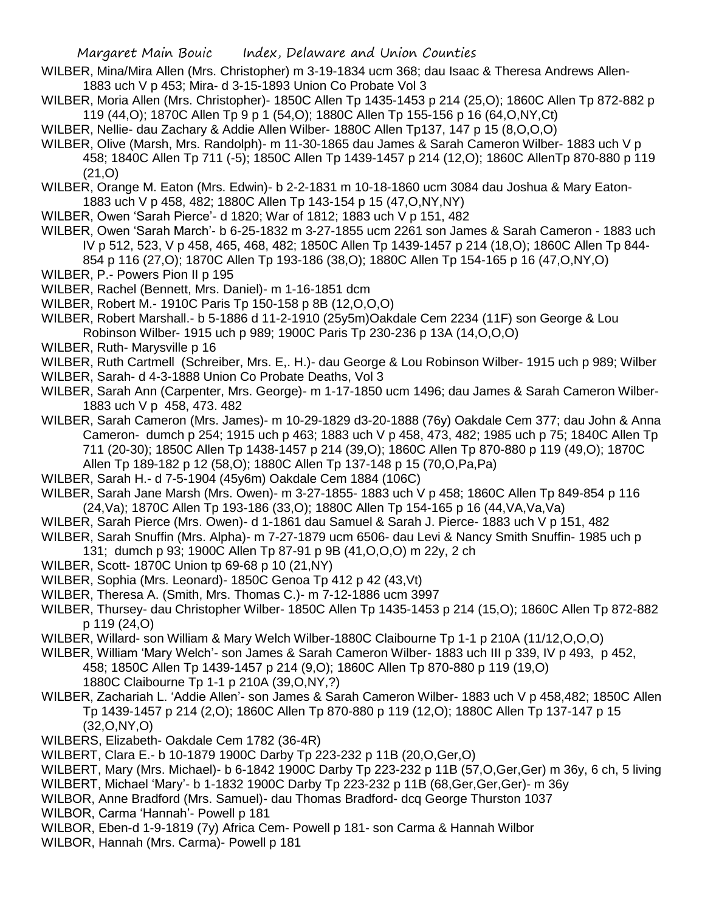- WILBER, Mina/Mira Allen (Mrs. Christopher) m 3-19-1834 ucm 368; dau Isaac & Theresa Andrews Allen-1883 uch V p 453; Mira- d 3-15-1893 Union Co Probate Vol 3
- WILBER, Moria Allen (Mrs. Christopher)- 1850C Allen Tp 1435-1453 p 214 (25,O); 1860C Allen Tp 872-882 p 119 (44,O); 1870C Allen Tp 9 p 1 (54,O); 1880C Allen Tp 155-156 p 16 (64,O,NY,Ct)
- WILBER, Nellie- dau Zachary & Addie Allen Wilber- 1880C Allen Tp137, 147 p 15 (8,O,O,O)
- WILBER, Olive (Marsh, Mrs. Randolph)- m 11-30-1865 dau James & Sarah Cameron Wilber- 1883 uch V p 458; 1840C Allen Tp 711 (-5); 1850C Allen Tp 1439-1457 p 214 (12,O); 1860C AllenTp 870-880 p 119  $(21,0)$
- WILBER, Orange M. Eaton (Mrs. Edwin)- b 2-2-1831 m 10-18-1860 ucm 3084 dau Joshua & Mary Eaton-1883 uch V p 458, 482; 1880C Allen Tp 143-154 p 15 (47,O,NY,NY)
- WILBER, Owen 'Sarah Pierce'- d 1820; War of 1812; 1883 uch V p 151, 482
- WILBER, Owen 'Sarah March'- b 6-25-1832 m 3-27-1855 ucm 2261 son James & Sarah Cameron 1883 uch IV p 512, 523, V p 458, 465, 468, 482; 1850C Allen Tp 1439-1457 p 214 (18,O); 1860C Allen Tp 844- 854 p 116 (27,O); 1870C Allen Tp 193-186 (38,O); 1880C Allen Tp 154-165 p 16 (47,O,NY,O)
- WILBER, P.- Powers Pion II p 195
- WILBER, Rachel (Bennett, Mrs. Daniel)- m 1-16-1851 dcm
- WILBER, Robert M.- 1910C Paris Tp 150-158 p 8B (12,O,O,O)
- WILBER, Robert Marshall.- b 5-1886 d 11-2-1910 (25y5m)Oakdale Cem 2234 (11F) son George & Lou Robinson Wilber- 1915 uch p 989; 1900C Paris Tp 230-236 p 13A (14,O,O,O)
- WILBER, Ruth- Marysville p 16
- WILBER, Ruth Cartmell (Schreiber, Mrs. E,. H.)- dau George & Lou Robinson Wilber- 1915 uch p 989; Wilber
- WILBER, Sarah- d 4-3-1888 Union Co Probate Deaths, Vol 3
- WILBER, Sarah Ann (Carpenter, Mrs. George)- m 1-17-1850 ucm 1496; dau James & Sarah Cameron Wilber-1883 uch V p 458, 473. 482
- WILBER, Sarah Cameron (Mrs. James)- m 10-29-1829 d3-20-1888 (76y) Oakdale Cem 377; dau John & Anna Cameron- dumch p 254; 1915 uch p 463; 1883 uch V p 458, 473, 482; 1985 uch p 75; 1840C Allen Tp 711 (20-30); 1850C Allen Tp 1438-1457 p 214 (39,O); 1860C Allen Tp 870-880 p 119 (49,O); 1870C Allen Tp 189-182 p 12 (58,O); 1880C Allen Tp 137-148 p 15 (70,O,Pa,Pa)
- WILBER, Sarah H.- d 7-5-1904 (45y6m) Oakdale Cem 1884 (106C)
- WILBER, Sarah Jane Marsh (Mrs. Owen)- m 3-27-1855- 1883 uch V p 458; 1860C Allen Tp 849-854 p 116 (24,Va); 1870C Allen Tp 193-186 (33,O); 1880C Allen Tp 154-165 p 16 (44,VA,Va,Va)
- WILBER, Sarah Pierce (Mrs. Owen)- d 1-1861 dau Samuel & Sarah J. Pierce- 1883 uch V p 151, 482
- WILBER, Sarah Snuffin (Mrs. Alpha)- m 7-27-1879 ucm 6506- dau Levi & Nancy Smith Snuffin- 1985 uch p 131; dumch p 93; 1900C Allen Tp 87-91 p 9B (41,O,O,O) m 22y, 2 ch
- WILBER, Scott- 1870C Union tp 69-68 p 10 (21,NY)
- WILBER, Sophia (Mrs. Leonard)- 1850C Genoa Tp 412 p 42 (43,Vt)
- WILBER, Theresa A. (Smith, Mrs. Thomas C.)- m 7-12-1886 ucm 3997
- WILBER, Thursey- dau Christopher Wilber- 1850C Allen Tp 1435-1453 p 214 (15,O); 1860C Allen Tp 872-882 p 119 (24,O)
- WILBER, Willard- son William & Mary Welch Wilber-1880C Claibourne Tp 1-1 p 210A (11/12,O,O,O)
- WILBER, William 'Mary Welch'- son James & Sarah Cameron Wilber- 1883 uch III p 339, IV p 493, p 452, 458; 1850C Allen Tp 1439-1457 p 214 (9,O); 1860C Allen Tp 870-880 p 119 (19,O) 1880C Claibourne Tp 1-1 p 210A (39,O,NY,?)
- WILBER, Zachariah L. 'Addie Allen'- son James & Sarah Cameron Wilber- 1883 uch V p 458,482; 1850C Allen Tp 1439-1457 p 214 (2,O); 1860C Allen Tp 870-880 p 119 (12,O); 1880C Allen Tp 137-147 p 15 (32,O,NY,O)
- WILBERS, Elizabeth- Oakdale Cem 1782 (36-4R)
- WILBERT, Clara E.- b 10-1879 1900C Darby Tp 223-232 p 11B (20,O,Ger,O)
- WILBERT, Mary (Mrs. Michael)- b 6-1842 1900C Darby Tp 223-232 p 11B (57,O,Ger,Ger) m 36y, 6 ch, 5 living WILBERT, Michael 'Mary'- b 1-1832 1900C Darby Tp 223-232 p 11B (68,Ger,Ger,Ger)- m 36y
- WILBOR, Anne Bradford (Mrs. Samuel)- dau Thomas Bradford- dcq George Thurston 1037
- WILBOR, Carma 'Hannah'- Powell p 181
- WILBOR, Eben-d 1-9-1819 (7y) Africa Cem- Powell p 181- son Carma & Hannah Wilbor
- WILBOR, Hannah (Mrs. Carma)- Powell p 181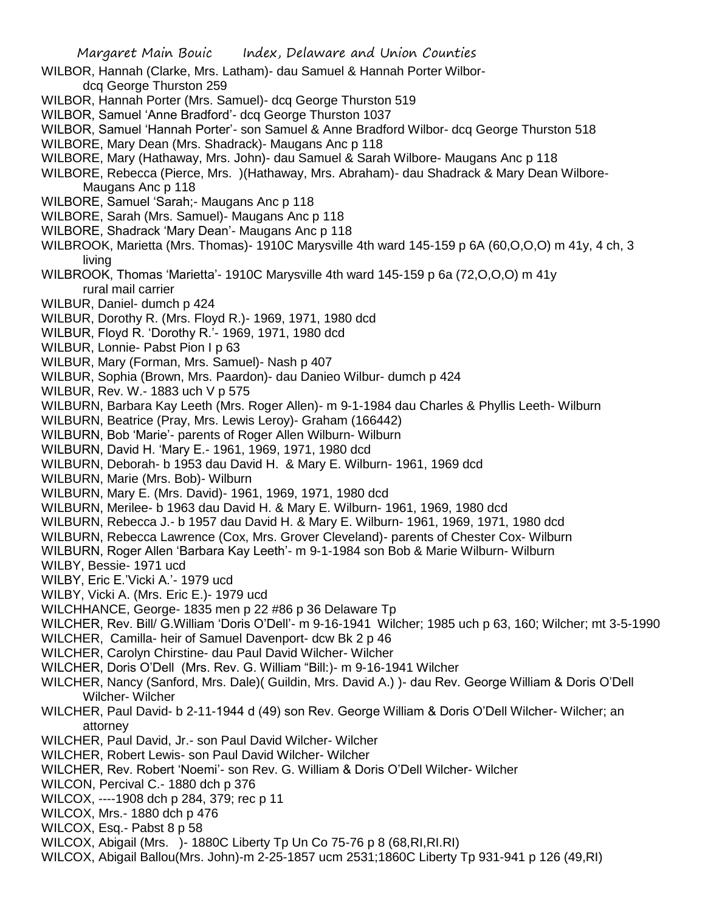- WILBOR, Hannah (Clarke, Mrs. Latham)- dau Samuel & Hannah Porter Wilbordcq George Thurston 259
- WILBOR, Hannah Porter (Mrs. Samuel)- dcq George Thurston 519
- WILBOR, Samuel 'Anne Bradford'- dcq George Thurston 1037
- WILBOR, Samuel 'Hannah Porter'- son Samuel & Anne Bradford Wilbor- dcq George Thurston 518
- WILBORE, Mary Dean (Mrs. Shadrack)- Maugans Anc p 118
- WILBORE, Mary (Hathaway, Mrs. John)- dau Samuel & Sarah Wilbore- Maugans Anc p 118
- WILBORE, Rebecca (Pierce, Mrs. )(Hathaway, Mrs. Abraham)- dau Shadrack & Mary Dean Wilbore-Maugans Anc p 118
- WILBORE, Samuel 'Sarah;- Maugans Anc p 118
- WILBORE, Sarah (Mrs. Samuel)- Maugans Anc p 118
- WILBORE, Shadrack 'Mary Dean'- Maugans Anc p 118
- WILBROOK, Marietta (Mrs. Thomas)- 1910C Marysville 4th ward 145-159 p 6A (60,O,O,O) m 41y, 4 ch, 3 living
- WILBROOK, Thomas 'Marietta'- 1910C Marysville 4th ward 145-159 p 6a (72,O,O,O) m 41y rural mail carrier
- WILBUR, Daniel- dumch p 424
- WILBUR, Dorothy R. (Mrs. Floyd R.)- 1969, 1971, 1980 dcd
- WILBUR, Floyd R. 'Dorothy R.'- 1969, 1971, 1980 dcd
- WILBUR, Lonnie- Pabst Pion I p 63
- WILBUR, Mary (Forman, Mrs. Samuel)- Nash p 407
- WILBUR, Sophia (Brown, Mrs. Paardon)- dau Danieo Wilbur- dumch p 424
- WILBUR, Rev. W.- 1883 uch V p 575
- WILBURN, Barbara Kay Leeth (Mrs. Roger Allen)- m 9-1-1984 dau Charles & Phyllis Leeth- Wilburn
- WILBURN, Beatrice (Pray, Mrs. Lewis Leroy)- Graham (166442)
- WILBURN, Bob 'Marie'- parents of Roger Allen Wilburn- Wilburn
- WILBURN, David H. 'Mary E.- 1961, 1969, 1971, 1980 dcd
- WILBURN, Deborah- b 1953 dau David H. & Mary E. Wilburn- 1961, 1969 dcd
- WILBURN, Marie (Mrs. Bob)- Wilburn
- WILBURN, Mary E. (Mrs. David)- 1961, 1969, 1971, 1980 dcd
- WILBURN, Merilee- b 1963 dau David H. & Mary E. Wilburn- 1961, 1969, 1980 dcd
- WILBURN, Rebecca J.- b 1957 dau David H. & Mary E. Wilburn- 1961, 1969, 1971, 1980 dcd
- WILBURN, Rebecca Lawrence (Cox, Mrs. Grover Cleveland)- parents of Chester Cox- Wilburn
- WILBURN, Roger Allen 'Barbara Kay Leeth'- m 9-1-1984 son Bob & Marie Wilburn- Wilburn
- WILBY, Bessie- 1971 ucd
- WILBY, Eric E.'Vicki A.'- 1979 ucd
- WILBY, Vicki A. (Mrs. Eric E.)- 1979 ucd
- WILCHHANCE, George- 1835 men p 22 #86 p 36 Delaware Tp
- WILCHER, Rev. Bill/ G.William 'Doris O'Dell'- m 9-16-1941 Wilcher; 1985 uch p 63, 160; Wilcher; mt 3-5-1990
- WILCHER, Camilla- heir of Samuel Davenport- dcw Bk 2 p 46
- WILCHER, Carolyn Chirstine- dau Paul David Wilcher- Wilcher
- WILCHER, Doris O'Dell (Mrs. Rev. G. William "Bill:)- m 9-16-1941 Wilcher
- WILCHER, Nancy (Sanford, Mrs. Dale)( Guildin, Mrs. David A.) )- dau Rev. George William & Doris O'Dell Wilcher- Wilcher
- WILCHER, Paul David- b 2-11-1944 d (49) son Rev. George William & Doris O'Dell Wilcher- Wilcher; an attorney
- WILCHER, Paul David, Jr.- son Paul David Wilcher- Wilcher
- WILCHER, Robert Lewis- son Paul David Wilcher- Wilcher
- WILCHER, Rev. Robert 'Noemi'- son Rev. G. William & Doris O'Dell Wilcher- Wilcher
- WILCON, Percival C.- 1880 dch p 376
- WILCOX, ----1908 dch p 284, 379; rec p 11
- WILCOX, Mrs.- 1880 dch p 476
- WILCOX, Esq.- Pabst 8 p 58
- WILCOX, Abigail (Mrs. )- 1880C Liberty Tp Un Co 75-76 p 8 (68,RI,RI.RI)
- WILCOX, Abigail Ballou(Mrs. John)-m 2-25-1857 ucm 2531;1860C Liberty Tp 931-941 p 126 (49,RI)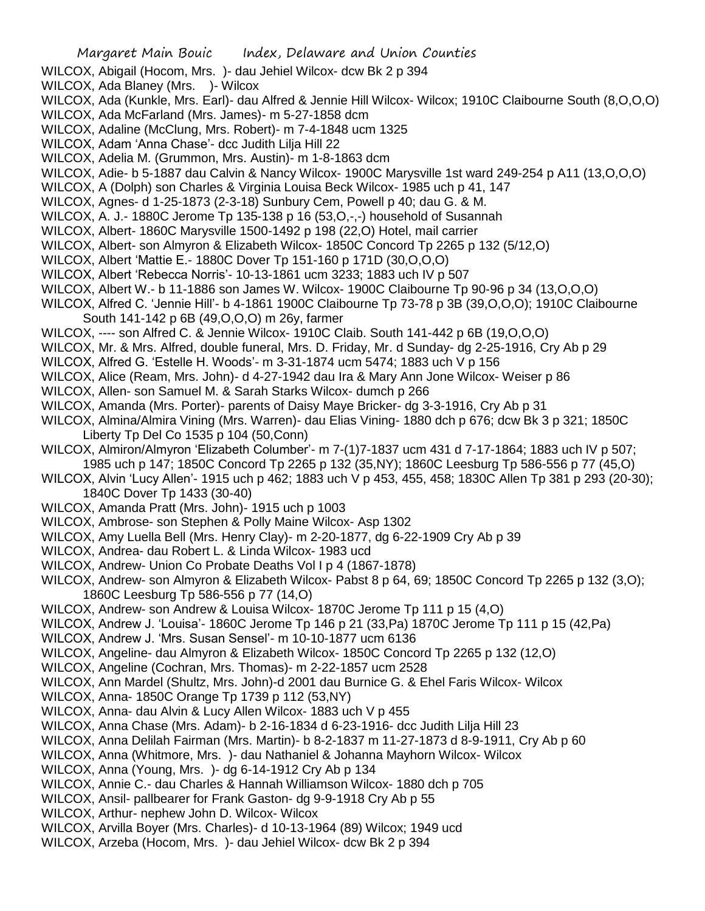- WILCOX, Abigail (Hocom, Mrs. )- dau Jehiel Wilcox- dcw Bk 2 p 394
- WILCOX, Ada Blaney (Mrs. )- Wilcox
- WILCOX, Ada (Kunkle, Mrs. Earl)- dau Alfred & Jennie Hill Wilcox- Wilcox; 1910C Claibourne South (8,O,O,O)
- WILCOX, Ada McFarland (Mrs. James)- m 5-27-1858 dcm
- WILCOX, Adaline (McClung, Mrs. Robert)- m 7-4-1848 ucm 1325
- WILCOX, Adam 'Anna Chase'- dcc Judith Lilja Hill 22
- WILCOX, Adelia M. (Grummon, Mrs. Austin)- m 1-8-1863 dcm
- WILCOX, Adie- b 5-1887 dau Calvin & Nancy Wilcox- 1900C Marysville 1st ward 249-254 p A11 (13,O,O,O)
- WILCOX, A (Dolph) son Charles & Virginia Louisa Beck Wilcox- 1985 uch p 41, 147
- WILCOX, Agnes- d 1-25-1873 (2-3-18) Sunbury Cem, Powell p 40; dau G. & M.
- WILCOX, A. J.- 1880C Jerome Tp 135-138 p 16 (53,O,-,-) household of Susannah
- WILCOX, Albert- 1860C Marysville 1500-1492 p 198 (22,O) Hotel, mail carrier
- WILCOX, Albert- son Almyron & Elizabeth Wilcox- 1850C Concord Tp 2265 p 132 (5/12,O)
- WILCOX, Albert 'Mattie E.- 1880C Dover Tp 151-160 p 171D (30,O,O,O)
- WILCOX, Albert 'Rebecca Norris'- 10-13-1861 ucm 3233; 1883 uch IV p 507
- WILCOX, Albert W.- b 11-1886 son James W. Wilcox- 1900C Claibourne Tp 90-96 p 34 (13,O,O,O)
- WILCOX, Alfred C. 'Jennie Hill'- b 4-1861 1900C Claibourne Tp 73-78 p 3B (39,O,O,O); 1910C Claibourne South 141-142 p 6B (49,O,O,O) m 26y, farmer
- WILCOX, ---- son Alfred C. & Jennie Wilcox- 1910C Claib. South 141-442 p 6B (19,O,O,O)
- WILCOX, Mr. & Mrs. Alfred, double funeral, Mrs. D. Friday, Mr. d Sunday- dg 2-25-1916, Cry Ab p 29
- WILCOX, Alfred G. 'Estelle H. Woods'- m 3-31-1874 ucm 5474; 1883 uch V p 156
- WILCOX, Alice (Ream, Mrs. John)- d 4-27-1942 dau Ira & Mary Ann Jone Wilcox- Weiser p 86
- WILCOX, Allen- son Samuel M. & Sarah Starks Wilcox- dumch p 266
- WILCOX, Amanda (Mrs. Porter)- parents of Daisy Maye Bricker- dg 3-3-1916, Cry Ab p 31
- WILCOX, Almina/Almira Vining (Mrs. Warren)- dau Elias Vining- 1880 dch p 676; dcw Bk 3 p 321; 1850C Liberty Tp Del Co 1535 p 104 (50,Conn)
- WILCOX, Almiron/Almyron 'Elizabeth Columber'- m 7-(1)7-1837 ucm 431 d 7-17-1864; 1883 uch IV p 507; 1985 uch p 147; 1850C Concord Tp 2265 p 132 (35,NY); 1860C Leesburg Tp 586-556 p 77 (45,O)
- WILCOX, Alvin 'Lucy Allen'- 1915 uch p 462; 1883 uch V p 453, 455, 458; 1830C Allen Tp 381 p 293 (20-30); 1840C Dover Tp 1433 (30-40)
- WILCOX, Amanda Pratt (Mrs. John)- 1915 uch p 1003
- WILCOX, Ambrose- son Stephen & Polly Maine Wilcox- Asp 1302
- WILCOX, Amy Luella Bell (Mrs. Henry Clay)- m 2-20-1877, dg 6-22-1909 Cry Ab p 39
- WILCOX, Andrea- dau Robert L. & Linda Wilcox- 1983 ucd
- WILCOX, Andrew- Union Co Probate Deaths Vol I p 4 (1867-1878)
- WILCOX, Andrew- son Almyron & Elizabeth Wilcox- Pabst 8 p 64, 69; 1850C Concord Tp 2265 p 132 (3,O); 1860C Leesburg Tp 586-556 p 77 (14,O)
- WILCOX, Andrew- son Andrew & Louisa Wilcox- 1870C Jerome Tp 111 p 15 (4,O)
- WILCOX, Andrew J. 'Louisa'- 1860C Jerome Tp 146 p 21 (33,Pa) 1870C Jerome Tp 111 p 15 (42,Pa)
- WILCOX, Andrew J. 'Mrs. Susan Sensel'- m 10-10-1877 ucm 6136
- WILCOX, Angeline- dau Almyron & Elizabeth Wilcox- 1850C Concord Tp 2265 p 132 (12,O)
- WILCOX, Angeline (Cochran, Mrs. Thomas)- m 2-22-1857 ucm 2528
- WILCOX, Ann Mardel (Shultz, Mrs. John)-d 2001 dau Burnice G. & Ehel Faris Wilcox- Wilcox
- WILCOX, Anna- 1850C Orange Tp 1739 p 112 (53,NY)
- WILCOX, Anna- dau Alvin & Lucy Allen Wilcox- 1883 uch V p 455
- WILCOX, Anna Chase (Mrs. Adam)- b 2-16-1834 d 6-23-1916- dcc Judith Lilja Hill 23
- WILCOX, Anna Delilah Fairman (Mrs. Martin)- b 8-2-1837 m 11-27-1873 d 8-9-1911, Cry Ab p 60
- WILCOX, Anna (Whitmore, Mrs. )- dau Nathaniel & Johanna Mayhorn Wilcox- Wilcox
- WILCOX, Anna (Young, Mrs. )- dg 6-14-1912 Cry Ab p 134
- WILCOX, Annie C.- dau Charles & Hannah Williamson Wilcox- 1880 dch p 705
- WILCOX, Ansil- pallbearer for Frank Gaston- dg 9-9-1918 Cry Ab p 55
- WILCOX, Arthur- nephew John D. Wilcox- Wilcox
- WILCOX, Arvilla Boyer (Mrs. Charles)- d 10-13-1964 (89) Wilcox; 1949 ucd
- WILCOX, Arzeba (Hocom, Mrs. )- dau Jehiel Wilcox- dcw Bk 2 p 394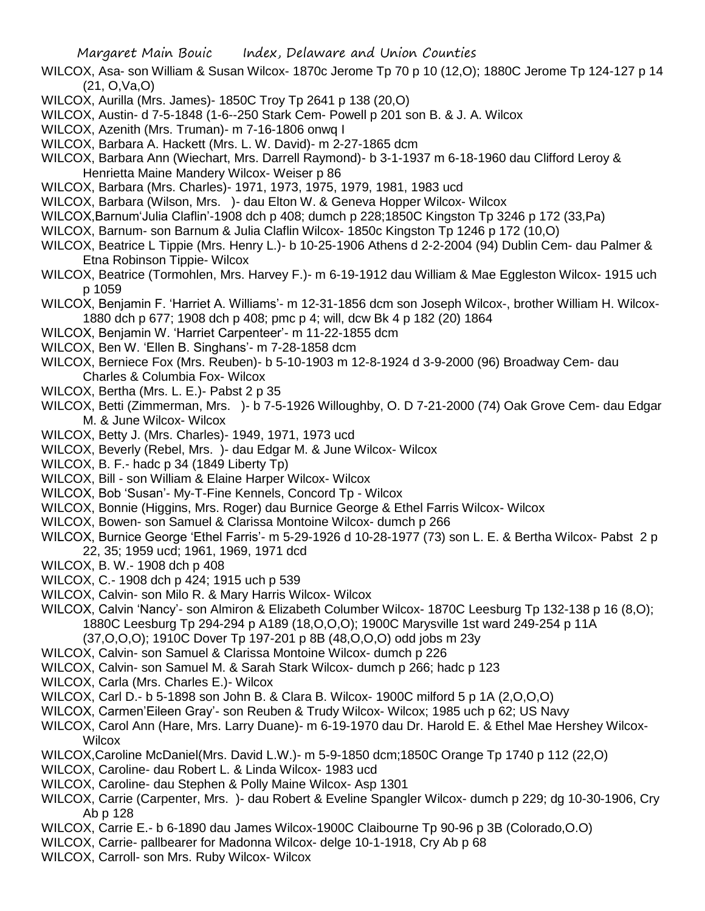- WILCOX, Asa- son William & Susan Wilcox- 1870c Jerome Tp 70 p 10 (12,O); 1880C Jerome Tp 124-127 p 14 (21, O,Va,O)
- WILCOX, Aurilla (Mrs. James)- 1850C Troy Tp 2641 p 138 (20,O)
- WILCOX, Austin- d 7-5-1848 (1-6--250 Stark Cem- Powell p 201 son B. & J. A. Wilcox
- WILCOX, Azenith (Mrs. Truman)- m 7-16-1806 onwq I
- WILCOX, Barbara A. Hackett (Mrs. L. W. David)- m 2-27-1865 dcm
- WILCOX, Barbara Ann (Wiechart, Mrs. Darrell Raymond)- b 3-1-1937 m 6-18-1960 dau Clifford Leroy & Henrietta Maine Mandery Wilcox- Weiser p 86
- WILCOX, Barbara (Mrs. Charles)- 1971, 1973, 1975, 1979, 1981, 1983 ucd
- WILCOX, Barbara (Wilson, Mrs. )- dau Elton W. & Geneva Hopper Wilcox- Wilcox
- WILCOX,Barnum'Julia Claflin'-1908 dch p 408; dumch p 228;1850C Kingston Tp 3246 p 172 (33,Pa)
- WILCOX, Barnum- son Barnum & Julia Claflin Wilcox- 1850c Kingston Tp 1246 p 172 (10,O)
- WILCOX, Beatrice L Tippie (Mrs. Henry L.)- b 10-25-1906 Athens d 2-2-2004 (94) Dublin Cem- dau Palmer & Etna Robinson Tippie- Wilcox
- WILCOX, Beatrice (Tormohlen, Mrs. Harvey F.)- m 6-19-1912 dau William & Mae Eggleston Wilcox- 1915 uch p 1059
- WILCOX, Benjamin F. 'Harriet A. Williams'- m 12-31-1856 dcm son Joseph Wilcox-, brother William H. Wilcox-1880 dch p 677; 1908 dch p 408; pmc p 4; will, dcw Bk 4 p 182 (20) 1864
- WILCOX, Benjamin W. 'Harriet Carpenteer'- m 11-22-1855 dcm
- WILCOX, Ben W. 'Ellen B. Singhans'- m 7-28-1858 dcm
- WILCOX, Berniece Fox (Mrs. Reuben)- b 5-10-1903 m 12-8-1924 d 3-9-2000 (96) Broadway Cem- dau Charles & Columbia Fox- Wilcox
- WILCOX, Bertha (Mrs. L. E.)- Pabst 2 p 35
- WILCOX, Betti (Zimmerman, Mrs. )- b 7-5-1926 Willoughby, O. D 7-21-2000 (74) Oak Grove Cem- dau Edgar M. & June Wilcox- Wilcox
- WILCOX, Betty J. (Mrs. Charles)- 1949, 1971, 1973 ucd
- WILCOX, Beverly (Rebel, Mrs. )- dau Edgar M. & June Wilcox- Wilcox
- WILCOX, B. F.- hadc p 34 (1849 Liberty Tp)
- WILCOX, Bill son William & Elaine Harper Wilcox- Wilcox
- WILCOX, Bob 'Susan'- My-T-Fine Kennels, Concord Tp Wilcox
- WILCOX, Bonnie (Higgins, Mrs. Roger) dau Burnice George & Ethel Farris Wilcox- Wilcox
- WILCOX, Bowen- son Samuel & Clarissa Montoine Wilcox- dumch p 266
- WILCOX, Burnice George 'Ethel Farris'- m 5-29-1926 d 10-28-1977 (73) son L. E. & Bertha Wilcox- Pabst 2 p 22, 35; 1959 ucd; 1961, 1969, 1971 dcd
- WILCOX, B. W.- 1908 dch p 408
- WILCOX, C.- 1908 dch p 424; 1915 uch p 539
- WILCOX, Calvin- son Milo R. & Mary Harris Wilcox- Wilcox
- WILCOX, Calvin 'Nancy'- son Almiron & Elizabeth Columber Wilcox- 1870C Leesburg Tp 132-138 p 16 (8,O); 1880C Leesburg Tp 294-294 p A189 (18,O,O,O); 1900C Marysville 1st ward 249-254 p 11A
	- (37,O,O,O); 1910C Dover Tp 197-201 p 8B (48,O,O,O) odd jobs m 23y
- WILCOX, Calvin- son Samuel & Clarissa Montoine Wilcox- dumch p 226
- WILCOX, Calvin- son Samuel M. & Sarah Stark Wilcox- dumch p 266; hadc p 123
- WILCOX, Carla (Mrs. Charles E.)- Wilcox
- WILCOX, Carl D.- b 5-1898 son John B. & Clara B. Wilcox- 1900C milford 5 p 1A (2,O,O,O)
- WILCOX, Carmen'Eileen Gray'- son Reuben & Trudy Wilcox- Wilcox; 1985 uch p 62; US Navy
- WILCOX, Carol Ann (Hare, Mrs. Larry Duane)- m 6-19-1970 dau Dr. Harold E. & Ethel Mae Hershey Wilcox-**Wilcox**
- WILCOX,Caroline McDaniel(Mrs. David L.W.)- m 5-9-1850 dcm;1850C Orange Tp 1740 p 112 (22,O)
- WILCOX, Caroline- dau Robert L. & Linda Wilcox- 1983 ucd
- WILCOX, Caroline- dau Stephen & Polly Maine Wilcox- Asp 1301
- WILCOX, Carrie (Carpenter, Mrs. )- dau Robert & Eveline Spangler Wilcox- dumch p 229; dg 10-30-1906, Cry Ab p 128
- WILCOX, Carrie E.- b 6-1890 dau James Wilcox-1900C Claibourne Tp 90-96 p 3B (Colorado,O.O)
- WILCOX, Carrie- pallbearer for Madonna Wilcox- delge 10-1-1918, Cry Ab p 68
- WILCOX, Carroll- son Mrs. Ruby Wilcox- Wilcox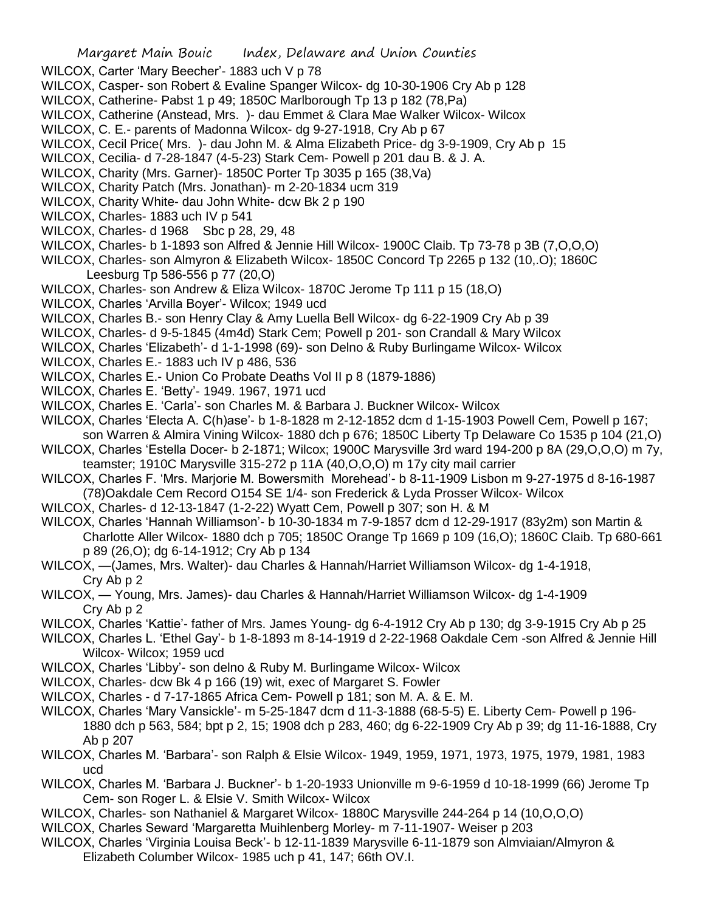- WILCOX, Carter 'Mary Beecher'- 1883 uch V p 78
- WILCOX, Casper- son Robert & Evaline Spanger Wilcox- dg 10-30-1906 Cry Ab p 128
- WILCOX, Catherine- Pabst 1 p 49; 1850C Marlborough Tp 13 p 182 (78,Pa)
- WILCOX, Catherine (Anstead, Mrs. )- dau Emmet & Clara Mae Walker Wilcox- Wilcox
- WILCOX, C. E.- parents of Madonna Wilcox- dg 9-27-1918, Cry Ab p 67
- WILCOX, Cecil Price( Mrs. )- dau John M. & Alma Elizabeth Price- dg 3-9-1909, Cry Ab p 15
- WILCOX, Cecilia- d 7-28-1847 (4-5-23) Stark Cem- Powell p 201 dau B. & J. A.
- WILCOX, Charity (Mrs. Garner)- 1850C Porter Tp 3035 p 165 (38,Va)
- WILCOX, Charity Patch (Mrs. Jonathan)- m 2-20-1834 ucm 319
- WILCOX, Charity White- dau John White- dcw Bk 2 p 190
- WILCOX, Charles- 1883 uch IV p 541
- WILCOX, Charles- d 1968 Sbc p 28, 29, 48
- WILCOX, Charles- b 1-1893 son Alfred & Jennie Hill Wilcox- 1900C Claib. Tp 73-78 p 3B (7,O,O,O)
- WILCOX, Charles- son Almyron & Elizabeth Wilcox- 1850C Concord Tp 2265 p 132 (10,.O); 1860C Leesburg Tp 586-556 p 77 (20,O)
- WILCOX, Charles- son Andrew & Eliza Wilcox- 1870C Jerome Tp 111 p 15 (18,O)
- WILCOX, Charles 'Arvilla Boyer'- Wilcox; 1949 ucd
- WILCOX, Charles B.- son Henry Clay & Amy Luella Bell Wilcox- dg 6-22-1909 Cry Ab p 39
- WILCOX, Charles- d 9-5-1845 (4m4d) Stark Cem; Powell p 201- son Crandall & Mary Wilcox
- WILCOX, Charles 'Elizabeth'- d 1-1-1998 (69)- son Delno & Ruby Burlingame Wilcox- Wilcox
- WILCOX, Charles E.- 1883 uch IV p 486, 536
- WILCOX, Charles E.- Union Co Probate Deaths Vol II p 8 (1879-1886)
- WILCOX, Charles E. 'Betty'- 1949. 1967, 1971 ucd
- WILCOX, Charles E. 'Carla'- son Charles M. & Barbara J. Buckner Wilcox- Wilcox
- WILCOX, Charles 'Electa A. C(h)ase'- b 1-8-1828 m 2-12-1852 dcm d 1-15-1903 Powell Cem, Powell p 167; son Warren & Almira Vining Wilcox- 1880 dch p 676; 1850C Liberty Tp Delaware Co 1535 p 104 (21,O)
- WILCOX, Charles 'Estella Docer- b 2-1871; Wilcox; 1900C Marysville 3rd ward 194-200 p 8A (29,O,O,O) m 7y, teamster; 1910C Marysville 315-272 p 11A (40,O,O,O) m 17y city mail carrier
- WILCOX, Charles F. 'Mrs. Marjorie M. Bowersmith Morehead'- b 8-11-1909 Lisbon m 9-27-1975 d 8-16-1987 (78)Oakdale Cem Record O154 SE 1/4- son Frederick & Lyda Prosser Wilcox- Wilcox
- WILCOX, Charles- d 12-13-1847 (1-2-22) Wyatt Cem, Powell p 307; son H. & M
- WILCOX, Charles 'Hannah Williamson'- b 10-30-1834 m 7-9-1857 dcm d 12-29-1917 (83y2m) son Martin & Charlotte Aller Wilcox- 1880 dch p 705; 1850C Orange Tp 1669 p 109 (16,O); 1860C Claib. Tp 680-661 p 89 (26,O); dg 6-14-1912; Cry Ab p 134
- WILCOX, —(James, Mrs. Walter)- dau Charles & Hannah/Harriet Williamson Wilcox- dg 1-4-1918, Cry Ab p 2
- WILCOX, Young, Mrs. James)- dau Charles & Hannah/Harriet Williamson Wilcox- dg 1-4-1909 Cry Ab p 2
- WILCOX, Charles 'Kattie'- father of Mrs. James Young- dg 6-4-1912 Cry Ab p 130; dg 3-9-1915 Cry Ab p 25
- WILCOX, Charles L. 'Ethel Gay'- b 1-8-1893 m 8-14-1919 d 2-22-1968 Oakdale Cem -son Alfred & Jennie Hill Wilcox- Wilcox; 1959 ucd
- WILCOX, Charles 'Libby'- son delno & Ruby M. Burlingame Wilcox- Wilcox
- WILCOX, Charles- dcw Bk 4 p 166 (19) wit, exec of Margaret S. Fowler
- WILCOX, Charles d 7-17-1865 Africa Cem- Powell p 181; son M. A. & E. M.
- WILCOX, Charles 'Mary Vansickle'- m 5-25-1847 dcm d 11-3-1888 (68-5-5) E. Liberty Cem- Powell p 196- 1880 dch p 563, 584; bpt p 2, 15; 1908 dch p 283, 460; dg 6-22-1909 Cry Ab p 39; dg 11-16-1888, Cry Ab p 207
- WILCOX, Charles M. 'Barbara'- son Ralph & Elsie Wilcox- 1949, 1959, 1971, 1973, 1975, 1979, 1981, 1983 ucd
- WILCOX, Charles M. 'Barbara J. Buckner'- b 1-20-1933 Unionville m 9-6-1959 d 10-18-1999 (66) Jerome Tp Cem- son Roger L. & Elsie V. Smith Wilcox- Wilcox
- WILCOX, Charles- son Nathaniel & Margaret Wilcox- 1880C Marysville 244-264 p 14 (10,O,O,O)
- WILCOX, Charles Seward 'Margaretta Muihlenberg Morley- m 7-11-1907- Weiser p 203
- WILCOX, Charles 'Virginia Louisa Beck'- b 12-11-1839 Marysville 6-11-1879 son Almviaian/Almyron & Elizabeth Columber Wilcox- 1985 uch p 41, 147; 66th OV.I.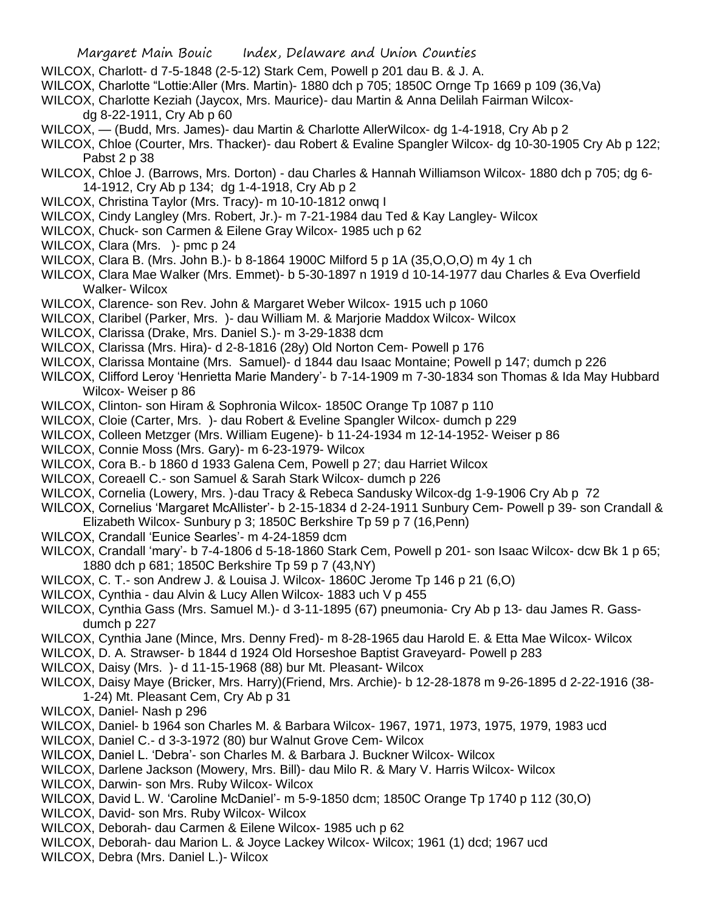- WILCOX, Charlott- d 7-5-1848 (2-5-12) Stark Cem, Powell p 201 dau B. & J. A.
- WILCOX, Charlotte "Lottie:Aller (Mrs. Martin)- 1880 dch p 705; 1850C Ornge Tp 1669 p 109 (36,Va)
- WILCOX, Charlotte Keziah (Jaycox, Mrs. Maurice)- dau Martin & Anna Delilah Fairman Wilcox
	- dg 8-22-1911, Cry Ab p 60
- WILCOX, (Budd, Mrs. James)- dau Martin & Charlotte AllerWilcox- dg 1-4-1918, Cry Ab p 2
- WILCOX, Chloe (Courter, Mrs. Thacker)- dau Robert & Evaline Spangler Wilcox- dg 10-30-1905 Cry Ab p 122; Pabst 2 p 38
- WILCOX, Chloe J. (Barrows, Mrs. Dorton) dau Charles & Hannah Williamson Wilcox- 1880 dch p 705; dg 6- 14-1912, Cry Ab p 134; dg 1-4-1918, Cry Ab p 2
- WILCOX, Christina Taylor (Mrs. Tracy)- m 10-10-1812 onwq I
- WILCOX, Cindy Langley (Mrs. Robert, Jr.)- m 7-21-1984 dau Ted & Kay Langley- Wilcox
- WILCOX, Chuck- son Carmen & Eilene Gray Wilcox- 1985 uch p 62
- WILCOX, Clara (Mrs. )- pmc p 24
- WILCOX, Clara B. (Mrs. John B.)- b 8-1864 1900C Milford 5 p 1A (35,O,O,O) m 4y 1 ch
- WILCOX, Clara Mae Walker (Mrs. Emmet)- b 5-30-1897 n 1919 d 10-14-1977 dau Charles & Eva Overfield Walker- Wilcox
- WILCOX, Clarence- son Rev. John & Margaret Weber Wilcox- 1915 uch p 1060
- WILCOX, Claribel (Parker, Mrs. )- dau William M. & Marjorie Maddox Wilcox- Wilcox
- WILCOX, Clarissa (Drake, Mrs. Daniel S.)- m 3-29-1838 dcm
- WILCOX, Clarissa (Mrs. Hira)- d 2-8-1816 (28y) Old Norton Cem- Powell p 176
- WILCOX, Clarissa Montaine (Mrs. Samuel)- d 1844 dau Isaac Montaine; Powell p 147; dumch p 226
- WILCOX, Clifford Leroy 'Henrietta Marie Mandery'- b 7-14-1909 m 7-30-1834 son Thomas & Ida May Hubbard Wilcox- Weiser p 86
- WILCOX, Clinton- son Hiram & Sophronia Wilcox- 1850C Orange Tp 1087 p 110
- WILCOX, Cloie (Carter, Mrs. )- dau Robert & Eveline Spangler Wilcox- dumch p 229
- WILCOX, Colleen Metzger (Mrs. William Eugene)- b 11-24-1934 m 12-14-1952- Weiser p 86
- WILCOX, Connie Moss (Mrs. Gary)- m 6-23-1979- Wilcox
- WILCOX, Cora B.- b 1860 d 1933 Galena Cem, Powell p 27; dau Harriet Wilcox
- WILCOX, Coreaell C.- son Samuel & Sarah Stark Wilcox- dumch p 226
- WILCOX, Cornelia (Lowery, Mrs. )-dau Tracy & Rebeca Sandusky Wilcox-dg 1-9-1906 Cry Ab p 72
- WILCOX, Cornelius 'Margaret McAllister'- b 2-15-1834 d 2-24-1911 Sunbury Cem- Powell p 39- son Crandall & Elizabeth Wilcox- Sunbury p 3; 1850C Berkshire Tp 59 p 7 (16,Penn)
- WILCOX, Crandall 'Eunice Searles'- m 4-24-1859 dcm
- WILCOX, Crandall 'mary'- b 7-4-1806 d 5-18-1860 Stark Cem, Powell p 201- son Isaac Wilcox- dcw Bk 1 p 65; 1880 dch p 681; 1850C Berkshire Tp 59 p 7 (43,NY)
- WILCOX, C. T.- son Andrew J. & Louisa J. Wilcox- 1860C Jerome Tp 146 p 21 (6,O)
- WILCOX, Cynthia dau Alvin & Lucy Allen Wilcox- 1883 uch V p 455
- WILCOX, Cynthia Gass (Mrs. Samuel M.)- d 3-11-1895 (67) pneumonia- Cry Ab p 13- dau James R. Gassdumch p 227
- WILCOX, Cynthia Jane (Mince, Mrs. Denny Fred)- m 8-28-1965 dau Harold E. & Etta Mae Wilcox- Wilcox
- WILCOX, D. A. Strawser- b 1844 d 1924 Old Horseshoe Baptist Graveyard- Powell p 283
- WILCOX, Daisy (Mrs. )- d 11-15-1968 (88) bur Mt. Pleasant- Wilcox
- WILCOX, Daisy Maye (Bricker, Mrs. Harry)(Friend, Mrs. Archie)- b 12-28-1878 m 9-26-1895 d 2-22-1916 (38- 1-24) Mt. Pleasant Cem, Cry Ab p 31
- WILCOX, Daniel- Nash p 296
- WILCOX, Daniel- b 1964 son Charles M. & Barbara Wilcox- 1967, 1971, 1973, 1975, 1979, 1983 ucd
- WILCOX, Daniel C.- d 3-3-1972 (80) bur Walnut Grove Cem- Wilcox
- WILCOX, Daniel L. 'Debra'- son Charles M. & Barbara J. Buckner Wilcox- Wilcox
- WILCOX, Darlene Jackson (Mowery, Mrs. Bill)- dau Milo R. & Mary V. Harris Wilcox- Wilcox
- WILCOX, Darwin- son Mrs. Ruby Wilcox- Wilcox
- WILCOX, David L. W. 'Caroline McDaniel'- m 5-9-1850 dcm; 1850C Orange Tp 1740 p 112 (30,O)
- WILCOX, David- son Mrs. Ruby Wilcox- Wilcox
- WILCOX, Deborah- dau Carmen & Eilene Wilcox- 1985 uch p 62
- WILCOX, Deborah- dau Marion L. & Joyce Lackey Wilcox- Wilcox; 1961 (1) dcd; 1967 ucd
- WILCOX, Debra (Mrs. Daniel L.)- Wilcox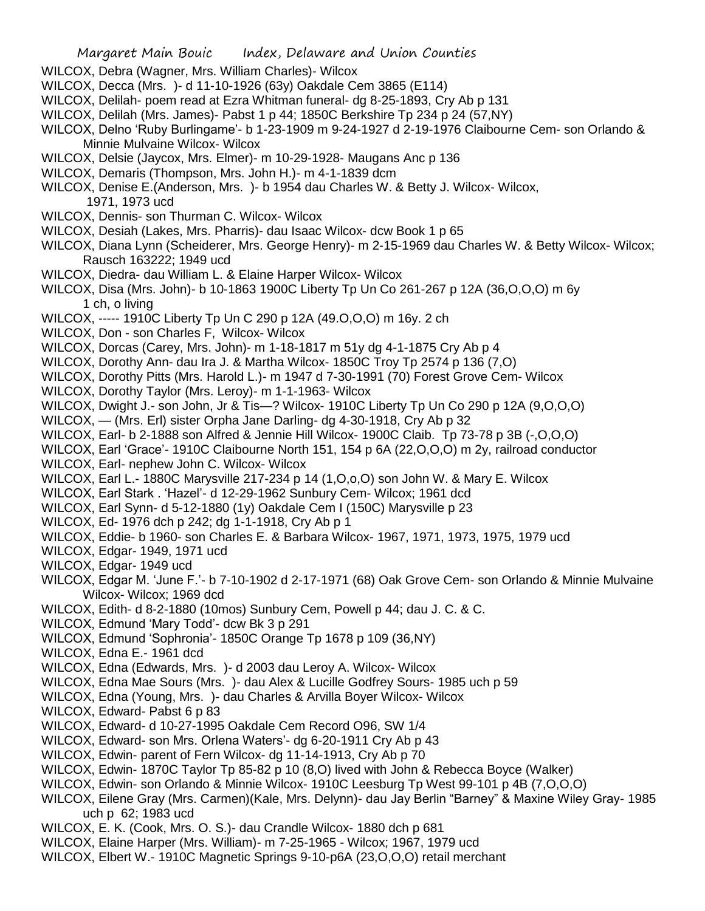- WILCOX, Debra (Wagner, Mrs. William Charles)- Wilcox
- WILCOX, Decca (Mrs. )- d 11-10-1926 (63y) Oakdale Cem 3865 (E114)
- WILCOX, Delilah- poem read at Ezra Whitman funeral- dg 8-25-1893, Cry Ab p 131
- WILCOX, Delilah (Mrs. James)- Pabst 1 p 44; 1850C Berkshire Tp 234 p 24 (57,NY)
- WILCOX, Delno 'Ruby Burlingame'- b 1-23-1909 m 9-24-1927 d 2-19-1976 Claibourne Cem- son Orlando & Minnie Mulvaine Wilcox- Wilcox
- WILCOX, Delsie (Jaycox, Mrs. Elmer)- m 10-29-1928- Maugans Anc p 136
- WILCOX, Demaris (Thompson, Mrs. John H.)- m 4-1-1839 dcm
- WILCOX, Denise E.(Anderson, Mrs. )- b 1954 dau Charles W. & Betty J. Wilcox- Wilcox, 1971, 1973 ucd
- WILCOX, Dennis- son Thurman C. Wilcox- Wilcox
- WILCOX, Desiah (Lakes, Mrs. Pharris)- dau Isaac Wilcox- dcw Book 1 p 65
- WILCOX, Diana Lynn (Scheiderer, Mrs. George Henry)- m 2-15-1969 dau Charles W. & Betty Wilcox- Wilcox; Rausch 163222; 1949 ucd
- WILCOX, Diedra- dau William L. & Elaine Harper Wilcox- Wilcox
- WILCOX, Disa (Mrs. John)- b 10-1863 1900C Liberty Tp Un Co 261-267 p 12A (36,O,O,O) m 6y 1 ch, o living
- WILCOX, ----- 1910C Liberty Tp Un C 290 p 12A (49.O,O,O) m 16y. 2 ch
- WILCOX, Don son Charles F, Wilcox- Wilcox
- WILCOX, Dorcas (Carey, Mrs. John)- m 1-18-1817 m 51y dg 4-1-1875 Cry Ab p 4
- WILCOX, Dorothy Ann- dau Ira J. & Martha Wilcox- 1850C Troy Tp 2574 p 136 (7,O)
- WILCOX, Dorothy Pitts (Mrs. Harold L.)- m 1947 d 7-30-1991 (70) Forest Grove Cem- Wilcox
- WILCOX, Dorothy Taylor (Mrs. Leroy)- m 1-1-1963- Wilcox
- WILCOX, Dwight J.- son John, Jr & Tis—? Wilcox- 1910C Liberty Tp Un Co 290 p 12A (9,O,O,O)
- WILCOX, (Mrs. Erl) sister Orpha Jane Darling- dg 4-30-1918, Cry Ab p 32
- WILCOX, Earl- b 2-1888 son Alfred & Jennie Hill Wilcox- 1900C Claib. Tp 73-78 p 3B (-,O,O,O)
- WILCOX, Earl 'Grace'- 1910C Claibourne North 151, 154 p 6A (22,O,O,O) m 2y, railroad conductor
- WILCOX, Earl- nephew John C. Wilcox- Wilcox
- WILCOX, Earl L.- 1880C Marysville 217-234 p 14 (1,O,o,O) son John W. & Mary E. Wilcox
- WILCOX, Earl Stark . 'Hazel'- d 12-29-1962 Sunbury Cem- Wilcox; 1961 dcd
- WILCOX, Earl Synn- d 5-12-1880 (1y) Oakdale Cem I (150C) Marysville p 23
- WILCOX, Ed- 1976 dch p 242; dg 1-1-1918, Cry Ab p 1
- WILCOX, Eddie- b 1960- son Charles E. & Barbara Wilcox- 1967, 1971, 1973, 1975, 1979 ucd
- WILCOX, Edgar- 1949, 1971 ucd
- WILCOX, Edgar- 1949 ucd
- WILCOX, Edgar M. 'June F.'- b 7-10-1902 d 2-17-1971 (68) Oak Grove Cem- son Orlando & Minnie Mulvaine Wilcox- Wilcox; 1969 dcd
- WILCOX, Edith- d 8-2-1880 (10mos) Sunbury Cem, Powell p 44; dau J. C. & C.
- WILCOX, Edmund 'Mary Todd'- dcw Bk 3 p 291
- WILCOX, Edmund 'Sophronia'- 1850C Orange Tp 1678 p 109 (36,NY)
- WILCOX, Edna E.- 1961 dcd
- WILCOX, Edna (Edwards, Mrs. )- d 2003 dau Leroy A. Wilcox- Wilcox
- WILCOX, Edna Mae Sours (Mrs. )- dau Alex & Lucille Godfrey Sours- 1985 uch p 59
- WILCOX, Edna (Young, Mrs. )- dau Charles & Arvilla Boyer Wilcox- Wilcox
- WILCOX, Edward- Pabst 6 p 83
- WILCOX, Edward- d 10-27-1995 Oakdale Cem Record O96, SW 1/4
- WILCOX, Edward- son Mrs. Orlena Waters'- dg 6-20-1911 Cry Ab p 43
- WILCOX, Edwin- parent of Fern Wilcox- dg 11-14-1913, Cry Ab p 70
- WILCOX, Edwin- 1870C Taylor Tp 85-82 p 10 (8,O) lived with John & Rebecca Boyce (Walker)
- WILCOX, Edwin- son Orlando & Minnie Wilcox- 1910C Leesburg Tp West 99-101 p 4B (7,O,O,O)
- WILCOX, Eilene Gray (Mrs. Carmen)(Kale, Mrs. Delynn)- dau Jay Berlin "Barney" & Maxine Wiley Gray- 1985 uch p 62; 1983 ucd
- WILCOX, E. K. (Cook, Mrs. O. S.)- dau Crandle Wilcox- 1880 dch p 681
- WILCOX, Elaine Harper (Mrs. William)- m 7-25-1965 Wilcox; 1967, 1979 ucd
- WILCOX, Elbert W.- 1910C Magnetic Springs 9-10-p6A (23,O,O,O) retail merchant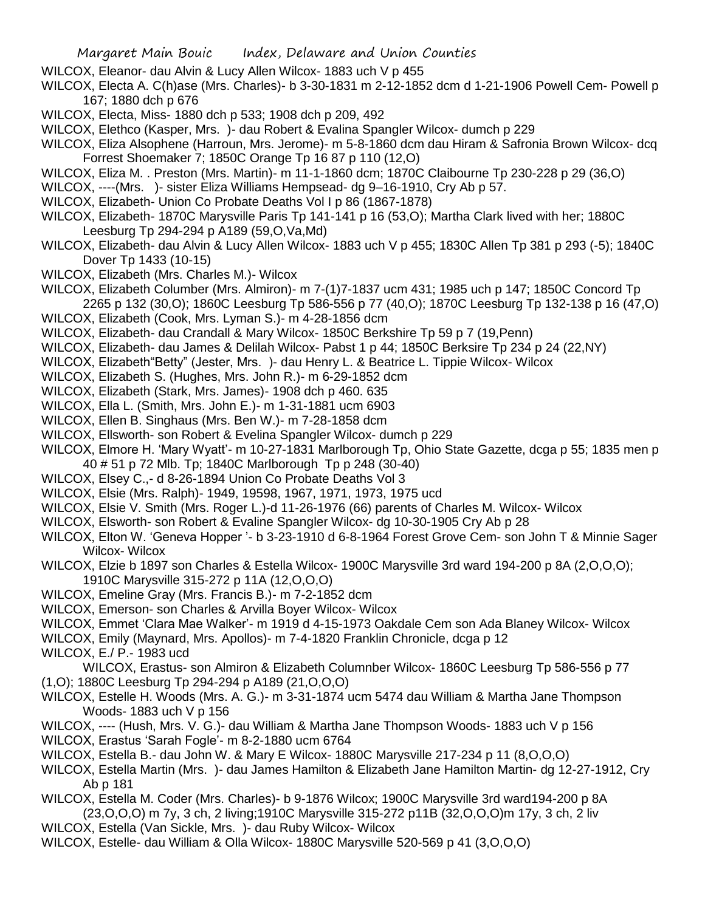- WILCOX, Eleanor- dau Alvin & Lucy Allen Wilcox- 1883 uch V p 455
- WILCOX, Electa A. C(h)ase (Mrs. Charles)- b 3-30-1831 m 2-12-1852 dcm d 1-21-1906 Powell Cem- Powell p 167; 1880 dch p 676
- WILCOX, Electa, Miss- 1880 dch p 533; 1908 dch p 209, 492
- WILCOX, Elethco (Kasper, Mrs. )- dau Robert & Evalina Spangler Wilcox- dumch p 229
- WILCOX, Eliza Alsophene (Harroun, Mrs. Jerome)- m 5-8-1860 dcm dau Hiram & Safronia Brown Wilcox- dcq Forrest Shoemaker 7; 1850C Orange Tp 16 87 p 110 (12,O)
- WILCOX, Eliza M. . Preston (Mrs. Martin)- m 11-1-1860 dcm; 1870C Claibourne Tp 230-228 p 29 (36,O)
- WILCOX, ----(Mrs. )- sister Eliza Williams Hempsead- dg 9–16-1910, Cry Ab p 57.
- WILCOX, Elizabeth- Union Co Probate Deaths Vol I p 86 (1867-1878)
- WILCOX, Elizabeth- 1870C Marysville Paris Tp 141-141 p 16 (53,O); Martha Clark lived with her; 1880C Leesburg Tp 294-294 p A189 (59,O,Va,Md)
- WILCOX, Elizabeth- dau Alvin & Lucy Allen Wilcox- 1883 uch V p 455; 1830C Allen Tp 381 p 293 (-5); 1840C Dover Tp 1433 (10-15)
- WILCOX, Elizabeth (Mrs. Charles M.)- Wilcox
- WILCOX, Elizabeth Columber (Mrs. Almiron)- m 7-(1)7-1837 ucm 431; 1985 uch p 147; 1850C Concord Tp 2265 p 132 (30,O); 1860C Leesburg Tp 586-556 p 77 (40,O); 1870C Leesburg Tp 132-138 p 16 (47,O)
- WILCOX, Elizabeth (Cook, Mrs. Lyman S.)- m 4-28-1856 dcm
- WILCOX, Elizabeth- dau Crandall & Mary Wilcox- 1850C Berkshire Tp 59 p 7 (19,Penn)
- WILCOX, Elizabeth- dau James & Delilah Wilcox- Pabst 1 p 44; 1850C Berksire Tp 234 p 24 (22,NY)
- WILCOX, Elizabeth"Betty" (Jester, Mrs. )- dau Henry L. & Beatrice L. Tippie Wilcox- Wilcox
- WILCOX, Elizabeth S. (Hughes, Mrs. John R.)- m 6-29-1852 dcm
- WILCOX, Elizabeth (Stark, Mrs. James)- 1908 dch p 460. 635
- WILCOX, Ella L. (Smith, Mrs. John E.)- m 1-31-1881 ucm 6903
- WILCOX, Ellen B. Singhaus (Mrs. Ben W.)- m 7-28-1858 dcm
- WILCOX, Ellsworth- son Robert & Evelina Spangler Wilcox- dumch p 229
- WILCOX, Elmore H. 'Mary Wyatt'- m 10-27-1831 Marlborough Tp, Ohio State Gazette, dcga p 55; 1835 men p 40 # 51 p 72 Mlb. Tp; 1840C Marlborough Tp p 248 (30-40)
- WILCOX, Elsey C.,- d 8-26-1894 Union Co Probate Deaths Vol 3
- WILCOX, Elsie (Mrs. Ralph)- 1949, 19598, 1967, 1971, 1973, 1975 ucd
- WILCOX, Elsie V. Smith (Mrs. Roger L.)-d 11-26-1976 (66) parents of Charles M. Wilcox- Wilcox
- WILCOX, Elsworth- son Robert & Evaline Spangler Wilcox- dg 10-30-1905 Cry Ab p 28
- WILCOX, Elton W. 'Geneva Hopper '- b 3-23-1910 d 6-8-1964 Forest Grove Cem- son John T & Minnie Sager Wilcox- Wilcox
- WILCOX, Elzie b 1897 son Charles & Estella Wilcox- 1900C Marysville 3rd ward 194-200 p 8A (2,O,O,O); 1910C Marysville 315-272 p 11A (12,O,O,O)
- WILCOX, Emeline Gray (Mrs. Francis B.)- m 7-2-1852 dcm
- WILCOX, Emerson- son Charles & Arvilla Boyer Wilcox- Wilcox
- WILCOX, Emmet 'Clara Mae Walker'- m 1919 d 4-15-1973 Oakdale Cem son Ada Blaney Wilcox- Wilcox
- WILCOX, Emily (Maynard, Mrs. Apollos)- m 7-4-1820 Franklin Chronicle, dcga p 12

WILCOX, E./ P.- 1983 ucd

WILCOX, Erastus- son Almiron & Elizabeth Columnber Wilcox- 1860C Leesburg Tp 586-556 p 77 (1,O); 1880C Leesburg Tp 294-294 p A189 (21,O,O,O)

- WILCOX, Estelle H. Woods (Mrs. A. G.)- m 3-31-1874 ucm 5474 dau William & Martha Jane Thompson Woods- 1883 uch V p 156
- WILCOX, ---- (Hush, Mrs. V. G.)- dau William & Martha Jane Thompson Woods- 1883 uch V p 156 WILCOX, Erastus 'Sarah Fogle'- m 8-2-1880 ucm 6764
- WILCOX, Estella B.- dau John W. & Mary E Wilcox- 1880C Marysville 217-234 p 11 (8,O,O,O)
- WILCOX, Estella Martin (Mrs. )- dau James Hamilton & Elizabeth Jane Hamilton Martin- dg 12-27-1912, Cry Ab p 181
- WILCOX, Estella M. Coder (Mrs. Charles)- b 9-1876 Wilcox; 1900C Marysville 3rd ward194-200 p 8A (23,O,O,O) m 7y, 3 ch, 2 living;1910C Marysville 315-272 p11B (32,O,O,O)m 17y, 3 ch, 2 liv
- WILCOX, Estella (Van Sickle, Mrs. )- dau Ruby Wilcox- Wilcox
- WILCOX, Estelle- dau William & Olla Wilcox- 1880C Marysville 520-569 p 41 (3,O,O,O)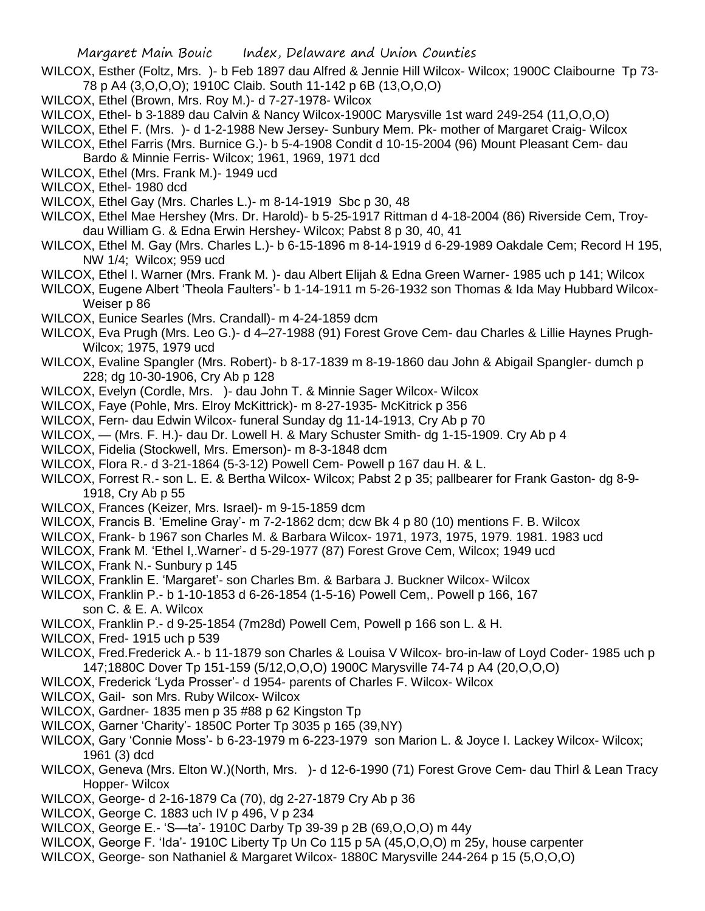- WILCOX, Esther (Foltz, Mrs. )- b Feb 1897 dau Alfred & Jennie Hill Wilcox- Wilcox; 1900C Claibourne Tp 73- 78 p A4 (3,O,O,O); 1910C Claib. South 11-142 p 6B (13,O,O,O)
- WILCOX, Ethel (Brown, Mrs. Roy M.)- d 7-27-1978- Wilcox
- WILCOX, Ethel- b 3-1889 dau Calvin & Nancy Wilcox-1900C Marysville 1st ward 249-254 (11,O,O,O)
- WILCOX, Ethel F. (Mrs. )- d 1-2-1988 New Jersey- Sunbury Mem. Pk- mother of Margaret Craig- Wilcox

WILCOX, Ethel Farris (Mrs. Burnice G.)- b 5-4-1908 Condit d 10-15-2004 (96) Mount Pleasant Cem- dau

- Bardo & Minnie Ferris- Wilcox; 1961, 1969, 1971 dcd
- WILCOX, Ethel (Mrs. Frank M.)- 1949 ucd
- WILCOX, Ethel- 1980 dcd
- WILCOX, Ethel Gay (Mrs. Charles L.)- m 8-14-1919 Sbc p 30, 48
- WILCOX, Ethel Mae Hershey (Mrs. Dr. Harold)- b 5-25-1917 Rittman d 4-18-2004 (86) Riverside Cem, Troydau William G. & Edna Erwin Hershey- Wilcox; Pabst 8 p 30, 40, 41
- WILCOX, Ethel M. Gay (Mrs. Charles L.)- b 6-15-1896 m 8-14-1919 d 6-29-1989 Oakdale Cem; Record H 195, NW 1/4; Wilcox; 959 ucd
- WILCOX, Ethel I. Warner (Mrs. Frank M. )- dau Albert Elijah & Edna Green Warner- 1985 uch p 141; Wilcox
- WILCOX, Eugene Albert 'Theola Faulters'- b 1-14-1911 m 5-26-1932 son Thomas & Ida May Hubbard Wilcox-Weiser p 86
- WILCOX, Eunice Searles (Mrs. Crandall)- m 4-24-1859 dcm
- WILCOX, Eva Prugh (Mrs. Leo G.)- d 4–27-1988 (91) Forest Grove Cem- dau Charles & Lillie Haynes Prugh-Wilcox; 1975, 1979 ucd
- WILCOX, Evaline Spangler (Mrs. Robert)- b 8-17-1839 m 8-19-1860 dau John & Abigail Spangler- dumch p 228; dg 10-30-1906, Cry Ab p 128
- WILCOX, Evelyn (Cordle, Mrs. )- dau John T. & Minnie Sager Wilcox- Wilcox
- WILCOX, Faye (Pohle, Mrs. Elroy McKittrick)- m 8-27-1935- McKitrick p 356
- WILCOX, Fern- dau Edwin Wilcox- funeral Sunday dg 11-14-1913, Cry Ab p 70
- WILCOX, (Mrs. F. H.)- dau Dr. Lowell H. & Mary Schuster Smith- dg 1-15-1909. Cry Ab p 4
- WILCOX, Fidelia (Stockwell, Mrs. Emerson)- m 8-3-1848 dcm
- WILCOX, Flora R.- d 3-21-1864 (5-3-12) Powell Cem- Powell p 167 dau H. & L.
- WILCOX, Forrest R.- son L. E. & Bertha Wilcox- Wilcox; Pabst 2 p 35; pallbearer for Frank Gaston- dg 8-9- 1918, Cry Ab p 55
- WILCOX, Frances (Keizer, Mrs. Israel)- m 9-15-1859 dcm
- WILCOX, Francis B. 'Emeline Gray'- m 7-2-1862 dcm; dcw Bk 4 p 80 (10) mentions F. B. Wilcox
- WILCOX, Frank- b 1967 son Charles M. & Barbara Wilcox- 1971, 1973, 1975, 1979. 1981. 1983 ucd
- WILCOX, Frank M. 'Ethel I,.Warner'- d 5-29-1977 (87) Forest Grove Cem, Wilcox; 1949 ucd
- WILCOX, Frank N.- Sunbury p 145
- WILCOX, Franklin E. 'Margaret'- son Charles Bm. & Barbara J. Buckner Wilcox- Wilcox
- WILCOX, Franklin P.- b 1-10-1853 d 6-26-1854 (1-5-16) Powell Cem,. Powell p 166, 167
- son C. & E. A. Wilcox
- WILCOX, Franklin P.- d 9-25-1854 (7m28d) Powell Cem, Powell p 166 son L. & H.
- WILCOX, Fred- 1915 uch p 539
- WILCOX, Fred.Frederick A.- b 11-1879 son Charles & Louisa V Wilcox- bro-in-law of Loyd Coder- 1985 uch p 147;1880C Dover Tp 151-159 (5/12,O,O,O) 1900C Marysville 74-74 p A4 (20,O,O,O)
- WILCOX, Frederick 'Lyda Prosser'- d 1954- parents of Charles F. Wilcox- Wilcox
- WILCOX, Gail- son Mrs. Ruby Wilcox- Wilcox
- WILCOX, Gardner- 1835 men p 35 #88 p 62 Kingston Tp
- WILCOX, Garner 'Charity'- 1850C Porter Tp 3035 p 165 (39,NY)
- WILCOX, Gary 'Connie Moss'- b 6-23-1979 m 6-223-1979 son Marion L. & Joyce I. Lackey Wilcox- Wilcox; 1961 (3) dcd
- WILCOX, Geneva (Mrs. Elton W.)(North, Mrs. )- d 12-6-1990 (71) Forest Grove Cem- dau Thirl & Lean Tracy Hopper- Wilcox
- WILCOX, George- d 2-16-1879 Ca (70), dg 2-27-1879 Cry Ab p 36
- WILCOX, George C. 1883 uch IV p 496, V p 234
- WILCOX, George E.- 'S—ta'- 1910C Darby Tp 39-39 p 2B (69,O,O,O) m 44y
- WILCOX, George F. 'Ida'- 1910C Liberty Tp Un Co 115 p 5A (45,O,O,O) m 25y, house carpenter
- WILCOX, George- son Nathaniel & Margaret Wilcox- 1880C Marysville 244-264 p 15 (5,O,O,O)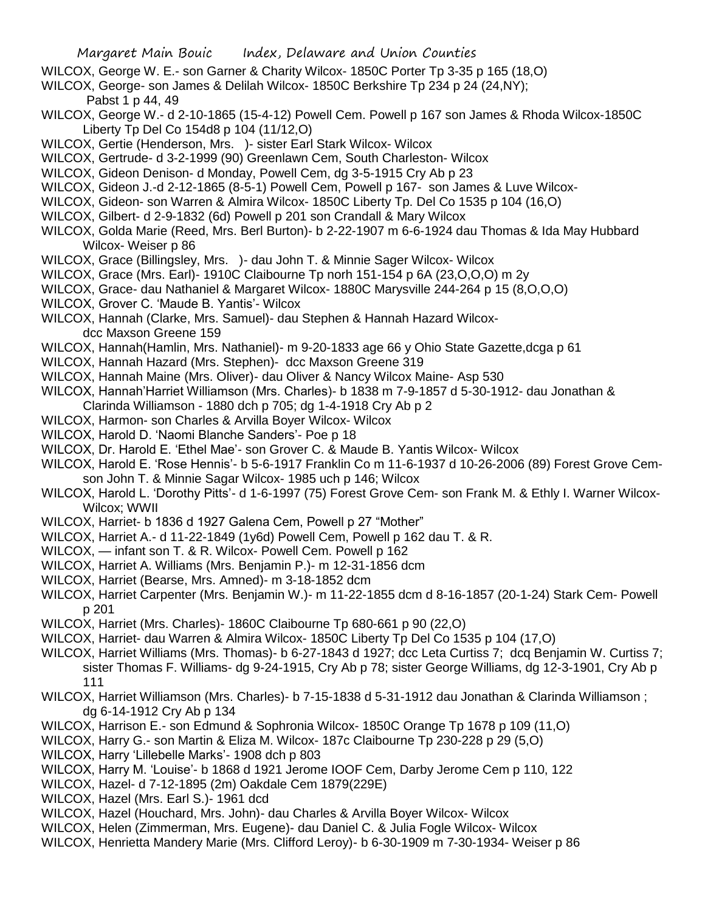- WILCOX, George W. E.- son Garner & Charity Wilcox- 1850C Porter Tp 3-35 p 165 (18,O)
- WILCOX, George- son James & Delilah Wilcox- 1850C Berkshire Tp 234 p 24 (24,NY);

Pabst 1 p 44, 49

- WILCOX, George W.- d 2-10-1865 (15-4-12) Powell Cem. Powell p 167 son James & Rhoda Wilcox-1850C Liberty Tp Del Co 154d8 p 104 (11/12,O)
- WILCOX, Gertie (Henderson, Mrs. )- sister Earl Stark Wilcox- Wilcox
- WILCOX, Gertrude- d 3-2-1999 (90) Greenlawn Cem, South Charleston- Wilcox
- WILCOX, Gideon Denison- d Monday, Powell Cem, dg 3-5-1915 Cry Ab p 23
- WILCOX, Gideon J.-d 2-12-1865 (8-5-1) Powell Cem, Powell p 167- son James & Luve Wilcox-
- WILCOX, Gideon- son Warren & Almira Wilcox- 1850C Liberty Tp. Del Co 1535 p 104 (16,O)
- WILCOX, Gilbert- d 2-9-1832 (6d) Powell p 201 son Crandall & Mary Wilcox
- WILCOX, Golda Marie (Reed, Mrs. Berl Burton)- b 2-22-1907 m 6-6-1924 dau Thomas & Ida May Hubbard Wilcox- Weiser p 86
- WILCOX, Grace (Billingsley, Mrs. )- dau John T. & Minnie Sager Wilcox- Wilcox
- WILCOX, Grace (Mrs. Earl)- 1910C Claibourne Tp norh 151-154 p 6A (23,O,O,O) m 2y
- WILCOX, Grace- dau Nathaniel & Margaret Wilcox- 1880C Marysville 244-264 p 15 (8,O,O,O)
- WILCOX, Grover C. 'Maude B. Yantis'- Wilcox
- WILCOX, Hannah (Clarke, Mrs. Samuel)- dau Stephen & Hannah Hazard Wilcoxdcc Maxson Greene 159
- WILCOX, Hannah(Hamlin, Mrs. Nathaniel)- m 9-20-1833 age 66 y Ohio State Gazette,dcga p 61
- WILCOX, Hannah Hazard (Mrs. Stephen)- dcc Maxson Greene 319
- WILCOX, Hannah Maine (Mrs. Oliver)- dau Oliver & Nancy Wilcox Maine- Asp 530
- WILCOX, Hannah'Harriet Williamson (Mrs. Charles)- b 1838 m 7-9-1857 d 5-30-1912- dau Jonathan & Clarinda Williamson - 1880 dch p 705; dg 1-4-1918 Cry Ab p 2
- WILCOX, Harmon- son Charles & Arvilla Boyer Wilcox- Wilcox
- WILCOX, Harold D. 'Naomi Blanche Sanders'- Poe p 18
- WILCOX, Dr. Harold E. 'Ethel Mae'- son Grover C. & Maude B. Yantis Wilcox- Wilcox
- WILCOX, Harold E. 'Rose Hennis'- b 5-6-1917 Franklin Co m 11-6-1937 d 10-26-2006 (89) Forest Grove Cemson John T. & Minnie Sagar Wilcox- 1985 uch p 146; Wilcox
- WILCOX, Harold L. 'Dorothy Pitts'- d 1-6-1997 (75) Forest Grove Cem- son Frank M. & Ethly I. Warner Wilcox-Wilcox; WWII
- WILCOX, Harriet- b 1836 d 1927 Galena Cem, Powell p 27 "Mother"
- WILCOX, Harriet A.- d 11-22-1849 (1y6d) Powell Cem, Powell p 162 dau T. & R.
- WILCOX, infant son T. & R. Wilcox- Powell Cem. Powell p 162
- WILCOX, Harriet A. Williams (Mrs. Benjamin P.)- m 12-31-1856 dcm
- WILCOX, Harriet (Bearse, Mrs. Amned)- m 3-18-1852 dcm
- WILCOX, Harriet Carpenter (Mrs. Benjamin W.)- m 11-22-1855 dcm d 8-16-1857 (20-1-24) Stark Cem- Powell p 201
- WILCOX, Harriet (Mrs. Charles)- 1860C Claibourne Tp 680-661 p 90 (22,O)
- WILCOX, Harriet- dau Warren & Almira Wilcox- 1850C Liberty Tp Del Co 1535 p 104 (17,O)
- WILCOX, Harriet Williams (Mrs. Thomas)- b 6-27-1843 d 1927; dcc Leta Curtiss 7; dcq Benjamin W. Curtiss 7; sister Thomas F. Williams- dg 9-24-1915, Cry Ab p 78; sister George Williams, dg 12-3-1901, Cry Ab p 111
- WILCOX, Harriet Williamson (Mrs. Charles)- b 7-15-1838 d 5-31-1912 dau Jonathan & Clarinda Williamson ; dg 6-14-1912 Cry Ab p 134
- WILCOX, Harrison E.- son Edmund & Sophronia Wilcox- 1850C Orange Tp 1678 p 109 (11,O)
- WILCOX, Harry G.- son Martin & Eliza M. Wilcox- 187c Claibourne Tp 230-228 p 29 (5,O)
- WILCOX, Harry 'Lillebelle Marks'- 1908 dch p 803
- WILCOX, Harry M. 'Louise'- b 1868 d 1921 Jerome IOOF Cem, Darby Jerome Cem p 110, 122
- WILCOX, Hazel- d 7-12-1895 (2m) Oakdale Cem 1879(229E)
- WILCOX, Hazel (Mrs. Earl S.)- 1961 dcd
- WILCOX, Hazel (Houchard, Mrs. John)- dau Charles & Arvilla Boyer Wilcox- Wilcox
- WILCOX, Helen (Zimmerman, Mrs. Eugene)- dau Daniel C. & Julia Fogle Wilcox- Wilcox
- WILCOX, Henrietta Mandery Marie (Mrs. Clifford Leroy)- b 6-30-1909 m 7-30-1934- Weiser p 86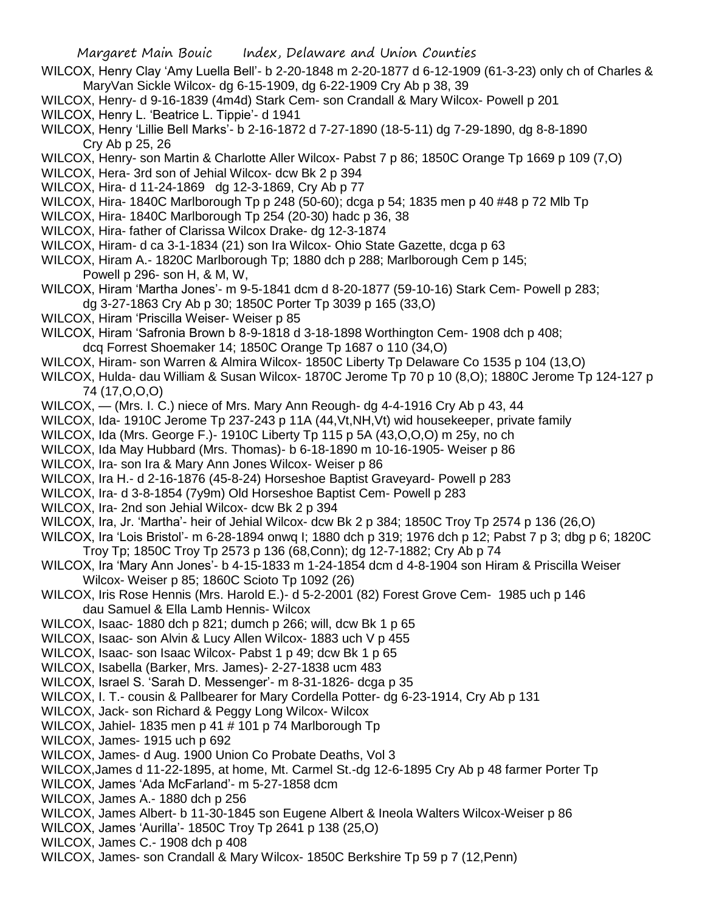- WILCOX, Henry Clay 'Amy Luella Bell'- b 2-20-1848 m 2-20-1877 d 6-12-1909 (61-3-23) only ch of Charles & MaryVan Sickle Wilcox- dg 6-15-1909, dg 6-22-1909 Cry Ab p 38, 39
- WILCOX, Henry- d 9-16-1839 (4m4d) Stark Cem- son Crandall & Mary Wilcox- Powell p 201 WILCOX, Henry L. 'Beatrice L. Tippie'- d 1941
- WILCOX, Henry 'Lillie Bell Marks'- b 2-16-1872 d 7-27-1890 (18-5-11) dg 7-29-1890, dg 8-8-1890 Cry Ab p 25, 26
- WILCOX, Henry- son Martin & Charlotte Aller Wilcox- Pabst 7 p 86; 1850C Orange Tp 1669 p 109 (7,O)
- WILCOX, Hera- 3rd son of Jehial Wilcox- dcw Bk 2 p 394
- WILCOX, Hira- d 11-24-1869 dg 12-3-1869, Cry Ab p 77
- WILCOX, Hira- 1840C Marlborough Tp p 248 (50-60); dcga p 54; 1835 men p 40 #48 p 72 Mlb Tp
- WILCOX, Hira- 1840C Marlborough Tp 254 (20-30) hadc p 36, 38
- WILCOX, Hira- father of Clarissa Wilcox Drake- dg 12-3-1874
- WILCOX, Hiram- d ca 3-1-1834 (21) son Ira Wilcox- Ohio State Gazette, dcga p 63
- WILCOX, Hiram A.- 1820C Marlborough Tp; 1880 dch p 288; Marlborough Cem p 145; Powell p 296- son H, & M, W,
- WILCOX, Hiram 'Martha Jones'- m 9-5-1841 dcm d 8-20-1877 (59-10-16) Stark Cem- Powell p 283; dg 3-27-1863 Cry Ab p 30; 1850C Porter Tp 3039 p 165 (33,O)
- WILCOX, Hiram 'Priscilla Weiser- Weiser p 85
- WILCOX, Hiram 'Safronia Brown b 8-9-1818 d 3-18-1898 Worthington Cem- 1908 dch p 408; dcq Forrest Shoemaker 14; 1850C Orange Tp 1687 o 110 (34,O)
- WILCOX, Hiram- son Warren & Almira Wilcox- 1850C Liberty Tp Delaware Co 1535 p 104 (13,O)
- WILCOX, Hulda- dau William & Susan Wilcox- 1870C Jerome Tp 70 p 10 (8,O); 1880C Jerome Tp 124-127 p 74 (17,O,O,O)
- WILCOX, (Mrs. I. C.) niece of Mrs. Mary Ann Reough- dg 4-4-1916 Cry Ab p 43, 44
- WILCOX, Ida- 1910C Jerome Tp 237-243 p 11A (44, Vt, NH, Vt) wid housekeeper, private family
- WILCOX, Ida (Mrs. George F.)- 1910C Liberty Tp 115 p 5A (43,O,O,O) m 25y, no ch
- WILCOX, Ida May Hubbard (Mrs. Thomas)- b 6-18-1890 m 10-16-1905- Weiser p 86
- WILCOX, Ira- son Ira & Mary Ann Jones Wilcox- Weiser p 86
- WILCOX, Ira H.- d 2-16-1876 (45-8-24) Horseshoe Baptist Graveyard- Powell p 283
- WILCOX, Ira- d 3-8-1854 (7y9m) Old Horseshoe Baptist Cem- Powell p 283
- WILCOX, Ira- 2nd son Jehial Wilcox- dcw Bk 2 p 394
- WILCOX, Ira, Jr. 'Martha'- heir of Jehial Wilcox- dcw Bk 2 p 384; 1850C Troy Tp 2574 p 136 (26,O)
- WILCOX, Ira 'Lois Bristol'- m 6-28-1894 onwq I; 1880 dch p 319; 1976 dch p 12; Pabst 7 p 3; dbg p 6; 1820C Troy Tp; 1850C Troy Tp 2573 p 136 (68,Conn); dg 12-7-1882; Cry Ab p 74
- WILCOX, Ira 'Mary Ann Jones'- b 4-15-1833 m 1-24-1854 dcm d 4-8-1904 son Hiram & Priscilla Weiser Wilcox- Weiser p 85; 1860C Scioto Tp 1092 (26)
- WILCOX, Iris Rose Hennis (Mrs. Harold E.)- d 5-2-2001 (82) Forest Grove Cem- 1985 uch p 146 dau Samuel & Ella Lamb Hennis- Wilcox
- WILCOX, Isaac- 1880 dch p 821; dumch p 266; will, dcw Bk 1 p 65
- WILCOX, Isaac- son Alvin & Lucy Allen Wilcox- 1883 uch V p 455
- WILCOX, Isaac- son Isaac Wilcox- Pabst 1 p 49; dcw Bk 1 p 65
- WILCOX, Isabella (Barker, Mrs. James)- 2-27-1838 ucm 483
- WILCOX, Israel S. 'Sarah D. Messenger'- m 8-31-1826- dcga p 35
- WILCOX, I. T.- cousin & Pallbearer for Mary Cordella Potter- dg 6-23-1914, Cry Ab p 131
- WILCOX, Jack- son Richard & Peggy Long Wilcox- Wilcox
- WILCOX, Jahiel- 1835 men p 41 # 101 p 74 Marlborough Tp
- WILCOX, James- 1915 uch p 692
- WILCOX, James- d Aug. 1900 Union Co Probate Deaths, Vol 3
- WILCOX,James d 11-22-1895, at home, Mt. Carmel St.-dg 12-6-1895 Cry Ab p 48 farmer Porter Tp
- WILCOX, James 'Ada McFarland'- m 5-27-1858 dcm
- WILCOX, James A.- 1880 dch p 256
- WILCOX, James Albert- b 11-30-1845 son Eugene Albert & Ineola Walters Wilcox-Weiser p 86
- WILCOX, James 'Aurilla'- 1850C Troy Tp 2641 p 138 (25,O)
- WILCOX, James C.- 1908 dch p 408
- WILCOX, James- son Crandall & Mary Wilcox- 1850C Berkshire Tp 59 p 7 (12,Penn)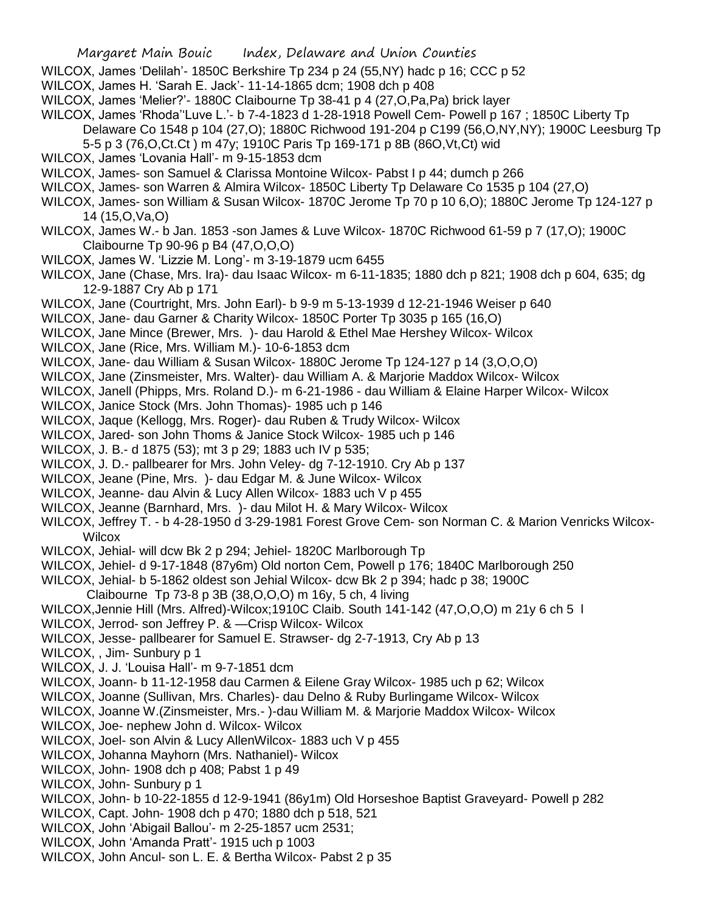- WILCOX, James 'Delilah'- 1850C Berkshire Tp 234 p 24 (55,NY) hadc p 16; CCC p 52
- WILCOX, James H. 'Sarah E. Jack'- 11-14-1865 dcm; 1908 dch p 408
- WILCOX, James 'Melier?'- 1880C Claibourne Tp 38-41 p 4 (27,O,Pa,Pa) brick layer
- WILCOX, James 'Rhoda''Luve L.'- b 7-4-1823 d 1-28-1918 Powell Cem- Powell p 167 ; 1850C Liberty Tp
	- Delaware Co 1548 p 104 (27,O); 1880C Richwood 191-204 p C199 (56,O,NY,NY); 1900C Leesburg Tp
		- 5-5 p 3 (76,O,Ct.Ct ) m 47y; 1910C Paris Tp 169-171 p 8B (86O,Vt,Ct) wid
- WILCOX, James 'Lovania Hall'- m 9-15-1853 dcm
- WILCOX, James- son Samuel & Clarissa Montoine Wilcox- Pabst I p 44; dumch p 266
- WILCOX, James- son Warren & Almira Wilcox- 1850C Liberty Tp Delaware Co 1535 p 104 (27,O)
- WILCOX, James- son William & Susan Wilcox- 1870C Jerome Tp 70 p 10 6,O); 1880C Jerome Tp 124-127 p 14 (15,O,Va,O)
- WILCOX, James W.- b Jan. 1853 -son James & Luve Wilcox- 1870C Richwood 61-59 p 7 (17,O); 1900C Claibourne Tp 90-96 p B4 (47,O,O,O)
- WILCOX, James W. 'Lizzie M. Long'- m 3-19-1879 ucm 6455
- WILCOX, Jane (Chase, Mrs. Ira)- dau Isaac Wilcox- m 6-11-1835; 1880 dch p 821; 1908 dch p 604, 635; dg 12-9-1887 Cry Ab p 171
- WILCOX, Jane (Courtright, Mrs. John Earl)- b 9-9 m 5-13-1939 d 12-21-1946 Weiser p 640
- WILCOX, Jane- dau Garner & Charity Wilcox- 1850C Porter Tp 3035 p 165 (16,O)
- WILCOX, Jane Mince (Brewer, Mrs. )- dau Harold & Ethel Mae Hershey Wilcox- Wilcox
- WILCOX, Jane (Rice, Mrs. William M.)- 10-6-1853 dcm
- WILCOX, Jane- dau William & Susan Wilcox- 1880C Jerome Tp 124-127 p 14 (3,O,O,O)
- WILCOX, Jane (Zinsmeister, Mrs. Walter)- dau William A. & Marjorie Maddox Wilcox- Wilcox
- WILCOX, Janell (Phipps, Mrs. Roland D.)- m 6-21-1986 dau William & Elaine Harper Wilcox- Wilcox
- WILCOX, Janice Stock (Mrs. John Thomas)- 1985 uch p 146
- WILCOX, Jaque (Kellogg, Mrs. Roger)- dau Ruben & Trudy Wilcox- Wilcox
- WILCOX, Jared- son John Thoms & Janice Stock Wilcox- 1985 uch p 146
- WILCOX, J. B.- d 1875 (53); mt 3 p 29; 1883 uch IV p 535;
- WILCOX, J. D.- pallbearer for Mrs. John Veley- dg 7-12-1910. Cry Ab p 137
- WILCOX, Jeane (Pine, Mrs. )- dau Edgar M. & June Wilcox- Wilcox
- WILCOX, Jeanne- dau Alvin & Lucy Allen Wilcox- 1883 uch V p 455
- WILCOX, Jeanne (Barnhard, Mrs. )- dau Milot H. & Mary Wilcox- Wilcox
- WILCOX, Jeffrey T. b 4-28-1950 d 3-29-1981 Forest Grove Cem- son Norman C. & Marion Venricks Wilcox-**Wilcox**
- WILCOX, Jehial- will dcw Bk 2 p 294; Jehiel- 1820C Marlborough Tp
- WILCOX, Jehiel- d 9-17-1848 (87y6m) Old norton Cem, Powell p 176; 1840C Marlborough 250
- WILCOX, Jehial- b 5-1862 oldest son Jehial Wilcox- dcw Bk 2 p 394; hadc p 38; 1900C
- Claibourne Tp 73-8 p 3B (38,O,O,O) m 16y, 5 ch, 4 living
- WILCOX,Jennie Hill (Mrs. Alfred)-Wilcox;1910C Claib. South 141-142 (47,O,O,O) m 21y 6 ch 5 l
- WILCOX, Jerrod- son Jeffrey P. & —Crisp Wilcox- Wilcox
- WILCOX, Jesse- pallbearer for Samuel E. Strawser- dg 2-7-1913, Cry Ab p 13
- WILCOX, , Jim- Sunbury p 1
- WILCOX, J. J. 'Louisa Hall'- m 9-7-1851 dcm
- WILCOX, Joann- b 11-12-1958 dau Carmen & Eilene Gray Wilcox- 1985 uch p 62; Wilcox
- WILCOX, Joanne (Sullivan, Mrs. Charles)- dau Delno & Ruby Burlingame Wilcox- Wilcox
- WILCOX, Joanne W.(Zinsmeister, Mrs.- )-dau William M. & Marjorie Maddox Wilcox- Wilcox
- WILCOX, Joe- nephew John d. Wilcox- Wilcox
- WILCOX, Joel- son Alvin & Lucy AllenWilcox- 1883 uch V p 455
- WILCOX, Johanna Mayhorn (Mrs. Nathaniel)- Wilcox
- WILCOX, John- 1908 dch p 408; Pabst 1 p 49
- WILCOX, John- Sunbury p 1
- WILCOX, John- b 10-22-1855 d 12-9-1941 (86y1m) Old Horseshoe Baptist Graveyard- Powell p 282
- WILCOX, Capt. John- 1908 dch p 470; 1880 dch p 518, 521
- WILCOX, John 'Abigail Ballou'- m 2-25-1857 ucm 2531;
- WILCOX, John 'Amanda Pratt'- 1915 uch p 1003
- WILCOX, John Ancul- son L. E. & Bertha Wilcox- Pabst 2 p 35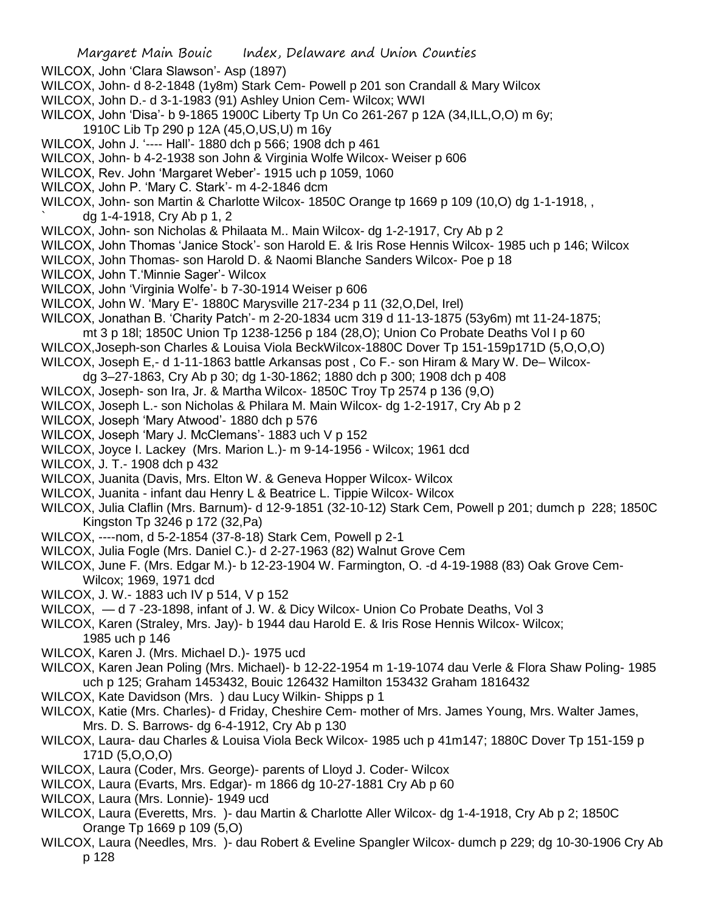- WILCOX, John 'Clara Slawson'- Asp (1897)
- WILCOX, John- d 8-2-1848 (1y8m) Stark Cem- Powell p 201 son Crandall & Mary Wilcox
- WILCOX, John D.- d 3-1-1983 (91) Ashley Union Cem- Wilcox; WWI
- WILCOX, John 'Disa'- b 9-1865 1900C Liberty Tp Un Co 261-267 p 12A (34,ILL,O,O) m 6y;
	- 1910C Lib Tp 290 p 12A (45,O,US,U) m 16y
- WILCOX, John J. '---- Hall'- 1880 dch p 566; 1908 dch p 461
- WILCOX, John- b 4-2-1938 son John & Virginia Wolfe Wilcox- Weiser p 606
- WILCOX, Rev. John 'Margaret Weber'- 1915 uch p 1059, 1060
- WILCOX, John P. 'Mary C. Stark'- m 4-2-1846 dcm
- WILCOX, John- son Martin & Charlotte Wilcox- 1850C Orange tp 1669 p 109 (10,O) dg 1-1-1918, , ` dg 1-4-1918, Cry Ab p 1, 2
- WILCOX, John- son Nicholas & Philaata M.. Main Wilcox- dg 1-2-1917, Cry Ab p 2
- WILCOX, John Thomas 'Janice Stock'- son Harold E. & Iris Rose Hennis Wilcox- 1985 uch p 146; Wilcox
- WILCOX, John Thomas- son Harold D. & Naomi Blanche Sanders Wilcox- Poe p 18
- WILCOX, John T.'Minnie Sager'- Wilcox
- WILCOX, John 'Virginia Wolfe'- b 7-30-1914 Weiser p 606
- WILCOX, John W. 'Mary E'- 1880C Marysville 217-234 p 11 (32,O,Del, Irel)
- WILCOX, Jonathan B. 'Charity Patch'- m 2-20-1834 ucm 319 d 11-13-1875 (53y6m) mt 11-24-1875;
- mt 3 p 18l; 1850C Union Tp 1238-1256 p 184 (28,O); Union Co Probate Deaths Vol I p 60
- WILCOX,Joseph-son Charles & Louisa Viola BeckWilcox-1880C Dover Tp 151-159p171D (5,O,O,O)
- WILCOX, Joseph E,- d 1-11-1863 battle Arkansas post , Co F.- son Hiram & Mary W. De– Wilcox-
- dg 3–27-1863, Cry Ab p 30; dg 1-30-1862; 1880 dch p 300; 1908 dch p 408
- WILCOX, Joseph- son Ira, Jr. & Martha Wilcox- 1850C Troy Tp 2574 p 136 (9,O)
- WILCOX, Joseph L.- son Nicholas & Philara M. Main Wilcox- dg 1-2-1917, Cry Ab p 2
- WILCOX, Joseph 'Mary Atwood'- 1880 dch p 576
- WILCOX, Joseph 'Mary J. McClemans'- 1883 uch V p 152
- WILCOX, Joyce I. Lackey (Mrs. Marion L.)- m 9-14-1956 Wilcox; 1961 dcd
- WILCOX, J. T.- 1908 dch p 432
- WILCOX, Juanita (Davis, Mrs. Elton W. & Geneva Hopper Wilcox- Wilcox
- WILCOX, Juanita infant dau Henry L & Beatrice L. Tippie Wilcox- Wilcox
- WILCOX, Julia Claflin (Mrs. Barnum)- d 12-9-1851 (32-10-12) Stark Cem, Powell p 201; dumch p 228; 1850C Kingston Tp 3246 p 172 (32,Pa)
- WILCOX, ----nom, d 5-2-1854 (37-8-18) Stark Cem, Powell p 2-1
- WILCOX, Julia Fogle (Mrs. Daniel C.)- d 2-27-1963 (82) Walnut Grove Cem
- WILCOX, June F. (Mrs. Edgar M.)- b 12-23-1904 W. Farmington, O. -d 4-19-1988 (83) Oak Grove Cem-Wilcox; 1969, 1971 dcd
- WILCOX, J. W.- 1883 uch IV p 514, V p 152
- WILCOX, d 7 -23-1898, infant of J. W. & Dicy Wilcox- Union Co Probate Deaths, Vol 3
- WILCOX, Karen (Straley, Mrs. Jay)- b 1944 dau Harold E. & Iris Rose Hennis Wilcox- Wilcox; 1985 uch p 146
- WILCOX, Karen J. (Mrs. Michael D.)- 1975 ucd
- WILCOX, Karen Jean Poling (Mrs. Michael)- b 12-22-1954 m 1-19-1074 dau Verle & Flora Shaw Poling- 1985 uch p 125; Graham 1453432, Bouic 126432 Hamilton 153432 Graham 1816432
- WILCOX, Kate Davidson (Mrs. ) dau Lucy Wilkin- Shipps p 1
- WILCOX, Katie (Mrs. Charles)- d Friday, Cheshire Cem- mother of Mrs. James Young, Mrs. Walter James, Mrs. D. S. Barrows- dg 6-4-1912, Cry Ab p 130
- WILCOX, Laura- dau Charles & Louisa Viola Beck Wilcox- 1985 uch p 41m147; 1880C Dover Tp 151-159 p 171D (5,O,O,O)
- WILCOX, Laura (Coder, Mrs. George)- parents of Lloyd J. Coder- Wilcox
- WILCOX, Laura (Evarts, Mrs. Edgar)- m 1866 dg 10-27-1881 Cry Ab p 60
- WILCOX, Laura (Mrs. Lonnie)- 1949 ucd
- WILCOX, Laura (Everetts, Mrs. )- dau Martin & Charlotte Aller Wilcox- dg 1-4-1918, Cry Ab p 2; 1850C Orange Tp 1669 p 109 (5,O)
- WILCOX, Laura (Needles, Mrs. )- dau Robert & Eveline Spangler Wilcox- dumch p 229; dg 10-30-1906 Cry Ab p 128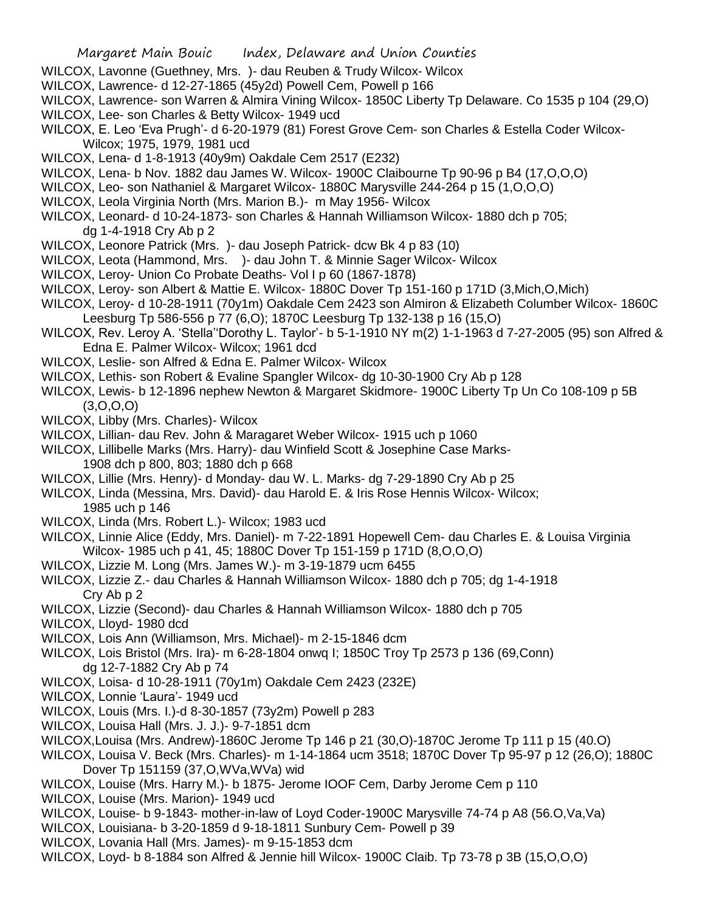- WILCOX, Lavonne (Guethney, Mrs. )- dau Reuben & Trudy Wilcox- Wilcox
- WILCOX, Lawrence- d 12-27-1865 (45y2d) Powell Cem, Powell p 166
- WILCOX, Lawrence- son Warren & Almira Vining Wilcox- 1850C Liberty Tp Delaware. Co 1535 p 104 (29,O) WILCOX, Lee- son Charles & Betty Wilcox- 1949 ucd
- WILCOX, E. Leo 'Eva Prugh'- d 6-20-1979 (81) Forest Grove Cem- son Charles & Estella Coder Wilcox-Wilcox; 1975, 1979, 1981 ucd
- WILCOX, Lena- d 1-8-1913 (40y9m) Oakdale Cem 2517 (E232)
- WILCOX, Lena- b Nov. 1882 dau James W. Wilcox- 1900C Claibourne Tp 90-96 p B4 (17,O,O,O)
- WILCOX, Leo- son Nathaniel & Margaret Wilcox- 1880C Marysville 244-264 p 15 (1,O,O,O)
- WILCOX, Leola Virginia North (Mrs. Marion B.)- m May 1956- Wilcox
- WILCOX, Leonard- d 10-24-1873- son Charles & Hannah Williamson Wilcox- 1880 dch p 705; dg 1-4-1918 Cry Ab p 2
- WILCOX, Leonore Patrick (Mrs. )- dau Joseph Patrick- dcw Bk 4 p 83 (10)
- WILCOX, Leota (Hammond, Mrs. )- dau John T. & Minnie Sager Wilcox- Wilcox
- WILCOX, Leroy- Union Co Probate Deaths- Vol I p 60 (1867-1878)
- WILCOX, Leroy- son Albert & Mattie E. Wilcox- 1880C Dover Tp 151-160 p 171D (3,Mich,O,Mich)
- WILCOX, Leroy- d 10-28-1911 (70y1m) Oakdale Cem 2423 son Almiron & Elizabeth Columber Wilcox- 1860C Leesburg Tp 586-556 p 77 (6,O); 1870C Leesburg Tp 132-138 p 16 (15,O)
- WILCOX, Rev. Leroy A. 'Stella''Dorothy L. Taylor'- b 5-1-1910 NY m(2) 1-1-1963 d 7-27-2005 (95) son Alfred & Edna E. Palmer Wilcox- Wilcox; 1961 dcd
- WILCOX, Leslie- son Alfred & Edna E. Palmer Wilcox- Wilcox
- WILCOX, Lethis- son Robert & Evaline Spangler Wilcox- dg 10-30-1900 Cry Ab p 128
- WILCOX, Lewis- b 12-1896 nephew Newton & Margaret Skidmore- 1900C Liberty Tp Un Co 108-109 p 5B  $(3,0,0,0)$
- WILCOX, Libby (Mrs. Charles)- Wilcox
- WILCOX, Lillian- dau Rev. John & Maragaret Weber Wilcox- 1915 uch p 1060
- WILCOX, Lillibelle Marks (Mrs. Harry)- dau Winfield Scott & Josephine Case Marks-1908 dch p 800, 803; 1880 dch p 668
- WILCOX, Lillie (Mrs. Henry)- d Monday- dau W. L. Marks- dg 7-29-1890 Cry Ab p 25
- WILCOX, Linda (Messina, Mrs. David)- dau Harold E. & Iris Rose Hennis Wilcox- Wilcox; 1985 uch p 146
- WILCOX, Linda (Mrs. Robert L.)- Wilcox; 1983 ucd
- WILCOX, Linnie Alice (Eddy, Mrs. Daniel)- m 7-22-1891 Hopewell Cem- dau Charles E. & Louisa Virginia Wilcox- 1985 uch p 41, 45; 1880C Dover Tp 151-159 p 171D (8,O,O,O)
- WILCOX, Lizzie M. Long (Mrs. James W.)- m 3-19-1879 ucm 6455
- WILCOX, Lizzie Z.- dau Charles & Hannah Williamson Wilcox- 1880 dch p 705; dg 1-4-1918 Cry Ab p 2
- WILCOX, Lizzie (Second)- dau Charles & Hannah Williamson Wilcox- 1880 dch p 705
- WILCOX, Lloyd- 1980 dcd
- WILCOX, Lois Ann (Williamson, Mrs. Michael)- m 2-15-1846 dcm
- WILCOX, Lois Bristol (Mrs. Ira)- m 6-28-1804 onwq I; 1850C Troy Tp 2573 p 136 (69,Conn) dg 12-7-1882 Cry Ab p 74
- WILCOX, Loisa- d 10-28-1911 (70y1m) Oakdale Cem 2423 (232E)
- WILCOX, Lonnie 'Laura'- 1949 ucd
- WILCOX, Louis (Mrs. I.)-d 8-30-1857 (73y2m) Powell p 283
- WILCOX, Louisa Hall (Mrs. J. J.)- 9-7-1851 dcm
- WILCOX,Louisa (Mrs. Andrew)-1860C Jerome Tp 146 p 21 (30,O)-1870C Jerome Tp 111 p 15 (40.O)
- WILCOX, Louisa V. Beck (Mrs. Charles)- m 1-14-1864 ucm 3518; 1870C Dover Tp 95-97 p 12 (26,O); 1880C Dover Tp 151159 (37,O,WVa,WVa) wid
- WILCOX, Louise (Mrs. Harry M.)- b 1875- Jerome IOOF Cem, Darby Jerome Cem p 110
- WILCOX, Louise (Mrs. Marion)- 1949 ucd
- WILCOX, Louise- b 9-1843- mother-in-law of Loyd Coder-1900C Marysville 74-74 p A8 (56.O,Va,Va)
- WILCOX, Louisiana- b 3-20-1859 d 9-18-1811 Sunbury Cem- Powell p 39
- WILCOX, Lovania Hall (Mrs. James)- m 9-15-1853 dcm
- WILCOX, Loyd- b 8-1884 son Alfred & Jennie hill Wilcox- 1900C Claib. Tp 73-78 p 3B (15,O,O,O)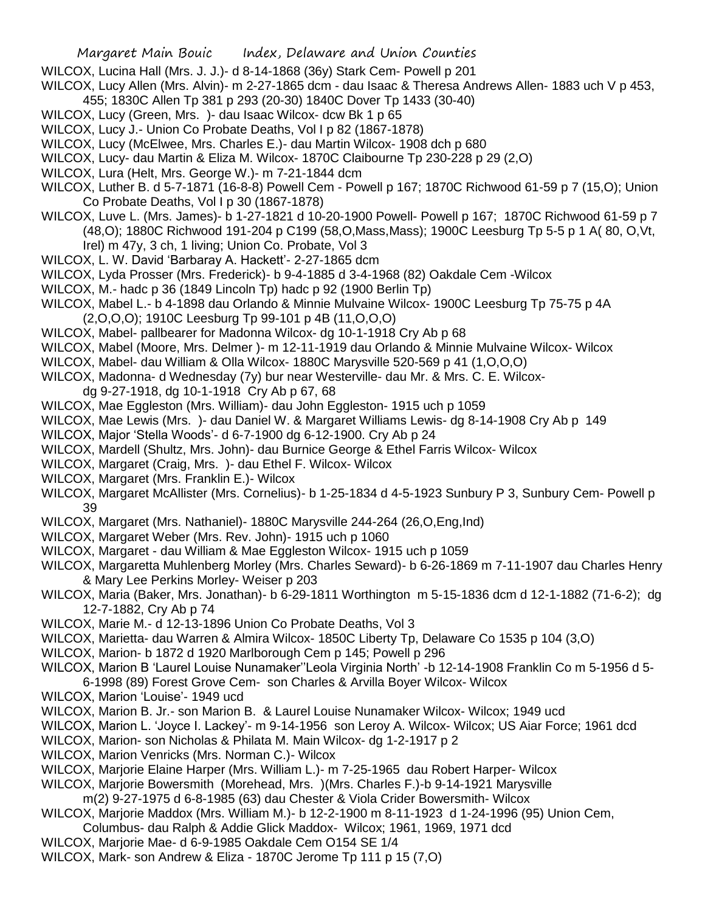- WILCOX, Lucina Hall (Mrs. J. J.)- d 8-14-1868 (36y) Stark Cem- Powell p 201
- WILCOX, Lucy Allen (Mrs. Alvin)- m 2-27-1865 dcm dau Isaac & Theresa Andrews Allen- 1883 uch V p 453, 455; 1830C Allen Tp 381 p 293 (20-30) 1840C Dover Tp 1433 (30-40)
- WILCOX, Lucy (Green, Mrs. )- dau Isaac Wilcox- dcw Bk 1 p 65
- WILCOX, Lucy J.- Union Co Probate Deaths, Vol I p 82 (1867-1878)
- WILCOX, Lucy (McElwee, Mrs. Charles E.)- dau Martin Wilcox- 1908 dch p 680
- WILCOX, Lucy- dau Martin & Eliza M. Wilcox- 1870C Claibourne Tp 230-228 p 29 (2,O)
- WILCOX, Lura (Helt, Mrs. George W.)- m 7-21-1844 dcm
- WILCOX, Luther B. d 5-7-1871 (16-8-8) Powell Cem Powell p 167; 1870C Richwood 61-59 p 7 (15,O); Union Co Probate Deaths, Vol I p 30 (1867-1878)
- WILCOX, Luve L. (Mrs. James)- b 1-27-1821 d 10-20-1900 Powell- Powell p 167; 1870C Richwood 61-59 p 7 (48,O); 1880C Richwood 191-204 p C199 (58,O,Mass,Mass); 1900C Leesburg Tp 5-5 p 1 A( 80, O,Vt, Irel) m 47y, 3 ch, 1 living; Union Co. Probate, Vol 3
- WILCOX, L. W. David 'Barbaray A. Hackett'- 2-27-1865 dcm
- WILCOX, Lyda Prosser (Mrs. Frederick)- b 9-4-1885 d 3-4-1968 (82) Oakdale Cem -Wilcox
- WILCOX, M.- hadc p 36 (1849 Lincoln Tp) hadc p 92 (1900 Berlin Tp)
- WILCOX, Mabel L.- b 4-1898 dau Orlando & Minnie Mulvaine Wilcox- 1900C Leesburg Tp 75-75 p 4A (2,O,O,O); 1910C Leesburg Tp 99-101 p 4B (11,O,O,O)
- WILCOX, Mabel- pallbearer for Madonna Wilcox- dg 10-1-1918 Cry Ab p 68
- 
- WILCOX, Mabel (Moore, Mrs. Delmer )- m 12-11-1919 dau Orlando & Minnie Mulvaine Wilcox- Wilcox
- WILCOX, Mabel- dau William & Olla Wilcox- 1880C Marysville 520-569 p 41 (1,O,O,O)
- WILCOX, Madonna- d Wednesday (7y) bur near Westerville- dau Mr. & Mrs. C. E. Wilcox
	- dg 9-27-1918, dg 10-1-1918 Cry Ab p 67, 68
- WILCOX, Mae Eggleston (Mrs. William)- dau John Eggleston- 1915 uch p 1059
- WILCOX, Mae Lewis (Mrs. )- dau Daniel W. & Margaret Williams Lewis- dg 8-14-1908 Cry Ab p 149
- WILCOX, Major 'Stella Woods'- d 6-7-1900 dg 6-12-1900. Cry Ab p 24
- WILCOX, Mardell (Shultz, Mrs. John)- dau Burnice George & Ethel Farris Wilcox- Wilcox
- WILCOX, Margaret (Craig, Mrs. )- dau Ethel F. Wilcox- Wilcox
- WILCOX, Margaret (Mrs. Franklin E.)- Wilcox
- WILCOX, Margaret McAllister (Mrs. Cornelius)- b 1-25-1834 d 4-5-1923 Sunbury P 3, Sunbury Cem- Powell p 39
- WILCOX, Margaret (Mrs. Nathaniel)- 1880C Marysville 244-264 (26,O,Eng,Ind)
- WILCOX, Margaret Weber (Mrs. Rev. John)- 1915 uch p 1060
- WILCOX, Margaret dau William & Mae Eggleston Wilcox- 1915 uch p 1059
- WILCOX, Margaretta Muhlenberg Morley (Mrs. Charles Seward)- b 6-26-1869 m 7-11-1907 dau Charles Henry & Mary Lee Perkins Morley- Weiser p 203
- WILCOX, Maria (Baker, Mrs. Jonathan)- b 6-29-1811 Worthington m 5-15-1836 dcm d 12-1-1882 (71-6-2); dg 12-7-1882, Cry Ab p 74
- WILCOX, Marie M.- d 12-13-1896 Union Co Probate Deaths, Vol 3
- WILCOX, Marietta- dau Warren & Almira Wilcox- 1850C Liberty Tp, Delaware Co 1535 p 104 (3,O)
- WILCOX, Marion- b 1872 d 1920 Marlborough Cem p 145; Powell p 296
- WILCOX, Marion B 'Laurel Louise Nunamaker''Leola Virginia North' -b 12-14-1908 Franklin Co m 5-1956 d 5- 6-1998 (89) Forest Grove Cem- son Charles & Arvilla Boyer Wilcox- Wilcox
- WILCOX, Marion 'Louise'- 1949 ucd
- WILCOX, Marion B. Jr.- son Marion B. & Laurel Louise Nunamaker Wilcox- Wilcox; 1949 ucd
- WILCOX, Marion L. 'Joyce I. Lackey'- m 9-14-1956 son Leroy A. Wilcox- Wilcox; US Aiar Force; 1961 dcd
- WILCOX, Marion- son Nicholas & Philata M. Main Wilcox- dg 1-2-1917 p 2
- WILCOX, Marion Venricks (Mrs. Norman C.)- Wilcox
- WILCOX, Marjorie Elaine Harper (Mrs. William L.)- m 7-25-1965 dau Robert Harper- Wilcox
- WILCOX, Marjorie Bowersmith (Morehead, Mrs. )(Mrs. Charles F.)-b 9-14-1921 Marysville
- m(2) 9-27-1975 d 6-8-1985 (63) dau Chester & Viola Crider Bowersmith- Wilcox
- WILCOX, Marjorie Maddox (Mrs. William M.)- b 12-2-1900 m 8-11-1923 d 1-24-1996 (95) Union Cem, Columbus- dau Ralph & Addie Glick Maddox- Wilcox; 1961, 1969, 1971 dcd
- WILCOX, Marjorie Mae- d 6-9-1985 Oakdale Cem O154 SE 1/4
- WILCOX, Mark- son Andrew & Eliza 1870C Jerome Tp 111 p 15 (7,O)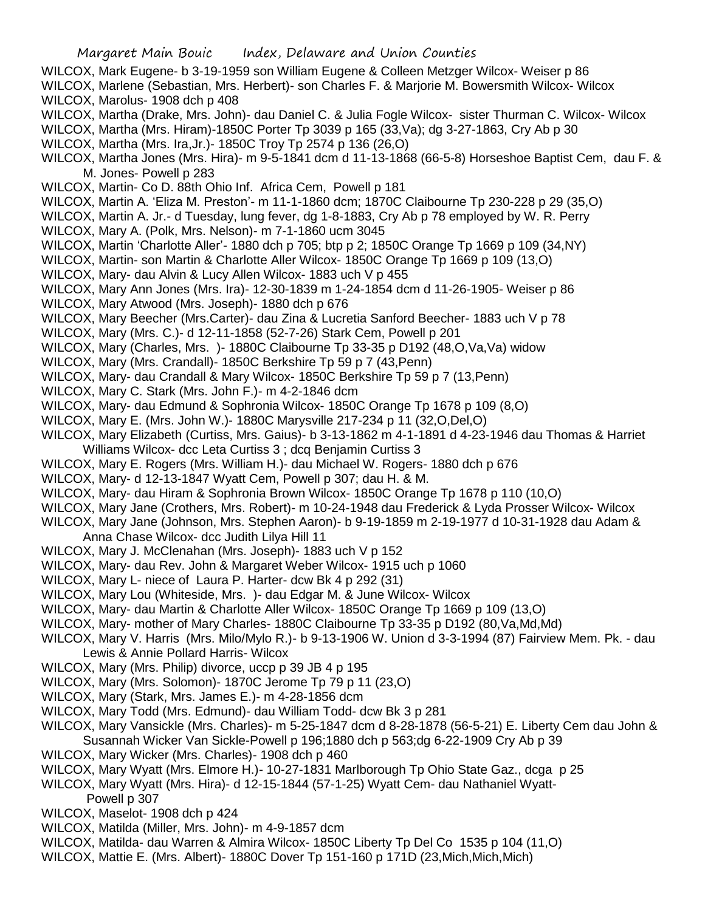- WILCOX, Mark Eugene- b 3-19-1959 son William Eugene & Colleen Metzger Wilcox- Weiser p 86
- WILCOX, Marlene (Sebastian, Mrs. Herbert)- son Charles F. & Marjorie M. Bowersmith Wilcox- Wilcox WILCOX, Marolus- 1908 dch p 408
- WILCOX, Martha (Drake, Mrs. John)- dau Daniel C. & Julia Fogle Wilcox- sister Thurman C. Wilcox- Wilcox
- WILCOX, Martha (Mrs. Hiram)-1850C Porter Tp 3039 p 165 (33,Va); dg 3-27-1863, Cry Ab p 30
- WILCOX, Martha (Mrs. Ira,Jr.)- 1850C Troy Tp 2574 p 136 (26,O)
- WILCOX, Martha Jones (Mrs. Hira)- m 9-5-1841 dcm d 11-13-1868 (66-5-8) Horseshoe Baptist Cem, dau F. & M. Jones- Powell p 283
- WILCOX, Martin- Co D. 88th Ohio Inf. Africa Cem, Powell p 181
- WILCOX, Martin A. 'Eliza M. Preston'- m 11-1-1860 dcm; 1870C Claibourne Tp 230-228 p 29 (35,O)
- WILCOX, Martin A. Jr.- d Tuesday, lung fever, dg 1-8-1883, Cry Ab p 78 employed by W. R. Perry
- WILCOX, Mary A. (Polk, Mrs. Nelson)- m 7-1-1860 ucm 3045
- WILCOX, Martin 'Charlotte Aller'- 1880 dch p 705; btp p 2; 1850C Orange Tp 1669 p 109 (34,NY)
- WILCOX, Martin- son Martin & Charlotte Aller Wilcox- 1850C Orange Tp 1669 p 109 (13,O)
- WILCOX, Mary- dau Alvin & Lucy Allen Wilcox- 1883 uch V p 455
- WILCOX, Mary Ann Jones (Mrs. Ira)- 12-30-1839 m 1-24-1854 dcm d 11-26-1905- Weiser p 86
- WILCOX, Mary Atwood (Mrs. Joseph)- 1880 dch p 676
- WILCOX, Mary Beecher (Mrs.Carter)- dau Zina & Lucretia Sanford Beecher- 1883 uch V p 78
- WILCOX, Mary (Mrs. C.)- d 12-11-1858 (52-7-26) Stark Cem, Powell p 201
- WILCOX, Mary (Charles, Mrs. )- 1880C Claibourne Tp 33-35 p D192 (48,O,Va,Va) widow
- WILCOX, Mary (Mrs. Crandall)- 1850C Berkshire Tp 59 p 7 (43,Penn)
- WILCOX, Mary- dau Crandall & Mary Wilcox- 1850C Berkshire Tp 59 p 7 (13,Penn)
- WILCOX, Mary C. Stark (Mrs. John F.)- m 4-2-1846 dcm
- WILCOX, Mary- dau Edmund & Sophronia Wilcox- 1850C Orange Tp 1678 p 109 (8,O)
- WILCOX, Mary E. (Mrs. John W.)- 1880C Marysville 217-234 p 11 (32,O,Del,O)
- WILCOX, Mary Elizabeth (Curtiss, Mrs. Gaius)- b 3-13-1862 m 4-1-1891 d 4-23-1946 dau Thomas & Harriet Williams Wilcox- dcc Leta Curtiss 3 ; dcq Benjamin Curtiss 3
- WILCOX, Mary E. Rogers (Mrs. William H.)- dau Michael W. Rogers- 1880 dch p 676
- WILCOX, Mary- d 12-13-1847 Wyatt Cem, Powell p 307; dau H. & M.
- WILCOX, Mary- dau Hiram & Sophronia Brown Wilcox- 1850C Orange Tp 1678 p 110 (10,O)
- WILCOX, Mary Jane (Crothers, Mrs. Robert)- m 10-24-1948 dau Frederick & Lyda Prosser Wilcox- Wilcox
- WILCOX, Mary Jane (Johnson, Mrs. Stephen Aaron)- b 9-19-1859 m 2-19-1977 d 10-31-1928 dau Adam & Anna Chase Wilcox- dcc Judith Lilya Hill 11
- WILCOX, Mary J. McClenahan (Mrs. Joseph)- 1883 uch V p 152
- WILCOX, Mary- dau Rev. John & Margaret Weber Wilcox- 1915 uch p 1060
- WILCOX, Mary L- niece of Laura P. Harter- dcw Bk 4 p 292 (31)
- WILCOX, Mary Lou (Whiteside, Mrs. )- dau Edgar M. & June Wilcox- Wilcox
- WILCOX, Mary- dau Martin & Charlotte Aller Wilcox- 1850C Orange Tp 1669 p 109 (13,O)
- WILCOX, Mary- mother of Mary Charles- 1880C Claibourne Tp 33-35 p D192 (80,Va,Md,Md)
- WILCOX, Mary V. Harris (Mrs. Milo/Mylo R.)- b 9-13-1906 W. Union d 3-3-1994 (87) Fairview Mem. Pk. dau Lewis & Annie Pollard Harris- Wilcox
- WILCOX, Mary (Mrs. Philip) divorce, uccp p 39 JB 4 p 195
- WILCOX, Mary (Mrs. Solomon)- 1870C Jerome Tp 79 p 11 (23,O)
- WILCOX, Mary (Stark, Mrs. James E.)- m 4-28-1856 dcm
- WILCOX, Mary Todd (Mrs. Edmund)- dau William Todd- dcw Bk 3 p 281
- WILCOX, Mary Vansickle (Mrs. Charles)- m 5-25-1847 dcm d 8-28-1878 (56-5-21) E. Liberty Cem dau John & Susannah Wicker Van Sickle-Powell p 196;1880 dch p 563;dg 6-22-1909 Cry Ab p 39
- WILCOX, Mary Wicker (Mrs. Charles)- 1908 dch p 460
- WILCOX, Mary Wyatt (Mrs. Elmore H.)- 10-27-1831 Marlborough Tp Ohio State Gaz., dcga p 25
- WILCOX, Mary Wyatt (Mrs. Hira)- d 12-15-1844 (57-1-25) Wyatt Cem- dau Nathaniel Wyatt-
- Powell p 307
- WILCOX, Maselot- 1908 dch p 424
- WILCOX, Matilda (Miller, Mrs. John)- m 4-9-1857 dcm
- WILCOX, Matilda- dau Warren & Almira Wilcox- 1850C Liberty Tp Del Co 1535 p 104 (11,O)
- WILCOX, Mattie E. (Mrs. Albert)- 1880C Dover Tp 151-160 p 171D (23,Mich,Mich,Mich)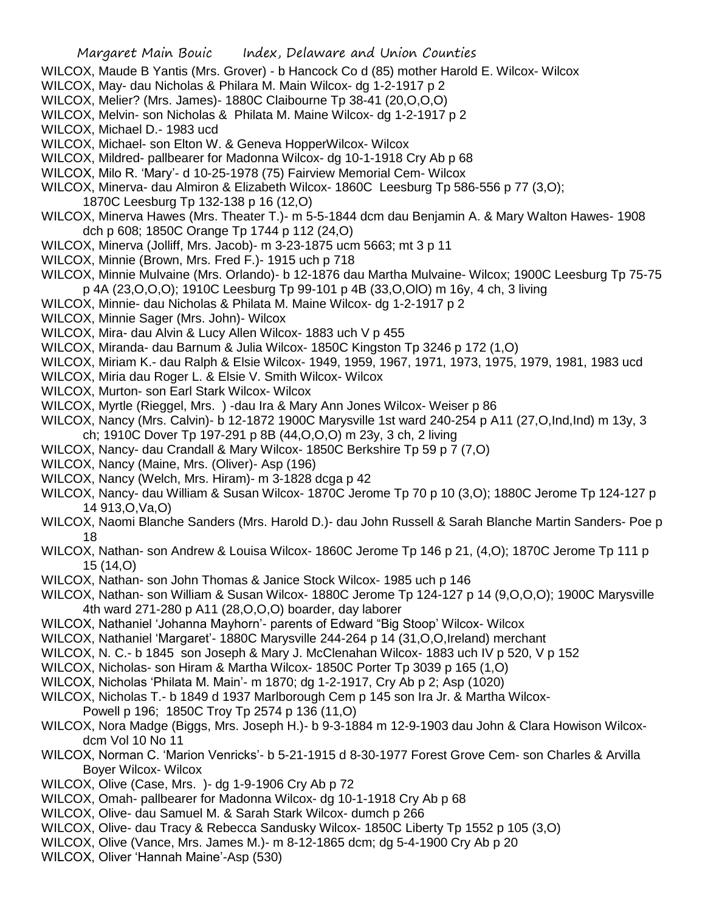- WILCOX, Maude B Yantis (Mrs. Grover) b Hancock Co d (85) mother Harold E. Wilcox- Wilcox
- WILCOX, May- dau Nicholas & Philara M. Main Wilcox- dg 1-2-1917 p 2
- WILCOX, Melier? (Mrs. James)- 1880C Claibourne Tp 38-41 (20,O,O,O)
- WILCOX, Melvin- son Nicholas & Philata M. Maine Wilcox- dg 1-2-1917 p 2
- WILCOX, Michael D.- 1983 ucd
- WILCOX, Michael- son Elton W. & Geneva HopperWilcox- Wilcox
- WILCOX, Mildred- pallbearer for Madonna Wilcox- dg 10-1-1918 Cry Ab p 68
- WILCOX, Milo R. 'Mary'- d 10-25-1978 (75) Fairview Memorial Cem- Wilcox
- WILCOX, Minerva- dau Almiron & Elizabeth Wilcox- 1860C Leesburg Tp 586-556 p 77 (3,O);
	- 1870C Leesburg Tp 132-138 p 16 (12,O)
- WILCOX, Minerva Hawes (Mrs. Theater T.)- m 5-5-1844 dcm dau Benjamin A. & Mary Walton Hawes- 1908 dch p 608; 1850C Orange Tp 1744 p 112 (24,O)
- WILCOX, Minerva (Jolliff, Mrs. Jacob)- m 3-23-1875 ucm 5663; mt 3 p 11
- WILCOX, Minnie (Brown, Mrs. Fred F.)- 1915 uch p 718
- WILCOX, Minnie Mulvaine (Mrs. Orlando)- b 12-1876 dau Martha Mulvaine- Wilcox; 1900C Leesburg Tp 75-75 p 4A (23,O,O,O); 1910C Leesburg Tp 99-101 p 4B (33,O,OlO) m 16y, 4 ch, 3 living
- WILCOX, Minnie- dau Nicholas & Philata M. Maine Wilcox- dg 1-2-1917 p 2
- WILCOX, Minnie Sager (Mrs. John)- Wilcox
- WILCOX, Mira- dau Alvin & Lucy Allen Wilcox- 1883 uch V p 455
- WILCOX, Miranda- dau Barnum & Julia Wilcox- 1850C Kingston Tp 3246 p 172 (1,O)
- WILCOX, Miriam K.- dau Ralph & Elsie Wilcox- 1949, 1959, 1967, 1971, 1973, 1975, 1979, 1981, 1983 ucd
- WILCOX, Miria dau Roger L. & Elsie V. Smith Wilcox- Wilcox
- WILCOX, Murton- son Earl Stark Wilcox- Wilcox
- WILCOX, Myrtle (Rieggel, Mrs. ) -dau Ira & Mary Ann Jones Wilcox- Weiser p 86
- WILCOX, Nancy (Mrs. Calvin)- b 12-1872 1900C Marysville 1st ward 240-254 p A11 (27,O,Ind,Ind) m 13y, 3 ch; 1910C Dover Tp 197-291 p 8B (44,O,O,O) m 23y, 3 ch, 2 living
- WILCOX, Nancy- dau Crandall & Mary Wilcox- 1850C Berkshire Tp 59 p 7 (7,O)
- WILCOX, Nancy (Maine, Mrs. (Oliver)- Asp (196)
- WILCOX, Nancy (Welch, Mrs. Hiram)- m 3-1828 dcga p 42
- WILCOX, Nancy- dau William & Susan Wilcox- 1870C Jerome Tp 70 p 10 (3,O); 1880C Jerome Tp 124-127 p 14 913,O,Va,O)
- WILCOX, Naomi Blanche Sanders (Mrs. Harold D.)- dau John Russell & Sarah Blanche Martin Sanders- Poe p 18
- WILCOX, Nathan- son Andrew & Louisa Wilcox- 1860C Jerome Tp 146 p 21, (4,O); 1870C Jerome Tp 111 p 15 (14,O)
- WILCOX, Nathan- son John Thomas & Janice Stock Wilcox- 1985 uch p 146
- WILCOX, Nathan- son William & Susan Wilcox- 1880C Jerome Tp 124-127 p 14 (9, O, O, O); 1900C Marysville 4th ward 271-280 p A11 (28,O,O,O) boarder, day laborer
- WILCOX, Nathaniel 'Johanna Mayhorn'- parents of Edward "Big Stoop' Wilcox- Wilcox
- WILCOX, Nathaniel 'Margaret'- 1880C Marysville 244-264 p 14 (31,O,O,Ireland) merchant
- WILCOX, N. C.- b 1845 son Joseph & Mary J. McClenahan Wilcox- 1883 uch IV p 520, V p 152
- WILCOX, Nicholas- son Hiram & Martha Wilcox- 1850C Porter Tp 3039 p 165 (1,O)
- WILCOX, Nicholas 'Philata M. Main'- m 1870; dg 1-2-1917, Cry Ab p 2; Asp (1020)
- WILCOX, Nicholas T.- b 1849 d 1937 Marlborough Cem p 145 son Ira Jr. & Martha Wilcox-Powell p 196; 1850C Troy Tp 2574 p 136 (11,O)
- WILCOX, Nora Madge (Biggs, Mrs. Joseph H.)- b 9-3-1884 m 12-9-1903 dau John & Clara Howison Wilcoxdcm Vol 10 No 11
- WILCOX, Norman C. 'Marion Venricks'- b 5-21-1915 d 8-30-1977 Forest Grove Cem- son Charles & Arvilla Boyer Wilcox- Wilcox
- WILCOX, Olive (Case, Mrs. )- dg 1-9-1906 Cry Ab p 72
- WILCOX, Omah- pallbearer for Madonna Wilcox- dg 10-1-1918 Cry Ab p 68
- WILCOX, Olive- dau Samuel M. & Sarah Stark Wilcox- dumch p 266
- WILCOX, Olive- dau Tracy & Rebecca Sandusky Wilcox- 1850C Liberty Tp 1552 p 105 (3,O)
- WILCOX, Olive (Vance, Mrs. James M.)- m 8-12-1865 dcm; dg 5-4-1900 Cry Ab p 20
- WILCOX, Oliver 'Hannah Maine'-Asp (530)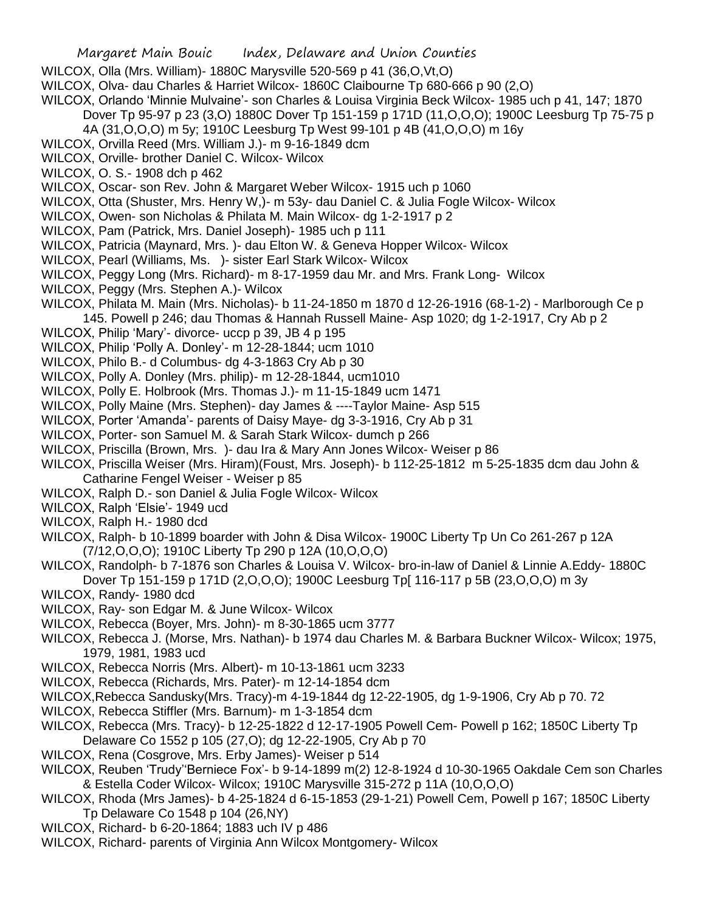- WILCOX, Olla (Mrs. William)- 1880C Marysville 520-569 p 41 (36,O,Vt,O)
- WILCOX, Olva- dau Charles & Harriet Wilcox- 1860C Claibourne Tp 680-666 p 90 (2,O)

WILCOX, Orlando 'Minnie Mulvaine'- son Charles & Louisa Virginia Beck Wilcox- 1985 uch p 41, 147; 1870

Dover Tp 95-97 p 23 (3,O) 1880C Dover Tp 151-159 p 171D (11,O,O,O); 1900C Leesburg Tp 75-75 p

- 4A (31,O,O,O) m 5y; 1910C Leesburg Tp West 99-101 p 4B (41,O,O,O) m 16y
- WILCOX, Orvilla Reed (Mrs. William J.)- m 9-16-1849 dcm
- WILCOX, Orville- brother Daniel C. Wilcox- Wilcox
- WILCOX, O. S.- 1908 dch p 462
- WILCOX, Oscar- son Rev. John & Margaret Weber Wilcox- 1915 uch p 1060
- WILCOX, Otta (Shuster, Mrs. Henry W,)- m 53y- dau Daniel C. & Julia Fogle Wilcox- Wilcox
- WILCOX, Owen- son Nicholas & Philata M. Main Wilcox- dg 1-2-1917 p 2
- WILCOX, Pam (Patrick, Mrs. Daniel Joseph)- 1985 uch p 111
- WILCOX, Patricia (Maynard, Mrs. )- dau Elton W. & Geneva Hopper Wilcox- Wilcox
- WILCOX, Pearl (Williams, Ms. )- sister Earl Stark Wilcox- Wilcox
- WILCOX, Peggy Long (Mrs. Richard)- m 8-17-1959 dau Mr. and Mrs. Frank Long- Wilcox
- WILCOX, Peggy (Mrs. Stephen A.)- Wilcox
- WILCOX, Philata M. Main (Mrs. Nicholas)- b 11-24-1850 m 1870 d 12-26-1916 (68-1-2) Marlborough Ce p 145. Powell p 246; dau Thomas & Hannah Russell Maine- Asp 1020; dg 1-2-1917, Cry Ab p 2
- WILCOX, Philip 'Mary'- divorce- uccp p 39, JB 4 p 195
- WILCOX, Philip 'Polly A. Donley'- m 12-28-1844; ucm 1010
- WILCOX, Philo B.- d Columbus- dg 4-3-1863 Cry Ab p 30
- WILCOX, Polly A. Donley (Mrs. philip)- m 12-28-1844, ucm1010
- WILCOX, Polly E. Holbrook (Mrs. Thomas J.)- m 11-15-1849 ucm 1471
- WILCOX, Polly Maine (Mrs. Stephen)- day James & ----Taylor Maine- Asp 515
- WILCOX, Porter 'Amanda'- parents of Daisy Maye- dg 3-3-1916, Cry Ab p 31
- WILCOX, Porter- son Samuel M. & Sarah Stark Wilcox- dumch p 266
- WILCOX, Priscilla (Brown, Mrs. )- dau Ira & Mary Ann Jones Wilcox- Weiser p 86
- WILCOX, Priscilla Weiser (Mrs. Hiram)(Foust, Mrs. Joseph)- b 112-25-1812 m 5-25-1835 dcm dau John & Catharine Fengel Weiser - Weiser p 85
- WILCOX, Ralph D.- son Daniel & Julia Fogle Wilcox- Wilcox
- WILCOX, Ralph 'Elsie'- 1949 ucd
- WILCOX, Ralph H.- 1980 dcd
- WILCOX, Ralph- b 10-1899 boarder with John & Disa Wilcox- 1900C Liberty Tp Un Co 261-267 p 12A (7/12,O,O,O); 1910C Liberty Tp 290 p 12A (10,O,O,O)
- WILCOX, Randolph- b 7-1876 son Charles & Louisa V. Wilcox- bro-in-law of Daniel & Linnie A.Eddy- 1880C Dover Tp 151-159 p 171D (2,O,O,O); 1900C Leesburg Tp[ 116-117 p 5B (23,O,O,O) m 3y
- WILCOX, Randy- 1980 dcd
- WILCOX, Ray- son Edgar M. & June Wilcox- Wilcox
- WILCOX, Rebecca (Boyer, Mrs. John)- m 8-30-1865 ucm 3777
- WILCOX, Rebecca J. (Morse, Mrs. Nathan)- b 1974 dau Charles M. & Barbara Buckner Wilcox- Wilcox; 1975, 1979, 1981, 1983 ucd
- WILCOX, Rebecca Norris (Mrs. Albert)- m 10-13-1861 ucm 3233
- WILCOX, Rebecca (Richards, Mrs. Pater)- m 12-14-1854 dcm
- WILCOX,Rebecca Sandusky(Mrs. Tracy)-m 4-19-1844 dg 12-22-1905, dg 1-9-1906, Cry Ab p 70. 72
- WILCOX, Rebecca Stiffler (Mrs. Barnum)- m 1-3-1854 dcm
- WILCOX, Rebecca (Mrs. Tracy)- b 12-25-1822 d 12-17-1905 Powell Cem- Powell p 162; 1850C Liberty Tp Delaware Co 1552 p 105 (27,O); dg 12-22-1905, Cry Ab p 70
- WILCOX, Rena (Cosgrove, Mrs. Erby James)- Weiser p 514
- WILCOX, Reuben 'Trudy''Berniece Fox'- b 9-14-1899 m(2) 12-8-1924 d 10-30-1965 Oakdale Cem son Charles & Estella Coder Wilcox- Wilcox; 1910C Marysville 315-272 p 11A (10,O,O,O)
- WILCOX, Rhoda (Mrs James)- b 4-25-1824 d 6-15-1853 (29-1-21) Powell Cem, Powell p 167; 1850C Liberty Tp Delaware Co 1548 p 104 (26,NY)
- WILCOX, Richard- b 6-20-1864; 1883 uch IV p 486
- WILCOX, Richard- parents of Virginia Ann Wilcox Montgomery- Wilcox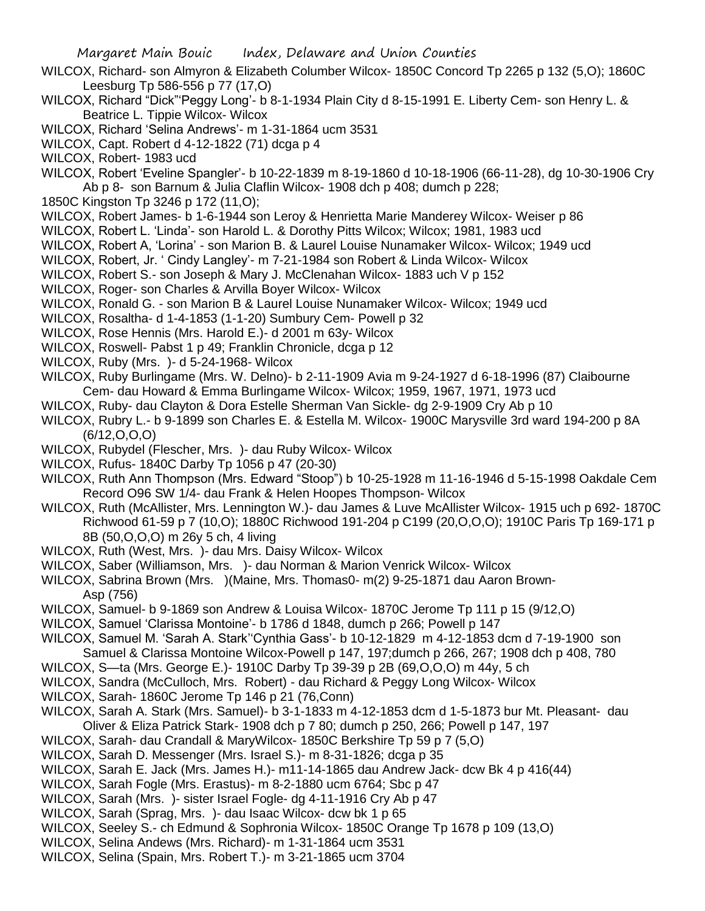- WILCOX, Richard- son Almyron & Elizabeth Columber Wilcox- 1850C Concord Tp 2265 p 132 (5,O); 1860C Leesburg Tp 586-556 p 77 (17,O)
- WILCOX, Richard "Dick"'Peggy Long'- b 8-1-1934 Plain City d 8-15-1991 E. Liberty Cem- son Henry L. & Beatrice L. Tippie Wilcox- Wilcox
- WILCOX, Richard 'Selina Andrews'- m 1-31-1864 ucm 3531
- WILCOX, Capt. Robert d 4-12-1822 (71) dcga p 4
- WILCOX, Robert- 1983 ucd
- WILCOX, Robert 'Eveline Spangler'- b 10-22-1839 m 8-19-1860 d 10-18-1906 (66-11-28), dg 10-30-1906 Cry Ab p 8- son Barnum & Julia Claflin Wilcox- 1908 dch p 408; dumch p 228;
- 1850C Kingston Tp 3246 p 172 (11,O);
- WILCOX, Robert James- b 1-6-1944 son Leroy & Henrietta Marie Manderey Wilcox- Weiser p 86
- WILCOX, Robert L. 'Linda'- son Harold L. & Dorothy Pitts Wilcox; Wilcox; 1981, 1983 ucd
- WILCOX, Robert A, 'Lorina' son Marion B. & Laurel Louise Nunamaker Wilcox- Wilcox; 1949 ucd
- WILCOX, Robert, Jr. ' Cindy Langley'- m 7-21-1984 son Robert & Linda Wilcox- Wilcox
- WILCOX, Robert S.- son Joseph & Mary J. McClenahan Wilcox- 1883 uch V p 152
- WILCOX, Roger- son Charles & Arvilla Boyer Wilcox- Wilcox
- WILCOX, Ronald G. son Marion B & Laurel Louise Nunamaker Wilcox- Wilcox; 1949 ucd
- WILCOX, Rosaltha- d 1-4-1853 (1-1-20) Sumbury Cem- Powell p 32
- WILCOX, Rose Hennis (Mrs. Harold E.)- d 2001 m 63y- Wilcox
- WILCOX, Roswell- Pabst 1 p 49; Franklin Chronicle, dcga p 12
- WILCOX, Ruby (Mrs. )- d 5-24-1968- Wilcox
- WILCOX, Ruby Burlingame (Mrs. W. Delno)- b 2-11-1909 Avia m 9-24-1927 d 6-18-1996 (87) Claibourne Cem- dau Howard & Emma Burlingame Wilcox- Wilcox; 1959, 1967, 1971, 1973 ucd
- WILCOX, Ruby- dau Clayton & Dora Estelle Sherman Van Sickle- dg 2-9-1909 Cry Ab p 10
- WILCOX, Rubry L.- b 9-1899 son Charles E. & Estella M. Wilcox- 1900C Marysville 3rd ward 194-200 p 8A (6/12,O,O,O)
- WILCOX, Rubydel (Flescher, Mrs. )- dau Ruby Wilcox- Wilcox
- WILCOX, Rufus- 1840C Darby Tp 1056 p 47 (20-30)
- WILCOX, Ruth Ann Thompson (Mrs. Edward "Stoop") b 10-25-1928 m 11-16-1946 d 5-15-1998 Oakdale Cem Record O96 SW 1/4- dau Frank & Helen Hoopes Thompson- Wilcox
- WILCOX, Ruth (McAllister, Mrs. Lennington W.)- dau James & Luve McAllister Wilcox- 1915 uch p 692- 1870C Richwood 61-59 p 7 (10,O); 1880C Richwood 191-204 p C199 (20,O,O,O); 1910C Paris Tp 169-171 p 8B (50,O,O,O) m 26y 5 ch, 4 living
- WILCOX, Ruth (West, Mrs. )- dau Mrs. Daisy Wilcox- Wilcox
- WILCOX, Saber (Williamson, Mrs. )- dau Norman & Marion Venrick Wilcox- Wilcox
- WILCOX, Sabrina Brown (Mrs. )(Maine, Mrs. Thomas0- m(2) 9-25-1871 dau Aaron Brown-Asp (756)
- WILCOX, Samuel- b 9-1869 son Andrew & Louisa Wilcox- 1870C Jerome Tp 111 p 15 (9/12,O)
- WILCOX, Samuel 'Clarissa Montoine'- b 1786 d 1848, dumch p 266; Powell p 147
- WILCOX, Samuel M. 'Sarah A. Stark''Cynthia Gass'- b 10-12-1829 m 4-12-1853 dcm d 7-19-1900 son
- Samuel & Clarissa Montoine Wilcox-Powell p 147, 197;dumch p 266, 267; 1908 dch p 408, 780
- WILCOX, S—ta (Mrs. George E.)- 1910C Darby Tp 39-39 p 2B (69,O,O,O) m 44y, 5 ch
- WILCOX, Sandra (McCulloch, Mrs. Robert) dau Richard & Peggy Long Wilcox- Wilcox
- WILCOX, Sarah- 1860C Jerome Tp 146 p 21 (76,Conn)
- WILCOX, Sarah A. Stark (Mrs. Samuel)- b 3-1-1833 m 4-12-1853 dcm d 1-5-1873 bur Mt. Pleasant- dau Oliver & Eliza Patrick Stark- 1908 dch p 7 80; dumch p 250, 266; Powell p 147, 197
- WILCOX, Sarah- dau Crandall & MaryWilcox- 1850C Berkshire Tp 59 p 7 (5,O)
- WILCOX, Sarah D. Messenger (Mrs. Israel S.)- m 8-31-1826; dcga p 35
- WILCOX, Sarah E. Jack (Mrs. James H.)- m11-14-1865 dau Andrew Jack- dcw Bk 4 p 416(44)
- WILCOX, Sarah Fogle (Mrs. Erastus)- m 8-2-1880 ucm 6764; Sbc p 47
- WILCOX, Sarah (Mrs. )- sister Israel Fogle- dg 4-11-1916 Cry Ab p 47
- WILCOX, Sarah (Sprag, Mrs. )- dau Isaac Wilcox- dcw bk 1 p 65
- WILCOX, Seeley S.- ch Edmund & Sophronia Wilcox- 1850C Orange Tp 1678 p 109 (13,O)
- WILCOX, Selina Andews (Mrs. Richard)- m 1-31-1864 ucm 3531
- WILCOX, Selina (Spain, Mrs. Robert T.)- m 3-21-1865 ucm 3704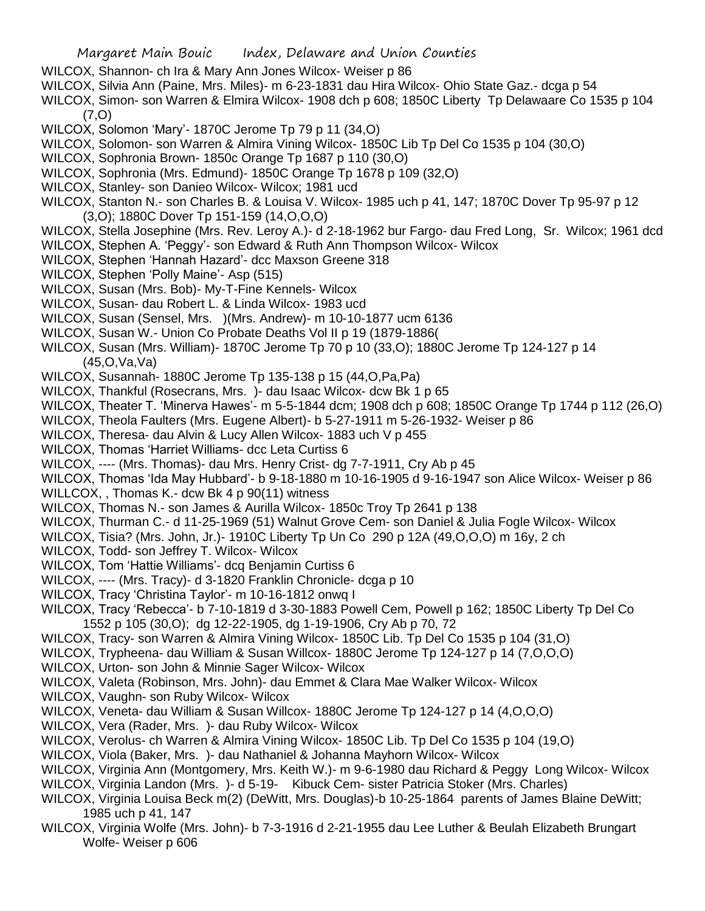- WILCOX, Shannon- ch Ira & Mary Ann Jones Wilcox- Weiser p 86
- WILCOX, Silvia Ann (Paine, Mrs. Miles)- m 6-23-1831 dau Hira Wilcox- Ohio State Gaz.- dcga p 54
- WILCOX, Simon- son Warren & Elmira Wilcox- 1908 dch p 608; 1850C Liberty Tp Delawaare Co 1535 p 104 (7,O)
- WILCOX, Solomon 'Mary'- 1870C Jerome Tp 79 p 11 (34,O)
- WILCOX, Solomon- son Warren & Almira Vining Wilcox- 1850C Lib Tp Del Co 1535 p 104 (30,O)
- WILCOX, Sophronia Brown- 1850c Orange Tp 1687 p 110 (30,O)
- WILCOX, Sophronia (Mrs. Edmund)- 1850C Orange Tp 1678 p 109 (32,O)
- WILCOX, Stanley- son Danieo Wilcox- Wilcox; 1981 ucd
- WILCOX, Stanton N.- son Charles B. & Louisa V. Wilcox- 1985 uch p 41, 147; 1870C Dover Tp 95-97 p 12 (3,O); 1880C Dover Tp 151-159 (14,O,O,O)
- WILCOX, Stella Josephine (Mrs. Rev. Leroy A.)- d 2-18-1962 bur Fargo- dau Fred Long, Sr. Wilcox; 1961 dcd
- WILCOX, Stephen A. 'Peggy'- son Edward & Ruth Ann Thompson Wilcox- Wilcox
- WILCOX, Stephen 'Hannah Hazard'- dcc Maxson Greene 318
- WILCOX, Stephen 'Polly Maine'- Asp (515)
- WILCOX, Susan (Mrs. Bob)- My-T-Fine Kennels- Wilcox
- WILCOX, Susan- dau Robert L. & Linda Wilcox- 1983 ucd
- WILCOX, Susan (Sensel, Mrs. )(Mrs. Andrew)- m 10-10-1877 ucm 6136
- WILCOX, Susan W.- Union Co Probate Deaths Vol II p 19 (1879-1886(
- WILCOX, Susan (Mrs. William)- 1870C Jerome Tp 70 p 10 (33,O); 1880C Jerome Tp 124-127 p 14 (45,O,Va,Va)
- WILCOX, Susannah- 1880C Jerome Tp 135-138 p 15 (44,O,Pa,Pa)
- WILCOX, Thankful (Rosecrans, Mrs. )- dau Isaac Wilcox- dcw Bk 1 p 65
- WILCOX, Theater T. 'Minerva Hawes'- m 5-5-1844 dcm; 1908 dch p 608; 1850C Orange Tp 1744 p 112 (26,O)
- WILCOX, Theola Faulters (Mrs. Eugene Albert)- b 5-27-1911 m 5-26-1932- Weiser p 86
- WILCOX, Theresa- dau Alvin & Lucy Allen Wilcox- 1883 uch V p 455
- WILCOX, Thomas 'Harriet Williams- dcc Leta Curtiss 6
- WILCOX, ---- (Mrs. Thomas)- dau Mrs. Henry Crist- dg 7-7-1911, Cry Ab p 45
- WILCOX, Thomas 'Ida May Hubbard'- b 9-18-1880 m 10-16-1905 d 9-16-1947 son Alice Wilcox- Weiser p 86
- WILLCOX, , Thomas K.- dcw Bk 4 p 90(11) witness
- WILCOX, Thomas N.- son James & Aurilla Wilcox- 1850c Troy Tp 2641 p 138
- WILCOX, Thurman C.- d 11-25-1969 (51) Walnut Grove Cem- son Daniel & Julia Fogle Wilcox- Wilcox
- WILCOX, Tisia? (Mrs. John, Jr.)- 1910C Liberty Tp Un Co 290 p 12A (49,O,O,O) m 16y, 2 ch
- WILCOX, Todd- son Jeffrey T. Wilcox- Wilcox
- WILCOX, Tom 'Hattie Williams'- dcq Benjamin Curtiss 6
- WILCOX, ---- (Mrs. Tracy)- d 3-1820 Franklin Chronicle- dcga p 10
- WILCOX, Tracy 'Christina Taylor'- m 10-16-1812 onwq I
- WILCOX, Tracy 'Rebecca'- b 7-10-1819 d 3-30-1883 Powell Cem, Powell p 162; 1850C Liberty Tp Del Co 1552 p 105 (30,O); dg 12-22-1905, dg 1-19-1906, Cry Ab p 70, 72
- WILCOX, Tracy- son Warren & Almira Vining Wilcox- 1850C Lib. Tp Del Co 1535 p 104 (31,O)
- WILCOX, Trypheena- dau William & Susan Willcox- 1880C Jerome Tp 124-127 p 14 (7,O,O,O)
- WILCOX, Urton- son John & Minnie Sager Wilcox- Wilcox
- WILCOX, Valeta (Robinson, Mrs. John)- dau Emmet & Clara Mae Walker Wilcox- Wilcox
- WILCOX, Vaughn- son Ruby Wilcox- Wilcox
- WILCOX, Veneta- dau William & Susan Willcox- 1880C Jerome Tp 124-127 p 14 (4,O,O,O)
- WILCOX, Vera (Rader, Mrs. )- dau Ruby Wilcox- Wilcox
- WILCOX, Verolus- ch Warren & Almira Vining Wilcox- 1850C Lib. Tp Del Co 1535 p 104 (19,O)
- WILCOX, Viola (Baker, Mrs. )- dau Nathaniel & Johanna Mayhorn Wilcox- Wilcox
- WILCOX, Virginia Ann (Montgomery, Mrs. Keith W.)- m 9-6-1980 dau Richard & Peggy Long Wilcox- Wilcox
- WILCOX, Virginia Landon (Mrs. )- d 5-19- Kibuck Cem- sister Patricia Stoker (Mrs. Charles)
- WILCOX, Virginia Louisa Beck m(2) (DeWitt, Mrs. Douglas)-b 10-25-1864 parents of James Blaine DeWitt; 1985 uch p 41, 147
- WILCOX, Virginia Wolfe (Mrs. John)- b 7-3-1916 d 2-21-1955 dau Lee Luther & Beulah Elizabeth Brungart Wolfe- Weiser p 606